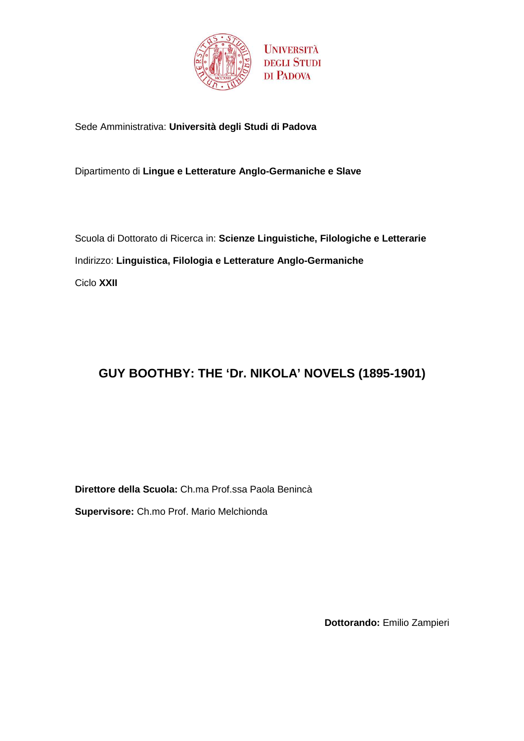

Sede Amministrativa: **Università degli Studi di Padova** 

Dipartimento di **Lingue e Letterature Anglo-Germaniche e Slave**

Scuola di Dottorato di Ricerca in: **Scienze Linguistiche, Filologiche e Letterarie**  Indirizzo: **Linguistica, Filologia e Letterature Anglo-Germaniche** Ciclo **XXII** 

# **GUY BOOTHBY: THE 'Dr. NIKOLA' NOVELS (1895-1901)**

**Direttore della Scuola:** Ch.ma Prof.ssa Paola Benincà

**Supervisore:** Ch.mo Prof. Mario Melchionda

**Dottorando:** Emilio Zampieri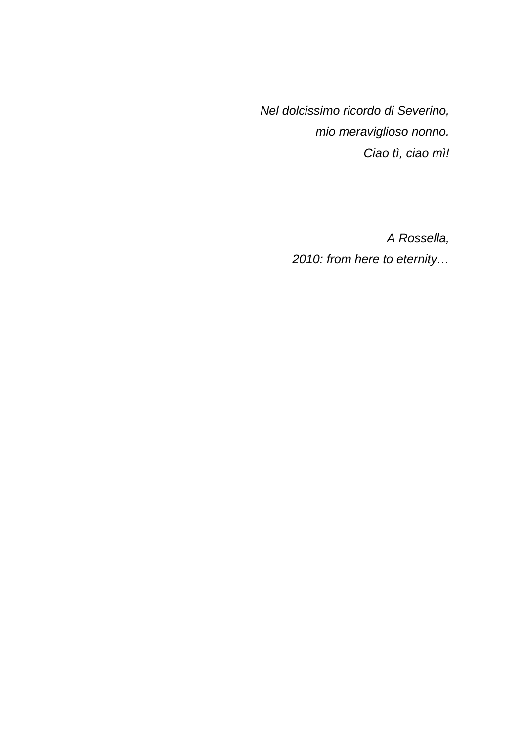Nel dolcissimo ricordo di Severino, mio meraviglioso nonno. Ciao tì, ciao mì!

> A Rossella, 2010: from here to eternity…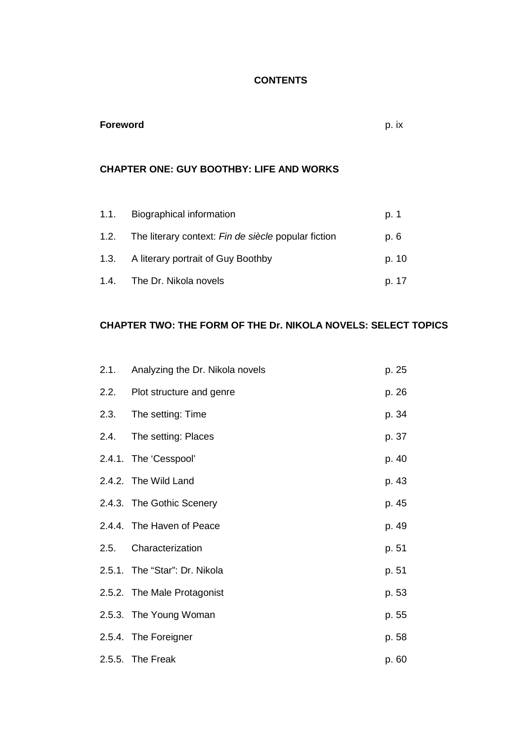#### **CONTENTS**

# **Foreword p.** ix **CHAPTER ONE: GUY BOOTHBY: LIFE AND WORKS**

| 1.1. | Biographical information                                 | p. 1  |
|------|----------------------------------------------------------|-------|
|      | 1.2. The literary context: Fin de siècle popular fiction | p. 6  |
|      | 1.3. A literary portrait of Guy Boothby                  | p. 10 |
| 1.4. | The Dr. Nikola novels                                    | p. 17 |

## **CHAPTER TWO: THE FORM OF THE Dr. NIKOLA NOVELS: SELECT TOPICS**

| 2.1. | Analyzing the Dr. Nikola novels | p. 25 |
|------|---------------------------------|-------|
| 2.2. | Plot structure and genre        | p. 26 |
| 2.3. | The setting: Time               | p. 34 |
| 2.4. | The setting: Places             | p. 37 |
|      | 2.4.1. The 'Cesspool'           | p. 40 |
|      | 2.4.2. The Wild Land            | p. 43 |
|      | 2.4.3. The Gothic Scenery       | p. 45 |
|      | 2.4.4. The Haven of Peace       | p. 49 |
| 2.5. | Characterization                | p. 51 |
|      | 2.5.1. The "Star": Dr. Nikola   | p. 51 |
|      | 2.5.2. The Male Protagonist     | p. 53 |
|      | 2.5.3. The Young Woman          | p. 55 |
|      | 2.5.4. The Foreigner            | p. 58 |
|      | 2.5.5. The Freak                | p. 60 |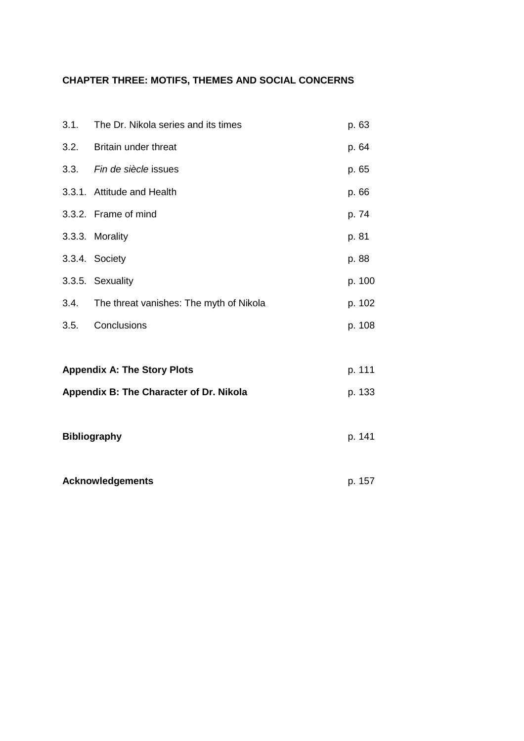# **CHAPTER THREE: MOTIFS, THEMES AND SOCIAL CONCERNS**

| 3.1.                                    | The Dr. Nikola series and its times     | p. 63  |
|-----------------------------------------|-----------------------------------------|--------|
| 3.2.                                    | Britain under threat                    | p. 64  |
| 3.3.                                    | Fin de siècle issues                    | p. 65  |
|                                         | 3.3.1. Attitude and Health              | p. 66  |
|                                         | 3.3.2. Frame of mind                    | p. 74  |
|                                         | 3.3.3. Morality                         | p. 81  |
|                                         | 3.3.4. Society                          | p. 88  |
|                                         | 3.3.5. Sexuality                        | p. 100 |
| 3.4.                                    | The threat vanishes: The myth of Nikola | p. 102 |
| 3.5.                                    | Conclusions                             | p. 108 |
|                                         |                                         |        |
| <b>Appendix A: The Story Plots</b>      |                                         |        |
| Appendix B: The Character of Dr. Nikola |                                         |        |
|                                         |                                         |        |
| <b>Bibliography</b>                     |                                         |        |
|                                         |                                         |        |
| <b>Acknowledgements</b>                 |                                         |        |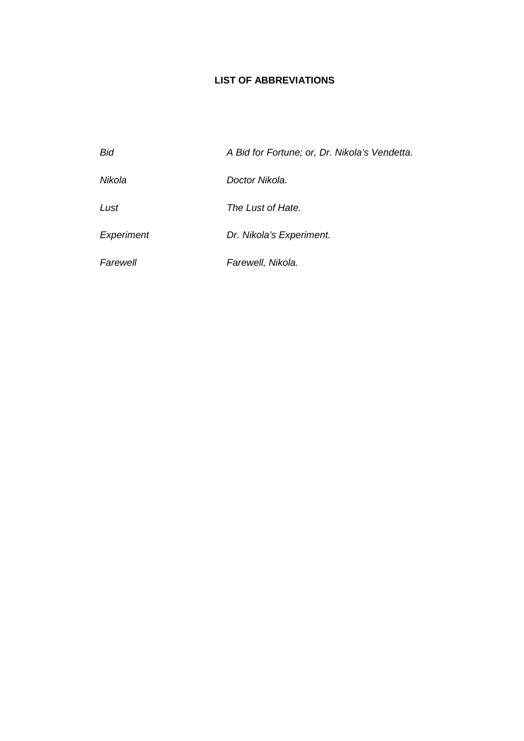## **LIST OF ABBREVIATIONS**

| Bid        | A Bid for Fortune; or, Dr. Nikola's Vendetta. |
|------------|-----------------------------------------------|
| Nikola     | Doctor Nikola.                                |
| Lust       | The Lust of Hate.                             |
| Experiment | Dr. Nikola's Experiment.                      |
| Farewell   | Farewell, Nikola.                             |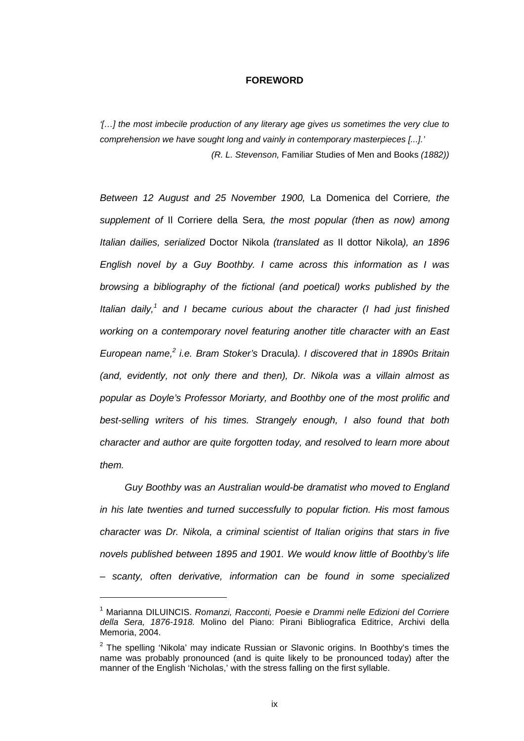#### **FOREWORD**

'[…] the most imbecile production of any literary age gives us sometimes the very clue to comprehension we have sought long and vainly in contemporary masterpieces [...].' (R. L. Stevenson, Familiar Studies of Men and Books (1882))

Between 12 August and 25 November 1900, La Domenica del Corriere, the supplement of Il Corriere della Sera, the most popular (then as now) among Italian dailies, serialized Doctor Nikola (translated as Il dottor Nikola), an 1896 English novel by a Guy Boothby. I came across this information as I was browsing a bibliography of the fictional (and poetical) works published by the Italian daily,<sup>1</sup> and I became curious about the character (I had just finished working on a contemporary novel featuring another title character with an East European name, $^2$  i.e. Bram Stoker's Dracula). I discovered that in 1890s Britain (and, evidently, not only there and then), Dr. Nikola was a villain almost as popular as Doyle's Professor Moriarty, and Boothby one of the most prolific and best-selling writers of his times. Strangely enough, I also found that both character and author are quite forgotten today, and resolved to learn more about them.

Guy Boothby was an Australian would-be dramatist who moved to England in his late twenties and turned successfully to popular fiction. His most famous character was Dr. Nikola, a criminal scientist of Italian origins that stars in five novels published between 1895 and 1901. We would know little of Boothby's life – scanty, often derivative, information can be found in some specialized

<sup>&</sup>lt;sup>1</sup> Marianna DILUINCIS. Romanzi, Racconti, Poesie e Drammi nelle Edizioni del Corriere della Sera, 1876-1918. Molino del Piano: Pirani Bibliografica Editrice, Archivi della Memoria, 2004.

 $2$  The spelling 'Nikola' may indicate Russian or Slavonic origins. In Boothby's times the name was probably pronounced (and is quite likely to be pronounced today) after the manner of the English 'Nicholas,' with the stress falling on the first syllable.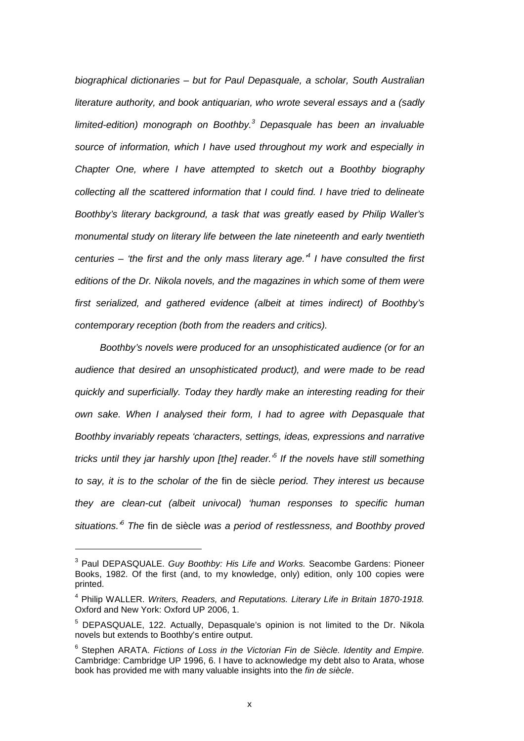biographical dictionaries – but for Paul Depasquale, a scholar, South Australian literature authority, and book antiquarian, who wrote several essays and a (sadly limited-edition) monograph on Boothby.<sup>3</sup> Depasquale has been an invaluable source of information, which I have used throughout my work and especially in Chapter One, where I have attempted to sketch out a Boothby biography collecting all the scattered information that I could find. I have tried to delineate Boothby's literary background, a task that was greatly eased by Philip Waller's monumental study on literary life between the late nineteenth and early twentieth centuries – 'the first and the only mass literary age. $4$  I have consulted the first editions of the Dr. Nikola novels, and the magazines in which some of them were first serialized, and gathered evidence (albeit at times indirect) of Boothby's contemporary reception (both from the readers and critics).

Boothby's novels were produced for an unsophisticated audience (or for an audience that desired an unsophisticated product), and were made to be read quickly and superficially. Today they hardly make an interesting reading for their own sake. When I analysed their form, I had to agree with Depasquale that Boothby invariably repeats 'characters, settings, ideas, expressions and narrative tricks until they jar harshly upon [the] reader.<sup>5</sup> If the novels have still something to say, it is to the scholar of the fin de siècle period. They interest us because they are clean-cut (albeit univocal) 'human responses to specific human situations. $6$  The fin de siècle was a period of restlessness, and Boothby proved

<sup>&</sup>lt;sup>3</sup> Paul DEPASQUALE. Guy Boothby: His Life and Works. Seacombe Gardens: Pioneer Books, 1982. Of the first (and, to my knowledge, only) edition, only 100 copies were printed.

<sup>&</sup>lt;sup>4</sup> Philip WALLER. Writers, Readers, and Reputations. Literary Life in Britain 1870-1918. Oxford and New York: Oxford UP 2006, 1.

<sup>&</sup>lt;sup>5</sup> DEPASQUALE, 122. Actually, Depasquale's opinion is not limited to the Dr. Nikola novels but extends to Boothby's entire output.

<sup>&</sup>lt;sup>6</sup> Stephen ARATA. Fictions of Loss in the Victorian Fin de Siècle. Identity and Empire. Cambridge: Cambridge UP 1996, 6. I have to acknowledge my debt also to Arata, whose book has provided me with many valuable insights into the fin de siècle.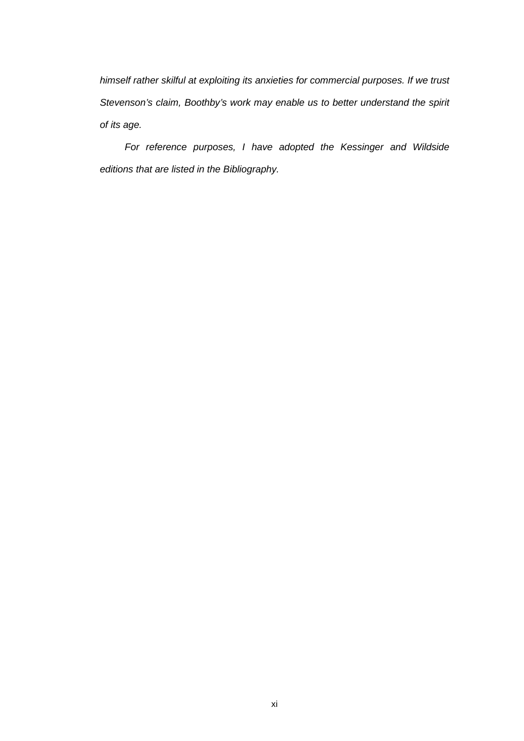himself rather skilful at exploiting its anxieties for commercial purposes. If we trust Stevenson's claim, Boothby's work may enable us to better understand the spirit of its age.

For reference purposes, I have adopted the Kessinger and Wildside editions that are listed in the Bibliography.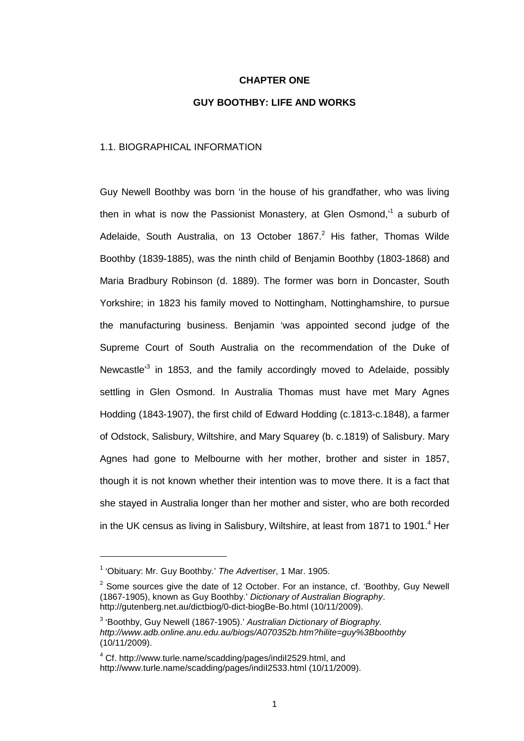#### **CHAPTER ONE**

#### **GUY BOOTHBY: LIFE AND WORKS**

#### 1.1. BIOGRAPHICAL INFORMATION

Guy Newell Boothby was born 'in the house of his grandfather, who was living then in what is now the Passionist Monastery, at Glen Osmond,<sup>11</sup> a suburb of Adelaide, South Australia, on 13 October 1867.<sup>2</sup> His father, Thomas Wilde Boothby (1839-1885), was the ninth child of Benjamin Boothby (1803-1868) and Maria Bradbury Robinson (d. 1889). The former was born in Doncaster, South Yorkshire; in 1823 his family moved to Nottingham, Nottinghamshire, to pursue the manufacturing business. Benjamin 'was appointed second judge of the Supreme Court of South Australia on the recommendation of the Duke of Newcastle<sup>3</sup> in 1853, and the family accordingly moved to Adelaide, possibly settling in Glen Osmond. In Australia Thomas must have met Mary Agnes Hodding (1843-1907), the first child of Edward Hodding (c.1813-c.1848), a farmer of Odstock, Salisbury, Wiltshire, and Mary Squarey (b. c.1819) of Salisbury. Mary Agnes had gone to Melbourne with her mother, brother and sister in 1857, though it is not known whether their intention was to move there. It is a fact that she stayed in Australia longer than her mother and sister, who are both recorded in the UK census as living in Salisbury, Wiltshire, at least from 1871 to 1901. $4$  Her

<sup>&</sup>lt;sup>1</sup> 'Obituary: Mr. Guy Boothby.' The Advertiser, 1 Mar. 1905.

 $2$  Some sources give the date of 12 October. For an instance, cf. 'Boothby, Guy Newell (1867-1905), known as Guy Boothby.' Dictionary of Australian Biography. http://gutenberg.net.au/dictbiog/0-dict-biogBe-Bo.html (10/11/2009).

<sup>&</sup>lt;sup>3</sup> 'Boothby, Guy Newell (1867-1905).' Australian Dictionary of Biography. http://www.adb.online.anu.edu.au/biogs/A070352b.htm?hilite=guy%3Bboothby (10/11/2009).

<sup>&</sup>lt;sup>4</sup> Cf. http://www.turle.name/scadding/pages/indil2529.html, and http://www.turle.name/scadding/pages/indiI2533.html (10/11/2009).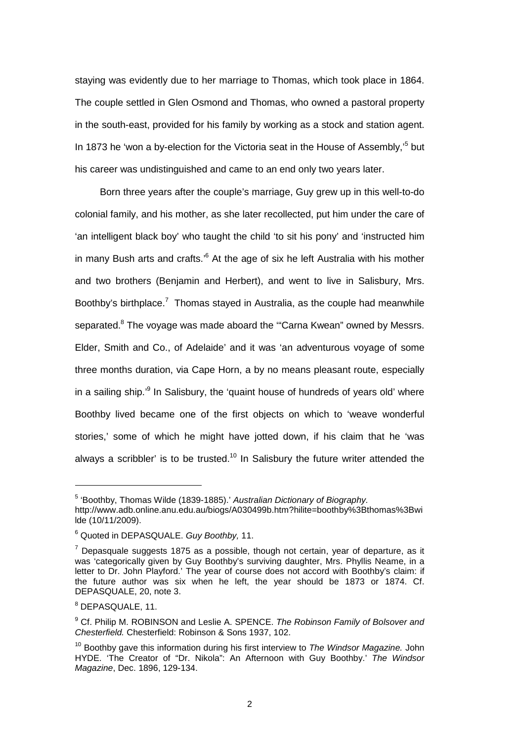staying was evidently due to her marriage to Thomas, which took place in 1864. The couple settled in Glen Osmond and Thomas, who owned a pastoral property in the south-east, provided for his family by working as a stock and station agent. In 1873 he 'won a by-election for the Victoria seat in the House of Assembly,<sup>15</sup> but his career was undistinguished and came to an end only two years later.

Born three years after the couple's marriage, Guy grew up in this well-to-do colonial family, and his mother, as she later recollected, put him under the care of 'an intelligent black boy' who taught the child 'to sit his pony' and 'instructed him in many Bush arts and crafts.<sup>6</sup> At the age of six he left Australia with his mother and two brothers (Benjamin and Herbert), and went to live in Salisbury, Mrs. Boothby's birthplace.<sup>7</sup> Thomas stayed in Australia, as the couple had meanwhile separated.<sup>8</sup> The voyage was made aboard the "Carna Kwean" owned by Messrs. Elder, Smith and Co., of Adelaide' and it was 'an adventurous voyage of some three months duration, via Cape Horn, a by no means pleasant route, especially in a sailing ship.<sup>'9</sup> In Salisbury, the 'quaint house of hundreds of years old' where Boothby lived became one of the first objects on which to 'weave wonderful stories,' some of which he might have jotted down, if his claim that he 'was always a scribbler' is to be trusted.<sup>10</sup> In Salisbury the future writer attended the

<sup>&</sup>lt;sup>5</sup> 'Boothby, Thomas Wilde (1839-1885).' Australian Dictionary of Biography. http://www.adb.online.anu.edu.au/biogs/A030499b.htm?hilite=boothby%3Bthomas%3Bwi lde (10/11/2009).

<sup>&</sup>lt;sup>6</sup> Quoted in DEPASQUALE. Guy Boothby, 11.

 $<sup>7</sup>$  Depasquale suggests 1875 as a possible, though not certain, year of departure, as it</sup> was 'categorically given by Guy Boothby's surviving daughter, Mrs. Phyllis Neame, in a letter to Dr. John Playford.' The year of course does not accord with Boothby's claim: if the future author was six when he left, the year should be 1873 or 1874. Cf. DEPASQUALE, 20, note 3.

<sup>8</sup> DEPASQUALE, 11.

<sup>&</sup>lt;sup>9</sup> Cf. Philip M. ROBINSON and Leslie A. SPENCE. The Robinson Family of Bolsover and Chesterfield. Chesterfield: Robinson & Sons 1937, 102.

 $10$  Boothby gave this information during his first interview to The Windsor Magazine. John HYDE. 'The Creator of "Dr. Nikola": An Afternoon with Guy Boothby.' The Windsor Magazine, Dec. 1896, 129-134.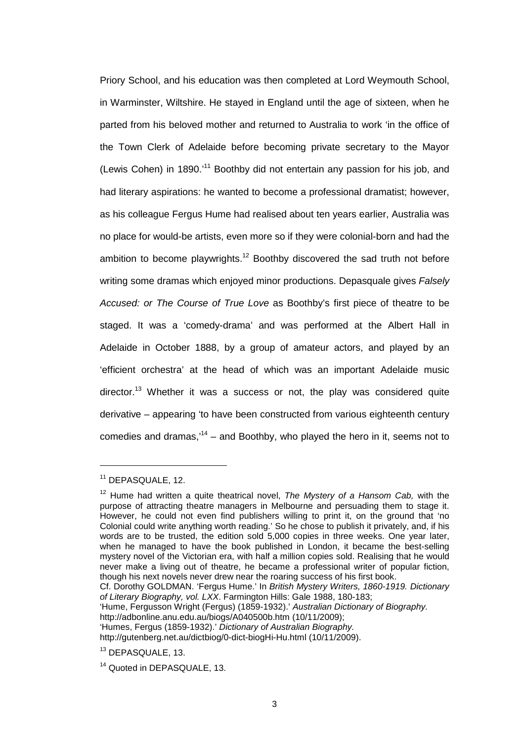Priory School, and his education was then completed at Lord Weymouth School, in Warminster, Wiltshire. He stayed in England until the age of sixteen, when he parted from his beloved mother and returned to Australia to work 'in the office of the Town Clerk of Adelaide before becoming private secretary to the Mayor (Lewis Cohen) in 1890.<sup>11</sup> Boothby did not entertain any passion for his job, and had literary aspirations: he wanted to become a professional dramatist; however, as his colleague Fergus Hume had realised about ten years earlier, Australia was no place for would-be artists, even more so if they were colonial-born and had the ambition to become playwrights.<sup>12</sup> Boothby discovered the sad truth not before writing some dramas which enjoyed minor productions. Depasquale gives Falsely Accused: or The Course of True Love as Boothby's first piece of theatre to be staged. It was a 'comedy-drama' and was performed at the Albert Hall in Adelaide in October 1888, by a group of amateur actors, and played by an 'efficient orchestra' at the head of which was an important Adelaide music director.<sup>13</sup> Whether it was a success or not, the play was considered quite derivative – appearing 'to have been constructed from various eighteenth century comedies and dramas, $14 -$  and Boothby, who played the hero in it, seems not to

'Hume, Fergusson Wright (Fergus) (1859-1932).' Australian Dictionary of Biography.

http://adbonline.anu.edu.au/biogs/A040500b.htm (10/11/2009);

'Humes, Fergus (1859-1932).' Dictionary of Australian Biography.

http://gutenberg.net.au/dictbiog/0-dict-biogHi-Hu.html (10/11/2009).

<sup>13</sup> DEPASQUALE, 13.

<sup>&</sup>lt;sup>11</sup> DEPASQUALE, 12.

 $12$  Hume had written a quite theatrical novel, The Mystery of a Hansom Cab, with the purpose of attracting theatre managers in Melbourne and persuading them to stage it. However, he could not even find publishers willing to print it, on the ground that 'no Colonial could write anything worth reading.' So he chose to publish it privately, and, if his words are to be trusted, the edition sold 5,000 copies in three weeks. One year later, when he managed to have the book published in London, it became the best-selling mystery novel of the Victorian era, with half a million copies sold. Realising that he would never make a living out of theatre, he became a professional writer of popular fiction, though his next novels never drew near the roaring success of his first book.

Cf. Dorothy GOLDMAN. 'Fergus Hume.' In British Mystery Writers, 1860-1919. Dictionary of Literary Biography, vol. LXX. Farmington Hills: Gale 1988, 180-183;

<sup>&</sup>lt;sup>14</sup> Quoted in DEPASQUALE, 13.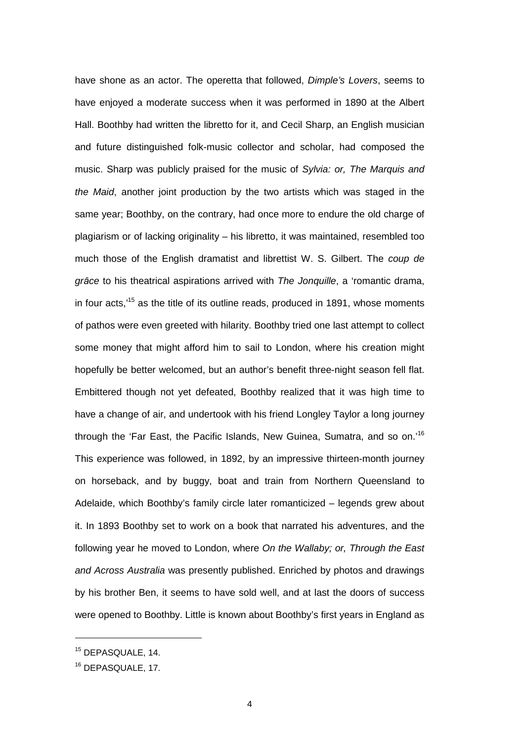have shone as an actor. The operetta that followed, Dimple's Lovers, seems to have enjoyed a moderate success when it was performed in 1890 at the Albert Hall. Boothby had written the libretto for it, and Cecil Sharp, an English musician and future distinguished folk-music collector and scholar, had composed the music. Sharp was publicly praised for the music of Sylvia: or, The Marquis and the Maid, another joint production by the two artists which was staged in the same year; Boothby, on the contrary, had once more to endure the old charge of plagiarism or of lacking originality – his libretto, it was maintained, resembled too much those of the English dramatist and librettist W. S. Gilbert. The coup de gr*ȃ*ce to his theatrical aspirations arrived with The Jonquille, a 'romantic drama, in four acts,<sup> $15$ </sup> as the title of its outline reads, produced in 1891, whose moments of pathos were even greeted with hilarity. Boothby tried one last attempt to collect some money that might afford him to sail to London, where his creation might hopefully be better welcomed, but an author's benefit three-night season fell flat. Embittered though not yet defeated, Boothby realized that it was high time to have a change of air, and undertook with his friend Longley Taylor a long journey through the 'Far East, the Pacific Islands, New Guinea, Sumatra, and so on.'<sup>16</sup> This experience was followed, in 1892, by an impressive thirteen-month journey on horseback, and by buggy, boat and train from Northern Queensland to Adelaide, which Boothby's family circle later romanticized – legends grew about it. In 1893 Boothby set to work on a book that narrated his adventures, and the following year he moved to London, where On the Wallaby; or, Through the East and Across Australia was presently published. Enriched by photos and drawings by his brother Ben, it seems to have sold well, and at last the doors of success were opened to Boothby. Little is known about Boothby's first years in England as

 $\overline{a}$ 

 $15$  DEPASQUALE, 14.

<sup>&</sup>lt;sup>16</sup> DEPASQUALE, 17.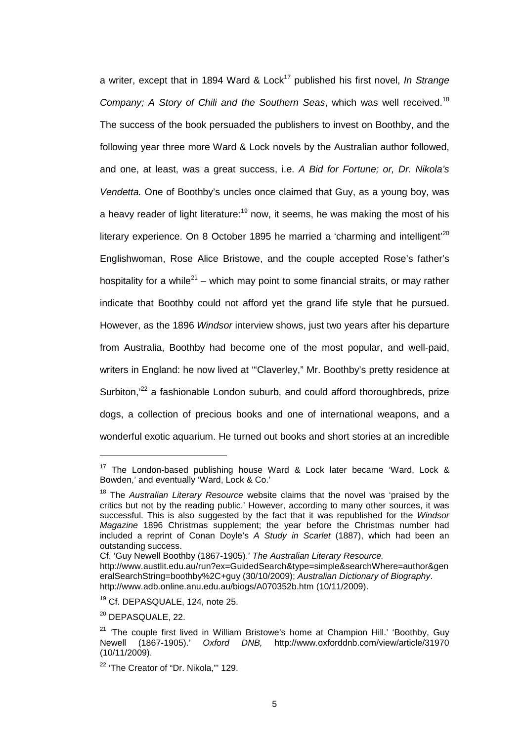a writer, except that in 1894 Ward & Lock<sup>17</sup> published his first novel, *In Strange* Company; A Story of Chili and the Southern Seas, which was well received.<sup>18</sup> The success of the book persuaded the publishers to invest on Boothby, and the following year three more Ward & Lock novels by the Australian author followed, and one, at least, was a great success, i.e. A Bid for Fortune; or, Dr. Nikola's Vendetta. One of Boothby's uncles once claimed that Guy, as a young boy, was a heavy reader of light literature:<sup>19</sup> now, it seems, he was making the most of his literary experience. On 8 October 1895 he married a 'charming and intelligent<sup>'20</sup> Englishwoman, Rose Alice Bristowe, and the couple accepted Rose's father's hospitality for a while<sup>21</sup> – which may point to some financial straits, or may rather indicate that Boothby could not afford yet the grand life style that he pursued. However, as the 1896 Windsor interview shows, just two years after his departure from Australia, Boothby had become one of the most popular, and well-paid, writers in England: he now lived at '"Claverley," Mr. Boothby's pretty residence at Surbiton,<sup>22</sup> a fashionable London suburb, and could afford thoroughbreds, prize dogs, a collection of precious books and one of international weapons, and a wonderful exotic aquarium. He turned out books and short stories at an incredible

<sup>&</sup>lt;sup>17</sup> The London-based publishing house Ward & Lock later became 'Ward, Lock & Bowden,' and eventually 'Ward, Lock & Co.'

<sup>&</sup>lt;sup>18</sup> The Australian Literary Resource website claims that the novel was 'praised by the critics but not by the reading public.' However, according to many other sources, it was successful. This is also suggested by the fact that it was republished for the Windsor Magazine 1896 Christmas supplement; the year before the Christmas number had included a reprint of Conan Doyle's A Study in Scarlet (1887), which had been an outstanding success.

Cf. 'Guy Newell Boothby (1867-1905).' The Australian Literary Resource.

http://www.austlit.edu.au/run?ex=GuidedSearch&type=simple&searchWhere=author&gen eralSearchString=boothby%2C+guy (30/10/2009); Australian Dictionary of Biography. http://www.adb.online.anu.edu.au/biogs/A070352b.htm (10/11/2009).

<sup>19</sup> Cf. DEPASQUALE, 124, note 25.

 $20$  DEPASQUALE, 22.

 $21$  'The couple first lived in William Bristowe's home at Champion Hill.' 'Boothby, Guy Newell (1867-1905).' Oxford DNB, http://www.oxforddnb.com/view/article/31970 (10/11/2009).

 $22$  'The Creator of "Dr. Nikola," 129.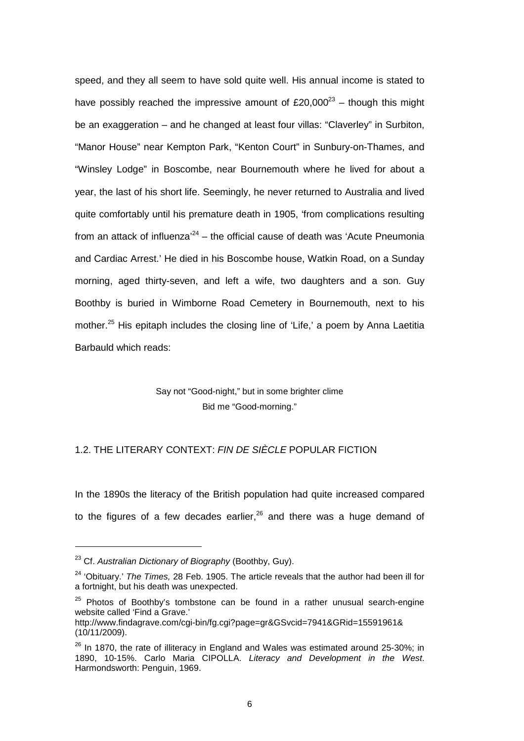speed, and they all seem to have sold quite well. His annual income is stated to have possibly reached the impressive amount of  $£20,000^{23} -$  though this might be an exaggeration – and he changed at least four villas: "Claverley" in Surbiton, "Manor House" near Kempton Park, "Kenton Court" in Sunbury-on-Thames, and "Winsley Lodge" in Boscombe, near Bournemouth where he lived for about a year, the last of his short life. Seemingly, he never returned to Australia and lived quite comfortably until his premature death in 1905, 'from complications resulting from an attack of influenza<sup> $24$ </sup> – the official cause of death was 'Acute Pneumonia and Cardiac Arrest.' He died in his Boscombe house, Watkin Road, on a Sunday morning, aged thirty-seven, and left a wife, two daughters and a son. Guy Boothby is buried in Wimborne Road Cemetery in Bournemouth, next to his mother.<sup>25</sup> His epitaph includes the closing line of 'Life,' a poem by Anna Laetitia Barbauld which reads:

### Say not "Good-night," but in some brighter clime Bid me "Good-morning."

#### 1.2. THE LITERARY CONTEXT: FIN DE SIÈCLE POPULAR FICTION

In the 1890s the literacy of the British population had quite increased compared to the figures of a few decades earlier, $26$  and there was a huge demand of

 $23$  Cf. Australian Dictionary of Biography (Boothby, Guy).

 $24$  'Obituary.' The Times, 28 Feb. 1905. The article reveals that the author had been ill for a fortnight, but his death was unexpected.

 $25$  Photos of Boothby's tombstone can be found in a rather unusual search-engine website called 'Find a Grave.'

http://www.findagrave.com/cgi-bin/fg.cgi?page=gr&GSvcid=7941&GRid=15591961& (10/11/2009).

 $26$  In 1870, the rate of illiteracy in England and Wales was estimated around 25-30%; in 1890, 10-15%. Carlo Maria CIPOLLA. Literacy and Development in the West. Harmondsworth: Penguin, 1969.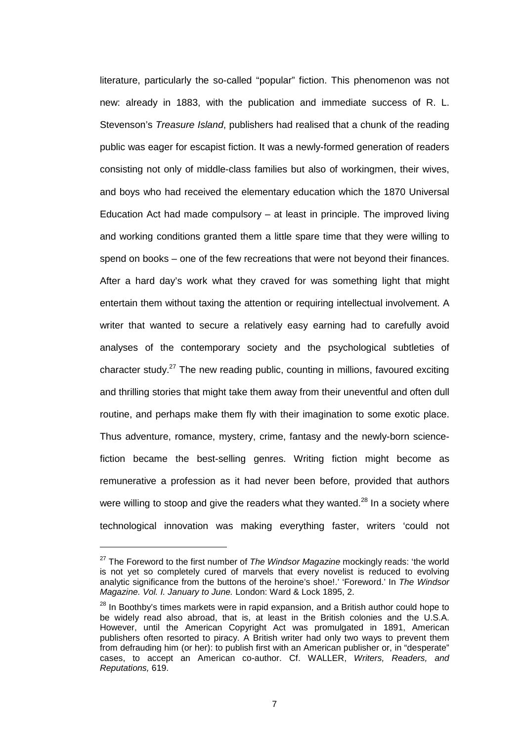literature, particularly the so-called "popular" fiction. This phenomenon was not new: already in 1883, with the publication and immediate success of R. L. Stevenson's Treasure Island, publishers had realised that a chunk of the reading public was eager for escapist fiction. It was a newly-formed generation of readers consisting not only of middle-class families but also of workingmen, their wives, and boys who had received the elementary education which the 1870 Universal Education Act had made compulsory – at least in principle. The improved living and working conditions granted them a little spare time that they were willing to spend on books – one of the few recreations that were not beyond their finances. After a hard day's work what they craved for was something light that might entertain them without taxing the attention or requiring intellectual involvement. A writer that wanted to secure a relatively easy earning had to carefully avoid analyses of the contemporary society and the psychological subtleties of character study.<sup>27</sup> The new reading public, counting in millions, favoured exciting and thrilling stories that might take them away from their uneventful and often dull routine, and perhaps make them fly with their imagination to some exotic place. Thus adventure, romance, mystery, crime, fantasy and the newly-born sciencefiction became the best-selling genres. Writing fiction might become as remunerative a profession as it had never been before, provided that authors were willing to stoop and give the readers what they wanted. $^{28}$  In a society where technological innovation was making everything faster, writers 'could not

 $27$  The Foreword to the first number of The Windsor Magazine mockingly reads: 'the world is not yet so completely cured of marvels that every novelist is reduced to evolving analytic significance from the buttons of the heroine's shoe!.' 'Foreword.' In The Windsor Magazine. Vol. I. January to June. London: Ward & Lock 1895, 2.

<sup>&</sup>lt;sup>28</sup> In Boothby's times markets were in rapid expansion, and a British author could hope to be widely read also abroad, that is, at least in the British colonies and the U.S.A. However, until the American Copyright Act was promulgated in 1891, American publishers often resorted to piracy. A British writer had only two ways to prevent them from defrauding him (or her): to publish first with an American publisher or, in "desperate" cases, to accept an American co-author. Cf. WALLER, Writers, Readers, and Reputations, 619.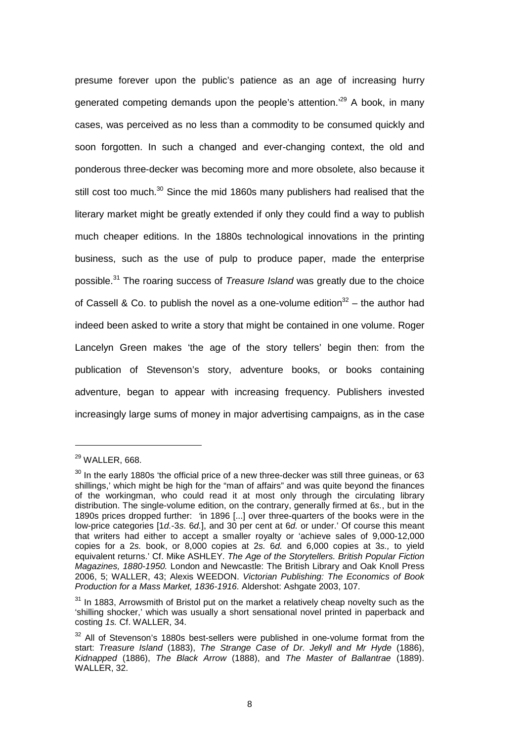presume forever upon the public's patience as an age of increasing hurry generated competing demands upon the people's attention.<sup>'29</sup> A book, in many cases, was perceived as no less than a commodity to be consumed quickly and soon forgotten. In such a changed and ever-changing context, the old and ponderous three-decker was becoming more and more obsolete, also because it still cost too much. $30$  Since the mid 1860s many publishers had realised that the literary market might be greatly extended if only they could find a way to publish much cheaper editions. In the 1880s technological innovations in the printing business, such as the use of pulp to produce paper, made the enterprise possible.<sup>31</sup> The roaring success of *Treasure Island* was greatly due to the choice of Cassell & Co. to publish the novel as a one-volume edition<sup>32</sup> – the author had indeed been asked to write a story that might be contained in one volume. Roger Lancelyn Green makes 'the age of the story tellers' begin then: from the publication of Stevenson's story, adventure books, or books containing adventure, began to appear with increasing frequency. Publishers invested increasingly large sums of money in major advertising campaigns, as in the case

 $\overline{a}$ 

 $^{29}$  WALLER, 668.

 $30$  In the early 1880s 'the official price of a new three-decker was still three guineas, or 63 shillings,' which might be high for the "man of affairs" and was quite beyond the finances of the workingman, who could read it at most only through the circulating library distribution. The single-volume edition, on the contrary, generally firmed at 6s., but in the 1890s prices dropped further: 'in 1896 [...] over three-quarters of the books were in the low-price categories [1d.-3s. 6d.], and 30 per cent at 6d. or under.' Of course this meant that writers had either to accept a smaller royalty or 'achieve sales of 9,000-12,000 copies for a 2s. book, or 8,000 copies at 2s. 6d. and 6,000 copies at 3s., to yield equivalent returns.' Cf. Mike ASHLEY. The Age of the Storytellers. British Popular Fiction Magazines, 1880-1950. London and Newcastle: The British Library and Oak Knoll Press 2006, 5; WALLER, 43; Alexis WEEDON. Victorian Publishing: The Economics of Book Production for a Mass Market, 1836-1916. Aldershot: Ashgate 2003, 107.

 $31$  In 1883, Arrowsmith of Bristol put on the market a relatively cheap novelty such as the 'shilling shocker,' which was usually a short sensational novel printed in paperback and costing 1s. Cf. WALLER, 34.

 $32$  All of Stevenson's 1880s best-sellers were published in one-volume format from the start: Treasure Island (1883), The Strange Case of Dr. Jekyll and Mr Hyde (1886), Kidnapped (1886), The Black Arrow (1888), and The Master of Ballantrae (1889). WALLER, 32.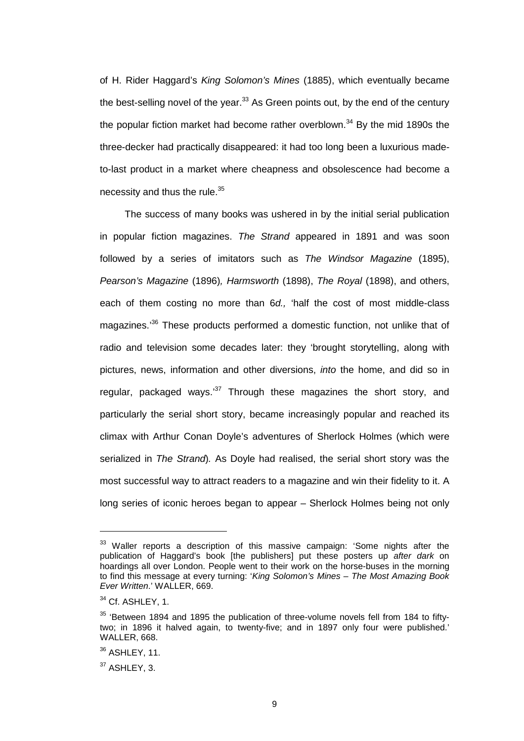of H. Rider Haggard's King Solomon's Mines (1885), which eventually became the best-selling novel of the year. $33$  As Green points out, by the end of the century the popular fiction market had become rather overblown.<sup>34</sup> By the mid 1890s the three-decker had practically disappeared: it had too long been a luxurious madeto-last product in a market where cheapness and obsolescence had become a necessity and thus the rule. $35$ 

The success of many books was ushered in by the initial serial publication in popular fiction magazines. The Strand appeared in 1891 and was soon followed by a series of imitators such as The Windsor Magazine (1895), Pearson's Magazine (1896), Harmsworth (1898), The Royal (1898), and others, each of them costing no more than 6d., 'half the cost of most middle-class magazines.'<sup>36</sup> These products performed a domestic function, not unlike that of radio and television some decades later: they 'brought storytelling, along with pictures, news, information and other diversions, into the home, and did so in regular, packaged ways.<sup>37</sup> Through these magazines the short story, and particularly the serial short story, became increasingly popular and reached its climax with Arthur Conan Doyle's adventures of Sherlock Holmes (which were serialized in The Strand). As Doyle had realised, the serial short story was the most successful way to attract readers to a magazine and win their fidelity to it. A long series of iconic heroes began to appear – Sherlock Holmes being not only

<sup>&</sup>lt;sup>33</sup> Waller reports a description of this massive campaign: 'Some nights after the publication of Haggard's book [the publishers] put these posters up after dark on hoardings all over London. People went to their work on the horse-buses in the morning to find this message at every turning: 'King Solomon's Mines - The Most Amazing Book Ever Written.' WALLER, 669.

<sup>&</sup>lt;sup>34</sup> Cf. ASHLEY, 1.

 $35$  'Between 1894 and 1895 the publication of three-volume novels fell from 184 to fiftytwo; in 1896 it halved again, to twenty-five; and in 1897 only four were published.' WALLER, 668.

<sup>36</sup> ASHLEY, 11.

 $37$  ASHLEY, 3.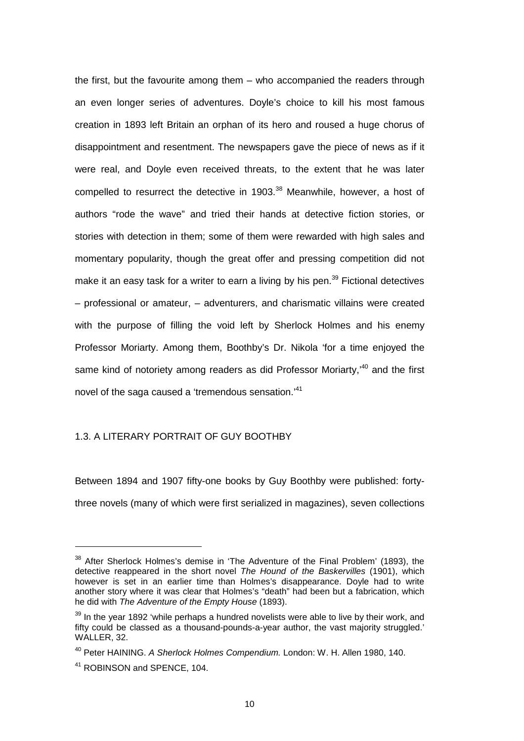the first, but the favourite among them – who accompanied the readers through an even longer series of adventures. Doyle's choice to kill his most famous creation in 1893 left Britain an orphan of its hero and roused a huge chorus of disappointment and resentment. The newspapers gave the piece of news as if it were real, and Doyle even received threats, to the extent that he was later compelled to resurrect the detective in 1903.<sup>38</sup> Meanwhile, however, a host of authors "rode the wave" and tried their hands at detective fiction stories, or stories with detection in them; some of them were rewarded with high sales and momentary popularity, though the great offer and pressing competition did not make it an easy task for a writer to earn a living by his pen. $^{39}$  Fictional detectives – professional or amateur, – adventurers, and charismatic villains were created with the purpose of filling the void left by Sherlock Holmes and his enemy Professor Moriarty. Among them, Boothby's Dr. Nikola 'for a time enjoyed the same kind of notoriety among readers as did Professor Moriarty,<sup>40</sup> and the first novel of the saga caused a 'tremendous sensation.'<sup>41</sup>

#### 1.3. A LITERARY PORTRAIT OF GUY BOOTHBY

Between 1894 and 1907 fifty-one books by Guy Boothby were published: fortythree novels (many of which were first serialized in magazines), seven collections

<sup>&</sup>lt;sup>38</sup> After Sherlock Holmes's demise in 'The Adventure of the Final Problem' (1893), the detective reappeared in the short novel The Hound of the Baskervilles (1901), which however is set in an earlier time than Holmes's disappearance. Doyle had to write another story where it was clear that Holmes's "death" had been but a fabrication, which he did with The Adventure of the Empty House (1893).

 $39$  In the year 1892 'while perhaps a hundred novelists were able to live by their work, and fifty could be classed as a thousand-pounds-a-year author, the vast majority struggled.' WALLER, 32.

<sup>&</sup>lt;sup>40</sup> Peter HAINING. A Sherlock Holmes Compendium. London: W. H. Allen 1980, 140.

<sup>&</sup>lt;sup>41</sup> ROBINSON and SPENCE, 104.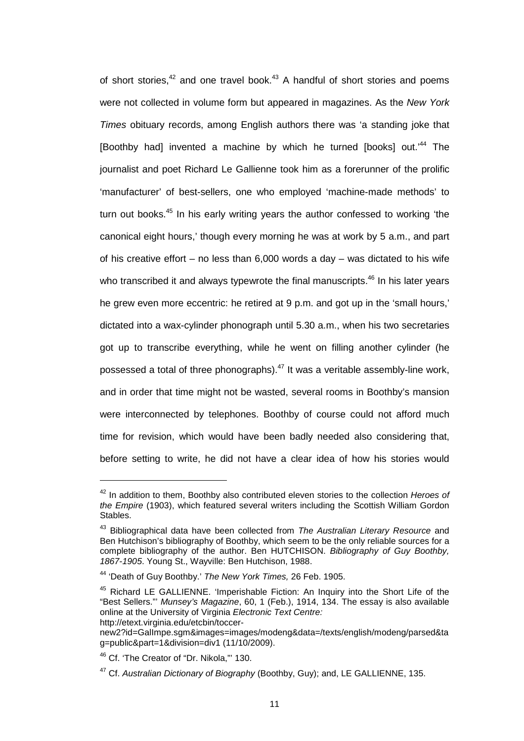of short stories, $42$  and one travel book. $43$  A handful of short stories and poems were not collected in volume form but appeared in magazines. As the New York Times obituary records, among English authors there was 'a standing joke that [Boothby had] invented a machine by which he turned [books] out.'<sup>44</sup> The journalist and poet Richard Le Gallienne took him as a forerunner of the prolific 'manufacturer' of best-sellers, one who employed 'machine-made methods' to turn out books.<sup>45</sup> In his early writing years the author confessed to working 'the canonical eight hours,' though every morning he was at work by 5 a.m., and part of his creative effort – no less than 6,000 words a day – was dictated to his wife who transcribed it and always typewrote the final manuscripts.<sup>46</sup> In his later years he grew even more eccentric: he retired at 9 p.m. and got up in the 'small hours,' dictated into a wax-cylinder phonograph until 5.30 a.m., when his two secretaries got up to transcribe everything, while he went on filling another cylinder (he possessed a total of three phonographs).<sup>47</sup> It was a veritable assembly-line work, and in order that time might not be wasted, several rooms in Boothby's mansion were interconnected by telephones. Boothby of course could not afford much time for revision, which would have been badly needed also considering that, before setting to write, he did not have a clear idea of how his stories would

 $42$  In addition to them, Boothby also contributed eleven stories to the collection Heroes of the Empire (1903), which featured several writers including the Scottish William Gordon Stables.

<sup>&</sup>lt;sup>43</sup> Bibliographical data have been collected from The Australian Literary Resource and Ben Hutchison's bibliography of Boothby, which seem to be the only reliable sources for a complete bibliography of the author. Ben HUTCHISON. Bibliography of Guy Boothby, 1867-1905. Young St., Wayville: Ben Hutchison, 1988.

<sup>&</sup>lt;sup>44</sup> 'Death of Guy Boothby.' The New York Times, 26 Feb. 1905.

<sup>&</sup>lt;sup>45</sup> Richard LE GALLIENNE. 'Imperishable Fiction: An Inquiry into the Short Life of the "Best Sellers."' Munsey's Magazine, 60, 1 (Feb.), 1914, 134. The essay is also available online at the University of Virginia Electronic Text Centre: http://etext.virginia.edu/etcbin/toccer-

new2?id=GalImpe.sgm&images=images/modeng&data=/texts/english/modeng/parsed&ta g=public&part=1&division=div1 (11/10/2009).

<sup>&</sup>lt;sup>46</sup> Cf. 'The Creator of "Dr. Nikola,"' 130.

 $47$  Cf. Australian Dictionary of Biography (Boothby, Guy); and, LE GALLIENNE, 135.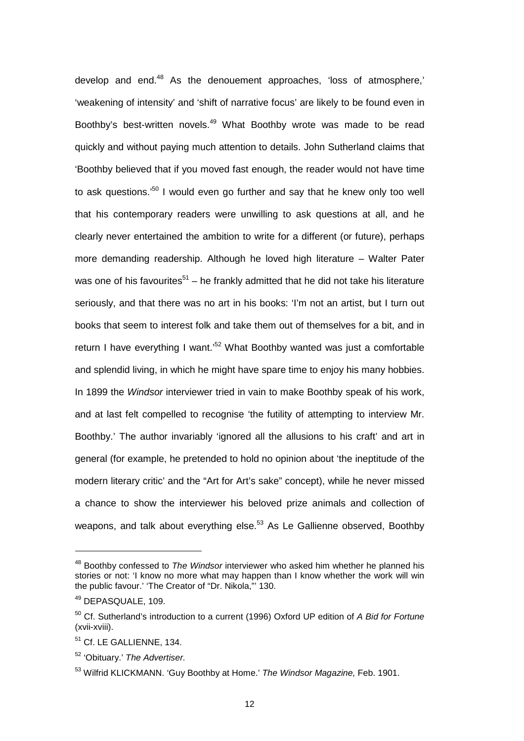develop and end.<sup>48</sup> As the denouement approaches, 'loss of atmosphere,' 'weakening of intensity' and 'shift of narrative focus' are likely to be found even in Boothby's best-written novels.<sup>49</sup> What Boothby wrote was made to be read quickly and without paying much attention to details. John Sutherland claims that 'Boothby believed that if you moved fast enough, the reader would not have time to ask questions.<sup>50</sup> I would even go further and say that he knew only too well that his contemporary readers were unwilling to ask questions at all, and he clearly never entertained the ambition to write for a different (or future), perhaps more demanding readership. Although he loved high literature – Walter Pater was one of his favourites<sup>51</sup> – he frankly admitted that he did not take his literature seriously, and that there was no art in his books: 'I'm not an artist, but I turn out books that seem to interest folk and take them out of themselves for a bit, and in return I have everything I want.<sup>52</sup> What Boothby wanted was just a comfortable and splendid living, in which he might have spare time to enjoy his many hobbies. In 1899 the *Windsor* interviewer tried in vain to make Boothby speak of his work, and at last felt compelled to recognise 'the futility of attempting to interview Mr. Boothby.' The author invariably 'ignored all the allusions to his craft' and art in general (for example, he pretended to hold no opinion about 'the ineptitude of the modern literary critic' and the "Art for Art's sake" concept), while he never missed a chance to show the interviewer his beloved prize animals and collection of weapons, and talk about everything else.<sup>53</sup> As Le Gallienne observed. Boothby

<sup>&</sup>lt;sup>48</sup> Boothby confessed to The Windsor interviewer who asked him whether he planned his stories or not: 'I know no more what may happen than I know whether the work will win the public favour.' 'The Creator of "Dr. Nikola,"' 130.

<sup>49</sup> DEPASQUALE, 109.

 $50$  Cf. Sutherland's introduction to a current (1996) Oxford UP edition of A Bid for Fortune (xvii-xviii).

<sup>51</sup> Cf. LE GALLIENNE, 134.

<sup>&</sup>lt;sup>52</sup> 'Obituary.' The Advertiser.

<sup>&</sup>lt;sup>53</sup> Wilfrid KLICKMANN. 'Guy Boothby at Home.' The Windsor Magazine, Feb. 1901.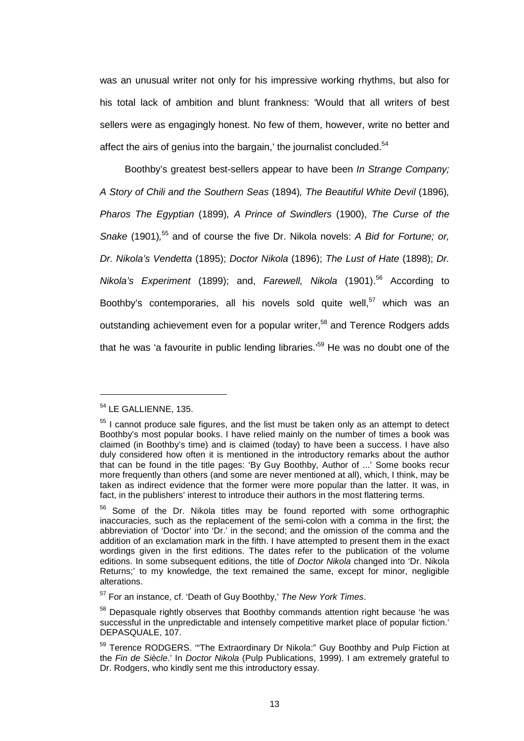was an unusual writer not only for his impressive working rhythms, but also for his total lack of ambition and blunt frankness: 'Would that all writers of best sellers were as engagingly honest. No few of them, however, write no better and affect the airs of genius into the bargain,' the journalist concluded.<sup>54</sup>

Boothby's greatest best-sellers appear to have been In Strange Company; A Story of Chili and the Southern Seas (1894), The Beautiful White Devil (1896), Pharos The Egyptian (1899), A Prince of Swindlers (1900), The Curse of the Snake (1901),<sup>55</sup> and of course the five Dr. Nikola novels: A Bid for Fortune; or, Dr. Nikola's Vendetta (1895); Doctor Nikola (1896); The Lust of Hate (1898); Dr. Nikola's Experiment (1899); and, Farewell, Nikola (1901).<sup>56</sup> According to Boothby's contemporaries, all his novels sold quite well,  $57$  which was an outstanding achievement even for a popular writer,<sup>58</sup> and Terence Rodgers adds that he was 'a favourite in public lending libraries.<sup>59</sup> He was no doubt one of the

<sup>54</sup> LE GALLIENNE, 135.

 $55$  I cannot produce sale figures, and the list must be taken only as an attempt to detect Boothby's most popular books. I have relied mainly on the number of times a book was claimed (in Boothby's time) and is claimed (today) to have been a success. I have also duly considered how often it is mentioned in the introductory remarks about the author that can be found in the title pages: 'By Guy Boothby, Author of ...' Some books recur more frequently than others (and some are never mentioned at all), which, I think, may be taken as indirect evidence that the former were more popular than the latter. It was, in fact, in the publishers' interest to introduce their authors in the most flattering terms.

Some of the Dr. Nikola titles may be found reported with some orthographic inaccuracies, such as the replacement of the semi-colon with a comma in the first; the abbreviation of 'Doctor' into 'Dr.' in the second; and the omission of the comma and the addition of an exclamation mark in the fifth. I have attempted to present them in the exact wordings given in the first editions. The dates refer to the publication of the volume editions. In some subsequent editions, the title of Doctor Nikola changed into 'Dr. Nikola Returns;' to my knowledge, the text remained the same, except for minor, negligible alterations.

 $57$  For an instance, cf. 'Death of Guy Boothby,' The New York Times.

<sup>&</sup>lt;sup>58</sup> Depasquale rightly observes that Boothby commands attention right because 'he was successful in the unpredictable and intensely competitive market place of popular fiction.' DEPASQUALE, 107.

<sup>&</sup>lt;sup>59</sup> Terence RODGERS. "The Extraordinary Dr Nikola:" Guy Boothby and Pulp Fiction at the Fin de Siècle.' In Doctor Nikola (Pulp Publications, 1999). I am extremely grateful to Dr. Rodgers, who kindly sent me this introductory essay.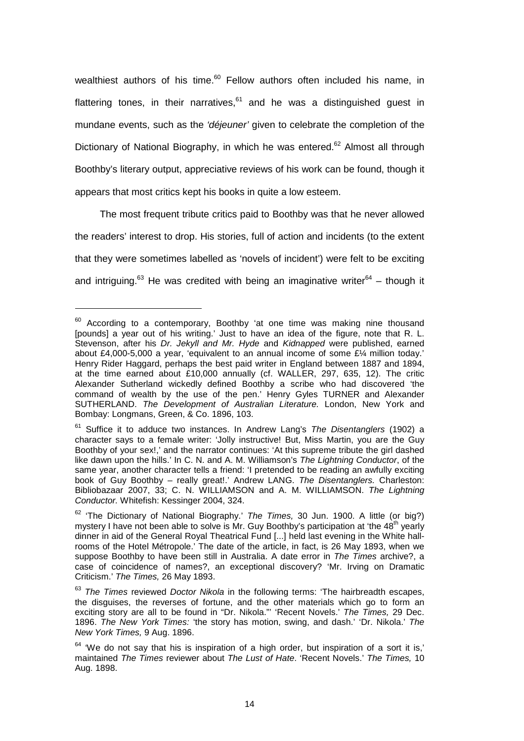wealthiest authors of his time.<sup>60</sup> Fellow authors often included his name, in flattering tones, in their narratives, $61$  and he was a distinguished quest in mundane events, such as the 'déjeuner' given to celebrate the completion of the Dictionary of National Biography, in which he was entered.<sup>62</sup> Almost all through Boothby's literary output, appreciative reviews of his work can be found, though it appears that most critics kept his books in quite a low esteem.

The most frequent tribute critics paid to Boothby was that he never allowed the readers' interest to drop. His stories, full of action and incidents (to the extent that they were sometimes labelled as 'novels of incident') were felt to be exciting and intriguing.<sup>63</sup> He was credited with being an imaginative writer<sup>64</sup> – though it

 $\overline{a}$ 

 $60$  According to a contemporary, Boothby 'at one time was making nine thousand [pounds] a year out of his writing.' Just to have an idea of the figure, note that R. L. Stevenson, after his Dr. Jekyll and Mr. Hyde and Kidnapped were published, earned about £4,000-5,000 a year, 'equivalent to an annual income of some  $E<sup>1</sup>$  million today.' Henry Rider Haggard, perhaps the best paid writer in England between 1887 and 1894, at the time earned about £10,000 annually (cf. WALLER, 297, 635, 12). The critic Alexander Sutherland wickedly defined Boothby a scribe who had discovered 'the command of wealth by the use of the pen.' Henry Gyles TURNER and Alexander SUTHERLAND. The Development of Australian Literature. London, New York and Bombay: Longmans, Green, & Co. 1896, 103.

 $61$  Suffice it to adduce two instances. In Andrew Lang's The Disentanglers (1902) a character says to a female writer: 'Jolly instructive! But, Miss Martin, you are the Guy Boothby of your sex!,' and the narrator continues: 'At this supreme tribute the girl dashed like dawn upon the hills.' In C. N. and A. M. Williamson's The Lightning Conductor, of the same year, another character tells a friend: 'I pretended to be reading an awfully exciting book of Guy Boothby - really great!.' Andrew LANG. The Disentanglers. Charleston: Bibliobazaar 2007, 33; C. N. WILLIAMSON and A. M. WILLIAMSON. The Lightning Conductor. Whitefish: Kessinger 2004, 324.

 $62$  The Dictionary of National Biography.' The Times, 30 Jun. 1900. A little (or big?) mystery I have not been able to solve is Mr. Guy Boothby's participation at 'the 48<sup>th</sup> yearly dinner in aid of the General Royal Theatrical Fund [...] held last evening in the White hallrooms of the Hotel Métropole.' The date of the article, in fact, is 26 May 1893, when we suppose Boothby to have been still in Australia. A date error in The Times archive?, a case of coincidence of names?, an exceptional discovery? 'Mr. Irving on Dramatic Criticism.' The Times, 26 May 1893.

 $63$  The Times reviewed Doctor Nikola in the following terms: 'The hairbreadth escapes, the disguises, the reverses of fortune, and the other materials which go to form an exciting story are all to be found in "Dr. Nikola."' 'Recent Novels.' The Times, 29 Dec. 1896. The New York Times: 'the story has motion, swing, and dash.' 'Dr. Nikola.' The New York Times, 9 Aug. 1896.

 $64$  'We do not say that his is inspiration of a high order, but inspiration of a sort it is,' maintained The Times reviewer about The Lust of Hate. 'Recent Novels.' The Times, 10 Aug. 1898.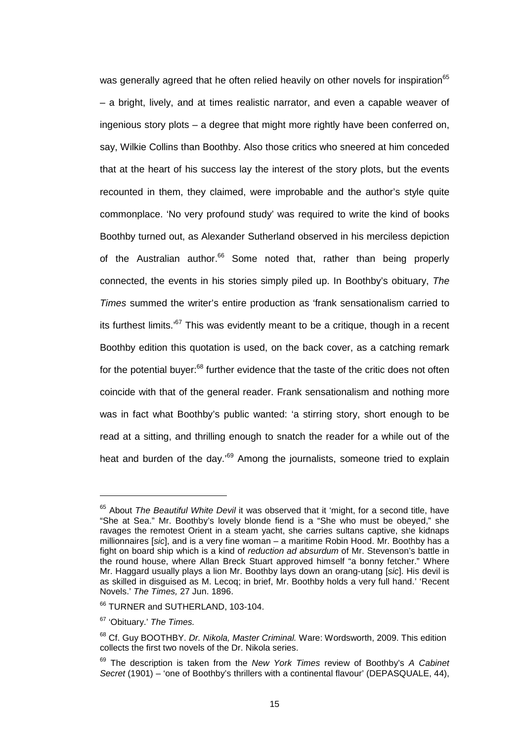was generally agreed that he often relied heavily on other novels for inspiration<sup>65</sup> – a bright, lively, and at times realistic narrator, and even a capable weaver of ingenious story plots – a degree that might more rightly have been conferred on, say, Wilkie Collins than Boothby. Also those critics who sneered at him conceded that at the heart of his success lay the interest of the story plots, but the events recounted in them, they claimed, were improbable and the author's style quite commonplace. 'No very profound study' was required to write the kind of books Boothby turned out, as Alexander Sutherland observed in his merciless depiction of the Australian author.<sup>66</sup> Some noted that, rather than being properly connected, the events in his stories simply piled up. In Boothby's obituary, The Times summed the writer's entire production as 'frank sensationalism carried to its furthest limits.'<sup>67</sup> This was evidently meant to be a critique, though in a recent Boothby edition this quotation is used, on the back cover, as a catching remark for the potential buyer:<sup>68</sup> further evidence that the taste of the critic does not often coincide with that of the general reader. Frank sensationalism and nothing more was in fact what Boothby's public wanted: 'a stirring story, short enough to be read at a sitting, and thrilling enough to snatch the reader for a while out of the heat and burden of the day.<sup>'69</sup> Among the journalists, someone tried to explain

 $65$  About The Beautiful White Devil it was observed that it 'might, for a second title, have "She at Sea." Mr. Boothby's lovely blonde fiend is a "She who must be obeyed," she ravages the remotest Orient in a steam yacht, she carries sultans captive, she kidnaps millionnaires [sic], and is a very fine woman – a maritime Robin Hood. Mr. Boothby has a fight on board ship which is a kind of reduction ad absurdum of Mr. Stevenson's battle in the round house, where Allan Breck Stuart approved himself "a bonny fetcher." Where Mr. Haggard usually plays a lion Mr. Boothby lays down an orang-utang [sic]. His devil is as skilled in disguised as M. Lecoq; in brief, Mr. Boothby holds a very full hand.' 'Recent Novels.' The Times, 27 Jun. 1896.

<sup>&</sup>lt;sup>66</sup> TURNER and SUTHERLAND, 103-104.

<sup>&</sup>lt;sup>67</sup> 'Obituary.' The Times.

<sup>&</sup>lt;sup>68</sup> Cf. Guv BOOTHBY. Dr. Nikola, Master Criminal. Ware: Wordsworth, 2009. This edition collects the first two novels of the Dr. Nikola series.

 $69$  The description is taken from the New York Times review of Boothby's A Cabinet Secret (1901) – 'one of Boothby's thrillers with a continental flavour' (DEPASQUALE, 44),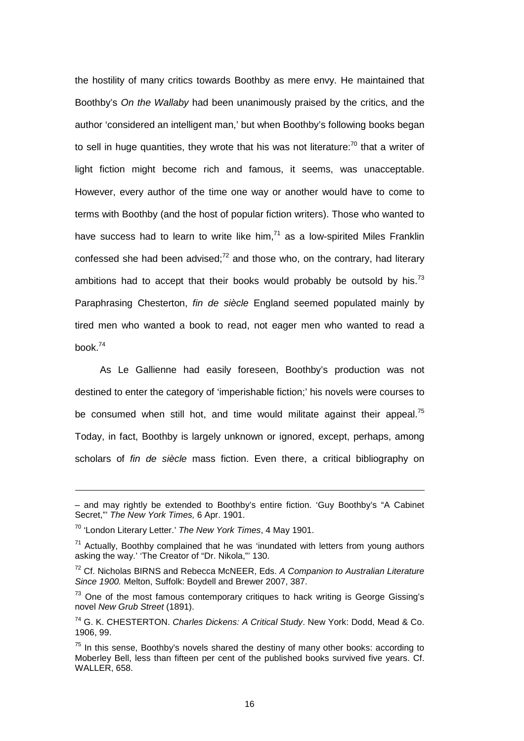the hostility of many critics towards Boothby as mere envy. He maintained that Boothby's On the Wallaby had been unanimously praised by the critics, and the author 'considered an intelligent man,' but when Boothby's following books began to sell in huge quantities, they wrote that his was not literature: $70$  that a writer of light fiction might become rich and famous, it seems, was unacceptable. However, every author of the time one way or another would have to come to terms with Boothby (and the host of popular fiction writers). Those who wanted to have success had to learn to write like him, $<sup>71</sup>$  as a low-spirited Miles Franklin</sup> confessed she had been advised; $72$  and those who, on the contrary, had literary ambitions had to accept that their books would probably be outsold by his.<sup>73</sup> Paraphrasing Chesterton, fin de siècle England seemed populated mainly by tired men who wanted a book to read, not eager men who wanted to read a book.<sup>74</sup>

As Le Gallienne had easily foreseen, Boothby's production was not destined to enter the category of 'imperishable fiction;' his novels were courses to be consumed when still hot, and time would militate against their appeal.<sup>75</sup> Today, in fact, Boothby is largely unknown or ignored, except, perhaps, among scholars of fin de siècle mass fiction. Even there, a critical bibliography on

-

<sup>–</sup> and may rightly be extended to Boothby's entire fiction. 'Guy Boothby's "A Cabinet Secret," The New York Times, 6 Apr. 1901.

<sup>&</sup>lt;sup>70</sup> 'London Literary Letter.' The New York Times, 4 May 1901.

 $71$  Actually, Boothby complained that he was 'inundated with letters from young authors asking the way.' 'The Creator of "Dr. Nikola,"' 130.

 $72$  Cf. Nicholas BIRNS and Rebecca McNEER, Eds. A Companion to Australian Literature Since 1900. Melton, Suffolk: Boydell and Brewer 2007, 387.

 $73$  One of the most famous contemporary critiques to hack writing is George Gissing's novel New Grub Street (1891).

<sup>&</sup>lt;sup>74</sup> G. K. CHESTERTON. Charles Dickens: A Critical Study. New York: Dodd, Mead & Co. 1906, 99.

 $75$  In this sense, Boothby's novels shared the destiny of many other books: according to Moberley Bell, less than fifteen per cent of the published books survived five years. Cf. WALLER, 658.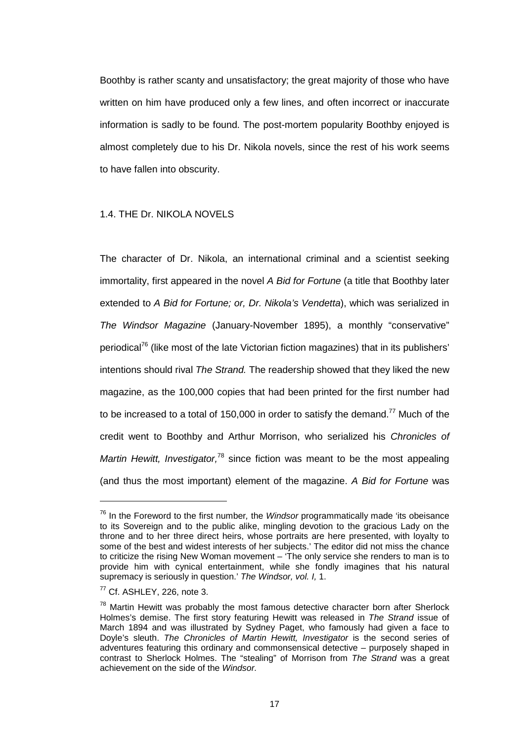Boothby is rather scanty and unsatisfactory; the great majority of those who have written on him have produced only a few lines, and often incorrect or inaccurate information is sadly to be found. The post-mortem popularity Boothby enjoyed is almost completely due to his Dr. Nikola novels, since the rest of his work seems to have fallen into obscurity.

#### 1.4. THE Dr. NIKOLA NOVELS

The character of Dr. Nikola, an international criminal and a scientist seeking immortality, first appeared in the novel A Bid for Fortune (a title that Boothby later extended to A Bid for Fortune; or, Dr. Nikola's Vendetta), which was serialized in The Windsor Magazine (January-November 1895), a monthly "conservative" periodical<sup>76</sup> (like most of the late Victorian fiction magazines) that in its publishers' intentions should rival The Strand. The readership showed that they liked the new magazine, as the 100,000 copies that had been printed for the first number had to be increased to a total of 150,000 in order to satisfy the demand.<sup>77</sup> Much of the credit went to Boothby and Arthur Morrison, who serialized his Chronicles of Martin Hewitt, Investigator, $78$  since fiction was meant to be the most appealing (and thus the most important) element of the magazine. A Bid for Fortune was

 $76$  In the Foreword to the first number, the *Windsor* programmatically made 'its obeisance to its Sovereign and to the public alike, mingling devotion to the gracious Lady on the throne and to her three direct heirs, whose portraits are here presented, with loyalty to some of the best and widest interests of her subjects.' The editor did not miss the chance to criticize the rising New Woman movement – 'The only service she renders to man is to provide him with cynical entertainment, while she fondly imagines that his natural supremacy is seriously in question.' The Windsor, vol. I, 1.

<sup>77</sup> Cf. ASHLEY, 226, note 3.

 $78$  Martin Hewitt was probably the most famous detective character born after Sherlock Holmes's demise. The first story featuring Hewitt was released in The Strand issue of March 1894 and was illustrated by Sydney Paget, who famously had given a face to Doyle's sleuth. The Chronicles of Martin Hewitt, Investigator is the second series of adventures featuring this ordinary and commonsensical detective – purposely shaped in contrast to Sherlock Holmes. The "stealing" of Morrison from The Strand was a great achievement on the side of the Windsor.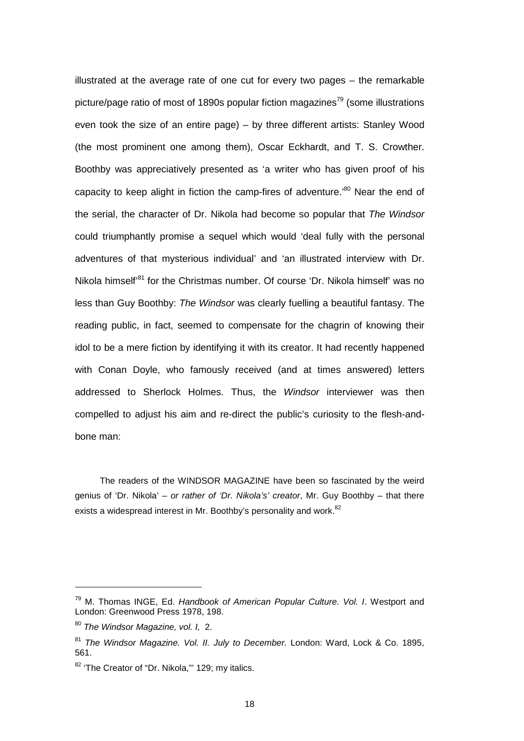illustrated at the average rate of one cut for every two pages – the remarkable picture/page ratio of most of 1890s popular fiction magazines<sup>79</sup> (some illustrations even took the size of an entire page) – by three different artists: Stanley Wood (the most prominent one among them), Oscar Eckhardt, and T. S. Crowther. Boothby was appreciatively presented as 'a writer who has given proof of his capacity to keep alight in fiction the camp-fires of adventure.<sup>80</sup> Near the end of the serial, the character of Dr. Nikola had become so popular that The Windsor could triumphantly promise a sequel which would 'deal fully with the personal adventures of that mysterious individual' and 'an illustrated interview with Dr. Nikola himself<sup>'81</sup> for the Christmas number. Of course 'Dr. Nikola himself' was no less than Guy Boothby: The Windsor was clearly fuelling a beautiful fantasy. The reading public, in fact, seemed to compensate for the chagrin of knowing their idol to be a mere fiction by identifying it with its creator. It had recently happened with Conan Doyle, who famously received (and at times answered) letters addressed to Sherlock Holmes. Thus, the Windsor interviewer was then compelled to adjust his aim and re-direct the public's curiosity to the flesh-andbone man:

The readers of the WINDSOR MAGAZINE have been so fascinated by the weird genius of 'Dr. Nikola' – or rather of 'Dr. Nikola's' creator, Mr. Guy Boothby – that there exists a widespread interest in Mr. Boothby's personality and work.<sup>82</sup>

<sup>&</sup>lt;sup>79</sup> M. Thomas INGE, Ed. Handbook of American Popular Culture. Vol. I. Westport and London: Greenwood Press 1978, 198.

<sup>&</sup>lt;sup>80</sup> The Windsor Magazine, vol. I, 2.

<sup>&</sup>lt;sup>81</sup> The Windsor Magazine. Vol. II. July to December. London: Ward, Lock & Co. 1895, 561.

<sup>&</sup>lt;sup>82</sup> 'The Creator of "Dr. Nikola," 129; my italics.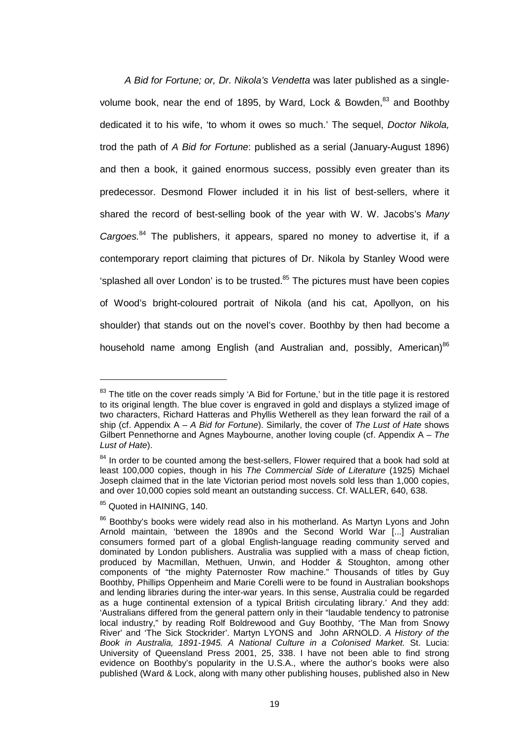A Bid for Fortune; or, Dr. Nikola's Vendetta was later published as a singlevolume book, near the end of 1895, by Ward, Lock & Bowden. $83$  and Boothby dedicated it to his wife, 'to whom it owes so much.' The sequel, Doctor Nikola, trod the path of A Bid for Fortune: published as a serial (January-August 1896) and then a book, it gained enormous success, possibly even greater than its predecessor. Desmond Flower included it in his list of best-sellers, where it shared the record of best-selling book of the year with W. W. Jacobs's Many Cargoes.<sup>84</sup> The publishers, it appears, spared no money to advertise it, if a contemporary report claiming that pictures of Dr. Nikola by Stanley Wood were 'splashed all over London' is to be trusted. $85$  The pictures must have been copies of Wood's bright-coloured portrait of Nikola (and his cat, Apollyon, on his shoulder) that stands out on the novel's cover. Boothby by then had become a household name among English (and Australian and, possibly, American)<sup>86</sup>

 $\overline{a}$ 

<sup>&</sup>lt;sup>83</sup> The title on the cover reads simply 'A Bid for Fortune,' but in the title page it is restored to its original length. The blue cover is engraved in gold and displays a stylized image of two characters, Richard Hatteras and Phyllis Wetherell as they lean forward the rail of a ship (cf. Appendix  $A - A$  Bid for Fortune). Similarly, the cover of The Lust of Hate shows Gilbert Pennethorne and Agnes Maybourne, another loving couple (cf. Appendix  $A - The$ Lust of Hate).

<sup>&</sup>lt;sup>84</sup> In order to be counted among the best-sellers, Flower required that a book had sold at least 100,000 copies, though in his The Commercial Side of Literature (1925) Michael Joseph claimed that in the late Victorian period most novels sold less than 1,000 copies, and over 10,000 copies sold meant an outstanding success. Cf. WALLER, 640, 638.

<sup>&</sup>lt;sup>85</sup> Quoted in HAINING, 140.

<sup>&</sup>lt;sup>86</sup> Boothby's books were widely read also in his motherland. As Martyn Lyons and John Arnold maintain, 'between the 1890s and the Second World War [...] Australian consumers formed part of a global English-language reading community served and dominated by London publishers. Australia was supplied with a mass of cheap fiction, produced by Macmillan, Methuen, Unwin, and Hodder & Stoughton, among other components of "the mighty Paternoster Row machine." Thousands of titles by Guy Boothby, Phillips Oppenheim and Marie Corelli were to be found in Australian bookshops and lending libraries during the inter-war years. In this sense, Australia could be regarded as a huge continental extension of a typical British circulating library.' And they add: 'Australians differed from the general pattern only in their "laudable tendency to patronise local industry," by reading Rolf Boldrewood and Guy Boothby, 'The Man from Snowy River' and 'The Sick Stockrider'. Martyn LYONS and John ARNOLD. A History of the Book in Australia, 1891-1945. A National Culture in a Colonised Market. St. Lucia: University of Queensland Press 2001, 25, 338. I have not been able to find strong evidence on Boothby's popularity in the U.S.A., where the author's books were also published (Ward & Lock, along with many other publishing houses, published also in New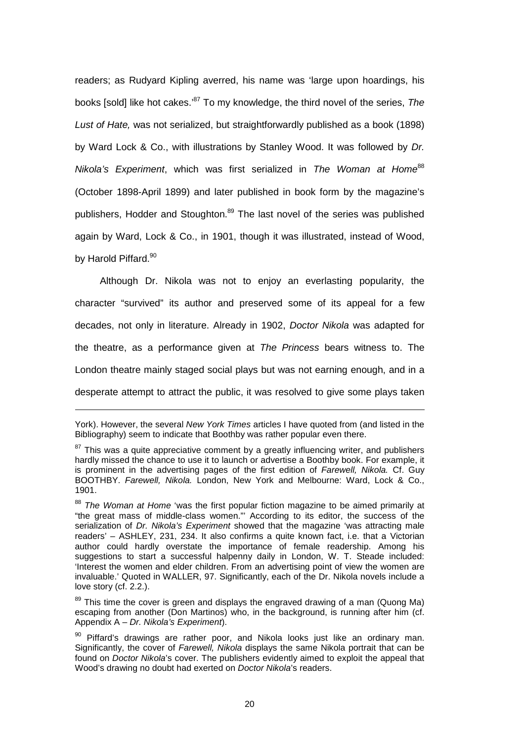readers; as Rudyard Kipling averred, his name was 'large upon hoardings, his books [sold] like hot cakes.'<sup>87</sup> To my knowledge, the third novel of the series, The Lust of Hate, was not serialized, but straightforwardly published as a book (1898) by Ward Lock & Co., with illustrations by Stanley Wood. It was followed by Dr. Nikola's Experiment, which was first serialized in The Woman at Home<sup>88</sup> (October 1898-April 1899) and later published in book form by the magazine's publishers, Hodder and Stoughton.<sup>89</sup> The last novel of the series was published again by Ward, Lock & Co., in 1901, though it was illustrated, instead of Wood, by Harold Piffard.<sup>90</sup>

Although Dr. Nikola was not to enjoy an everlasting popularity, the character "survived" its author and preserved some of its appeal for a few decades, not only in literature. Already in 1902, Doctor Nikola was adapted for the theatre, as a performance given at The Princess bears witness to. The London theatre mainly staged social plays but was not earning enough, and in a desperate attempt to attract the public, it was resolved to give some plays taken

-

York). However, the several New York Times articles I have quoted from (and listed in the Bibliography) seem to indicate that Boothby was rather popular even there.

 $87$  This was a quite appreciative comment by a greatly influencing writer, and publishers hardly missed the chance to use it to launch or advertise a Boothby book. For example, it is prominent in the advertising pages of the first edition of Farewell, Nikola. Cf. Guy BOOTHBY. Farewell, Nikola. London, New York and Melbourne: Ward, Lock & Co., 1901.

<sup>&</sup>lt;sup>88</sup> The Woman at Home 'was the first popular fiction magazine to be aimed primarily at "the great mass of middle-class women."' According to its editor, the success of the serialization of Dr. Nikola's Experiment showed that the magazine 'was attracting male readers' – ASHLEY, 231, 234. It also confirms a quite known fact, i.e. that a Victorian author could hardly overstate the importance of female readership. Among his suggestions to start a successful halpenny daily in London, W. T. Steade included: 'Interest the women and elder children. From an advertising point of view the women are invaluable.' Quoted in WALLER, 97. Significantly, each of the Dr. Nikola novels include a love story (cf. 2.2.).

<sup>&</sup>lt;sup>89</sup> This time the cover is green and displays the engraved drawing of a man (Quong Ma) escaping from another (Don Martinos) who, in the background, is running after him (cf. Appendix A – Dr. Nikola's Experiment).

 $90$  Piffard's drawings are rather poor, and Nikola looks just like an ordinary man. Significantly, the cover of Farewell, Nikola displays the same Nikola portrait that can be found on Doctor Nikola's cover. The publishers evidently aimed to exploit the appeal that Wood's drawing no doubt had exerted on Doctor Nikola's readers.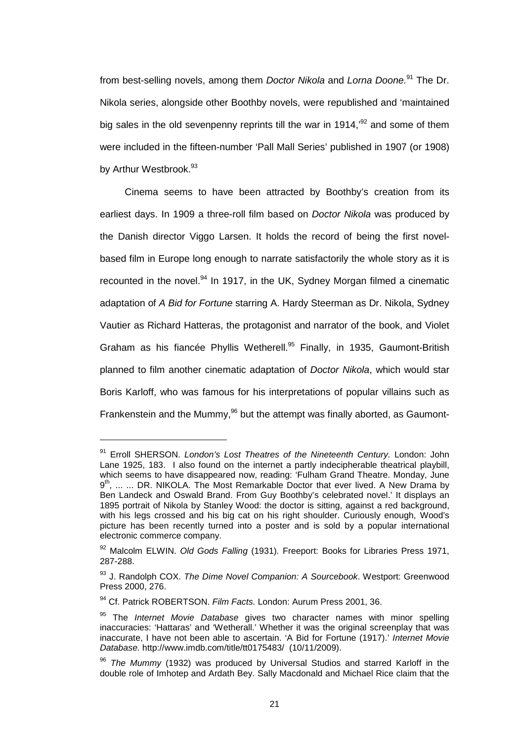from best-selling novels, among them Doctor Nikola and Lorna Doone.<sup>91</sup> The Dr. Nikola series, alongside other Boothby novels, were republished and 'maintained big sales in the old sevenpenny reprints till the war in 1914, $^{92}$  and some of them were included in the fifteen-number 'Pall Mall Series' published in 1907 (or 1908) by Arthur Westbrook.<sup>93</sup>

Cinema seems to have been attracted by Boothby's creation from its earliest days. In 1909 a three-roll film based on Doctor Nikola was produced by the Danish director Viggo Larsen. It holds the record of being the first novelbased film in Europe long enough to narrate satisfactorily the whole story as it is recounted in the novel.<sup>94</sup> In 1917, in the UK, Sydney Morgan filmed a cinematic adaptation of A Bid for Fortune starring A. Hardy Steerman as Dr. Nikola, Sydney Vautier as Richard Hatteras, the protagonist and narrator of the book, and Violet Graham as his fiancée Phyllis Wetherell.<sup>95</sup> Finally, in 1935, Gaumont-British planned to film another cinematic adaptation of Doctor Nikola, which would star Boris Karloff, who was famous for his interpretations of popular villains such as Frankenstein and the Mummy, $96$  but the attempt was finally aborted, as Gaumont-

 $\overline{a}$ 

<sup>&</sup>lt;sup>91</sup> Erroll SHERSON. London's Lost Theatres of the Nineteenth Century. London: John Lane 1925, 183. I also found on the internet a partly indecipherable theatrical playbill, which seems to have disappeared now, reading: 'Fulham Grand Theatre. Monday, June 9<sup>th</sup>, ... ... DR. NIKOLA. The Most Remarkable Doctor that ever lived. A New Drama by Ben Landeck and Oswald Brand. From Guy Boothby's celebrated novel.' It displays an 1895 portrait of Nikola by Stanley Wood: the doctor is sitting, against a red background, with his legs crossed and his big cat on his right shoulder. Curiously enough, Wood's picture has been recently turned into a poster and is sold by a popular international electronic commerce company.

<sup>92</sup> Malcolm ELWIN. Old Gods Falling (1931). Freeport: Books for Libraries Press 1971, 287-288.

<sup>93</sup> J. Randolph COX. The Dime Novel Companion: A Sourcebook. Westport: Greenwood Press 2000, 276.

<sup>&</sup>lt;sup>94</sup> Cf. Patrick ROBERTSON. Film Facts. London: Aurum Press 2001, 36.

 $95$  The *Internet Movie Database* gives two character names with minor spelling inaccuracies: 'Hattaras' and 'Wetherall.' Whether it was the original screenplay that was inaccurate, I have not been able to ascertain. 'A Bid for Fortune (1917).' Internet Movie Database. http://www.imdb.com/title/tt0175483/ (10/11/2009).

 $96$  The Mummy (1932) was produced by Universal Studios and starred Karloff in the double role of Imhotep and Ardath Bey. Sally Macdonald and Michael Rice claim that the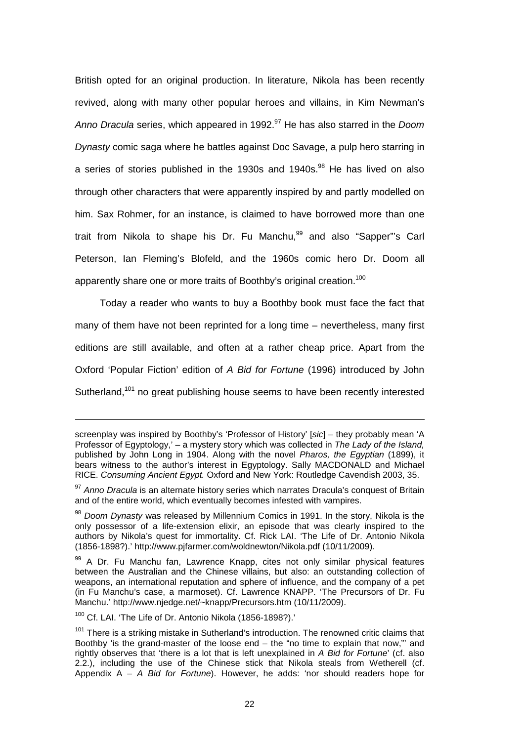British opted for an original production. In literature, Nikola has been recently revived, along with many other popular heroes and villains, in Kim Newman's Anno Dracula series, which appeared in 1992. $97$  He has also starred in the Doom Dynasty comic saga where he battles against Doc Savage, a pulp hero starring in a series of stories published in the 1930s and 1940s. $98$  He has lived on also through other characters that were apparently inspired by and partly modelled on him. Sax Rohmer, for an instance, is claimed to have borrowed more than one trait from Nikola to shape his Dr. Fu Manchu,<sup>99</sup> and also "Sapper"'s Carl Peterson, Ian Fleming's Blofeld, and the 1960s comic hero Dr. Doom all apparently share one or more traits of Boothby's original creation.<sup>100</sup>

Today a reader who wants to buy a Boothby book must face the fact that many of them have not been reprinted for a long time – nevertheless, many first editions are still available, and often at a rather cheap price. Apart from the Oxford 'Popular Fiction' edition of A Bid for Fortune (1996) introduced by John Sutherland.<sup>101</sup> no great publishing house seems to have been recently interested

-

screenplay was inspired by Boothby's 'Professor of History' [sic] – they probably mean 'A Professor of Egyptology,' – a mystery story which was collected in The Lady of the Island. published by John Long in 1904. Along with the novel Pharos, the Egyptian (1899), it bears witness to the author's interest in Egyptology. Sally MACDONALD and Michael RICE. Consuming Ancient Egypt. Oxford and New York: Routledge Cavendish 2003, 35.

<sup>&</sup>lt;sup>97</sup> Anno Dracula is an alternate history series which narrates Dracula's conquest of Britain and of the entire world, which eventually becomes infested with vampires.

<sup>98</sup> Doom Dynasty was released by Millennium Comics in 1991. In the story, Nikola is the only possessor of a life-extension elixir, an episode that was clearly inspired to the authors by Nikola's quest for immortality. Cf. Rick LAI. 'The Life of Dr. Antonio Nikola (1856-1898?).' http://www.pjfarmer.com/woldnewton/Nikola.pdf (10/11/2009).

<sup>99</sup> A Dr. Fu Manchu fan, Lawrence Knapp, cites not only similar physical features between the Australian and the Chinese villains, but also: an outstanding collection of weapons, an international reputation and sphere of influence, and the company of a pet (in Fu Manchu's case, a marmoset). Cf. Lawrence KNAPP. 'The Precursors of Dr. Fu Manchu.' http://www.njedge.net/~knapp/Precursors.htm (10/11/2009).

<sup>&</sup>lt;sup>100</sup> Cf. LAI. 'The Life of Dr. Antonio Nikola (1856-1898?).'

 $101$  There is a striking mistake in Sutherland's introduction. The renowned critic claims that Boothby 'is the grand-master of the loose end – the "no time to explain that now,"' and rightly observes that 'there is a lot that is left unexplained in A Bid for Fortune' (cf. also 2.2.), including the use of the Chinese stick that Nikola steals from Wetherell (cf. Appendix  $A - A$  Bid for Fortune). However, he adds: 'nor should readers hope for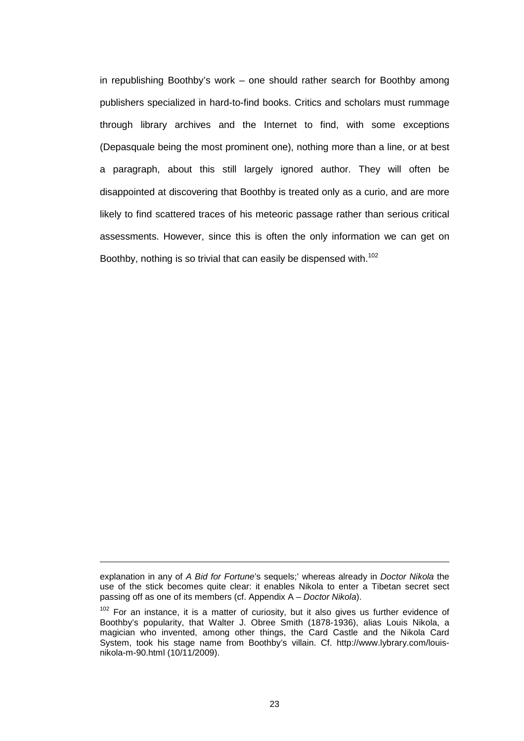in republishing Boothby's work – one should rather search for Boothby among publishers specialized in hard-to-find books. Critics and scholars must rummage through library archives and the Internet to find, with some exceptions (Depasquale being the most prominent one), nothing more than a line, or at best a paragraph, about this still largely ignored author. They will often be disappointed at discovering that Boothby is treated only as a curio, and are more likely to find scattered traces of his meteoric passage rather than serious critical assessments. However, since this is often the only information we can get on Boothby, nothing is so trivial that can easily be dispensed with.<sup>102</sup>

explanation in any of A Bid for Fortune's sequels;' whereas already in Doctor Nikola the use of the stick becomes quite clear: it enables Nikola to enter a Tibetan secret sect passing off as one of its members (cf. Appendix A – Doctor Nikola).

 $102$  For an instance, it is a matter of curiosity, but it also gives us further evidence of Boothby's popularity, that Walter J. Obree Smith (1878-1936), alias Louis Nikola, a magician who invented, among other things, the Card Castle and the Nikola Card System, took his stage name from Boothby's villain. Cf. http://www.lybrary.com/louisnikola-m-90.html (10/11/2009).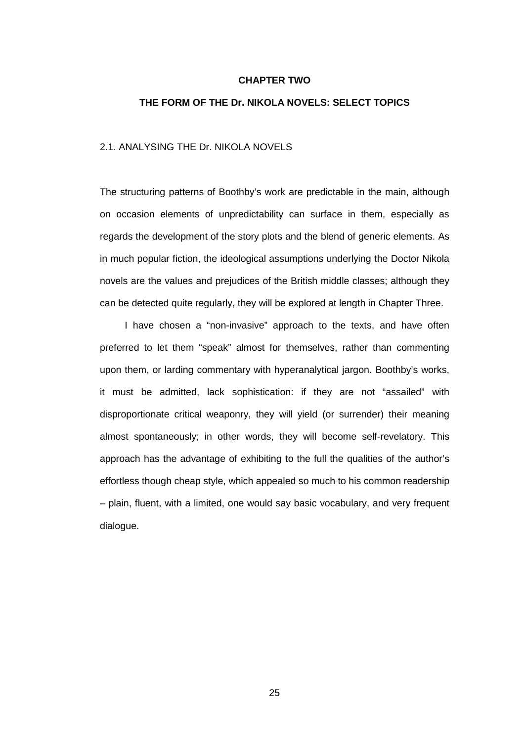#### **CHAPTER TWO**

#### **THE FORM OF THE Dr. NIKOLA NOVELS: SELECT TOPICS**

#### 2.1. ANALYSING THE Dr. NIKOLA NOVELS

The structuring patterns of Boothby's work are predictable in the main, although on occasion elements of unpredictability can surface in them, especially as regards the development of the story plots and the blend of generic elements. As in much popular fiction, the ideological assumptions underlying the Doctor Nikola novels are the values and prejudices of the British middle classes; although they can be detected quite regularly, they will be explored at length in Chapter Three.

I have chosen a "non-invasive" approach to the texts, and have often preferred to let them "speak" almost for themselves, rather than commenting upon them, or larding commentary with hyperanalytical jargon. Boothby's works, it must be admitted, lack sophistication: if they are not "assailed" with disproportionate critical weaponry, they will yield (or surrender) their meaning almost spontaneously; in other words, they will become self-revelatory. This approach has the advantage of exhibiting to the full the qualities of the author's effortless though cheap style, which appealed so much to his common readership – plain, fluent, with a limited, one would say basic vocabulary, and very frequent dialogue.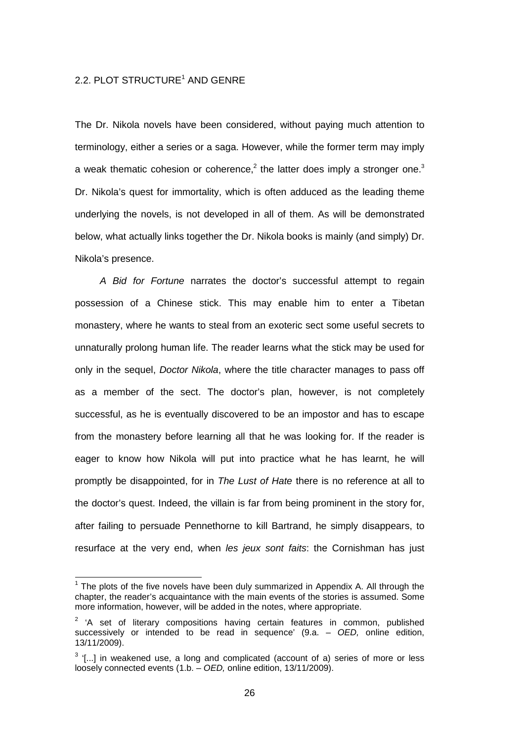#### 2.2. PLOT STRUCTURE<sup>1</sup> AND GENRE

The Dr. Nikola novels have been considered, without paying much attention to terminology, either a series or a saga. However, while the former term may imply a weak thematic cohesion or coherence,<sup>2</sup> the latter does imply a stronger one.<sup>3</sup> Dr. Nikola's quest for immortality, which is often adduced as the leading theme underlying the novels, is not developed in all of them. As will be demonstrated below, what actually links together the Dr. Nikola books is mainly (and simply) Dr. Nikola's presence.

A Bid for Fortune narrates the doctor's successful attempt to regain possession of a Chinese stick. This may enable him to enter a Tibetan monastery, where he wants to steal from an exoteric sect some useful secrets to unnaturally prolong human life. The reader learns what the stick may be used for only in the sequel, Doctor Nikola, where the title character manages to pass off as a member of the sect. The doctor's plan, however, is not completely successful, as he is eventually discovered to be an impostor and has to escape from the monastery before learning all that he was looking for. If the reader is eager to know how Nikola will put into practice what he has learnt, he will promptly be disappointed, for in The Lust of Hate there is no reference at all to the doctor's quest. Indeed, the villain is far from being prominent in the story for, after failing to persuade Pennethorne to kill Bartrand, he simply disappears, to resurface at the very end, when les jeux sont faits: the Cornishman has just

 $\overline{a}$ 

 $1$  The plots of the five novels have been duly summarized in Appendix A. All through the chapter, the reader's acquaintance with the main events of the stories is assumed. Some more information, however, will be added in the notes, where appropriate.

 $2$  'A set of literary compositions having certain features in common, published successively or intended to be read in sequence' (9.a. - OED, online edition, 13/11/2009).

 $3$  '[...] in weakened use, a long and complicated (account of a) series of more or less loosely connected events (1.b. – OED, online edition, 13/11/2009).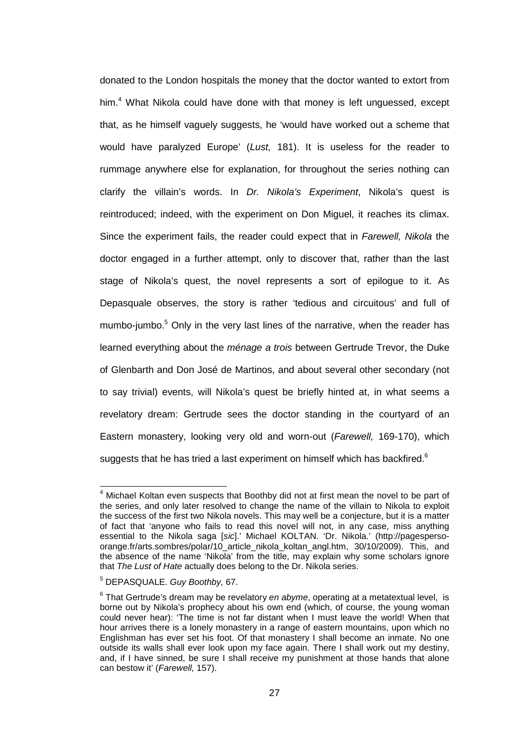donated to the London hospitals the money that the doctor wanted to extort from him.<sup>4</sup> What Nikola could have done with that money is left unguessed, except that, as he himself vaguely suggests, he 'would have worked out a scheme that would have paralyzed Europe' (Lust, 181). It is useless for the reader to rummage anywhere else for explanation, for throughout the series nothing can clarify the villain's words. In Dr. Nikola's Experiment, Nikola's quest is reintroduced; indeed, with the experiment on Don Miguel, it reaches its climax. Since the experiment fails, the reader could expect that in Farewell, Nikola the doctor engaged in a further attempt, only to discover that, rather than the last stage of Nikola's quest, the novel represents a sort of epilogue to it. As Depasquale observes, the story is rather 'tedious and circuitous' and full of mumbo-jumbo.<sup>5</sup> Only in the very last lines of the narrative, when the reader has learned everything about the ménage a trois between Gertrude Trevor, the Duke of Glenbarth and Don José de Martinos, and about several other secondary (not to say trivial) events, will Nikola's quest be briefly hinted at, in what seems a revelatory dream: Gertrude sees the doctor standing in the courtyard of an Eastern monastery, looking very old and worn-out (Farewell, 169-170), which suggests that he has tried a last experiment on himself which has backfired.<sup>6</sup>

 $\overline{\phantom{a}}$  $<sup>4</sup>$  Michael Koltan even suspects that Boothby did not at first mean the novel to be part of</sup> the series, and only later resolved to change the name of the villain to Nikola to exploit the success of the first two Nikola novels. This may well be a conjecture, but it is a matter of fact that 'anyone who fails to read this novel will not, in any case, miss anything essential to the Nikola saga [sic].' Michael KOLTAN. 'Dr. Nikola.' (http://pagespersoorange.fr/arts.sombres/polar/10\_article\_nikola\_koltan\_angl.htm, 30/10/2009). This, and the absence of the name 'Nikola' from the title, may explain why some scholars ignore that The Lust of Hate actually does belong to the Dr. Nikola series.

<sup>&</sup>lt;sup>5</sup> DEPASQUALE. Guy Boothby, 67.

 $6$  That Gertrude's dream may be revelatory en abyme, operating at a metatextual level, is borne out by Nikola's prophecy about his own end (which, of course, the young woman could never hear): 'The time is not far distant when I must leave the world! When that hour arrives there is a lonely monastery in a range of eastern mountains, upon which no Englishman has ever set his foot. Of that monastery I shall become an inmate. No one outside its walls shall ever look upon my face again. There I shall work out my destiny, and, if I have sinned, be sure I shall receive my punishment at those hands that alone can bestow it' (Farewell, 157).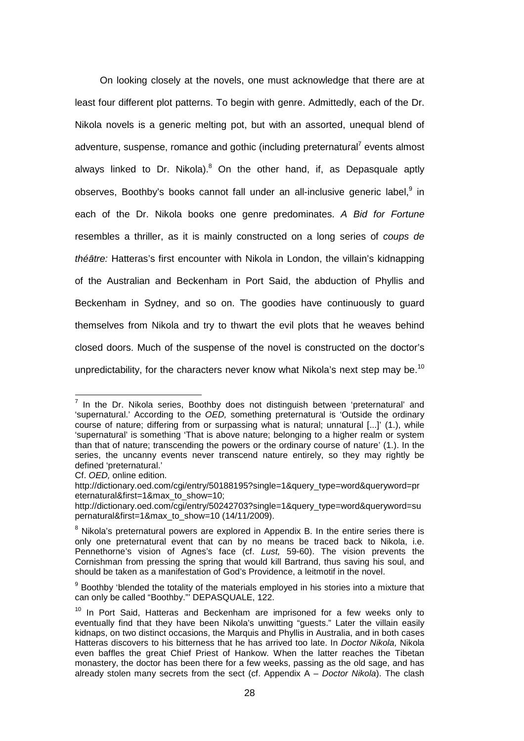On looking closely at the novels, one must acknowledge that there are at least four different plot patterns. To begin with genre. Admittedly, each of the Dr. Nikola novels is a generic melting pot, but with an assorted, unequal blend of adventure, suspense, romance and gothic (including preternatural<sup>7</sup> events almost always linked to Dr. Nikola). $8$  On the other hand, if, as Depasquale aptly observes, Boothby's books cannot fall under an all-inclusive generic label,<sup>9</sup> in each of the Dr. Nikola books one genre predominates. A Bid for Fortune resembles a thriller, as it is mainly constructed on a long series of coups de thé*ȃ*tre: Hatteras's first encounter with Nikola in London, the villain's kidnapping of the Australian and Beckenham in Port Said, the abduction of Phyllis and Beckenham in Sydney, and so on. The goodies have continuously to guard themselves from Nikola and try to thwart the evil plots that he weaves behind closed doors. Much of the suspense of the novel is constructed on the doctor's unpredictability, for the characters never know what Nikola's next step may be.<sup>10</sup>

TEREN TREST TERM THE TREAD THE DREAM TREAD TREAD TREAD TREAD TREAD TREAD TREAD TREAD TREAD TREAD TREAD TREAD T<br>Term of the Dr. Nikola series, Boothby does not distinguish between 'preternatural' and 'supernatural.' According to the  $OED$ , something preternatural is 'Outside the ordinary course of nature; differing from or surpassing what is natural; unnatural [...]' (1.), while 'supernatural' is something 'That is above nature; belonging to a higher realm or system than that of nature; transcending the powers or the ordinary course of nature' (1.). In the series, the uncanny events never transcend nature entirely, so they may rightly be defined 'preternatural.'

Cf. OED, online edition.

http://dictionary.oed.com/cgi/entry/50188195?single=1&query\_type=word&queryword=pr eternatural&first=1&max\_to\_show=10;

http://dictionary.oed.com/cgi/entry/50242703?single=1&query\_type=word&queryword=su pernatural&first=1&max\_to\_show=10 (14/11/2009).

 $8$  Nikola's preternatural powers are explored in Appendix B. In the entire series there is only one preternatural event that can by no means be traced back to Nikola, i.e. Pennethorne's vision of Agnes's face (cf. Lust, 59-60). The vision prevents the Cornishman from pressing the spring that would kill Bartrand, thus saving his soul, and should be taken as a manifestation of God's Providence, a leitmotif in the novel.

 $9$  Boothby 'blended the totality of the materials employed in his stories into a mixture that can only be called "Boothby."' DEPASQUALE, 122.

 $10$  In Port Said, Hatteras and Beckenham are imprisoned for a few weeks only to eventually find that they have been Nikola's unwitting "guests." Later the villain easily kidnaps, on two distinct occasions, the Marquis and Phyllis in Australia, and in both cases Hatteras discovers to his bitterness that he has arrived too late. In *Doctor Nikola*, Nikola even baffles the great Chief Priest of Hankow. When the latter reaches the Tibetan monastery, the doctor has been there for a few weeks, passing as the old sage, and has already stolen many secrets from the sect (cf. Appendix  $A - Doctor Nikola$ ). The clash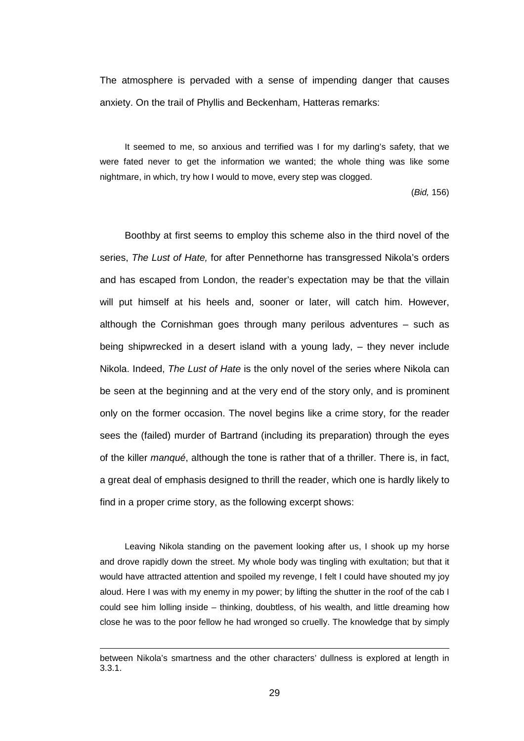The atmosphere is pervaded with a sense of impending danger that causes anxiety. On the trail of Phyllis and Beckenham, Hatteras remarks:

It seemed to me, so anxious and terrified was I for my darling's safety, that we were fated never to get the information we wanted; the whole thing was like some nightmare, in which, try how I would to move, every step was clogged.

(Bid, 156)

Boothby at first seems to employ this scheme also in the third novel of the series. The Lust of Hate, for after Pennethorne has transgressed Nikola's orders and has escaped from London, the reader's expectation may be that the villain will put himself at his heels and, sooner or later, will catch him. However, although the Cornishman goes through many perilous adventures – such as being shipwrecked in a desert island with a young lady, – they never include Nikola. Indeed, The Lust of Hate is the only novel of the series where Nikola can be seen at the beginning and at the very end of the story only, and is prominent only on the former occasion. The novel begins like a crime story, for the reader sees the (failed) murder of Bartrand (including its preparation) through the eyes of the killer *manqué*, although the tone is rather that of a thriller. There is, in fact, a great deal of emphasis designed to thrill the reader, which one is hardly likely to find in a proper crime story, as the following excerpt shows:

Leaving Nikola standing on the pavement looking after us, I shook up my horse and drove rapidly down the street. My whole body was tingling with exultation; but that it would have attracted attention and spoiled my revenge, I felt I could have shouted my joy aloud. Here I was with my enemy in my power; by lifting the shutter in the roof of the cab I could see him lolling inside – thinking, doubtless, of his wealth, and little dreaming how close he was to the poor fellow he had wronged so cruelly. The knowledge that by simply

 $\overline{a}$ 

between Nikola's smartness and the other characters' dullness is explored at length in 3.3.1.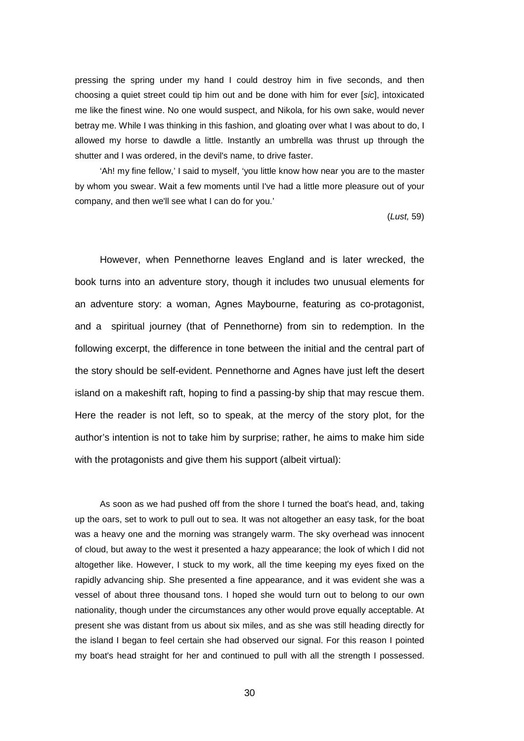pressing the spring under my hand I could destroy him in five seconds, and then choosing a quiet street could tip him out and be done with him for ever [sic], intoxicated me like the finest wine. No one would suspect, and Nikola, for his own sake, would never betray me. While I was thinking in this fashion, and gloating over what I was about to do, I allowed my horse to dawdle a little. Instantly an umbrella was thrust up through the shutter and I was ordered, in the devil's name, to drive faster.

'Ah! my fine fellow,' I said to myself, 'you little know how near you are to the master by whom you swear. Wait a few moments until I've had a little more pleasure out of your company, and then we'll see what I can do for you.'

(Lust, 59)

However, when Pennethorne leaves England and is later wrecked, the book turns into an adventure story, though it includes two unusual elements for an adventure story: a woman, Agnes Maybourne, featuring as co-protagonist, and a spiritual journey (that of Pennethorne) from sin to redemption. In the following excerpt, the difference in tone between the initial and the central part of the story should be self-evident. Pennethorne and Agnes have just left the desert island on a makeshift raft, hoping to find a passing-by ship that may rescue them. Here the reader is not left, so to speak, at the mercy of the story plot, for the author's intention is not to take him by surprise; rather, he aims to make him side with the protagonists and give them his support (albeit virtual):

As soon as we had pushed off from the shore I turned the boat's head, and, taking up the oars, set to work to pull out to sea. It was not altogether an easy task, for the boat was a heavy one and the morning was strangely warm. The sky overhead was innocent of cloud, but away to the west it presented a hazy appearance; the look of which I did not altogether like. However, I stuck to my work, all the time keeping my eyes fixed on the rapidly advancing ship. She presented a fine appearance, and it was evident she was a vessel of about three thousand tons. I hoped she would turn out to belong to our own nationality, though under the circumstances any other would prove equally acceptable. At present she was distant from us about six miles, and as she was still heading directly for the island I began to feel certain she had observed our signal. For this reason I pointed my boat's head straight for her and continued to pull with all the strength I possessed.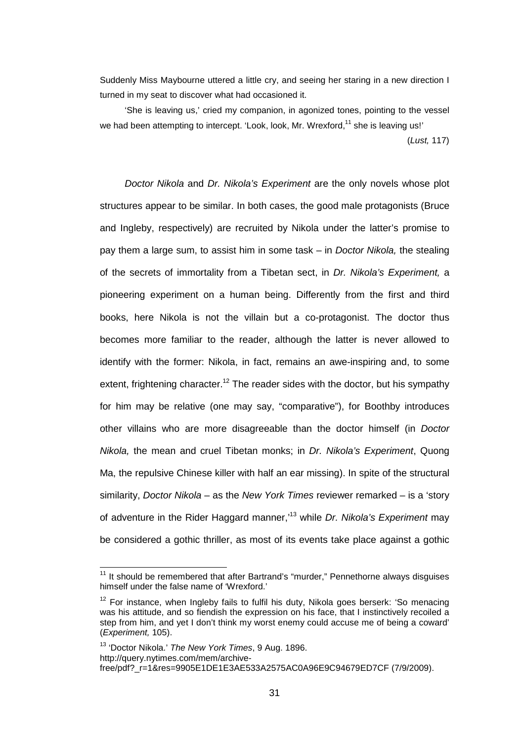Suddenly Miss Maybourne uttered a little cry, and seeing her staring in a new direction I turned in my seat to discover what had occasioned it.

'She is leaving us,' cried my companion, in agonized tones, pointing to the vessel we had been attempting to intercept. 'Look, look, Mr. Wrexford, $11$  she is leaving us!'

(Lust, 117)

Doctor Nikola and Dr. Nikola's Experiment are the only novels whose plot structures appear to be similar. In both cases, the good male protagonists (Bruce and Ingleby, respectively) are recruited by Nikola under the latter's promise to pay them a large sum, to assist him in some task – in Doctor Nikola, the stealing of the secrets of immortality from a Tibetan sect, in Dr. Nikola's Experiment, a pioneering experiment on a human being. Differently from the first and third books, here Nikola is not the villain but a co-protagonist. The doctor thus becomes more familiar to the reader, although the latter is never allowed to identify with the former: Nikola, in fact, remains an awe-inspiring and, to some extent, frightening character.<sup>12</sup> The reader sides with the doctor, but his sympathy for him may be relative (one may say, "comparative"), for Boothby introduces other villains who are more disagreeable than the doctor himself (in Doctor Nikola, the mean and cruel Tibetan monks; in Dr. Nikola's Experiment, Quong Ma, the repulsive Chinese killer with half an ear missing). In spite of the structural similarity, Doctor Nikola – as the New York Times reviewer remarked – is a 'story of adventure in the Rider Haggard manner,<sup>13</sup> while *Dr. Nikola's Experiment* may be considered a gothic thriller, as most of its events take place against a gothic

 $11$  It should be remembered that after Bartrand's "murder," Pennethorne always disguises himself under the false name of 'Wrexford.'

 $12$  For instance, when Ingleby fails to fulfil his duty, Nikola goes berserk: 'So menacing was his attitude, and so fiendish the expression on his face, that I instinctively recoiled a step from him, and yet I don't think my worst enemy could accuse me of being a coward' (Experiment, 105).

<sup>&</sup>lt;sup>13</sup> 'Doctor Nikola.' The New York Times, 9 Aug. 1896. http://query.nytimes.com/mem/archivefree/pdf?\_r=1&res=9905E1DE1E3AE533A2575AC0A96E9C94679ED7CF (7/9/2009).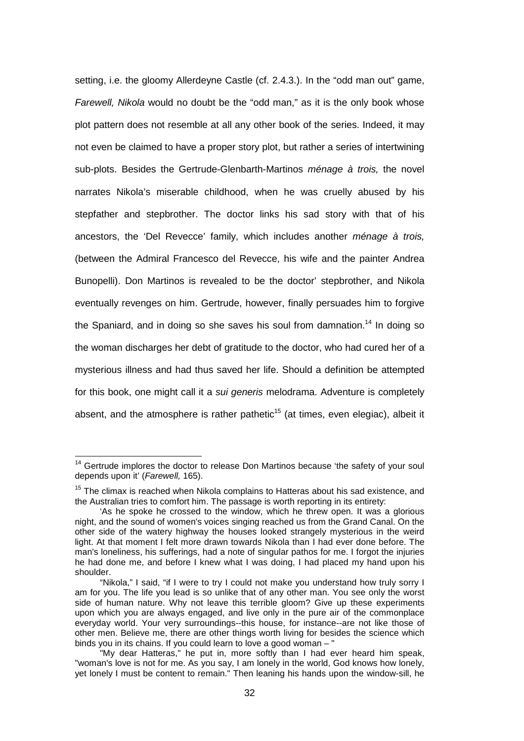setting, i.e. the gloomy Allerdeyne Castle (cf. 2.4.3.). In the "odd man out" game, Farewell, Nikola would no doubt be the "odd man," as it is the only book whose plot pattern does not resemble at all any other book of the series. Indeed, it may not even be claimed to have a proper story plot, but rather a series of intertwining sub-plots. Besides the Gertrude-Glenbarth-Martinos ménage à trois, the novel narrates Nikola's miserable childhood, when he was cruelly abused by his stepfather and stepbrother. The doctor links his sad story with that of his ancestors, the 'Del Revecce' family, which includes another *ménage à trois*, (between the Admiral Francesco del Revecce, his wife and the painter Andrea Bunopelli). Don Martinos is revealed to be the doctor' stepbrother, and Nikola eventually revenges on him. Gertrude, however, finally persuades him to forgive the Spaniard, and in doing so she saves his soul from damnation.<sup>14</sup> In doing so the woman discharges her debt of gratitude to the doctor, who had cured her of a mysterious illness and had thus saved her life. Should a definition be attempted for this book, one might call it a *sui generis* melodrama. Adventure is completely absent, and the atmosphere is rather pathetic<sup>15</sup> (at times, even elegiac), albeit it

 $14$  Gertrude implores the doctor to release Don Martinos because 'the safety of your soul depends upon it' (Farewell, 165).

 $15$  The climax is reached when Nikola complains to Hatteras about his sad existence, and the Australian tries to comfort him. The passage is worth reporting in its entirety:

<sup>&#</sup>x27;As he spoke he crossed to the window, which he threw open. It was a glorious night, and the sound of women's voices singing reached us from the Grand Canal. On the other side of the watery highway the houses looked strangely mysterious in the weird light. At that moment I felt more drawn towards Nikola than I had ever done before. The man's loneliness, his sufferings, had a note of singular pathos for me. I forgot the injuries he had done me, and before I knew what I was doing, I had placed my hand upon his shoulder.

<sup>&</sup>quot;Nikola," I said, "if I were to try I could not make you understand how truly sorry I am for you. The life you lead is so unlike that of any other man. You see only the worst side of human nature. Why not leave this terrible gloom? Give up these experiments upon which you are always engaged, and live only in the pure air of the commonplace everyday world. Your very surroundings--this house, for instance--are not like those of other men. Believe me, there are other things worth living for besides the science which binds you in its chains. If you could learn to love a good woman – "

<sup>&</sup>quot;My dear Hatteras," he put in, more softly than I had ever heard him speak, "woman's love is not for me. As you say, I am lonely in the world, God knows how lonely, yet lonely I must be content to remain." Then leaning his hands upon the window-sill, he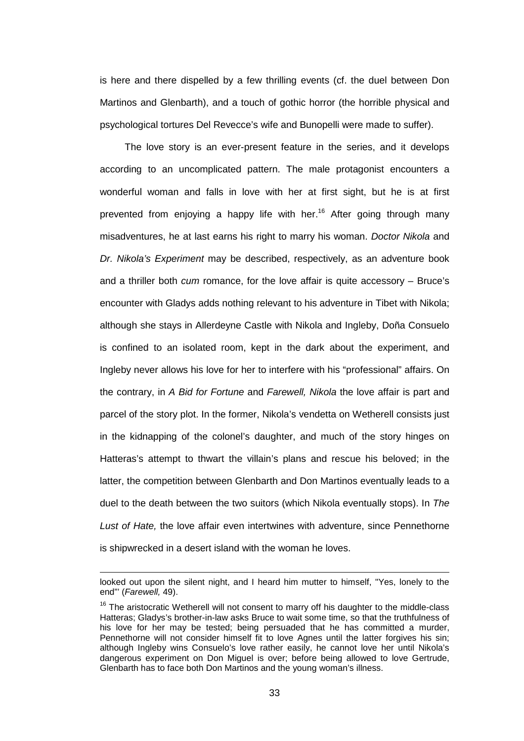is here and there dispelled by a few thrilling events (cf. the duel between Don Martinos and Glenbarth), and a touch of gothic horror (the horrible physical and psychological tortures Del Revecce's wife and Bunopelli were made to suffer).

The love story is an ever-present feature in the series, and it develops according to an uncomplicated pattern. The male protagonist encounters a wonderful woman and falls in love with her at first sight, but he is at first prevented from enjoying a happy life with her.<sup>16</sup> After going through many misadventures, he at last earns his right to marry his woman. Doctor Nikola and Dr. Nikola's Experiment may be described, respectively, as an adventure book and a thriller both *cum* romance, for the love affair is quite accessory  $-$  Bruce's encounter with Gladys adds nothing relevant to his adventure in Tibet with Nikola; although she stays in Allerdeyne Castle with Nikola and Ingleby, Doña Consuelo is confined to an isolated room, kept in the dark about the experiment, and Ingleby never allows his love for her to interfere with his "professional" affairs. On the contrary, in A Bid for Fortune and Farewell, Nikola the love affair is part and parcel of the story plot. In the former, Nikola's vendetta on Wetherell consists just in the kidnapping of the colonel's daughter, and much of the story hinges on Hatteras's attempt to thwart the villain's plans and rescue his beloved; in the latter, the competition between Glenbarth and Don Martinos eventually leads to a duel to the death between the two suitors (which Nikola eventually stops). In The Lust of Hate, the love affair even intertwines with adventure, since Pennethorne is shipwrecked in a desert island with the woman he loves.

looked out upon the silent night, and I heard him mutter to himself, "Yes, lonely to the end"' (Farewell, 49).

 $16$  The aristocratic Wetherell will not consent to marry off his daughter to the middle-class Hatteras; Gladys's brother-in-law asks Bruce to wait some time, so that the truthfulness of his love for her may be tested; being persuaded that he has committed a murder, Pennethorne will not consider himself fit to love Agnes until the latter forgives his sin; although Ingleby wins Consuelo's love rather easily, he cannot love her until Nikola's dangerous experiment on Don Miguel is over; before being allowed to love Gertrude, Glenbarth has to face both Don Martinos and the young woman's illness.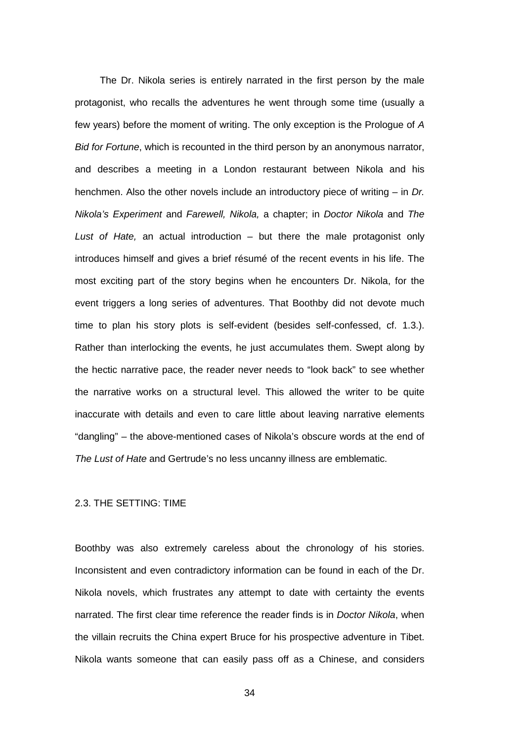The Dr. Nikola series is entirely narrated in the first person by the male protagonist, who recalls the adventures he went through some time (usually a few years) before the moment of writing. The only exception is the Prologue of A Bid for Fortune, which is recounted in the third person by an anonymous narrator, and describes a meeting in a London restaurant between Nikola and his henchmen. Also the other novels include an introductory piece of writing  $-$  in Dr. Nikola's Experiment and Farewell, Nikola, a chapter; in Doctor Nikola and The Lust of Hate, an actual introduction  $-$  but there the male protagonist only introduces himself and gives a brief résumé of the recent events in his life. The most exciting part of the story begins when he encounters Dr. Nikola, for the event triggers a long series of adventures. That Boothby did not devote much time to plan his story plots is self-evident (besides self-confessed, cf. 1.3.). Rather than interlocking the events, he just accumulates them. Swept along by the hectic narrative pace, the reader never needs to "look back" to see whether the narrative works on a structural level. This allowed the writer to be quite inaccurate with details and even to care little about leaving narrative elements "dangling" – the above-mentioned cases of Nikola's obscure words at the end of The Lust of Hate and Gertrude's no less uncanny illness are emblematic.

### 2.3. THE SETTING: TIME

Boothby was also extremely careless about the chronology of his stories. Inconsistent and even contradictory information can be found in each of the Dr. Nikola novels, which frustrates any attempt to date with certainty the events narrated. The first clear time reference the reader finds is in *Doctor Nikola*, when the villain recruits the China expert Bruce for his prospective adventure in Tibet. Nikola wants someone that can easily pass off as a Chinese, and considers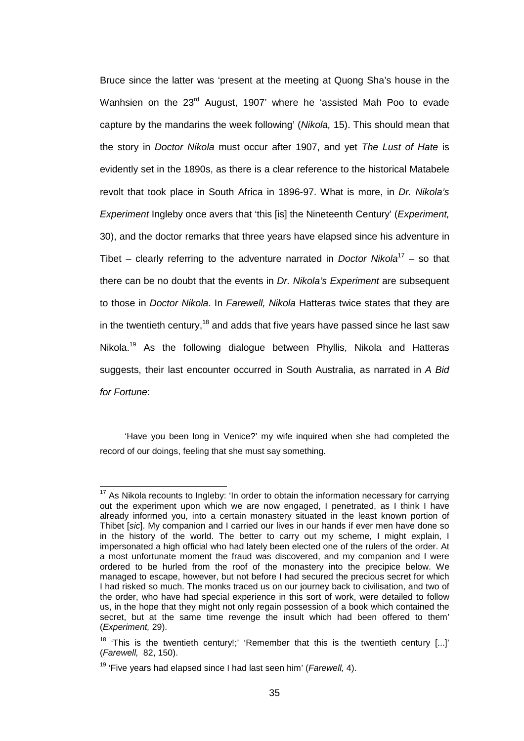Bruce since the latter was 'present at the meeting at Quong Sha's house in the Wanhsien on the 23<sup>rd</sup> August, 1907' where he 'assisted Mah Poo to evade capture by the mandarins the week following' (Nikola, 15). This should mean that the story in Doctor Nikola must occur after 1907, and yet The Lust of Hate is evidently set in the 1890s, as there is a clear reference to the historical Matabele revolt that took place in South Africa in 1896-97. What is more, in Dr. Nikola's Experiment Ingleby once avers that 'this [is] the Nineteenth Century' (Experiment, 30), and the doctor remarks that three years have elapsed since his adventure in Tibet – clearly referring to the adventure narrated in *Doctor Nikola*<sup>17</sup> – so that there can be no doubt that the events in Dr. Nikola's Experiment are subsequent to those in Doctor Nikola. In Farewell, Nikola Hatteras twice states that they are in the twentieth century,<sup>18</sup> and adds that five years have passed since he last saw Nikola.<sup>19</sup> As the following dialogue between Phyllis, Nikola and Hatteras suggests, their last encounter occurred in South Australia, as narrated in A Bid for Fortune:

'Have you been long in Venice?' my wife inquired when she had completed the record of our doings, feeling that she must say something.

 $\overline{\phantom{a}}$  $17$  As Nikola recounts to Ingleby: 'In order to obtain the information necessary for carrying out the experiment upon which we are now engaged, I penetrated, as I think I have already informed you, into a certain monastery situated in the least known portion of Thibet [sic]. My companion and I carried our lives in our hands if ever men have done so in the history of the world. The better to carry out my scheme, I might explain, I impersonated a high official who had lately been elected one of the rulers of the order. At a most unfortunate moment the fraud was discovered, and my companion and I were ordered to be hurled from the roof of the monastery into the precipice below. We managed to escape, however, but not before I had secured the precious secret for which I had risked so much. The monks traced us on our journey back to civilisation, and two of the order, who have had special experience in this sort of work, were detailed to follow us, in the hope that they might not only regain possession of a book which contained the secret, but at the same time revenge the insult which had been offered to them' (Experiment, 29).

 $18$  'This is the twentieth century!;' 'Remember that this is the twentieth century [...]' (Farewell, 82, 150).

<sup>&</sup>lt;sup>19</sup> 'Five years had elapsed since I had last seen him' (Farewell, 4).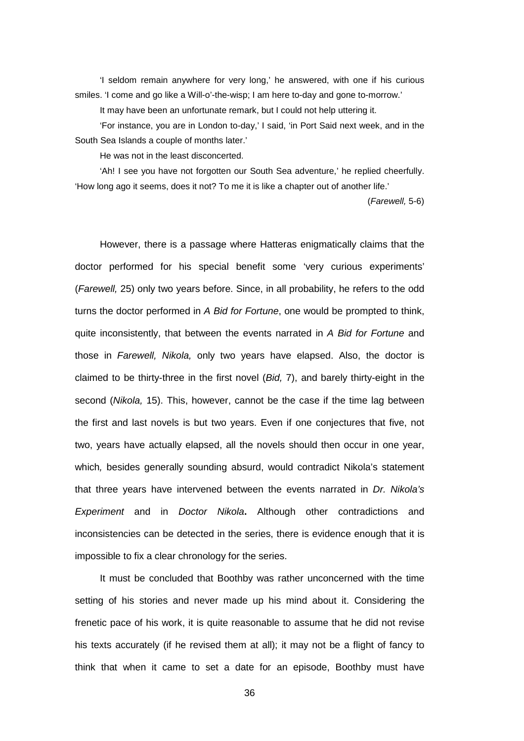'I seldom remain anywhere for very long,' he answered, with one if his curious smiles. 'I come and go like a Will-o'-the-wisp; I am here to-day and gone to-morrow.'

It may have been an unfortunate remark, but I could not help uttering it.

'For instance, you are in London to-day,' I said, 'in Port Said next week, and in the South Sea Islands a couple of months later.'

He was not in the least disconcerted.

'Ah! I see you have not forgotten our South Sea adventure,' he replied cheerfully. 'How long ago it seems, does it not? To me it is like a chapter out of another life.'

(Farewell, 5-6)

However, there is a passage where Hatteras enigmatically claims that the doctor performed for his special benefit some 'very curious experiments' (Farewell, 25) only two years before. Since, in all probability, he refers to the odd turns the doctor performed in A Bid for Fortune, one would be prompted to think, quite inconsistently, that between the events narrated in A Bid for Fortune and those in Farewell, Nikola, only two years have elapsed. Also, the doctor is claimed to be thirty-three in the first novel  $(Bid, 7)$ , and barely thirty-eight in the second (Nikola, 15). This, however, cannot be the case if the time lag between the first and last novels is but two years. Even if one conjectures that five, not two, years have actually elapsed, all the novels should then occur in one year, which, besides generally sounding absurd, would contradict Nikola's statement that three years have intervened between the events narrated in Dr. Nikola's Experiment and in Doctor Nikola**.** Although other contradictions and inconsistencies can be detected in the series, there is evidence enough that it is impossible to fix a clear chronology for the series.

It must be concluded that Boothby was rather unconcerned with the time setting of his stories and never made up his mind about it. Considering the frenetic pace of his work, it is quite reasonable to assume that he did not revise his texts accurately (if he revised them at all); it may not be a flight of fancy to think that when it came to set a date for an episode, Boothby must have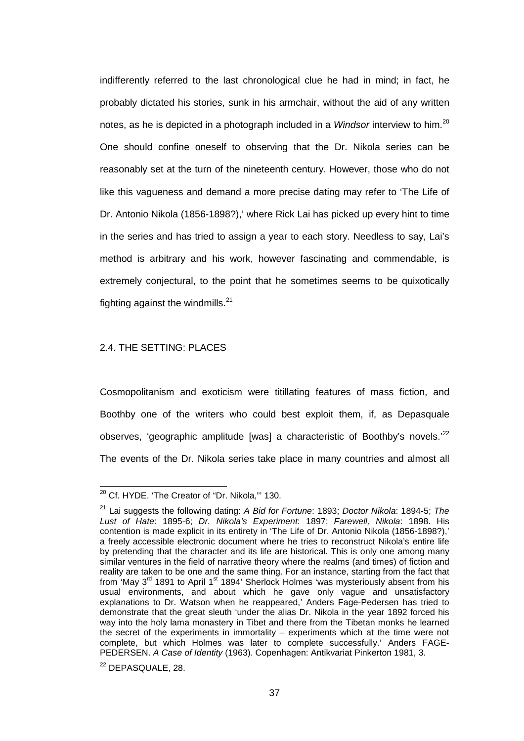indifferently referred to the last chronological clue he had in mind; in fact, he probably dictated his stories, sunk in his armchair, without the aid of any written notes, as he is depicted in a photograph included in a *Windsor* interview to him.<sup>20</sup> One should confine oneself to observing that the Dr. Nikola series can be reasonably set at the turn of the nineteenth century. However, those who do not like this vagueness and demand a more precise dating may refer to 'The Life of Dr. Antonio Nikola (1856-1898?),' where Rick Lai has picked up every hint to time in the series and has tried to assign a year to each story. Needless to say, Lai's method is arbitrary and his work, however fascinating and commendable, is extremely conjectural, to the point that he sometimes seems to be quixotically fighting against the windmills. $^{21}$ 

### 2.4. THE SETTING: PLACES

Cosmopolitanism and exoticism were titillating features of mass fiction, and Boothby one of the writers who could best exploit them, if, as Depasquale observes, 'geographic amplitude [was] a characteristic of Boothby's novels.<sup>'22</sup> The events of the Dr. Nikola series take place in many countries and almost all

 $\overline{\phantom{a}}$ 

 $^{20}$  Cf. HYDE. 'The Creator of "Dr. Nikola,"' 130.

 $21$  Lai suggests the following dating: A Bid for Fortune: 1893; Doctor Nikola: 1894-5; The Lust of Hate: 1895-6; Dr. Nikola's Experiment: 1897; Farewell, Nikola: 1898. His contention is made explicit in its entirety in 'The Life of Dr. Antonio Nikola (1856-1898?),' a freely accessible electronic document where he tries to reconstruct Nikola's entire life by pretending that the character and its life are historical. This is only one among many similar ventures in the field of narrative theory where the realms (and times) of fiction and reality are taken to be one and the same thing. For an instance, starting from the fact that from 'May 3<sup>rd</sup> 1891 to April 1<sup>st</sup> 1894' Sherlock Holmes 'was mysteriously absent from his usual environments, and about which he gave only vague and unsatisfactory explanations to Dr. Watson when he reappeared,' Anders Fage-Pedersen has tried to demonstrate that the great sleuth 'under the alias Dr. Nikola in the year 1892 forced his way into the holy lama monastery in Tibet and there from the Tibetan monks he learned the secret of the experiments in immortality – experiments which at the time were not complete, but which Holmes was later to complete successfully.' Anders FAGE-PEDERSEN. A Case of Identity (1963). Copenhagen: Antikvariat Pinkerton 1981, 3.

<sup>&</sup>lt;sup>22</sup> DEPASQUALE, 28.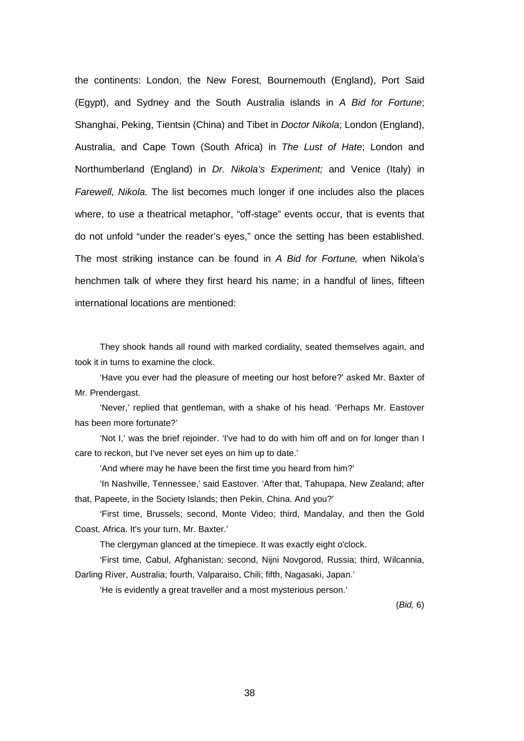the continents: London, the New Forest, Bournemouth (England), Port Said (Egypt), and Sydney and the South Australia islands in A Bid for Fortune; Shanghai, Peking, Tientsin (China) and Tibet in *Doctor Nikola*; London (England), Australia, and Cape Town (South Africa) in The Lust of Hate; London and Northumberland (England) in Dr. Nikola's Experiment; and Venice (Italy) in Farewell, Nikola. The list becomes much longer if one includes also the places where, to use a theatrical metaphor, "off-stage" events occur, that is events that do not unfold "under the reader's eyes," once the setting has been established. The most striking instance can be found in A Bid for Fortune, when Nikola's henchmen talk of where they first heard his name; in a handful of lines, fifteen international locations are mentioned:

They shook hands all round with marked cordiality, seated themselves again, and took it in turns to examine the clock.

'Have you ever had the pleasure of meeting our host before?' asked Mr. Baxter of Mr. Prendergast.

'Never,' replied that gentleman, with a shake of his head. 'Perhaps Mr. Eastover has been more fortunate?'

'Not I,' was the brief rejoinder. 'I've had to do with him off and on for longer than I care to reckon, but I've never set eyes on him up to date.'

'And where may he have been the first time you heard from him?'

'In Nashville, Tennessee,' said Eastover. 'After that, Tahupapa, New Zealand; after that, Papeete, in the Society Islands; then Pekin, China. And you?'

'First time, Brussels; second, Monte Video; third, Mandalay, and then the Gold Coast, Africa. It's your turn, Mr. Baxter.'

The clergyman glanced at the timepiece. It was exactly eight o'clock.

'First time, Cabul, Afghanistan; second, Nijni Novgorod, Russia; third, Wilcannia, Darling River, Australia; fourth, Valparaiso, Chili; fifth, Nagasaki, Japan.'

'He is evidently a great traveller and a most mysterious person.'

(Bid, 6)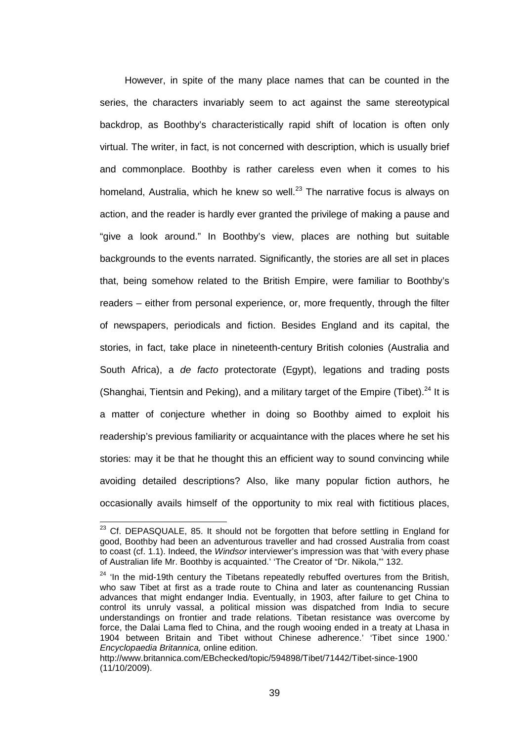However, in spite of the many place names that can be counted in the series, the characters invariably seem to act against the same stereotypical backdrop, as Boothby's characteristically rapid shift of location is often only virtual. The writer, in fact, is not concerned with description, which is usually brief and commonplace. Boothby is rather careless even when it comes to his homeland, Australia, which he knew so well. $^{23}$  The narrative focus is always on action, and the reader is hardly ever granted the privilege of making a pause and "give a look around." In Boothby's view, places are nothing but suitable backgrounds to the events narrated. Significantly, the stories are all set in places that, being somehow related to the British Empire, were familiar to Boothby's readers – either from personal experience, or, more frequently, through the filter of newspapers, periodicals and fiction. Besides England and its capital, the stories, in fact, take place in nineteenth-century British colonies (Australia and South Africa), a de facto protectorate (Egypt), legations and trading posts (Shanghai, Tientsin and Peking), and a military target of the Empire (Tibet).<sup>24</sup> It is a matter of conjecture whether in doing so Boothby aimed to exploit his readership's previous familiarity or acquaintance with the places where he set his stories: may it be that he thought this an efficient way to sound convincing while avoiding detailed descriptions? Also, like many popular fiction authors, he occasionally avails himself of the opportunity to mix real with fictitious places,

 $\overline{\phantom{a}}$ 

 $^{23}$  Cf. DEPASQUALE, 85. It should not be forgotten that before settling in England for good, Boothby had been an adventurous traveller and had crossed Australia from coast to coast (cf. 1.1). Indeed, the Windsor interviewer's impression was that 'with every phase of Australian life Mr. Boothby is acquainted.' 'The Creator of "Dr. Nikola,"' 132.

 $24$  'In the mid-19th century the Tibetans repeatedly rebuffed overtures from the British, who saw Tibet at first as a trade route to China and later as countenancing Russian advances that might endanger India. Eventually, in 1903, after failure to get China to control its unruly vassal, a political mission was dispatched from India to secure understandings on frontier and trade relations. Tibetan resistance was overcome by force, the Dalai Lama fled to China, and the rough wooing ended in a treaty at Lhasa in 1904 between Britain and Tibet without Chinese adherence.' 'Tibet since 1900.' Encyclopaedia Britannica, online edition.

http://www.britannica.com/EBchecked/topic/594898/Tibet/71442/Tibet-since-1900 (11/10/2009).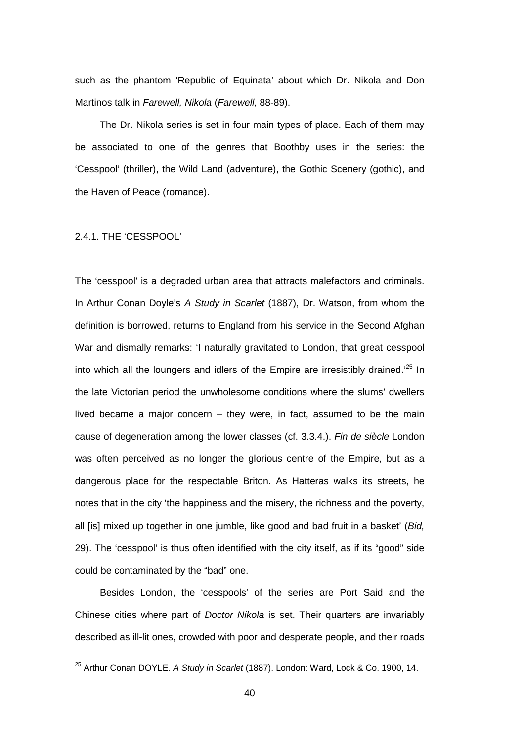such as the phantom 'Republic of Equinata' about which Dr. Nikola and Don Martinos talk in Farewell, Nikola (Farewell, 88-89).

The Dr. Nikola series is set in four main types of place. Each of them may be associated to one of the genres that Boothby uses in the series: the 'Cesspool' (thriller), the Wild Land (adventure), the Gothic Scenery (gothic), and the Haven of Peace (romance).

## 2.4.1. THE 'CESSPOOL'

j

The 'cesspool' is a degraded urban area that attracts malefactors and criminals. In Arthur Conan Doyle's A Study in Scarlet (1887), Dr. Watson, from whom the definition is borrowed, returns to England from his service in the Second Afghan War and dismally remarks: 'I naturally gravitated to London, that great cesspool into which all the loungers and idlers of the Empire are irresistibly drained.<sup> $25$ </sup> In the late Victorian period the unwholesome conditions where the slums' dwellers lived became a major concern – they were, in fact, assumed to be the main cause of degeneration among the lower classes (cf. 3.3.4.). Fin de siècle London was often perceived as no longer the glorious centre of the Empire, but as a dangerous place for the respectable Briton. As Hatteras walks its streets, he notes that in the city 'the happiness and the misery, the richness and the poverty, all [is] mixed up together in one jumble, like good and bad fruit in a basket' (Bid, 29). The 'cesspool' is thus often identified with the city itself, as if its "good" side could be contaminated by the "bad" one.

Besides London, the 'cesspools' of the series are Port Said and the Chinese cities where part of *Doctor Nikola* is set. Their quarters are invariably described as ill-lit ones, crowded with poor and desperate people, and their roads

 $^{25}$  Arthur Conan DOYLE. A Study in Scarlet (1887). London: Ward, Lock & Co. 1900, 14.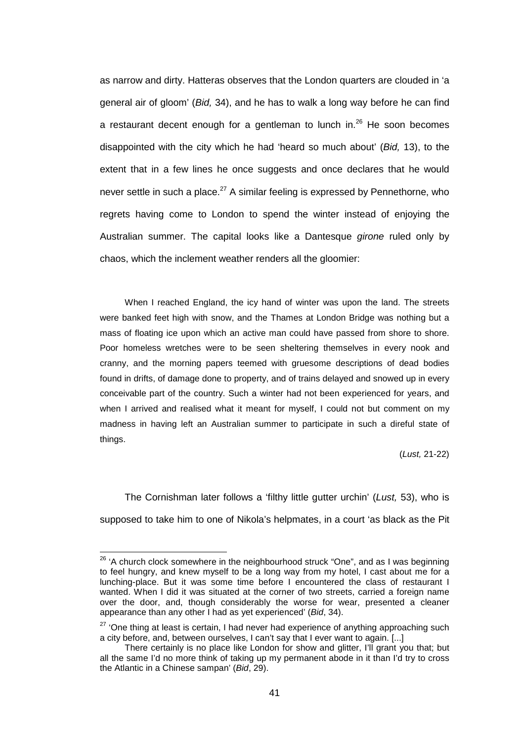as narrow and dirty. Hatteras observes that the London quarters are clouded in 'a general air of gloom' (Bid, 34), and he has to walk a long way before he can find a restaurant decent enough for a gentleman to lunch in. $^{26}$  He soon becomes disappointed with the city which he had 'heard so much about' (Bid, 13), to the extent that in a few lines he once suggests and once declares that he would never settle in such a place.<sup>27</sup> A similar feeling is expressed by Pennethorne, who regrets having come to London to spend the winter instead of enjoying the Australian summer. The capital looks like a Dantesque girone ruled only by chaos, which the inclement weather renders all the gloomier:

When I reached England, the icy hand of winter was upon the land. The streets were banked feet high with snow, and the Thames at London Bridge was nothing but a mass of floating ice upon which an active man could have passed from shore to shore. Poor homeless wretches were to be seen sheltering themselves in every nook and cranny, and the morning papers teemed with gruesome descriptions of dead bodies found in drifts, of damage done to property, and of trains delayed and snowed up in every conceivable part of the country. Such a winter had not been experienced for years, and when I arrived and realised what it meant for myself, I could not but comment on my madness in having left an Australian summer to participate in such a direful state of things.

(Lust, 21-22)

The Cornishman later follows a 'filthy little gutter urchin' (Lust, 53), who is supposed to take him to one of Nikola's helpmates, in a court 'as black as the Pit

j

 $26$  'A church clock somewhere in the neighbourhood struck "One", and as I was beginning to feel hungry, and knew myself to be a long way from my hotel, I cast about me for a lunching-place. But it was some time before I encountered the class of restaurant I wanted. When I did it was situated at the corner of two streets, carried a foreign name over the door, and, though considerably the worse for wear, presented a cleaner appearance than any other I had as yet experienced' (Bid, 34).

<sup>&</sup>lt;sup>27</sup> 'One thing at least is certain, I had never had experience of anything approaching such a city before, and, between ourselves, I can't say that I ever want to again. [...]

There certainly is no place like London for show and glitter, I'll grant you that; but all the same I'd no more think of taking up my permanent abode in it than I'd try to cross the Atlantic in a Chinese sampan' (Bid, 29).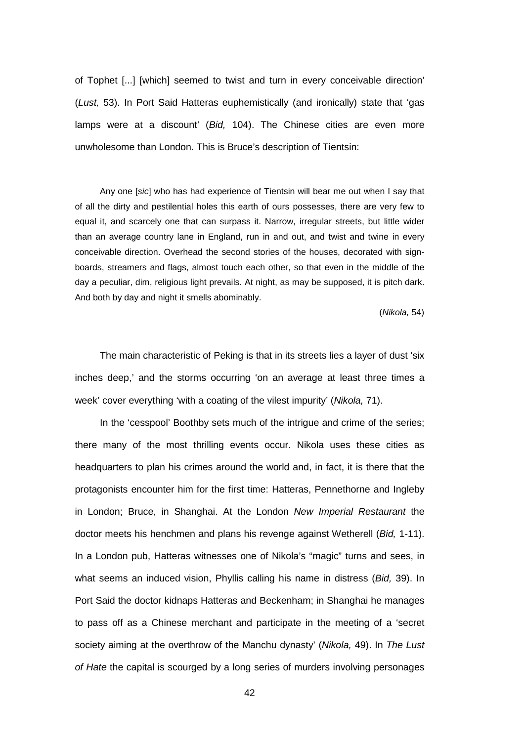of Tophet [...] [which] seemed to twist and turn in every conceivable direction' (Lust, 53). In Port Said Hatteras euphemistically (and ironically) state that 'gas lamps were at a discount' (Bid, 104). The Chinese cities are even more unwholesome than London. This is Bruce's description of Tientsin:

Any one [sic] who has had experience of Tientsin will bear me out when I say that of all the dirty and pestilential holes this earth of ours possesses, there are very few to equal it, and scarcely one that can surpass it. Narrow, irregular streets, but little wider than an average country lane in England, run in and out, and twist and twine in every conceivable direction. Overhead the second stories of the houses, decorated with signboards, streamers and flags, almost touch each other, so that even in the middle of the day a peculiar, dim, religious light prevails. At night, as may be supposed, it is pitch dark. And both by day and night it smells abominably.

(Nikola, 54)

The main characteristic of Peking is that in its streets lies a layer of dust 'six inches deep,' and the storms occurring 'on an average at least three times a week' cover everything 'with a coating of the vilest impurity' (Nikola, 71).

In the 'cesspool' Boothby sets much of the intrigue and crime of the series; there many of the most thrilling events occur. Nikola uses these cities as headquarters to plan his crimes around the world and, in fact, it is there that the protagonists encounter him for the first time: Hatteras, Pennethorne and Ingleby in London; Bruce, in Shanghai. At the London New Imperial Restaurant the doctor meets his henchmen and plans his revenge against Wetherell (Bid, 1-11). In a London pub, Hatteras witnesses one of Nikola's "magic" turns and sees, in what seems an induced vision, Phyllis calling his name in distress (Bid, 39). In Port Said the doctor kidnaps Hatteras and Beckenham; in Shanghai he manages to pass off as a Chinese merchant and participate in the meeting of a 'secret society aiming at the overthrow of the Manchu dynasty' (Nikola, 49). In The Lust of Hate the capital is scourged by a long series of murders involving personages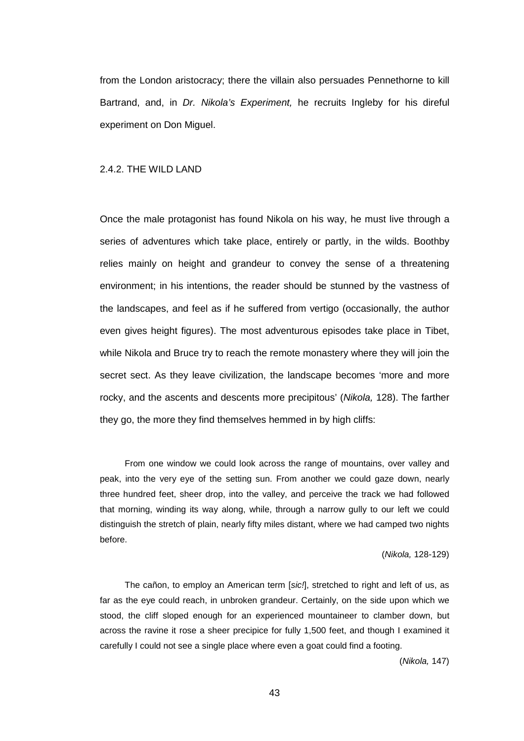from the London aristocracy; there the villain also persuades Pennethorne to kill Bartrand, and, in Dr. Nikola's Experiment, he recruits Ingleby for his direful experiment on Don Miguel.

## 2.4.2. THE WILD LAND

Once the male protagonist has found Nikola on his way, he must live through a series of adventures which take place, entirely or partly, in the wilds. Boothby relies mainly on height and grandeur to convey the sense of a threatening environment; in his intentions, the reader should be stunned by the vastness of the landscapes, and feel as if he suffered from vertigo (occasionally, the author even gives height figures). The most adventurous episodes take place in Tibet, while Nikola and Bruce try to reach the remote monastery where they will join the secret sect. As they leave civilization, the landscape becomes 'more and more rocky, and the ascents and descents more precipitous' (Nikola, 128). The farther they go, the more they find themselves hemmed in by high cliffs:

From one window we could look across the range of mountains, over valley and peak, into the very eye of the setting sun. From another we could gaze down, nearly three hundred feet, sheer drop, into the valley, and perceive the track we had followed that morning, winding its way along, while, through a narrow gully to our left we could distinguish the stretch of plain, nearly fifty miles distant, where we had camped two nights before.

(Nikola, 128-129)

The cañon, to employ an American term [sic], stretched to right and left of us, as far as the eye could reach, in unbroken grandeur. Certainly, on the side upon which we stood, the cliff sloped enough for an experienced mountaineer to clamber down, but across the ravine it rose a sheer precipice for fully 1,500 feet, and though I examined it carefully I could not see a single place where even a goat could find a footing.

(Nikola, 147)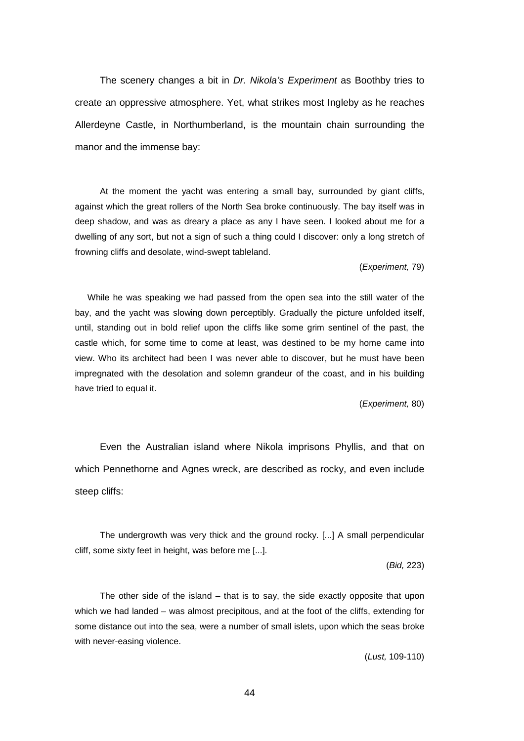The scenery changes a bit in Dr. Nikola's Experiment as Boothby tries to create an oppressive atmosphere. Yet, what strikes most Ingleby as he reaches Allerdeyne Castle, in Northumberland, is the mountain chain surrounding the manor and the immense bay:

At the moment the yacht was entering a small bay, surrounded by giant cliffs, against which the great rollers of the North Sea broke continuously. The bay itself was in deep shadow, and was as dreary a place as any I have seen. I looked about me for a dwelling of any sort, but not a sign of such a thing could I discover: only a long stretch of frowning cliffs and desolate, wind-swept tableland.

(Experiment, 79)

While he was speaking we had passed from the open sea into the still water of the bay, and the yacht was slowing down perceptibly. Gradually the picture unfolded itself, until, standing out in bold relief upon the cliffs like some grim sentinel of the past, the castle which, for some time to come at least, was destined to be my home came into view. Who its architect had been I was never able to discover, but he must have been impregnated with the desolation and solemn grandeur of the coast, and in his building have tried to equal it.

(Experiment, 80)

Even the Australian island where Nikola imprisons Phyllis, and that on which Pennethorne and Agnes wreck, are described as rocky, and even include steep cliffs:

The undergrowth was very thick and the ground rocky. [...] A small perpendicular cliff, some sixty feet in height, was before me [...].

(Bid, 223)

The other side of the island  $-$  that is to say, the side exactly opposite that upon which we had landed – was almost precipitous, and at the foot of the cliffs, extending for some distance out into the sea, were a number of small islets, upon which the seas broke with never-easing violence.

(Lust, 109-110)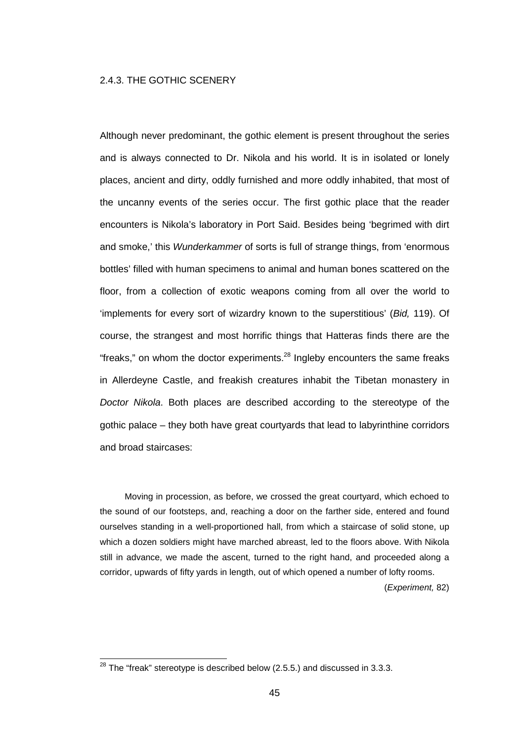### 2.4.3. THE GOTHIC SCENERY

Although never predominant, the gothic element is present throughout the series and is always connected to Dr. Nikola and his world. It is in isolated or lonely places, ancient and dirty, oddly furnished and more oddly inhabited, that most of the uncanny events of the series occur. The first gothic place that the reader encounters is Nikola's laboratory in Port Said. Besides being 'begrimed with dirt and smoke,' this Wunderkammer of sorts is full of strange things, from 'enormous bottles' filled with human specimens to animal and human bones scattered on the floor, from a collection of exotic weapons coming from all over the world to 'implements for every sort of wizardry known to the superstitious' (Bid, 119). Of course, the strangest and most horrific things that Hatteras finds there are the "freaks," on whom the doctor experiments. $^{28}$  Ingleby encounters the same freaks in Allerdeyne Castle, and freakish creatures inhabit the Tibetan monastery in Doctor Nikola. Both places are described according to the stereotype of the gothic palace – they both have great courtyards that lead to labyrinthine corridors and broad staircases:

Moving in procession, as before, we crossed the great courtyard, which echoed to the sound of our footsteps, and, reaching a door on the farther side, entered and found ourselves standing in a well-proportioned hall, from which a staircase of solid stone, up which a dozen soldiers might have marched abreast, led to the floors above. With Nikola still in advance, we made the ascent, turned to the right hand, and proceeded along a corridor, upwards of fifty yards in length, out of which opened a number of lofty rooms.

(Experiment, 82)

 $\overline{\phantom{a}}$ 

 $^{28}$  The "freak" stereotype is described below (2.5.5.) and discussed in 3.3.3.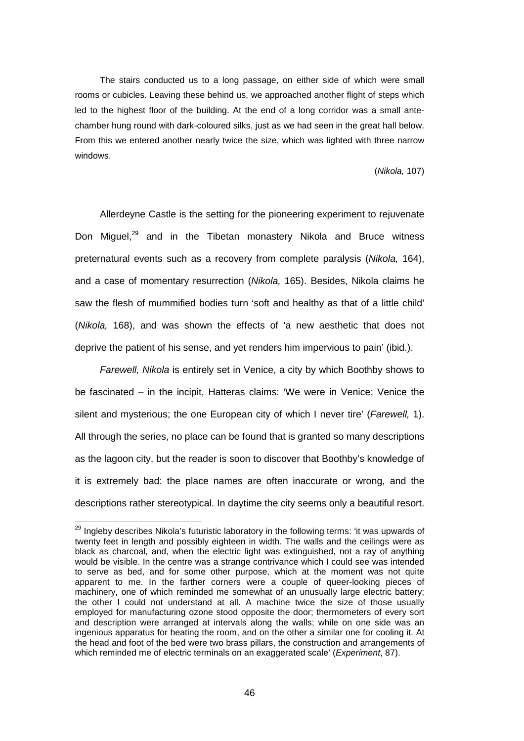The stairs conducted us to a long passage, on either side of which were small rooms or cubicles. Leaving these behind us, we approached another flight of steps which led to the highest floor of the building. At the end of a long corridor was a small antechamber hung round with dark-coloured silks, just as we had seen in the great hall below. From this we entered another nearly twice the size, which was lighted with three narrow windows.

(Nikola, 107)

Allerdeyne Castle is the setting for the pioneering experiment to rejuvenate Don Miguel,<sup>29</sup> and in the Tibetan monastery Nikola and Bruce witness preternatural events such as a recovery from complete paralysis (Nikola, 164), and a case of momentary resurrection (Nikola, 165). Besides, Nikola claims he saw the flesh of mummified bodies turn 'soft and healthy as that of a little child' (Nikola, 168), and was shown the effects of 'a new aesthetic that does not deprive the patient of his sense, and yet renders him impervious to pain' (ibid.).

Farewell, Nikola is entirely set in Venice, a city by which Boothby shows to be fascinated – in the incipit, Hatteras claims: 'We were in Venice; Venice the silent and mysterious; the one European city of which I never tire' (*Farewell*, 1). All through the series, no place can be found that is granted so many descriptions as the lagoon city, but the reader is soon to discover that Boothby's knowledge of it is extremely bad: the place names are often inaccurate or wrong, and the descriptions rather stereotypical. In daytime the city seems only a beautiful resort.

j

<sup>&</sup>lt;sup>29</sup> Ingleby describes Nikola's futuristic laboratory in the following terms: 'it was upwards of twenty feet in length and possibly eighteen in width. The walls and the ceilings were as black as charcoal, and, when the electric light was extinguished, not a ray of anything would be visible. In the centre was a strange contrivance which I could see was intended to serve as bed, and for some other purpose, which at the moment was not quite apparent to me. In the farther corners were a couple of queer-looking pieces of machinery, one of which reminded me somewhat of an unusually large electric battery; the other I could not understand at all. A machine twice the size of those usually employed for manufacturing ozone stood opposite the door; thermometers of every sort and description were arranged at intervals along the walls; while on one side was an ingenious apparatus for heating the room, and on the other a similar one for cooling it. At the head and foot of the bed were two brass pillars, the construction and arrangements of which reminded me of electric terminals on an exaggerated scale' (*Experiment*, 87).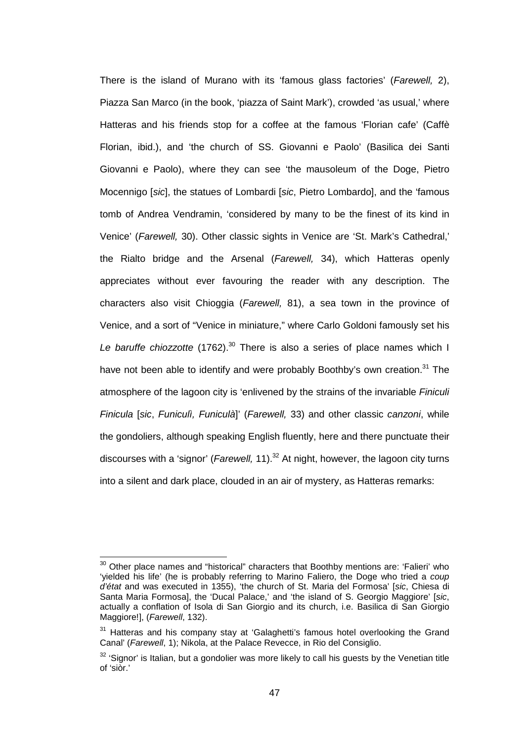There is the island of Murano with its 'famous glass factories' (Farewell, 2), Piazza San Marco (in the book, 'piazza of Saint Mark'), crowded 'as usual,' where Hatteras and his friends stop for a coffee at the famous 'Florian cafe' (Caffè Florian, ibid.), and 'the church of SS. Giovanni e Paolo' (Basilica dei Santi Giovanni e Paolo), where they can see 'the mausoleum of the Doge, Pietro Mocennigo [sic], the statues of Lombardi [sic, Pietro Lombardo], and the 'famous tomb of Andrea Vendramin, 'considered by many to be the finest of its kind in Venice' (Farewell, 30). Other classic sights in Venice are 'St. Mark's Cathedral,' the Rialto bridge and the Arsenal (Farewell, 34), which Hatteras openly appreciates without ever favouring the reader with any description. The characters also visit Chioggia (Farewell, 81), a sea town in the province of Venice, and a sort of "Venice in miniature," where Carlo Goldoni famously set his Le baruffe chiozzotte (1762).<sup>30</sup> There is also a series of place names which I have not been able to identify and were probably Boothby's own creation.<sup>31</sup> The atmosphere of the lagoon city is 'enlivened by the strains of the invariable Finiculi Finicula [sic, Funiculì, Funiculà]' (Farewell, 33) and other classic canzoni, while the gondoliers, although speaking English fluently, here and there punctuate their discourses with a 'signor' (Farewell, 11).<sup>32</sup> At night, however, the lagoon city turns into a silent and dark place, clouded in an air of mystery, as Hatteras remarks:

 $30$  Other place names and "historical" characters that Boothby mentions are: 'Falieri' who 'yielded his life' (he is probably referring to Marino Faliero, the Doge who tried a coup d'état and was executed in 1355), 'the church of St. Maria del Formosa' [sic, Chiesa di Santa Maria Formosa], the 'Ducal Palace,' and 'the island of S. Georgio Maggiore' [sic, actually a conflation of Isola di San Giorgio and its church, i.e. Basilica di San Giorgio Maggiore!], (Farewell, 132).

 $31$  Hatteras and his company stay at 'Galaghetti's famous hotel overlooking the Grand Canal' (Farewell, 1); Nikola, at the Palace Revecce, in Rio del Consiglio.

 $32$  'Signor' is Italian, but a gondolier was more likely to call his guests by the Venetian title of 'siòr.'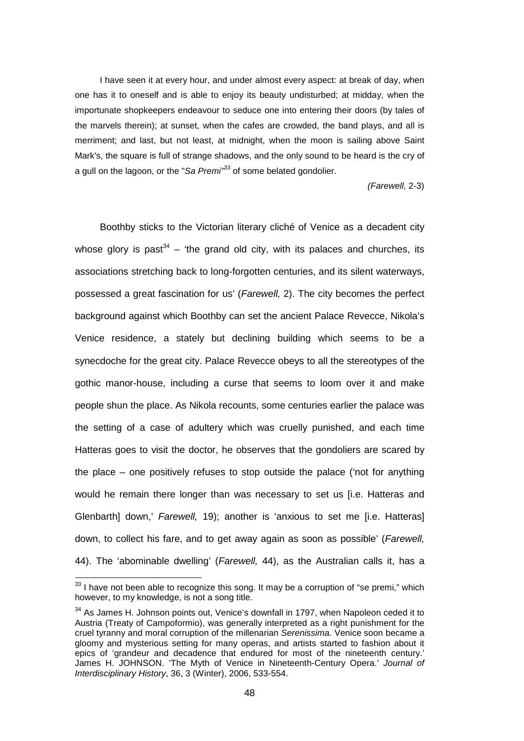I have seen it at every hour, and under almost every aspect: at break of day, when one has it to oneself and is able to enjoy its beauty undisturbed; at midday, when the importunate shopkeepers endeavour to seduce one into entering their doors (by tales of the marvels therein); at sunset, when the cafes are crowded, the band plays, and all is merriment; and last, but not least, at midnight, when the moon is sailing above Saint Mark's, the square is full of strange shadows, and the only sound to be heard is the cry of a gull on the lagoon, or the "Sa Premi<sup>133</sup> of some belated gondolier.

(Farewell, 2-3)

Boothby sticks to the Victorian literary cliché of Venice as a decadent city whose glory is past<sup>34</sup> – 'the grand old city, with its palaces and churches, its associations stretching back to long-forgotten centuries, and its silent waterways, possessed a great fascination for us' (Farewell, 2). The city becomes the perfect background against which Boothby can set the ancient Palace Revecce, Nikola's Venice residence, a stately but declining building which seems to be a synecdoche for the great city. Palace Revecce obeys to all the stereotypes of the gothic manor-house, including a curse that seems to loom over it and make people shun the place. As Nikola recounts, some centuries earlier the palace was the setting of a case of adultery which was cruelly punished, and each time Hatteras goes to visit the doctor, he observes that the gondoliers are scared by the place – one positively refuses to stop outside the palace ('not for anything would he remain there longer than was necessary to set us [i.e. Hatteras and Glenbarth] down,' Farewell, 19); another is 'anxious to set me [i.e. Hatteras] down, to collect his fare, and to get away again as soon as possible' (Farewell, 44). The 'abominable dwelling' (Farewell, 44), as the Australian calls it, has a

 $33$  I have not been able to recognize this song. It may be a corruption of "se premi," which however, to my knowledge, is not a song title.

 $34$  As James H. Johnson points out, Venice's downfall in 1797, when Napoleon ceded it to Austria (Treaty of Campoformio), was generally interpreted as a right punishment for the cruel tyranny and moral corruption of the millenarian Serenissima. Venice soon became a gloomy and mysterious setting for many operas, and artists started to fashion about it epics of 'grandeur and decadence that endured for most of the nineteenth century.' James H. JOHNSON. 'The Myth of Venice in Nineteenth-Century Opera.' Journal of Interdisciplinary History, 36, 3 (Winter), 2006, 533-554.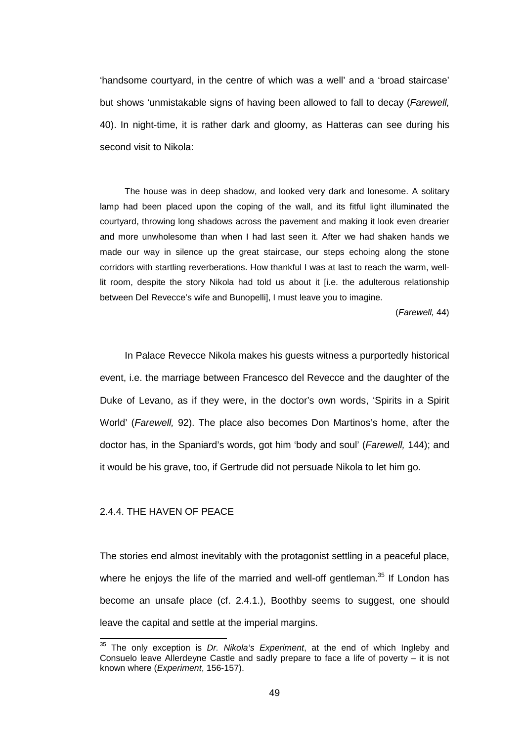'handsome courtyard, in the centre of which was a well' and a 'broad staircase' but shows 'unmistakable signs of having been allowed to fall to decay (Farewell, 40). In night-time, it is rather dark and gloomy, as Hatteras can see during his second visit to Nikola:

The house was in deep shadow, and looked very dark and lonesome. A solitary lamp had been placed upon the coping of the wall, and its fitful light illuminated the courtyard, throwing long shadows across the pavement and making it look even drearier and more unwholesome than when I had last seen it. After we had shaken hands we made our way in silence up the great staircase, our steps echoing along the stone corridors with startling reverberations. How thankful I was at last to reach the warm, welllit room, despite the story Nikola had told us about it [i.e. the adulterous relationship between Del Revecce's wife and Bunopelli], I must leave you to imagine.

(Farewell, 44)

In Palace Revecce Nikola makes his guests witness a purportedly historical event, i.e. the marriage between Francesco del Revecce and the daughter of the Duke of Levano, as if they were, in the doctor's own words, 'Spirits in a Spirit World' (Farewell, 92). The place also becomes Don Martinos's home, after the doctor has, in the Spaniard's words, got him 'body and soul' (Farewell, 144); and it would be his grave, too, if Gertrude did not persuade Nikola to let him go.

## 2.4.4. THE HAVEN OF PEACE

The stories end almost inevitably with the protagonist settling in a peaceful place, where he enjoys the life of the married and well-off gentleman.<sup>35</sup> If London has become an unsafe place (cf. 2.4.1.), Boothby seems to suggest, one should leave the capital and settle at the imperial margins.

 $35$  The only exception is Dr. Nikola's Experiment, at the end of which Ingleby and Consuelo leave Allerdeyne Castle and sadly prepare to face a life of poverty – it is not known where (Experiment, 156-157).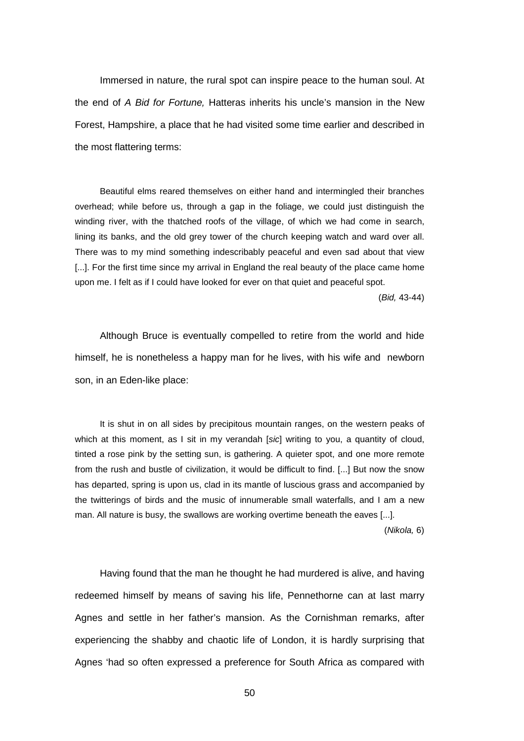Immersed in nature, the rural spot can inspire peace to the human soul. At the end of A Bid for Fortune, Hatteras inherits his uncle's mansion in the New Forest, Hampshire, a place that he had visited some time earlier and described in the most flattering terms:

Beautiful elms reared themselves on either hand and intermingled their branches overhead; while before us, through a gap in the foliage, we could just distinguish the winding river, with the thatched roofs of the village, of which we had come in search, lining its banks, and the old grey tower of the church keeping watch and ward over all. There was to my mind something indescribably peaceful and even sad about that view [...]. For the first time since my arrival in England the real beauty of the place came home upon me. I felt as if I could have looked for ever on that quiet and peaceful spot.

(Bid, 43-44)

Although Bruce is eventually compelled to retire from the world and hide himself, he is nonetheless a happy man for he lives, with his wife and newborn son, in an Eden-like place:

It is shut in on all sides by precipitous mountain ranges, on the western peaks of which at this moment, as I sit in my verandah [sic] writing to you, a quantity of cloud, tinted a rose pink by the setting sun, is gathering. A quieter spot, and one more remote from the rush and bustle of civilization, it would be difficult to find. [...] But now the snow has departed, spring is upon us, clad in its mantle of luscious grass and accompanied by the twitterings of birds and the music of innumerable small waterfalls, and I am a new man. All nature is busy, the swallows are working overtime beneath the eaves [...].

(Nikola, 6)

Having found that the man he thought he had murdered is alive, and having redeemed himself by means of saving his life, Pennethorne can at last marry Agnes and settle in her father's mansion. As the Cornishman remarks, after experiencing the shabby and chaotic life of London, it is hardly surprising that Agnes 'had so often expressed a preference for South Africa as compared with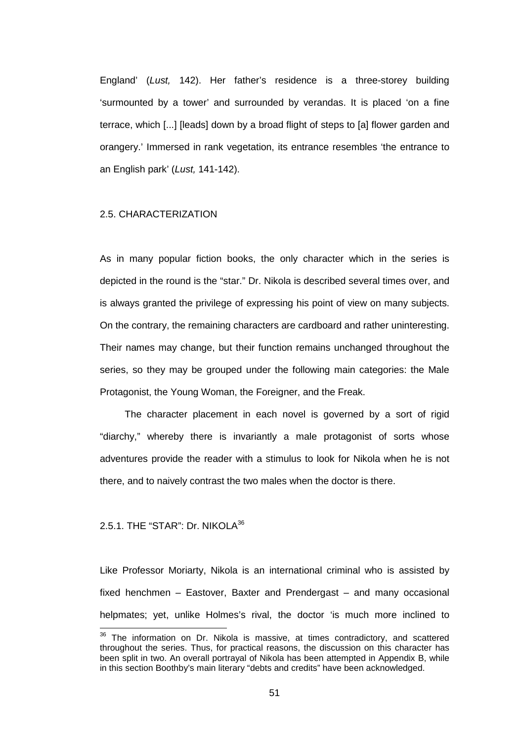England' (Lust, 142). Her father's residence is a three-storey building 'surmounted by a tower' and surrounded by verandas. It is placed 'on a fine terrace, which [...] [leads] down by a broad flight of steps to [a] flower garden and orangery.' Immersed in rank vegetation, its entrance resembles 'the entrance to an English park' (Lust, 141-142).

## 2.5. CHARACTERIZATION

As in many popular fiction books, the only character which in the series is depicted in the round is the "star." Dr. Nikola is described several times over, and is always granted the privilege of expressing his point of view on many subjects. On the contrary, the remaining characters are cardboard and rather uninteresting. Their names may change, but their function remains unchanged throughout the series, so they may be grouped under the following main categories: the Male Protagonist, the Young Woman, the Foreigner, and the Freak.

The character placement in each novel is governed by a sort of rigid "diarchy," whereby there is invariantly a male protagonist of sorts whose adventures provide the reader with a stimulus to look for Nikola when he is not there, and to naively contrast the two males when the doctor is there.

## 2.5.1. THE "STAR": Dr. NIKOLA<sup>36</sup>

Like Professor Moriarty, Nikola is an international criminal who is assisted by fixed henchmen – Eastover, Baxter and Prendergast – and many occasional helpmates; yet, unlike Holmes's rival, the doctor 'is much more inclined to

 $36$  The information on Dr. Nikola is massive, at times contradictory, and scattered throughout the series. Thus, for practical reasons, the discussion on this character has been split in two. An overall portrayal of Nikola has been attempted in Appendix B, while in this section Boothby's main literary "debts and credits" have been acknowledged.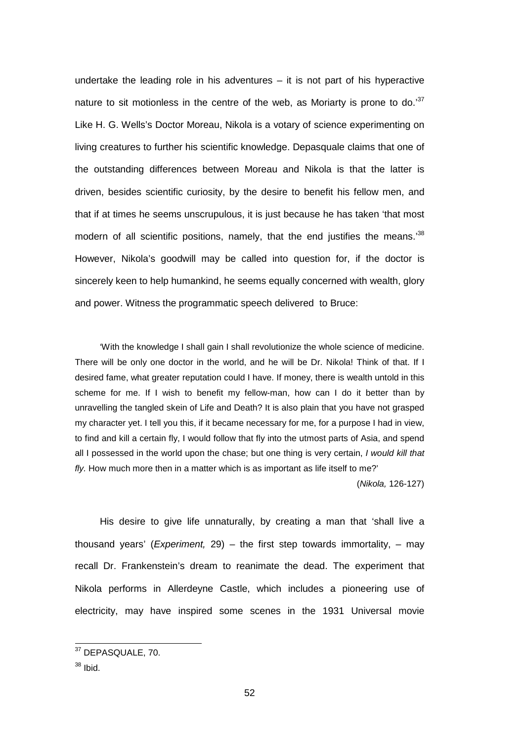undertake the leading role in his adventures – it is not part of his hyperactive nature to sit motionless in the centre of the web, as Moriarty is prone to do.<sup>37</sup> Like H. G. Wells's Doctor Moreau, Nikola is a votary of science experimenting on living creatures to further his scientific knowledge. Depasquale claims that one of the outstanding differences between Moreau and Nikola is that the latter is driven, besides scientific curiosity, by the desire to benefit his fellow men, and that if at times he seems unscrupulous, it is just because he has taken 'that most modern of all scientific positions, namely, that the end justifies the means.<sup>38</sup> However, Nikola's goodwill may be called into question for, if the doctor is sincerely keen to help humankind, he seems equally concerned with wealth, glory and power. Witness the programmatic speech delivered to Bruce:

'With the knowledge I shall gain I shall revolutionize the whole science of medicine. There will be only one doctor in the world, and he will be Dr. Nikola! Think of that. If I desired fame, what greater reputation could I have. If money, there is wealth untold in this scheme for me. If I wish to benefit my fellow-man, how can I do it better than by unravelling the tangled skein of Life and Death? It is also plain that you have not grasped my character yet. I tell you this, if it became necessary for me, for a purpose I had in view, to find and kill a certain fly, I would follow that fly into the utmost parts of Asia, and spend all I possessed in the world upon the chase; but one thing is very certain, I would kill that fly. How much more then in a matter which is as important as life itself to me?'

(Nikola, 126-127)

His desire to give life unnaturally, by creating a man that 'shall live a thousand years' (*Experiment*, 29) – the first step towards immortality, – may recall Dr. Frankenstein's dream to reanimate the dead. The experiment that Nikola performs in Allerdeyne Castle, which includes a pioneering use of electricity, may have inspired some scenes in the 1931 Universal movie

j

<sup>&</sup>lt;sup>37</sup> DEPASQUALE, 70.

 $38$  Ibid.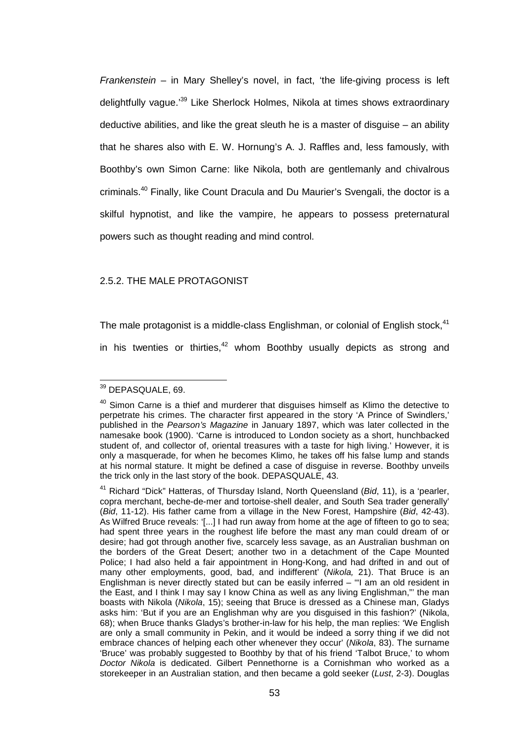Frankenstein – in Mary Shelley's novel, in fact, 'the life-giving process is left delightfully vague.<sup>39</sup> Like Sherlock Holmes, Nikola at times shows extraordinary deductive abilities, and like the great sleuth he is a master of disguise – an ability that he shares also with E. W. Hornung's A. J. Raffles and, less famously, with Boothby's own Simon Carne: like Nikola, both are gentlemanly and chivalrous criminals.<sup>40</sup> Finally, like Count Dracula and Du Maurier's Svengali, the doctor is a skilful hypnotist, and like the vampire, he appears to possess preternatural powers such as thought reading and mind control.

### 2.5.2. THE MALE PROTAGONIST

The male protagonist is a middle-class Englishman, or colonial of English stock,<sup>41</sup>

in his twenties or thirties, $42$  whom Boothby usually depicts as strong and

 <sup>39</sup> DEPASQUALE, 69.

 $40$  Simon Carne is a thief and murderer that disguises himself as Klimo the detective to perpetrate his crimes. The character first appeared in the story 'A Prince of Swindlers,' published in the Pearson's Magazine in January 1897, which was later collected in the namesake book (1900). 'Carne is introduced to London society as a short, hunchbacked student of, and collector of, oriental treasures with a taste for high living.' However, it is only a masquerade, for when he becomes Klimo, he takes off his false lump and stands at his normal stature. It might be defined a case of disguise in reverse. Boothby unveils the trick only in the last story of the book. DEPASQUALE, 43.

 $41$  Richard "Dick" Hatteras, of Thursday Island, North Queensland (Bid, 11), is a 'pearler, copra merchant, beche-de-mer and tortoise-shell dealer, and South Sea trader generally' (Bid, 11-12). His father came from a village in the New Forest, Hampshire (Bid, 42-43). As Wilfred Bruce reveals: '[...] I had run away from home at the age of fifteen to go to sea; had spent three years in the roughest life before the mast any man could dream of or desire; had got through another five, scarcely less savage, as an Australian bushman on the borders of the Great Desert; another two in a detachment of the Cape Mounted Police; I had also held a fair appointment in Hong-Kong, and had drifted in and out of many other employments, good, bad, and indifferent' (Nikola, 21). That Bruce is an Englishman is never directly stated but can be easily inferred  $-$  "I am an old resident in the East, and I think I may say I know China as well as any living Englishman,"' the man boasts with Nikola (Nikola, 15); seeing that Bruce is dressed as a Chinese man, Gladys asks him: 'But if you are an Englishman why are you disguised in this fashion?' (Nikola, 68); when Bruce thanks Gladys's brother-in-law for his help, the man replies: 'We English are only a small community in Pekin, and it would be indeed a sorry thing if we did not embrace chances of helping each other whenever they occur' (Nikola, 83). The surname 'Bruce' was probably suggested to Boothby by that of his friend 'Talbot Bruce,' to whom Doctor Nikola is dedicated. Gilbert Pennethorne is a Cornishman who worked as a storekeeper in an Australian station, and then became a gold seeker (Lust, 2-3). Douglas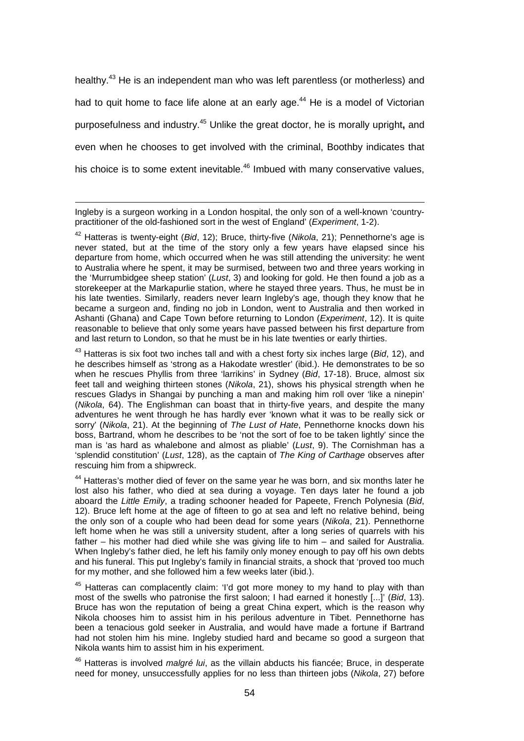healthy.<sup>43</sup> He is an independent man who was left parentless (or motherless) and had to quit home to face life alone at an early age.<sup>44</sup> He is a model of Victorian purposefulness and industry.<sup>45</sup> Unlike the great doctor, he is morally upright**,** and even when he chooses to get involved with the criminal, Boothby indicates that his choice is to some extent inevitable.<sup>46</sup> Imbued with many conservative values,

-

 $42$  Hatteras is twenty-eight (Bid, 12); Bruce, thirty-five (Nikola, 21); Pennethorne's age is never stated, but at the time of the story only a few years have elapsed since his departure from home, which occurred when he was still attending the university: he went to Australia where he spent, it may be surmised, between two and three years working in the 'Murrumbidgee sheep station' (Lust, 3) and looking for gold. He then found a job as a storekeeper at the Markapurlie station, where he stayed three years. Thus, he must be in his late twenties. Similarly, readers never learn Ingleby's age, though they know that he became a surgeon and, finding no job in London, went to Australia and then worked in Ashanti (Ghana) and Cape Town before returning to London (*Experiment*, 12). It is quite reasonable to believe that only some years have passed between his first departure from and last return to London, so that he must be in his late twenties or early thirties.

Ingleby is a surgeon working in a London hospital, the only son of a well-known 'countrypractitioner of the old-fashioned sort in the west of England' (Experiment, 1-2).

 $43$  Hatteras is six foot two inches tall and with a chest forty six inches large (Bid, 12), and he describes himself as 'strong as a Hakodate wrestler' (ibid.). He demonstrates to be so when he rescues Phyllis from three 'larrikins' in Sydney (Bid, 17-18). Bruce, almost six feet tall and weighing thirteen stones (Nikola, 21), shows his physical strength when he rescues Gladys in Shangai by punching a man and making him roll over 'like a ninepin' (Nikola, 64). The Englishman can boast that in thirty-five years, and despite the many adventures he went through he has hardly ever 'known what it was to be really sick or sorry' (Nikola, 21). At the beginning of The Lust of Hate, Pennethorne knocks down his boss, Bartrand, whom he describes to be 'not the sort of foe to be taken lightly' since the man is 'as hard as whalebone and almost as pliable' (Lust, 9). The Cornishman has a 'splendid constitution' (Lust, 128), as the captain of The King of Carthage observes after rescuing him from a shipwreck.

<sup>&</sup>lt;sup>44</sup> Hatteras's mother died of fever on the same year he was born, and six months later he lost also his father, who died at sea during a voyage. Ten days later he found a job aboard the Little Emily, a trading schooner headed for Papeete, French Polynesia (Bid, 12). Bruce left home at the age of fifteen to go at sea and left no relative behind, being the only son of a couple who had been dead for some years (Nikola, 21). Pennethorne left home when he was still a university student, after a long series of quarrels with his father – his mother had died while she was giving life to him – and sailed for Australia. When Ingleby's father died, he left his family only money enough to pay off his own debts and his funeral. This put Ingleby's family in financial straits, a shock that 'proved too much for my mother, and she followed him a few weeks later (ibid.).

<sup>&</sup>lt;sup>45</sup> Hatteras can complacently claim: 'I'd got more money to my hand to play with than most of the swells who patronise the first saloon; I had earned it honestly [...]' (Bid, 13). Bruce has won the reputation of being a great China expert, which is the reason why Nikola chooses him to assist him in his perilous adventure in Tibet. Pennethorne has been a tenacious gold seeker in Australia, and would have made a fortune if Bartrand had not stolen him his mine. Ingleby studied hard and became so good a surgeon that Nikola wants him to assist him in his experiment.

<sup>&</sup>lt;sup>46</sup> Hatteras is involved *malgré lui*, as the villain abducts his fiancée; Bruce, in desperate need for money, unsuccessfully applies for no less than thirteen jobs (Nikola, 27) before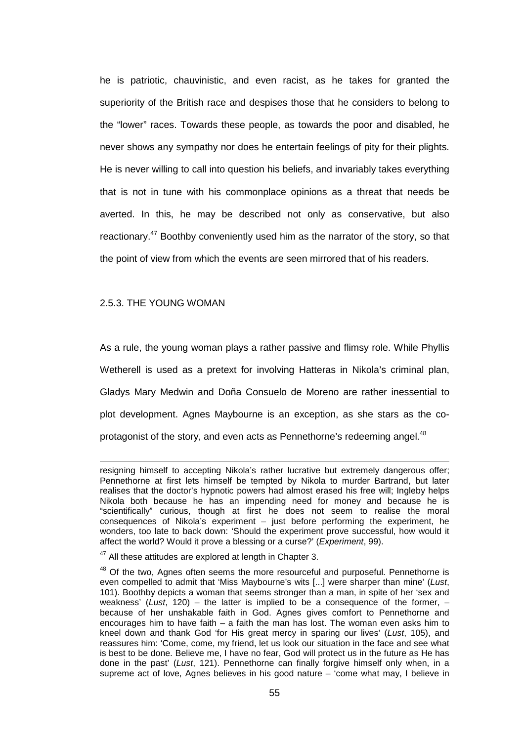he is patriotic, chauvinistic, and even racist, as he takes for granted the superiority of the British race and despises those that he considers to belong to the "lower" races. Towards these people, as towards the poor and disabled, he never shows any sympathy nor does he entertain feelings of pity for their plights. He is never willing to call into question his beliefs, and invariably takes everything that is not in tune with his commonplace opinions as a threat that needs be averted. In this, he may be described not only as conservative, but also reactionary.<sup>47</sup> Boothby conveniently used him as the narrator of the story, so that the point of view from which the events are seen mirrored that of his readers.

#### 2.5.3. THE YOUNG WOMAN

 $\overline{a}$ 

As a rule, the young woman plays a rather passive and flimsy role. While Phyllis Wetherell is used as a pretext for involving Hatteras in Nikola's criminal plan, Gladys Mary Medwin and Doña Consuelo de Moreno are rather inessential to plot development. Agnes Maybourne is an exception, as she stars as the coprotagonist of the story, and even acts as Pennethorne's redeeming angel.<sup>48</sup>

resigning himself to accepting Nikola's rather lucrative but extremely dangerous offer; Pennethorne at first lets himself be tempted by Nikola to murder Bartrand, but later realises that the doctor's hypnotic powers had almost erased his free will; Ingleby helps Nikola both because he has an impending need for money and because he is "scientifically" curious, though at first he does not seem to realise the moral consequences of Nikola's experiment – just before performing the experiment, he wonders, too late to back down: 'Should the experiment prove successful, how would it affect the world? Would it prove a blessing or a curse?' (Experiment, 99).

 $47$  All these attitudes are explored at length in Chapter 3.

<sup>&</sup>lt;sup>48</sup> Of the two, Agnes often seems the more resourceful and purposeful. Pennethorne is even compelled to admit that 'Miss Maybourne's wits [...] were sharper than mine' (Lust, 101). Boothby depicts a woman that seems stronger than a man, in spite of her 'sex and weakness' (Lust, 120) – the latter is implied to be a consequence of the former,  $$ because of her unshakable faith in God. Agnes gives comfort to Pennethorne and encourages him to have faith – a faith the man has lost. The woman even asks him to kneel down and thank God 'for His great mercy in sparing our lives' (Lust, 105), and reassures him: 'Come, come, my friend, let us look our situation in the face and see what is best to be done. Believe me, I have no fear, God will protect us in the future as He has done in the past' (Lust, 121). Pennethorne can finally forgive himself only when, in a supreme act of love, Agnes believes in his good nature – 'come what may, I believe in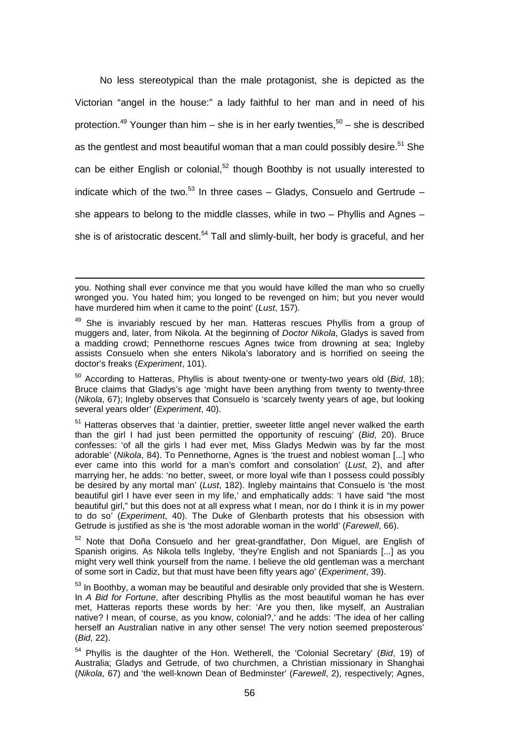No less stereotypical than the male protagonist, she is depicted as the Victorian "angel in the house:" a lady faithful to her man and in need of his protection.<sup>49</sup> Younger than him – she is in her early twenties,  $50 -$  she is described as the gentlest and most beautiful woman that a man could possibly desire.<sup>51</sup> She can be either English or colonial,<sup>52</sup> though Boothby is not usually interested to indicate which of the two.<sup>53</sup> In three cases – Gladys, Consuelo and Gertrude – she appears to belong to the middle classes, while in two – Phyllis and Agnes – she is of aristocratic descent.<sup>54</sup> Tall and slimly-built, her body is graceful, and her

you. Nothing shall ever convince me that you would have killed the man who so cruelly wronged you. You hated him; you longed to be revenged on him; but you never would have murdered him when it came to the point' (Lust, 157).

-

<sup>49</sup> She is invariably rescued by her man. Hatteras rescues Phyllis from a group of muggers and, later, from Nikola. At the beginning of *Doctor Nikola*. Gladys is saved from a madding crowd; Pennethorne rescues Agnes twice from drowning at sea; Ingleby assists Consuelo when she enters Nikola's laboratory and is horrified on seeing the doctor's freaks (Experiment, 101).

 $50$  According to Hatteras, Phyllis is about twenty-one or twenty-two years old (Bid, 18); Bruce claims that Gladys's age 'might have been anything from twenty to twenty-three (Nikola, 67); Ingleby observes that Consuelo is 'scarcely twenty years of age, but looking several years older<sup>'</sup> (*Experiment*, 40).

<sup>51</sup> Hatteras observes that 'a daintier, prettier, sweeter little angel never walked the earth than the girl I had just been permitted the opportunity of rescuing' (Bid, 20). Bruce confesses: 'of all the girls I had ever met, Miss Gladys Medwin was by far the most adorable' (Nikola, 84). To Pennethorne, Agnes is 'the truest and noblest woman [...] who ever came into this world for a man's comfort and consolation' (Lust, 2), and after marrying her, he adds: 'no better, sweet, or more loyal wife than I possess could possibly be desired by any mortal man' (Lust, 182). Ingleby maintains that Consuelo is 'the most beautiful girl I have ever seen in my life,' and emphatically adds: 'I have said "the most beautiful girl," but this does not at all express what I mean, nor do I think it is in my power to do so' (Experiment, 40). The Duke of Glenbarth protests that his obsession with Getrude is justified as she is 'the most adorable woman in the world' (*Farewell,* 66).

<sup>52</sup> Note that Doña Consuelo and her great-grandfather, Don Miguel, are English of Spanish origins. As Nikola tells Ingleby, 'they're English and not Spaniards [...] as you might very well think yourself from the name. I believe the old gentleman was a merchant of some sort in Cadiz, but that must have been fifty years ago' (Experiment, 39).

<sup>53</sup> In Boothby, a woman may be beautiful and desirable only provided that she is Western. In A Bid for Fortune, after describing Phyllis as the most beautiful woman he has ever met, Hatteras reports these words by her: 'Are you then, like myself, an Australian native? I mean, of course, as you know, colonial?,' and he adds: 'The idea of her calling herself an Australian native in any other sense! The very notion seemed preposterous' (Bid, 22).

<sup>54</sup> Phyllis is the daughter of the Hon. Wetherell, the 'Colonial Secretary' (Bid, 19) of Australia; Gladys and Getrude, of two churchmen, a Christian missionary in Shanghai (Nikola, 67) and 'the well-known Dean of Bedminster' (Farewell, 2), respectively; Agnes,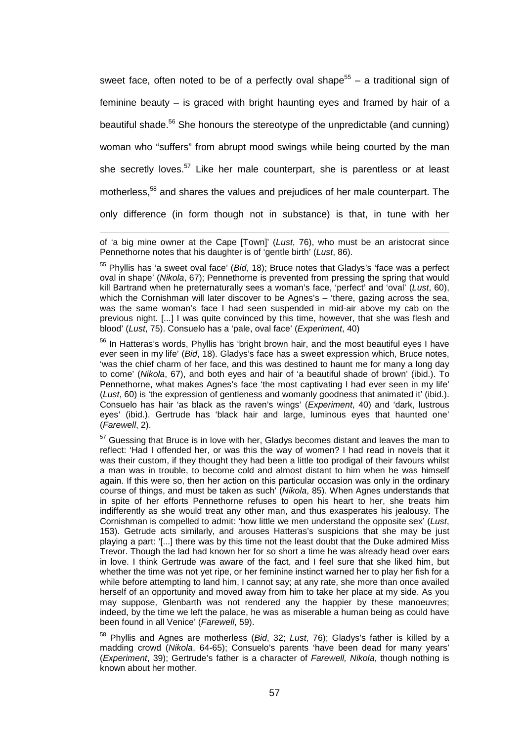sweet face, often noted to be of a perfectly oval shape<sup>55</sup> – a traditional sign of feminine beauty – is graced with bright haunting eyes and framed by hair of a beautiful shade.<sup>56</sup> She honours the stereotype of the unpredictable (and cunning) woman who "suffers" from abrupt mood swings while being courted by the man she secretly loves.<sup>57</sup> Like her male counterpart, she is parentless or at least motherless,<sup>58</sup> and shares the values and prejudices of her male counterpart. The only difference (in form though not in substance) is that, in tune with her

 $\overline{a}$ 

of 'a big mine owner at the Cape [Town]' (Lust, 76), who must be an aristocrat since Pennethorne notes that his daughter is of 'gentle birth' (Lust, 86).

 $55$  Phyllis has 'a sweet oval face' (Bid, 18); Bruce notes that Gladys's 'face was a perfect oval in shape' (Nikola, 67); Pennethorne is prevented from pressing the spring that would kill Bartrand when he preternaturally sees a woman's face, 'perfect' and 'oval' (Lust, 60), which the Cornishman will later discover to be Agnes's – 'there, gazing across the sea, was the same woman's face I had seen suspended in mid-air above my cab on the previous night. [...] I was quite convinced by this time, however, that she was flesh and blood' (Lust, 75). Consuelo has a 'pale, oval face' (Experiment, 40)

<sup>&</sup>lt;sup>56</sup> In Hatteras's words, Phyllis has 'bright brown hair, and the most beautiful eyes I have ever seen in my life' (Bid, 18). Gladys's face has a sweet expression which, Bruce notes, 'was the chief charm of her face, and this was destined to haunt me for many a long day to come' (Nikola, 67), and both eyes and hair of 'a beautiful shade of brown' (ibid.). To Pennethorne, what makes Agnes's face 'the most captivating I had ever seen in my life' (Lust, 60) is 'the expression of gentleness and womanly goodness that animated it' (ibid.). Consuelo has hair 'as black as the raven's wings' (Experiment, 40) and 'dark, lustrous eyes' (ibid.). Gertrude has 'black hair and large, luminous eyes that haunted one' (Farewell, 2).

<sup>&</sup>lt;sup>57</sup> Guessing that Bruce is in love with her, Gladys becomes distant and leaves the man to reflect: 'Had I offended her, or was this the way of women? I had read in novels that it was their custom, if they thought they had been a little too prodigal of their favours whilst a man was in trouble, to become cold and almost distant to him when he was himself again. If this were so, then her action on this particular occasion was only in the ordinary course of things, and must be taken as such' (Nikola, 85). When Agnes understands that in spite of her efforts Pennethorne refuses to open his heart to her, she treats him indifferently as she would treat any other man, and thus exasperates his jealousy. The Cornishman is compelled to admit: 'how little we men understand the opposite sex' (Lust, 153). Getrude acts similarly, and arouses Hatteras's suspicions that she may be just playing a part: '[...] there was by this time not the least doubt that the Duke admired Miss Trevor. Though the lad had known her for so short a time he was already head over ears in love. I think Gertrude was aware of the fact, and I feel sure that she liked him, but whether the time was not yet ripe, or her feminine instinct warned her to play her fish for a while before attempting to land him, I cannot say; at any rate, she more than once availed herself of an opportunity and moved away from him to take her place at my side. As you may suppose, Glenbarth was not rendered any the happier by these manoeuvres; indeed, by the time we left the palace, he was as miserable a human being as could have been found in all Venice' (Farewell, 59).

<sup>&</sup>lt;sup>58</sup> Phyllis and Agnes are motherless (Bid, 32; Lust, 76); Gladys's father is killed by a madding crowd (Nikola, 64-65); Consuelo's parents 'have been dead for many years' (Experiment, 39); Gertrude's father is a character of Farewell, Nikola, though nothing is known about her mother.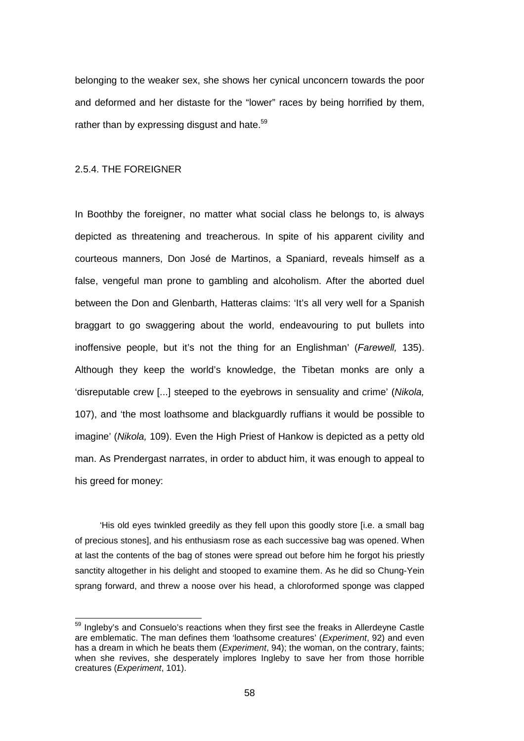belonging to the weaker sex, she shows her cynical unconcern towards the poor and deformed and her distaste for the "lower" races by being horrified by them, rather than by expressing disgust and hate. $59$ 

## 2.5.4. THE FOREIGNER

 $\overline{a}$ 

In Boothby the foreigner, no matter what social class he belongs to, is always depicted as threatening and treacherous. In spite of his apparent civility and courteous manners, Don José de Martinos, a Spaniard, reveals himself as a false, vengeful man prone to gambling and alcoholism. After the aborted duel between the Don and Glenbarth, Hatteras claims: 'It's all very well for a Spanish braggart to go swaggering about the world, endeavouring to put bullets into inoffensive people, but it's not the thing for an Englishman' (Farewell, 135). Although they keep the world's knowledge, the Tibetan monks are only a 'disreputable crew [...] steeped to the eyebrows in sensuality and crime' (Nikola, 107), and 'the most loathsome and blackguardly ruffians it would be possible to imagine' (Nikola, 109). Even the High Priest of Hankow is depicted as a petty old man. As Prendergast narrates, in order to abduct him, it was enough to appeal to his greed for money:

'His old eyes twinkled greedily as they fell upon this goodly store [i.e. a small bag of precious stones], and his enthusiasm rose as each successive bag was opened. When at last the contents of the bag of stones were spread out before him he forgot his priestly sanctity altogether in his delight and stooped to examine them. As he did so Chung-Yein sprang forward, and threw a noose over his head, a chloroformed sponge was clapped

<sup>&</sup>lt;sup>59</sup> Ingleby's and Consuelo's reactions when they first see the freaks in Allerdeyne Castle are emblematic. The man defines them 'loathsome creatures' (Experiment, 92) and even has a dream in which he beats them (Experiment, 94); the woman, on the contrary, faints; when she revives, she desperately implores Ingleby to save her from those horrible creatures (Experiment, 101).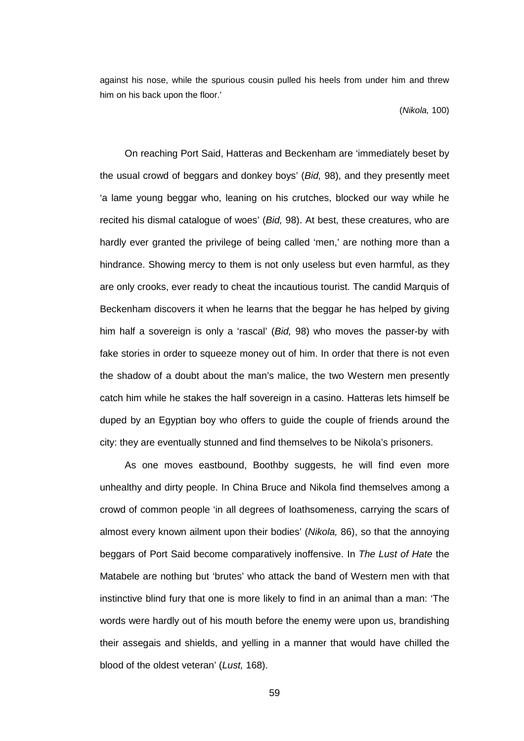against his nose, while the spurious cousin pulled his heels from under him and threw him on his back upon the floor.'

(Nikola, 100)

On reaching Port Said, Hatteras and Beckenham are 'immediately beset by the usual crowd of beggars and donkey boys' (Bid, 98), and they presently meet 'a lame young beggar who, leaning on his crutches, blocked our way while he recited his dismal catalogue of woes' (Bid, 98). At best, these creatures, who are hardly ever granted the privilege of being called 'men,' are nothing more than a hindrance. Showing mercy to them is not only useless but even harmful, as they are only crooks, ever ready to cheat the incautious tourist. The candid Marquis of Beckenham discovers it when he learns that the beggar he has helped by giving him half a sovereign is only a 'rascal' (Bid, 98) who moves the passer-by with fake stories in order to squeeze money out of him. In order that there is not even the shadow of a doubt about the man's malice, the two Western men presently catch him while he stakes the half sovereign in a casino. Hatteras lets himself be duped by an Egyptian boy who offers to guide the couple of friends around the city: they are eventually stunned and find themselves to be Nikola's prisoners.

As one moves eastbound, Boothby suggests, he will find even more unhealthy and dirty people. In China Bruce and Nikola find themselves among a crowd of common people 'in all degrees of loathsomeness, carrying the scars of almost every known ailment upon their bodies' (Nikola, 86), so that the annoying beggars of Port Said become comparatively inoffensive. In The Lust of Hate the Matabele are nothing but 'brutes' who attack the band of Western men with that instinctive blind fury that one is more likely to find in an animal than a man: 'The words were hardly out of his mouth before the enemy were upon us, brandishing their assegais and shields, and yelling in a manner that would have chilled the blood of the oldest veteran' (Lust, 168).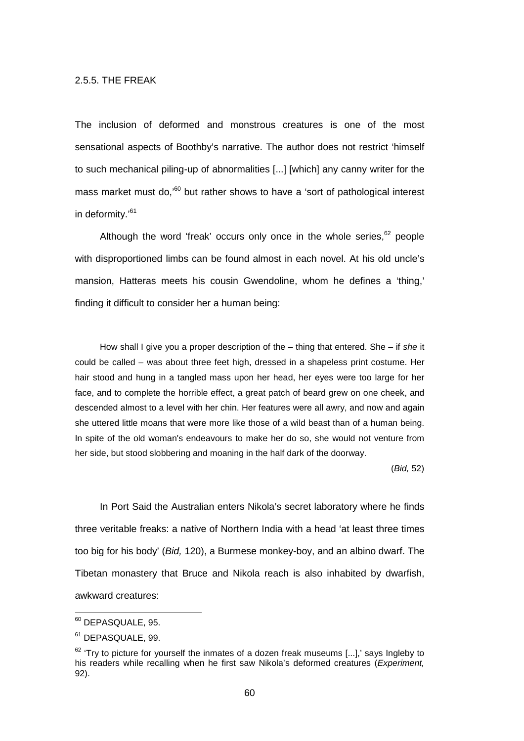### 2.5.5. THE FREAK

The inclusion of deformed and monstrous creatures is one of the most sensational aspects of Boothby's narrative. The author does not restrict 'himself to such mechanical piling-up of abnormalities [...] [which] any canny writer for the mass market must do,<sup>80</sup> but rather shows to have a 'sort of pathological interest in deformity.'<sup>61</sup>

Although the word 'freak' occurs only once in the whole series,  $62$  people with disproportioned limbs can be found almost in each novel. At his old uncle's mansion, Hatteras meets his cousin Gwendoline, whom he defines a 'thing,' finding it difficult to consider her a human being:

How shall I give you a proper description of the – thing that entered. She – if she it could be called – was about three feet high, dressed in a shapeless print costume. Her hair stood and hung in a tangled mass upon her head, her eyes were too large for her face, and to complete the horrible effect, a great patch of beard grew on one cheek, and descended almost to a level with her chin. Her features were all awry, and now and again she uttered little moans that were more like those of a wild beast than of a human being. In spite of the old woman's endeavours to make her do so, she would not venture from her side, but stood slobbering and moaning in the half dark of the doorway.

(Bid, 52)

In Port Said the Australian enters Nikola's secret laboratory where he finds three veritable freaks: a native of Northern India with a head 'at least three times too big for his body' (Bid, 120), a Burmese monkey-boy, and an albino dwarf. The Tibetan monastery that Bruce and Nikola reach is also inhabited by dwarfish, awkward creatures:

j

<sup>&</sup>lt;sup>60</sup> DEPASQUALE, 95.

<sup>&</sup>lt;sup>61</sup> DEPASQUALE, 99.

 $62$  'Try to picture for yourself the inmates of a dozen freak museums [...],' says Ingleby to his readers while recalling when he first saw Nikola's deformed creatures (Experiment, 92).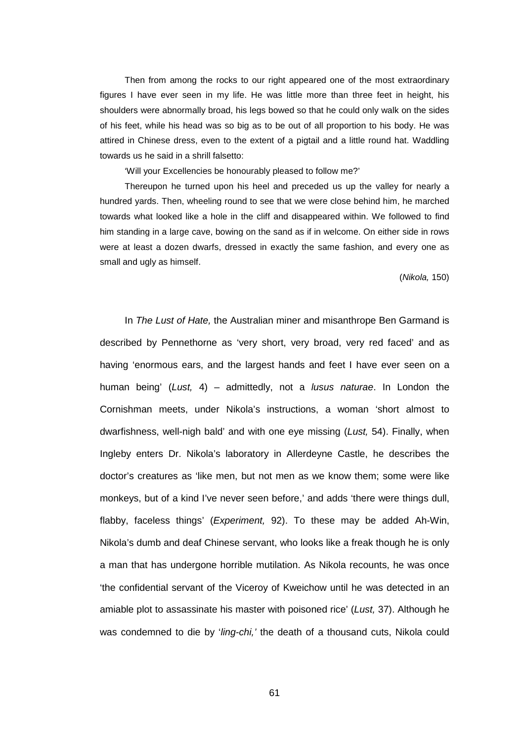Then from among the rocks to our right appeared one of the most extraordinary figures I have ever seen in my life. He was little more than three feet in height, his shoulders were abnormally broad, his legs bowed so that he could only walk on the sides of his feet, while his head was so big as to be out of all proportion to his body. He was attired in Chinese dress, even to the extent of a pigtail and a little round hat. Waddling towards us he said in a shrill falsetto:

'Will your Excellencies be honourably pleased to follow me?'

Thereupon he turned upon his heel and preceded us up the valley for nearly a hundred yards. Then, wheeling round to see that we were close behind him, he marched towards what looked like a hole in the cliff and disappeared within. We followed to find him standing in a large cave, bowing on the sand as if in welcome. On either side in rows were at least a dozen dwarfs, dressed in exactly the same fashion, and every one as small and ugly as himself.

(Nikola, 150)

In The Lust of Hate, the Australian miner and misanthrope Ben Garmand is described by Pennethorne as 'very short, very broad, very red faced' and as having 'enormous ears, and the largest hands and feet I have ever seen on a human being' (Lust, 4) – admittedly, not a lusus naturae. In London the Cornishman meets, under Nikola's instructions, a woman 'short almost to dwarfishness, well-nigh bald' and with one eye missing (Lust, 54). Finally, when Ingleby enters Dr. Nikola's laboratory in Allerdeyne Castle, he describes the doctor's creatures as 'like men, but not men as we know them; some were like monkeys, but of a kind I've never seen before,' and adds 'there were things dull, flabby, faceless things' (Experiment, 92). To these may be added Ah-Win, Nikola's dumb and deaf Chinese servant, who looks like a freak though he is only a man that has undergone horrible mutilation. As Nikola recounts, he was once 'the confidential servant of the Viceroy of Kweichow until he was detected in an amiable plot to assassinate his master with poisoned rice' (Lust, 37). Although he was condemned to die by 'ling-chi,' the death of a thousand cuts, Nikola could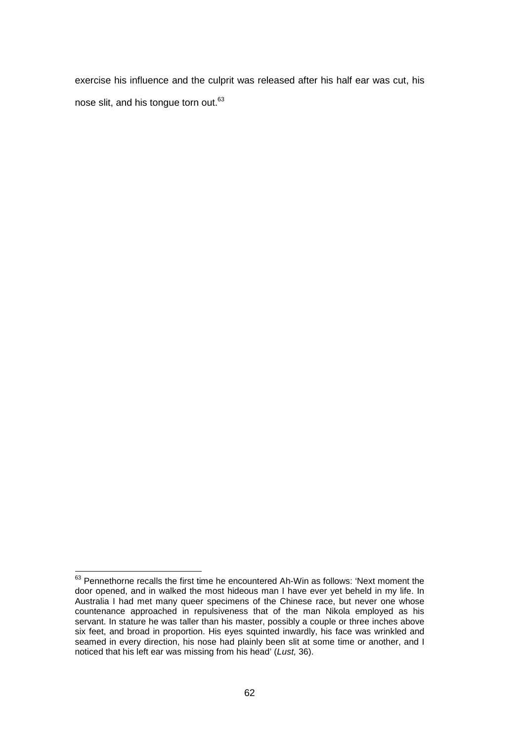exercise his influence and the culprit was released after his half ear was cut, his nose slit, and his tongue torn out.<sup>63</sup>

  $63$  Pennethorne recalls the first time he encountered Ah-Win as follows: 'Next moment the door opened, and in walked the most hideous man I have ever yet beheld in my life. In Australia I had met many queer specimens of the Chinese race, but never one whose countenance approached in repulsiveness that of the man Nikola employed as his servant. In stature he was taller than his master, possibly a couple or three inches above six feet, and broad in proportion. His eyes squinted inwardly, his face was wrinkled and seamed in every direction, his nose had plainly been slit at some time or another, and I noticed that his left ear was missing from his head' (Lust, 36).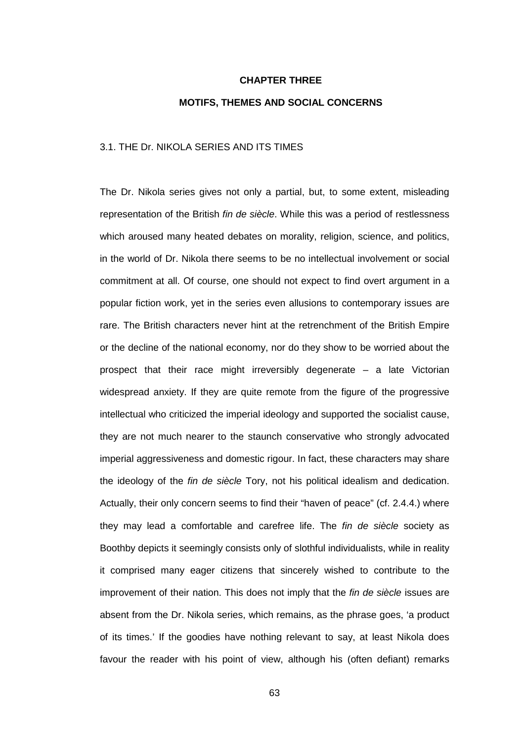### **CHAPTER THREE**

## **MOTIFS, THEMES AND SOCIAL CONCERNS**

### 3.1. THE Dr. NIKOLA SERIES AND ITS TIMES

The Dr. Nikola series gives not only a partial, but, to some extent, misleading representation of the British *fin de siècle*. While this was a period of restlessness which aroused many heated debates on morality, religion, science, and politics, in the world of Dr. Nikola there seems to be no intellectual involvement or social commitment at all. Of course, one should not expect to find overt argument in a popular fiction work, yet in the series even allusions to contemporary issues are rare. The British characters never hint at the retrenchment of the British Empire or the decline of the national economy, nor do they show to be worried about the prospect that their race might irreversibly degenerate – a late Victorian widespread anxiety. If they are quite remote from the figure of the progressive intellectual who criticized the imperial ideology and supported the socialist cause, they are not much nearer to the staunch conservative who strongly advocated imperial aggressiveness and domestic rigour. In fact, these characters may share the ideology of the *fin de siècle* Tory, not his political idealism and dedication. Actually, their only concern seems to find their "haven of peace" (cf. 2.4.4.) where they may lead a comfortable and carefree life. The *fin de siècle* society as Boothby depicts it seemingly consists only of slothful individualists, while in reality it comprised many eager citizens that sincerely wished to contribute to the improvement of their nation. This does not imply that the fin de siècle issues are absent from the Dr. Nikola series, which remains, as the phrase goes, 'a product of its times.' If the goodies have nothing relevant to say, at least Nikola does favour the reader with his point of view, although his (often defiant) remarks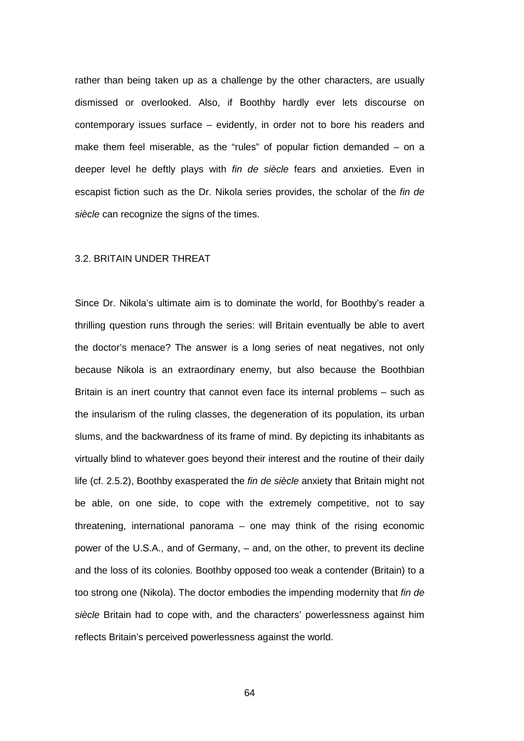rather than being taken up as a challenge by the other characters, are usually dismissed or overlooked. Also, if Boothby hardly ever lets discourse on contemporary issues surface – evidently, in order not to bore his readers and make them feel miserable, as the "rules" of popular fiction demanded – on a deeper level he deftly plays with *fin de siècle* fears and anxieties. Even in escapist fiction such as the Dr. Nikola series provides, the scholar of the fin de siècle can recognize the signs of the times.

### 3.2. BRITAIN UNDER THREAT

Since Dr. Nikola's ultimate aim is to dominate the world, for Boothby's reader a thrilling question runs through the series: will Britain eventually be able to avert the doctor's menace? The answer is a long series of neat negatives, not only because Nikola is an extraordinary enemy, but also because the Boothbian Britain is an inert country that cannot even face its internal problems – such as the insularism of the ruling classes, the degeneration of its population, its urban slums, and the backwardness of its frame of mind. By depicting its inhabitants as virtually blind to whatever goes beyond their interest and the routine of their daily life (cf. 2.5.2), Boothby exasperated the *fin de siècle* anxiety that Britain might not be able, on one side, to cope with the extremely competitive, not to say threatening, international panorama – one may think of the rising economic power of the U.S.A., and of Germany, – and, on the other, to prevent its decline and the loss of its colonies. Boothby opposed too weak a contender (Britain) to a too strong one (Nikola). The doctor embodies the impending modernity that fin de siècle Britain had to cope with, and the characters' powerlessness against him reflects Britain's perceived powerlessness against the world.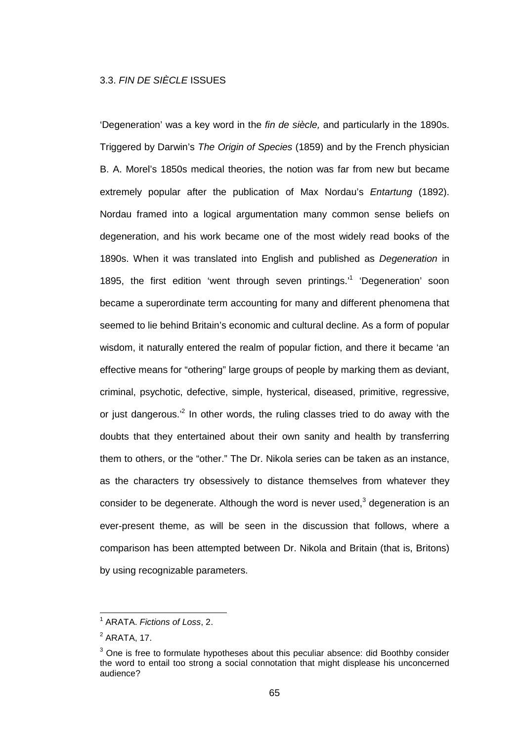# 3.3. FIN DE SIÈCLE ISSUES

'Degeneration' was a key word in the fin de siècle, and particularly in the 1890s. Triggered by Darwin's The Origin of Species (1859) and by the French physician B. A. Morel's 1850s medical theories, the notion was far from new but became extremely popular after the publication of Max Nordau's *Entartung* (1892). Nordau framed into a logical argumentation many common sense beliefs on degeneration, and his work became one of the most widely read books of the 1890s. When it was translated into English and published as *Degeneration* in 1895, the first edition 'went through seven printings.<sup>1</sup> 'Degeneration' soon became a superordinate term accounting for many and different phenomena that seemed to lie behind Britain's economic and cultural decline. As a form of popular wisdom, it naturally entered the realm of popular fiction, and there it became 'an effective means for "othering" large groups of people by marking them as deviant, criminal, psychotic, defective, simple, hysterical, diseased, primitive, regressive, or just dangerous.<sup> $2$ </sup> In other words, the ruling classes tried to do away with the doubts that they entertained about their own sanity and health by transferring them to others, or the "other." The Dr. Nikola series can be taken as an instance, as the characters try obsessively to distance themselves from whatever they consider to be degenerate. Although the word is never used, $3$  degeneration is an ever-present theme, as will be seen in the discussion that follows, where a comparison has been attempted between Dr. Nikola and Britain (that is, Britons) by using recognizable parameters.

 $\overline{\phantom{a}}$ 

<sup>&</sup>lt;sup>1</sup> ARATA. Fictions of Loss, 2.

 $^2$  ARATA, 17.

 $3$  One is free to formulate hypotheses about this peculiar absence: did Boothby consider the word to entail too strong a social connotation that might displease his unconcerned audience?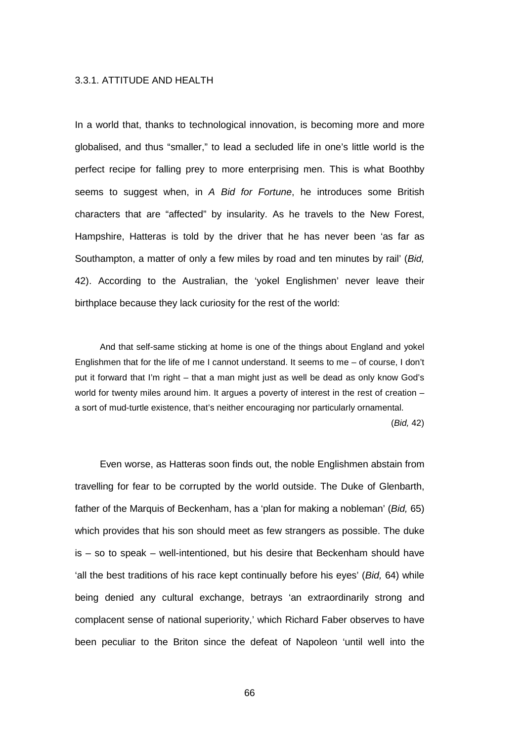### 3.3.1. ATTITUDE AND HEALTH

In a world that, thanks to technological innovation, is becoming more and more globalised, and thus "smaller," to lead a secluded life in one's little world is the perfect recipe for falling prey to more enterprising men. This is what Boothby seems to suggest when, in A Bid for Fortune, he introduces some British characters that are "affected" by insularity. As he travels to the New Forest, Hampshire, Hatteras is told by the driver that he has never been 'as far as Southampton, a matter of only a few miles by road and ten minutes by rail' (Bid, 42). According to the Australian, the 'yokel Englishmen' never leave their birthplace because they lack curiosity for the rest of the world:

And that self-same sticking at home is one of the things about England and yokel Englishmen that for the life of me I cannot understand. It seems to me – of course, I don't put it forward that I'm right – that a man might just as well be dead as only know God's world for twenty miles around him. It argues a poverty of interest in the rest of creation – a sort of mud-turtle existence, that's neither encouraging nor particularly ornamental.

(Bid, 42)

Even worse, as Hatteras soon finds out, the noble Englishmen abstain from travelling for fear to be corrupted by the world outside. The Duke of Glenbarth, father of the Marquis of Beckenham, has a 'plan for making a nobleman' (Bid, 65) which provides that his son should meet as few strangers as possible. The duke is – so to speak – well-intentioned, but his desire that Beckenham should have 'all the best traditions of his race kept continually before his eyes' (Bid, 64) while being denied any cultural exchange, betrays 'an extraordinarily strong and complacent sense of national superiority,' which Richard Faber observes to have been peculiar to the Briton since the defeat of Napoleon 'until well into the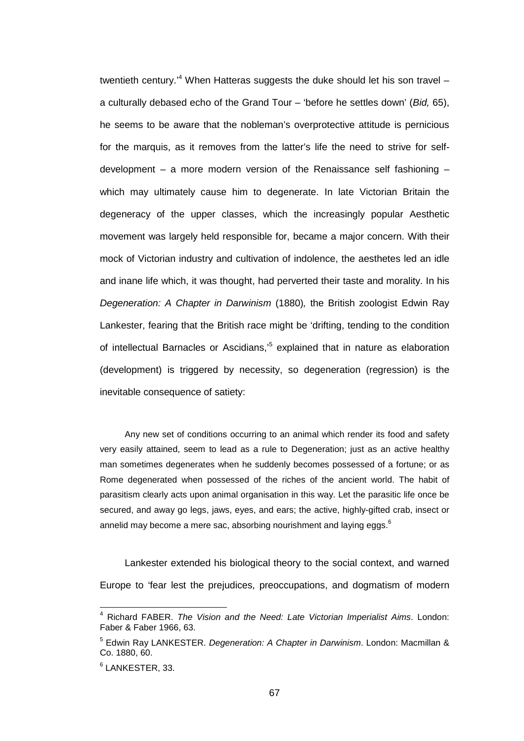twentieth century.<sup>4</sup> When Hatteras suggests the duke should let his son travel  $$ a culturally debased echo of the Grand Tour – 'before he settles down' (Bid, 65), he seems to be aware that the nobleman's overprotective attitude is pernicious for the marquis, as it removes from the latter's life the need to strive for selfdevelopment – a more modern version of the Renaissance self fashioning  $$ which may ultimately cause him to degenerate. In late Victorian Britain the degeneracy of the upper classes, which the increasingly popular Aesthetic movement was largely held responsible for, became a major concern. With their mock of Victorian industry and cultivation of indolence, the aesthetes led an idle and inane life which, it was thought, had perverted their taste and morality. In his Degeneration: A Chapter in Darwinism (1880), the British zoologist Edwin Ray Lankester, fearing that the British race might be 'drifting, tending to the condition of intellectual Barnacles or Ascidians,<sup>5</sup> explained that in nature as elaboration (development) is triggered by necessity, so degeneration (regression) is the inevitable consequence of satiety:

Any new set of conditions occurring to an animal which render its food and safety very easily attained, seem to lead as a rule to Degeneration; just as an active healthy man sometimes degenerates when he suddenly becomes possessed of a fortune; or as Rome degenerated when possessed of the riches of the ancient world. The habit of parasitism clearly acts upon animal organisation in this way. Let the parasitic life once be secured, and away go legs, jaws, eyes, and ears; the active, highly-gifted crab, insect or annelid may become a mere sac, absorbing nourishment and laying eggs.<sup>6</sup>

Lankester extended his biological theory to the social context, and warned Europe to 'fear lest the prejudices, preoccupations, and dogmatism of modern

 $\overline{\phantom{a}}$ 

<sup>&</sup>lt;sup>4</sup> Richard FABER. The Vision and the Need: Late Victorian Imperialist Aims. London: Faber & Faber 1966, 63.

<sup>&</sup>lt;sup>5</sup> Edwin Ray LANKESTER. Degeneration: A Chapter in Darwinism. London: Macmillan & Co. 1880, 60.

 $^6$  LANKESTER, 33.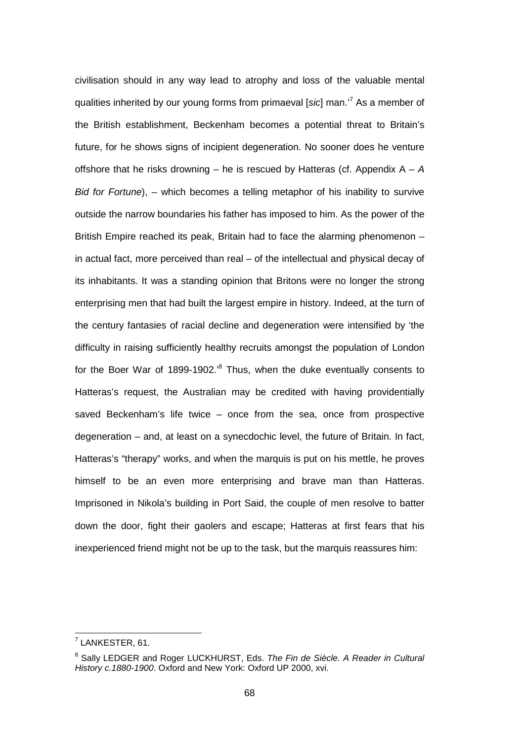civilisation should in any way lead to atrophy and loss of the valuable mental qualities inherited by our young forms from primaeval [sic] man.<sup>7</sup> As a member of the British establishment, Beckenham becomes a potential threat to Britain's future, for he shows signs of incipient degeneration. No sooner does he venture offshore that he risks drowning – he is rescued by Hatteras (cf. Appendix  $A - A$ Bid for Fortune), – which becomes a telling metaphor of his inability to survive outside the narrow boundaries his father has imposed to him. As the power of the British Empire reached its peak, Britain had to face the alarming phenomenon – in actual fact, more perceived than real – of the intellectual and physical decay of its inhabitants. It was a standing opinion that Britons were no longer the strong enterprising men that had built the largest empire in history. Indeed, at the turn of the century fantasies of racial decline and degeneration were intensified by 'the difficulty in raising sufficiently healthy recruits amongst the population of London for the Boer War of 1899-1902.<sup>8</sup> Thus, when the duke eventually consents to Hatteras's request, the Australian may be credited with having providentially saved Beckenham's life twice – once from the sea, once from prospective degeneration – and, at least on a synecdochic level, the future of Britain. In fact, Hatteras's "therapy" works, and when the marquis is put on his mettle, he proves himself to be an even more enterprising and brave man than Hatteras. Imprisoned in Nikola's building in Port Said, the couple of men resolve to batter down the door, fight their gaolers and escape; Hatteras at first fears that his inexperienced friend might not be up to the task, but the marquis reassures him:

 7 LANKESTER, 61.

<sup>&</sup>lt;sup>8</sup> Sally LEDGER and Roger LUCKHURST, Eds. The Fin de Siècle. A Reader in Cultural History c.1880-1900. Oxford and New York: Oxford UP 2000, xvi.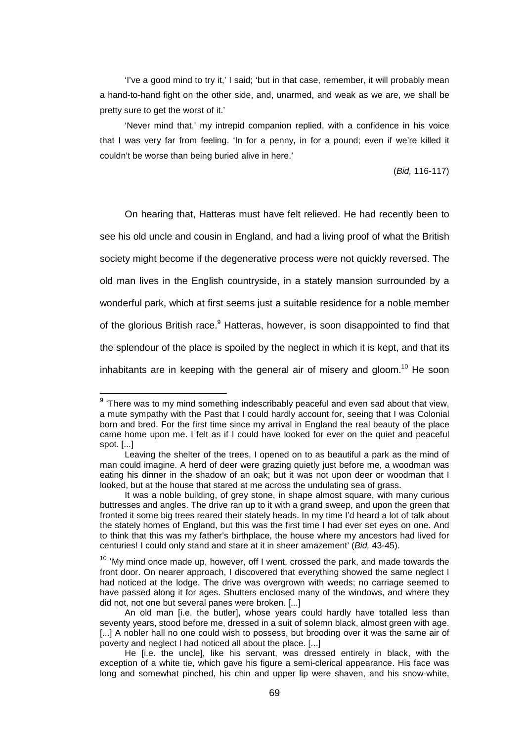'I've a good mind to try it,' I said; 'but in that case, remember, it will probably mean a hand-to-hand fight on the other side, and, unarmed, and weak as we are, we shall be pretty sure to get the worst of it.'

'Never mind that,' my intrepid companion replied, with a confidence in his voice that I was very far from feeling. 'In for a penny, in for a pound; even if we're killed it couldn't be worse than being buried alive in here.'

(Bid, 116-117)

On hearing that, Hatteras must have felt relieved. He had recently been to see his old uncle and cousin in England, and had a living proof of what the British society might become if the degenerative process were not quickly reversed. The old man lives in the English countryside, in a stately mansion surrounded by a wonderful park, which at first seems just a suitable residence for a noble member of the glorious British race.<sup>9</sup> Hatteras, however, is soon disappointed to find that the splendour of the place is spoiled by the neglect in which it is kept, and that its inhabitants are in keeping with the general air of misery and gloom.<sup>10</sup> He soon

 $\overline{a}$ 

 $9$  'There was to my mind something indescribably peaceful and even sad about that view, a mute sympathy with the Past that I could hardly account for, seeing that I was Colonial born and bred. For the first time since my arrival in England the real beauty of the place came home upon me. I felt as if I could have looked for ever on the quiet and peaceful spot. [...]

Leaving the shelter of the trees, I opened on to as beautiful a park as the mind of man could imagine. A herd of deer were grazing quietly just before me, a woodman was eating his dinner in the shadow of an oak; but it was not upon deer or woodman that I looked, but at the house that stared at me across the undulating sea of grass.

It was a noble building, of grey stone, in shape almost square, with many curious buttresses and angles. The drive ran up to it with a grand sweep, and upon the green that fronted it some big trees reared their stately heads. In my time I'd heard a lot of talk about the stately homes of England, but this was the first time I had ever set eyes on one. And to think that this was my father's birthplace, the house where my ancestors had lived for centuries! I could only stand and stare at it in sheer amazement' (Bid, 43-45).

 $10$  'My mind once made up, however, off I went, crossed the park, and made towards the front door. On nearer approach, I discovered that everything showed the same neglect I had noticed at the lodge. The drive was overgrown with weeds; no carriage seemed to have passed along it for ages. Shutters enclosed many of the windows, and where they did not, not one but several panes were broken. [...]

An old man [i.e. the butler], whose years could hardly have totalled less than seventy years, stood before me, dressed in a suit of solemn black, almost green with age. [...] A nobler hall no one could wish to possess, but brooding over it was the same air of poverty and neglect I had noticed all about the place. [...]

He [i.e. the uncle], like his servant, was dressed entirely in black, with the exception of a white tie, which gave his figure a semi-clerical appearance. His face was long and somewhat pinched, his chin and upper lip were shaven, and his snow-white,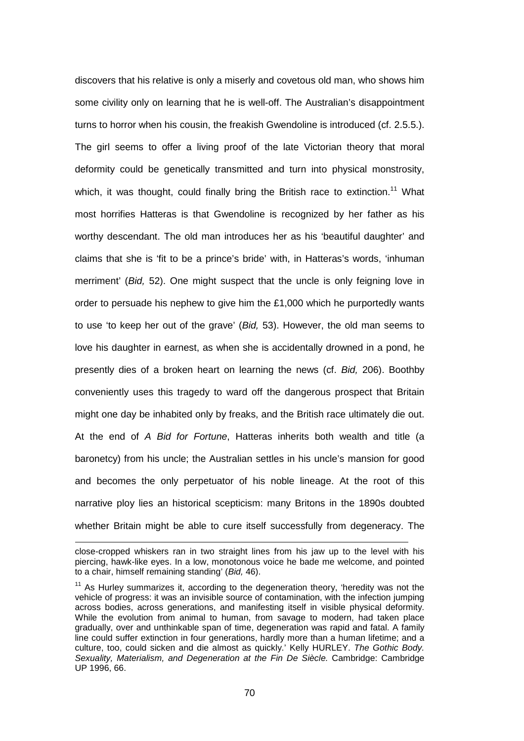discovers that his relative is only a miserly and covetous old man, who shows him some civility only on learning that he is well-off. The Australian's disappointment turns to horror when his cousin, the freakish Gwendoline is introduced (cf. 2.5.5.). The girl seems to offer a living proof of the late Victorian theory that moral deformity could be genetically transmitted and turn into physical monstrosity, which, it was thought, could finally bring the British race to extinction.<sup>11</sup> What most horrifies Hatteras is that Gwendoline is recognized by her father as his worthy descendant. The old man introduces her as his 'beautiful daughter' and claims that she is 'fit to be a prince's bride' with, in Hatteras's words, 'inhuman merriment' (Bid, 52). One might suspect that the uncle is only feigning love in order to persuade his nephew to give him the £1,000 which he purportedly wants to use 'to keep her out of the grave' (Bid, 53). However, the old man seems to love his daughter in earnest, as when she is accidentally drowned in a pond, he presently dies of a broken heart on learning the news (cf. Bid, 206). Boothby conveniently uses this tragedy to ward off the dangerous prospect that Britain might one day be inhabited only by freaks, and the British race ultimately die out. At the end of A Bid for Fortune, Hatteras inherits both wealth and title (a baronetcy) from his uncle; the Australian settles in his uncle's mansion for good and becomes the only perpetuator of his noble lineage. At the root of this narrative ploy lies an historical scepticism: many Britons in the 1890s doubted whether Britain might be able to cure itself successfully from degeneracy. The

close-cropped whiskers ran in two straight lines from his jaw up to the level with his piercing, hawk-like eyes. In a low, monotonous voice he bade me welcome, and pointed to a chair, himself remaining standing' (Bid, 46).

 $11$  As Hurley summarizes it, according to the degeneration theory, 'heredity was not the vehicle of progress: it was an invisible source of contamination, with the infection jumping across bodies, across generations, and manifesting itself in visible physical deformity. While the evolution from animal to human, from savage to modern, had taken place gradually, over and unthinkable span of time, degeneration was rapid and fatal. A family line could suffer extinction in four generations, hardly more than a human lifetime; and a culture, too, could sicken and die almost as quickly.' Kelly HURLEY. The Gothic Body. Sexuality, Materialism, and Degeneration at the Fin De Siècle. Cambridge: Cambridge UP 1996, 66.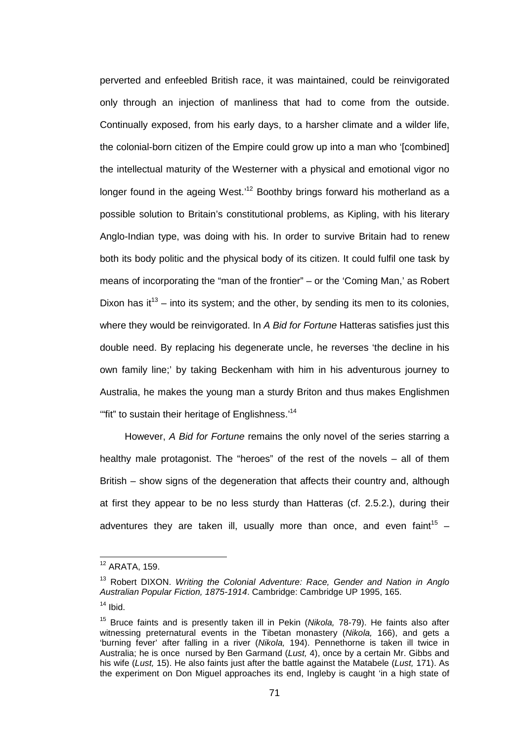perverted and enfeebled British race, it was maintained, could be reinvigorated only through an injection of manliness that had to come from the outside. Continually exposed, from his early days, to a harsher climate and a wilder life, the colonial-born citizen of the Empire could grow up into a man who '[combined] the intellectual maturity of the Westerner with a physical and emotional vigor no longer found in the ageing West.<sup>12</sup> Boothby brings forward his motherland as a possible solution to Britain's constitutional problems, as Kipling, with his literary Anglo-Indian type, was doing with his. In order to survive Britain had to renew both its body politic and the physical body of its citizen. It could fulfil one task by means of incorporating the "man of the frontier" – or the 'Coming Man,' as Robert Dixon has it<sup>13</sup> – into its system; and the other, by sending its men to its colonies, where they would be reinvigorated. In A Bid for Fortune Hatteras satisfies just this double need. By replacing his degenerate uncle, he reverses 'the decline in his own family line;' by taking Beckenham with him in his adventurous journey to Australia, he makes the young man a sturdy Briton and thus makes Englishmen ""fit" to sustain their heritage of Englishness.<sup>14</sup>

However, A Bid for Fortune remains the only novel of the series starring a healthy male protagonist. The "heroes" of the rest of the novels – all of them British – show signs of the degeneration that affects their country and, although at first they appear to be no less sturdy than Hatteras (cf. 2.5.2.), during their adventures they are taken ill, usually more than once, and even faint<sup>15</sup>  $-$ 

<sup>12</sup> ARATA, 159.

<sup>&</sup>lt;sup>13</sup> Robert DIXON. Writing the Colonial Adventure: Race, Gender and Nation in Anglo Australian Popular Fiction, 1875-1914. Cambridge: Cambridge UP 1995, 165.

 $14$  Ibid.

 $15$  Bruce faints and is presently taken ill in Pekin (Nikola, 78-79). He faints also after witnessing preternatural events in the Tibetan monastery (Nikola, 166), and gets a 'burning fever' after falling in a river (Nikola, 194). Pennethorne is taken ill twice in Australia; he is once nursed by Ben Garmand (Lust, 4), once by a certain Mr. Gibbs and his wife (Lust, 15). He also faints just after the battle against the Matabele (Lust, 171). As the experiment on Don Miguel approaches its end, Ingleby is caught 'in a high state of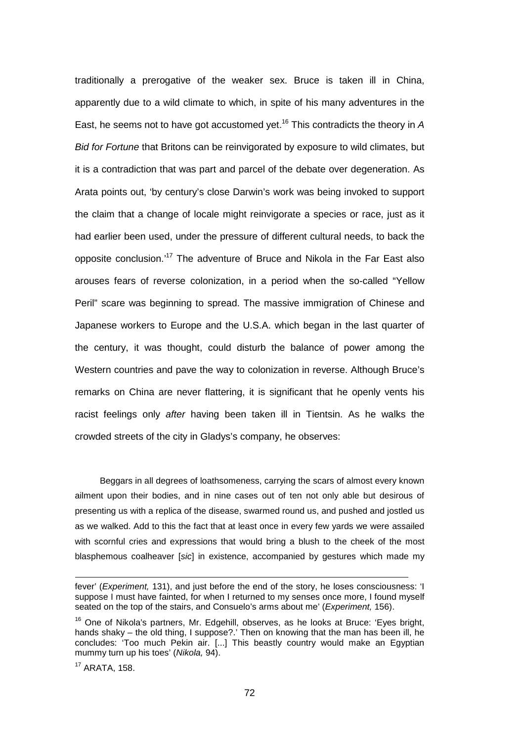traditionally a prerogative of the weaker sex. Bruce is taken ill in China, apparently due to a wild climate to which, in spite of his many adventures in the East, he seems not to have got accustomed yet.<sup>16</sup> This contradicts the theory in A Bid for Fortune that Britons can be reinvigorated by exposure to wild climates, but it is a contradiction that was part and parcel of the debate over degeneration. As Arata points out, 'by century's close Darwin's work was being invoked to support the claim that a change of locale might reinvigorate a species or race, just as it had earlier been used, under the pressure of different cultural needs, to back the opposite conclusion.'<sup>17</sup> The adventure of Bruce and Nikola in the Far East also arouses fears of reverse colonization, in a period when the so-called "Yellow Peril" scare was beginning to spread. The massive immigration of Chinese and Japanese workers to Europe and the U.S.A. which began in the last quarter of the century, it was thought, could disturb the balance of power among the Western countries and pave the way to colonization in reverse. Although Bruce's remarks on China are never flattering, it is significant that he openly vents his racist feelings only *after* having been taken ill in Tientsin. As he walks the crowded streets of the city in Gladys's company, he observes:

Beggars in all degrees of loathsomeness, carrying the scars of almost every known ailment upon their bodies, and in nine cases out of ten not only able but desirous of presenting us with a replica of the disease, swarmed round us, and pushed and jostled us as we walked. Add to this the fact that at least once in every few yards we were assailed with scornful cries and expressions that would bring a blush to the cheek of the most blasphemous coalheaver [sic] in existence, accompanied by gestures which made my

 $\overline{a}$ 

fever' (*Experiment*, 131), and just before the end of the story, he loses consciousness: 'I suppose I must have fainted, for when I returned to my senses once more, I found myself seated on the top of the stairs, and Consuelo's arms about me' (*Experiment,* 156).

 $16$  One of Nikola's partners, Mr. Edgehill, observes, as he looks at Bruce: 'Eyes bright, hands shaky – the old thing, I suppose?.' Then on knowing that the man has been ill, he concludes: 'Too much Pekin air. [...] This beastly country would make an Egyptian mummy turn up his toes' (Nikola, 94).

<sup>17</sup> ARATA, 158.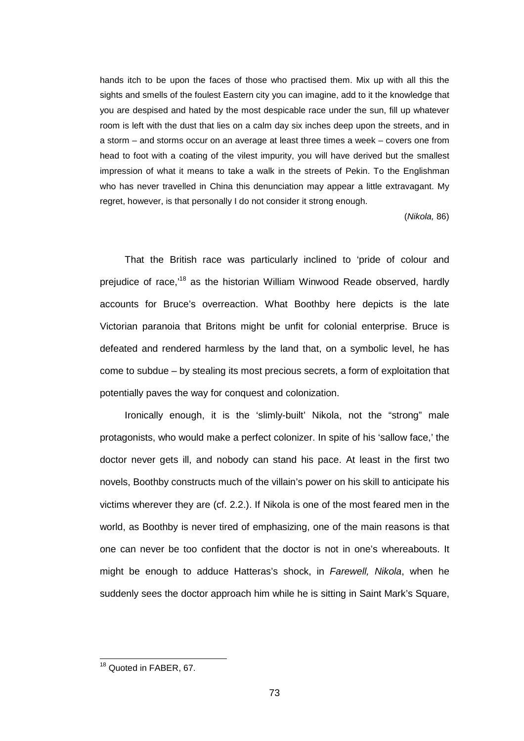hands itch to be upon the faces of those who practised them. Mix up with all this the sights and smells of the foulest Eastern city you can imagine, add to it the knowledge that you are despised and hated by the most despicable race under the sun, fill up whatever room is left with the dust that lies on a calm day six inches deep upon the streets, and in a storm – and storms occur on an average at least three times a week – covers one from head to foot with a coating of the vilest impurity, you will have derived but the smallest impression of what it means to take a walk in the streets of Pekin. To the Englishman who has never travelled in China this denunciation may appear a little extravagant. My regret, however, is that personally I do not consider it strong enough.

(Nikola, 86)

That the British race was particularly inclined to 'pride of colour and prejudice of race,<sup>18</sup> as the historian William Winwood Reade observed, hardly accounts for Bruce's overreaction. What Boothby here depicts is the late Victorian paranoia that Britons might be unfit for colonial enterprise. Bruce is defeated and rendered harmless by the land that, on a symbolic level, he has come to subdue – by stealing its most precious secrets, a form of exploitation that potentially paves the way for conquest and colonization.

Ironically enough, it is the 'slimly-built' Nikola, not the "strong" male protagonists, who would make a perfect colonizer. In spite of his 'sallow face,' the doctor never gets ill, and nobody can stand his pace. At least in the first two novels, Boothby constructs much of the villain's power on his skill to anticipate his victims wherever they are (cf. 2.2.). If Nikola is one of the most feared men in the world, as Boothby is never tired of emphasizing, one of the main reasons is that one can never be too confident that the doctor is not in one's whereabouts. It might be enough to adduce Hatteras's shock, in Farewell, Nikola, when he suddenly sees the doctor approach him while he is sitting in Saint Mark's Square,

 $\overline{\phantom{a}}$ 

 $18$  Quoted in FABER, 67.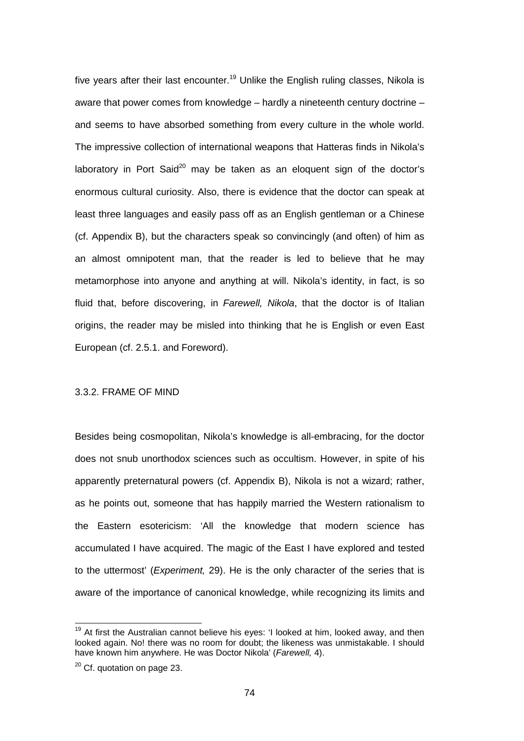five years after their last encounter.<sup>19</sup> Unlike the English ruling classes, Nikola is aware that power comes from knowledge – hardly a nineteenth century doctrine – and seems to have absorbed something from every culture in the whole world. The impressive collection of international weapons that Hatteras finds in Nikola's laboratory in Port Said<sup>20</sup> may be taken as an eloquent sign of the doctor's enormous cultural curiosity. Also, there is evidence that the doctor can speak at least three languages and easily pass off as an English gentleman or a Chinese (cf. Appendix B), but the characters speak so convincingly (and often) of him as an almost omnipotent man, that the reader is led to believe that he may metamorphose into anyone and anything at will. Nikola's identity, in fact, is so fluid that, before discovering, in Farewell, Nikola, that the doctor is of Italian origins, the reader may be misled into thinking that he is English or even East European (cf. 2.5.1. and Foreword).

# 3.3.2. FRAME OF MIND

Besides being cosmopolitan, Nikola's knowledge is all-embracing, for the doctor does not snub unorthodox sciences such as occultism. However, in spite of his apparently preternatural powers (cf. Appendix B), Nikola is not a wizard; rather, as he points out, someone that has happily married the Western rationalism to the Eastern esotericism: 'All the knowledge that modern science has accumulated I have acquired. The magic of the East I have explored and tested to the uttermost' (Experiment, 29). He is the only character of the series that is aware of the importance of canonical knowledge, while recognizing its limits and

 $19$  At first the Australian cannot believe his eyes: 'I looked at him, looked away, and then looked again. No! there was no room for doubt; the likeness was unmistakable. I should have known him anywhere. He was Doctor Nikola' (Farewell, 4).

 $20$  Cf. quotation on page 23.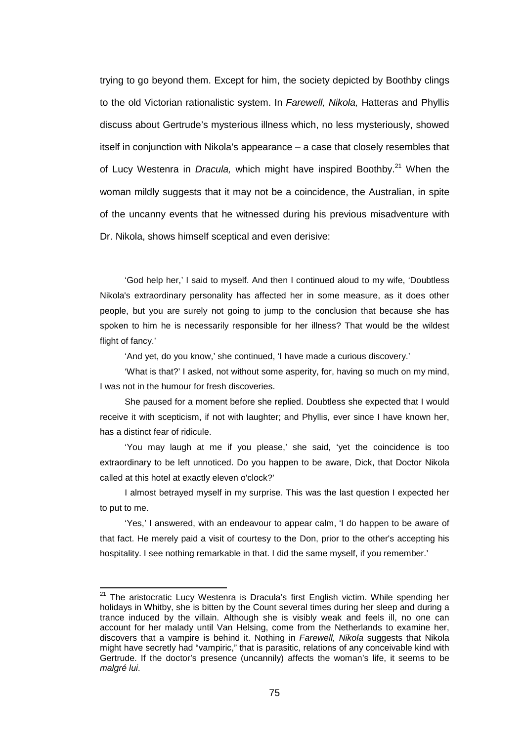trying to go beyond them. Except for him, the society depicted by Boothby clings to the old Victorian rationalistic system. In Farewell, Nikola, Hatteras and Phyllis discuss about Gertrude's mysterious illness which, no less mysteriously, showed itself in conjunction with Nikola's appearance – a case that closely resembles that of Lucy Westenra in *Dracula*, which might have inspired Boothby.<sup>21</sup> When the woman mildly suggests that it may not be a coincidence, the Australian, in spite of the uncanny events that he witnessed during his previous misadventure with Dr. Nikola, shows himself sceptical and even derisive:

'God help her,' I said to myself. And then I continued aloud to my wife, 'Doubtless Nikola's extraordinary personality has affected her in some measure, as it does other people, but you are surely not going to jump to the conclusion that because she has spoken to him he is necessarily responsible for her illness? That would be the wildest flight of fancy.'

'And yet, do you know,' she continued, 'I have made a curious discovery.'

'What is that?' I asked, not without some asperity, for, having so much on my mind, I was not in the humour for fresh discoveries.

She paused for a moment before she replied. Doubtless she expected that I would receive it with scepticism, if not with laughter; and Phyllis, ever since I have known her, has a distinct fear of ridicule.

'You may laugh at me if you please,' she said, 'yet the coincidence is too extraordinary to be left unnoticed. Do you happen to be aware, Dick, that Doctor Nikola called at this hotel at exactly eleven o'clock?'

I almost betrayed myself in my surprise. This was the last question I expected her to put to me.

'Yes,' I answered, with an endeavour to appear calm, 'I do happen to be aware of that fact. He merely paid a visit of courtesy to the Don, prior to the other's accepting his hospitality. I see nothing remarkable in that. I did the same myself, if you remember.'

 $\overline{\phantom{a}}$ 

<sup>&</sup>lt;sup>21</sup> The aristocratic Lucy Westenra is Dracula's first English victim. While spending her holidays in Whitby, she is bitten by the Count several times during her sleep and during a trance induced by the villain. Although she is visibly weak and feels ill, no one can account for her malady until Van Helsing, come from the Netherlands to examine her, discovers that a vampire is behind it. Nothing in Farewell, Nikola suggests that Nikola might have secretly had "vampiric," that is parasitic, relations of any conceivable kind with Gertrude. If the doctor's presence (uncannily) affects the woman's life, it seems to be malgré lui.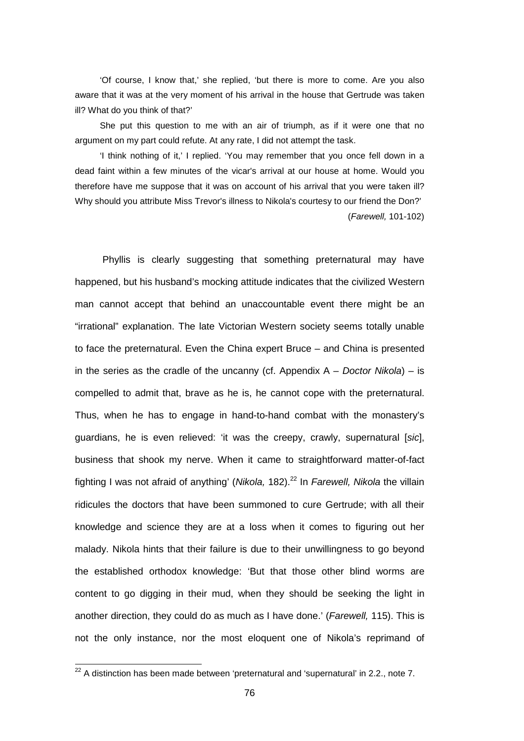'Of course, I know that,' she replied, 'but there is more to come. Are you also aware that it was at the very moment of his arrival in the house that Gertrude was taken ill? What do you think of that?'

She put this question to me with an air of triumph, as if it were one that no argument on my part could refute. At any rate, I did not attempt the task.

'I think nothing of it,' I replied. 'You may remember that you once fell down in a dead faint within a few minutes of the vicar's arrival at our house at home. Would you therefore have me suppose that it was on account of his arrival that you were taken ill? Why should you attribute Miss Trevor's illness to Nikola's courtesy to our friend the Don?' (Farewell, 101-102)

 Phyllis is clearly suggesting that something preternatural may have happened, but his husband's mocking attitude indicates that the civilized Western man cannot accept that behind an unaccountable event there might be an "irrational" explanation. The late Victorian Western society seems totally unable to face the preternatural. Even the China expert Bruce – and China is presented in the series as the cradle of the uncanny (cf. Appendix  $A - Doctor Nikola$ ) – is compelled to admit that, brave as he is, he cannot cope with the preternatural. Thus, when he has to engage in hand-to-hand combat with the monastery's guardians, he is even relieved: 'it was the creepy, crawly, supernatural [sic], business that shook my nerve. When it came to straightforward matter-of-fact fighting I was not afraid of anything' (Nikola, 182).<sup>22</sup> In Farewell, Nikola the villain ridicules the doctors that have been summoned to cure Gertrude; with all their knowledge and science they are at a loss when it comes to figuring out her malady. Nikola hints that their failure is due to their unwillingness to go beyond the established orthodox knowledge: 'But that those other blind worms are content to go digging in their mud, when they should be seeking the light in another direction, they could do as much as I have done.' (Farewell, 115). This is not the only instance, nor the most eloquent one of Nikola's reprimand of

j

 $^{22}$  A distinction has been made between 'preternatural and 'supernatural' in 2.2., note 7.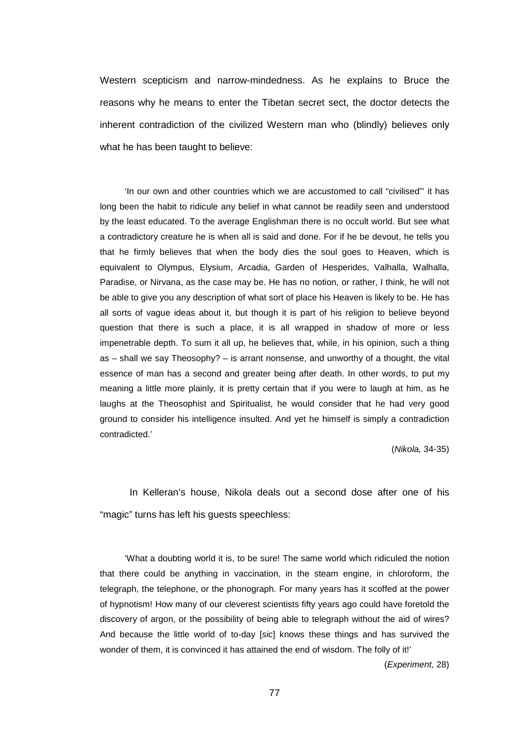Western scepticism and narrow-mindedness. As he explains to Bruce the reasons why he means to enter the Tibetan secret sect, the doctor detects the inherent contradiction of the civilized Western man who (blindly) believes only what he has been taught to believe:

'In our own and other countries which we are accustomed to call "civilised"' it has long been the habit to ridicule any belief in what cannot be readily seen and understood by the least educated. To the average Englishman there is no occult world. But see what a contradictory creature he is when all is said and done. For if he be devout, he tells you that he firmly believes that when the body dies the soul goes to Heaven, which is equivalent to Olympus, Elysium, Arcadia, Garden of Hesperides, Valhalla, Walhalla, Paradise, or Nirvana, as the case may be. He has no notion, or rather, I think, he will not be able to give you any description of what sort of place his Heaven is likely to be. He has all sorts of vague ideas about it, but though it is part of his religion to believe beyond question that there is such a place, it is all wrapped in shadow of more or less impenetrable depth. To sum it all up, he believes that, while, in his opinion, such a thing as – shall we say Theosophy? – is arrant nonsense, and unworthy of a thought, the vital essence of man has a second and greater being after death. In other words, to put my meaning a little more plainly, it is pretty certain that if you were to laugh at him, as he laughs at the Theosophist and Spiritualist, he would consider that he had very good ground to consider his intelligence insulted. And yet he himself is simply a contradiction contradicted.'

(Nikola, 34-35)

 In Kelleran's house, Nikola deals out a second dose after one of his "magic" turns has left his guests speechless:

'What a doubting world it is, to be sure! The same world which ridiculed the notion that there could be anything in vaccination, in the steam engine, in chloroform, the telegraph, the telephone, or the phonograph. For many years has it scoffed at the power of hypnotism! How many of our cleverest scientists fifty years ago could have foretold the discovery of argon, or the possibility of being able to telegraph without the aid of wires? And because the little world of to-day [sic] knows these things and has survived the wonder of them, it is convinced it has attained the end of wisdom. The folly of it!'

(Experiment, 28)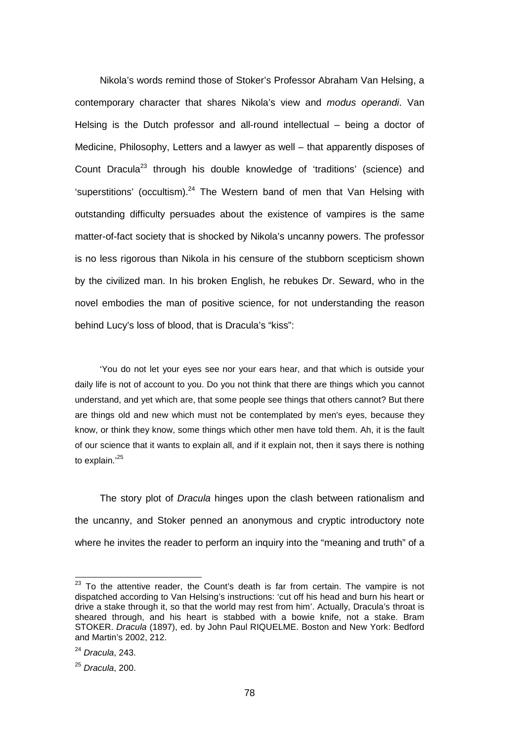Nikola's words remind those of Stoker's Professor Abraham Van Helsing, a contemporary character that shares Nikola's view and modus operandi. Van Helsing is the Dutch professor and all-round intellectual – being a doctor of Medicine, Philosophy, Letters and a lawyer as well – that apparently disposes of Count Dracula<sup>23</sup> through his double knowledge of 'traditions' (science) and 'superstitions' (occultism). $24$  The Western band of men that Van Helsing with outstanding difficulty persuades about the existence of vampires is the same matter-of-fact society that is shocked by Nikola's uncanny powers. The professor is no less rigorous than Nikola in his censure of the stubborn scepticism shown by the civilized man. In his broken English, he rebukes Dr. Seward, who in the novel embodies the man of positive science, for not understanding the reason behind Lucy's loss of blood, that is Dracula's "kiss":

'You do not let your eyes see nor your ears hear, and that which is outside your daily life is not of account to you. Do you not think that there are things which you cannot understand, and yet which are, that some people see things that others cannot? But there are things old and new which must not be contemplated by men's eyes, because they know, or think they know, some things which other men have told them. Ah, it is the fault of our science that it wants to explain all, and if it explain not, then it says there is nothing to explain.<sup>'25</sup>

The story plot of *Dracula* hinges upon the clash between rationalism and the uncanny, and Stoker penned an anonymous and cryptic introductory note where he invites the reader to perform an inquiry into the "meaning and truth" of a

j

 $23$  To the attentive reader, the Count's death is far from certain. The vampire is not dispatched according to Van Helsing's instructions: 'cut off his head and burn his heart or drive a stake through it, so that the world may rest from him'. Actually, Dracula's throat is sheared through, and his heart is stabbed with a bowie knife, not a stake. Bram STOKER. Dracula (1897), ed. by John Paul RIQUELME. Boston and New York: Bedford and Martin's 2002, 212.

 $24$  Dracula, 243.

 $25$  Dracula, 200.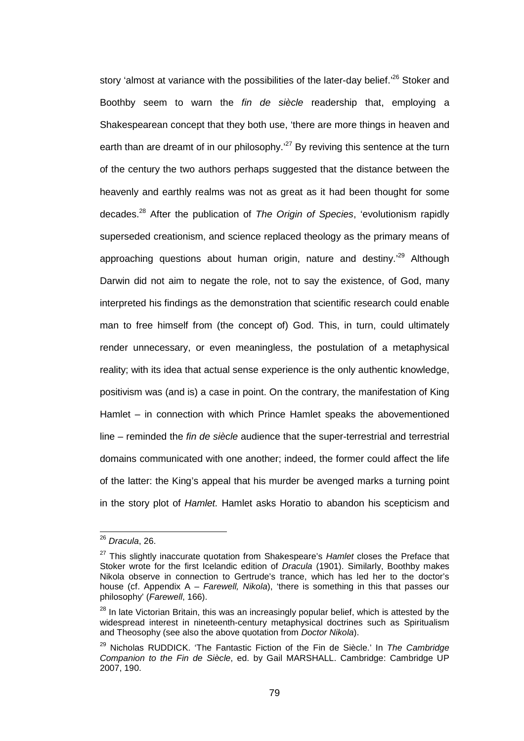story 'almost at variance with the possibilities of the later-day belief.<sup>26</sup> Stoker and Boothby seem to warn the *fin de siècle* readership that, employing a Shakespearean concept that they both use, 'there are more things in heaven and earth than are dreamt of in our philosophy.<sup>27</sup> By reviving this sentence at the turn of the century the two authors perhaps suggested that the distance between the heavenly and earthly realms was not as great as it had been thought for some decades.<sup>28</sup> After the publication of The Origin of Species, 'evolutionism rapidly superseded creationism, and science replaced theology as the primary means of approaching questions about human origin, nature and destiny.<sup>29</sup> Although Darwin did not aim to negate the role, not to say the existence, of God, many interpreted his findings as the demonstration that scientific research could enable man to free himself from (the concept of) God. This, in turn, could ultimately render unnecessary, or even meaningless, the postulation of a metaphysical reality; with its idea that actual sense experience is the only authentic knowledge, positivism was (and is) a case in point. On the contrary, the manifestation of King Hamlet – in connection with which Prince Hamlet speaks the abovementioned line – reminded the *fin de siècle* audience that the super-terrestrial and terrestrial domains communicated with one another; indeed, the former could affect the life of the latter: the King's appeal that his murder be avenged marks a turning point in the story plot of Hamlet. Hamlet asks Horatio to abandon his scepticism and

j

<sup>&</sup>lt;sup>26</sup> Dracula, 26.

<sup>&</sup>lt;sup>27</sup> This slightly inaccurate quotation from Shakespeare's Hamlet closes the Preface that Stoker wrote for the first Icelandic edition of Dracula (1901). Similarly, Boothby makes Nikola observe in connection to Gertrude's trance, which has led her to the doctor's house (cf. Appendix  $A - F$ arewell, Nikola), 'there is something in this that passes our philosophy' (Farewell, 166).

 $28$  In late Victorian Britain, this was an increasingly popular belief, which is attested by the widespread interest in nineteenth-century metaphysical doctrines such as Spiritualism and Theosophy (see also the above quotation from Doctor Nikola).

<sup>&</sup>lt;sup>29</sup> Nicholas RUDDICK. 'The Fantastic Fiction of the Fin de Siècle.' In The Cambridge Companion to the Fin de Siècle, ed. by Gail MARSHALL. Cambridge: Cambridge UP 2007, 190.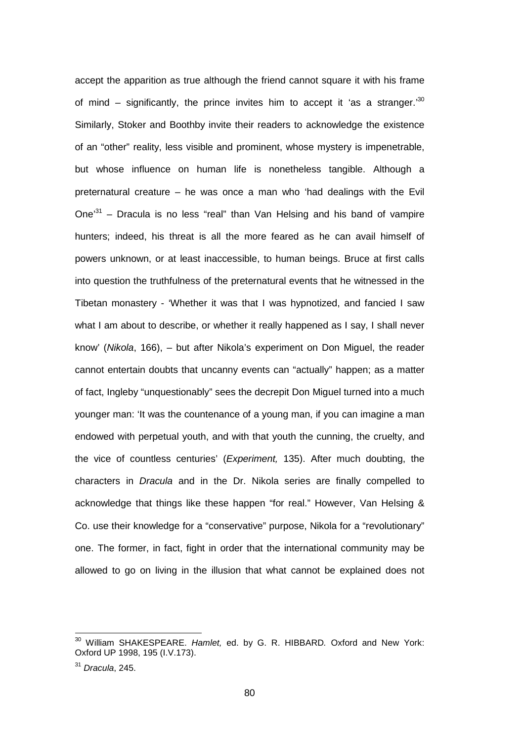accept the apparition as true although the friend cannot square it with his frame of mind – significantly, the prince invites him to accept it 'as a stranger.<sup>'30</sup> Similarly, Stoker and Boothby invite their readers to acknowledge the existence of an "other" reality, less visible and prominent, whose mystery is impenetrable, but whose influence on human life is nonetheless tangible. Although a preternatural creature – he was once a man who 'had dealings with the Evil One<sup>31</sup> – Dracula is no less "real" than Van Helsing and his band of vampire hunters; indeed, his threat is all the more feared as he can avail himself of powers unknown, or at least inaccessible, to human beings. Bruce at first calls into question the truthfulness of the preternatural events that he witnessed in the Tibetan monastery - 'Whether it was that I was hypnotized, and fancied I saw what I am about to describe, or whether it really happened as I say, I shall never know' (Nikola, 166), – but after Nikola's experiment on Don Miguel, the reader cannot entertain doubts that uncanny events can "actually" happen; as a matter of fact, Ingleby "unquestionably" sees the decrepit Don Miguel turned into a much younger man: 'It was the countenance of a young man, if you can imagine a man endowed with perpetual youth, and with that youth the cunning, the cruelty, and the vice of countless centuries' (Experiment, 135). After much doubting, the characters in Dracula and in the Dr. Nikola series are finally compelled to acknowledge that things like these happen "for real." However, Van Helsing & Co. use their knowledge for a "conservative" purpose, Nikola for a "revolutionary" one. The former, in fact, fight in order that the international community may be allowed to go on living in the illusion that what cannot be explained does not

<sup>&</sup>lt;sup>30</sup> William SHAKESPEARE. Hamlet, ed. by G. R. HIBBARD. Oxford and New York: Oxford UP 1998, 195 (I.V.173).

 $31$  Dracula, 245.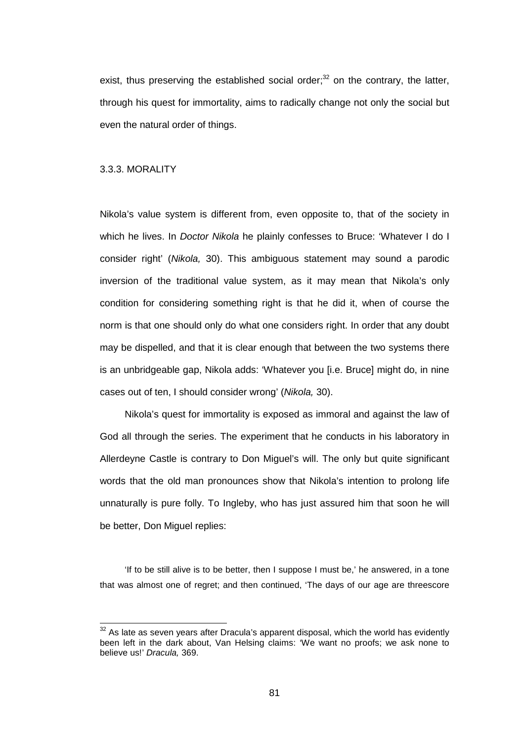exist, thus preserving the established social order;<sup>32</sup> on the contrary, the latter, through his quest for immortality, aims to radically change not only the social but even the natural order of things.

## 3.3.3. MORALITY

Nikola's value system is different from, even opposite to, that of the society in which he lives. In *Doctor Nikola* he plainly confesses to Bruce: 'Whatever I do I consider right' (Nikola, 30). This ambiguous statement may sound a parodic inversion of the traditional value system, as it may mean that Nikola's only condition for considering something right is that he did it, when of course the norm is that one should only do what one considers right. In order that any doubt may be dispelled, and that it is clear enough that between the two systems there is an unbridgeable gap, Nikola adds: 'Whatever you [i.e. Bruce] might do, in nine cases out of ten, I should consider wrong' (Nikola, 30).

Nikola's quest for immortality is exposed as immoral and against the law of God all through the series. The experiment that he conducts in his laboratory in Allerdeyne Castle is contrary to Don Miguel's will. The only but quite significant words that the old man pronounces show that Nikola's intention to prolong life unnaturally is pure folly. To Ingleby, who has just assured him that soon he will be better, Don Miguel replies:

'If to be still alive is to be better, then I suppose I must be,' he answered, in a tone that was almost one of regret; and then continued, 'The days of our age are threescore

 $32$  As late as seven vears after Dracula's apparent disposal, which the world has evidently been left in the dark about, Van Helsing claims: 'We want no proofs; we ask none to believe us!' Dracula, 369.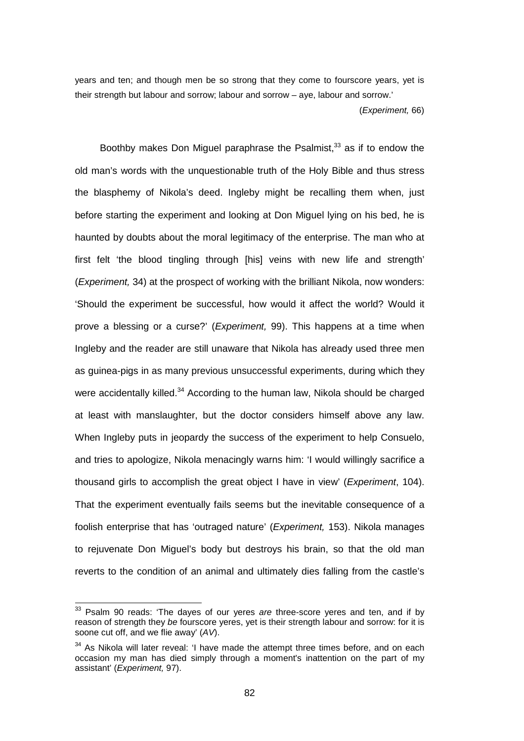years and ten; and though men be so strong that they come to fourscore years, yet is their strength but labour and sorrow; labour and sorrow – aye, labour and sorrow.'

(Experiment, 66)

Boothby makes Don Miguel paraphrase the Psalmist, $33$  as if to endow the old man's words with the unquestionable truth of the Holy Bible and thus stress the blasphemy of Nikola's deed. Ingleby might be recalling them when, just before starting the experiment and looking at Don Miguel lying on his bed, he is haunted by doubts about the moral legitimacy of the enterprise. The man who at first felt 'the blood tingling through [his] veins with new life and strength' (Experiment, 34) at the prospect of working with the brilliant Nikola, now wonders: 'Should the experiment be successful, how would it affect the world? Would it prove a blessing or a curse?' (Experiment, 99). This happens at a time when Ingleby and the reader are still unaware that Nikola has already used three men as guinea-pigs in as many previous unsuccessful experiments, during which they were accidentally killed.<sup>34</sup> According to the human law, Nikola should be charged at least with manslaughter, but the doctor considers himself above any law. When Ingleby puts in jeopardy the success of the experiment to help Consuelo, and tries to apologize, Nikola menacingly warns him: 'I would willingly sacrifice a thousand girls to accomplish the great object I have in view' (Experiment, 104). That the experiment eventually fails seems but the inevitable consequence of a foolish enterprise that has 'outraged nature' (Experiment, 153). Nikola manages to rejuvenate Don Miguel's body but destroys his brain, so that the old man reverts to the condition of an animal and ultimately dies falling from the castle's

 $\overline{a}$ 

 $33$  Psalm 90 reads: 'The dayes of our yeres are three-score yeres and ten, and if by reason of strength they be fourscore veres, yet is their strength labour and sorrow: for it is soone cut off, and we flie away' (AV).

 $34$  As Nikola will later reveal: 'I have made the attempt three times before, and on each occasion my man has died simply through a moment's inattention on the part of my assistant' (Experiment, 97).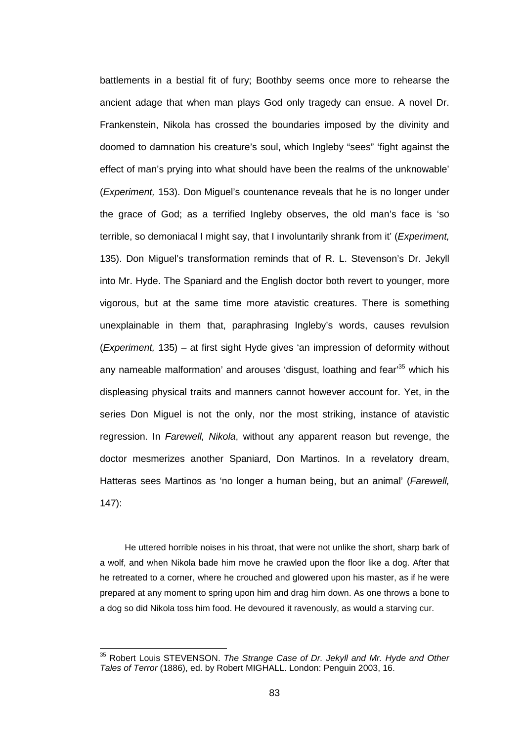battlements in a bestial fit of fury; Boothby seems once more to rehearse the ancient adage that when man plays God only tragedy can ensue. A novel Dr. Frankenstein, Nikola has crossed the boundaries imposed by the divinity and doomed to damnation his creature's soul, which Ingleby "sees" 'fight against the effect of man's prying into what should have been the realms of the unknowable' (Experiment, 153). Don Miguel's countenance reveals that he is no longer under the grace of God; as a terrified Ingleby observes, the old man's face is 'so terrible, so demoniacal I might say, that I involuntarily shrank from it' (*Experiment*, 135). Don Miguel's transformation reminds that of R. L. Stevenson's Dr. Jekyll into Mr. Hyde. The Spaniard and the English doctor both revert to younger, more vigorous, but at the same time more atavistic creatures. There is something unexplainable in them that, paraphrasing Ingleby's words, causes revulsion (Experiment, 135) – at first sight Hyde gives 'an impression of deformity without any nameable malformation' and arouses 'disgust, loathing and fear<sup>35</sup> which his displeasing physical traits and manners cannot however account for. Yet, in the series Don Miguel is not the only, nor the most striking, instance of atavistic regression. In Farewell, Nikola, without any apparent reason but revenge, the doctor mesmerizes another Spaniard, Don Martinos. In a revelatory dream, Hatteras sees Martinos as 'no longer a human being, but an animal' (Farewell, 147):

He uttered horrible noises in his throat, that were not unlike the short, sharp bark of a wolf, and when Nikola bade him move he crawled upon the floor like a dog. After that he retreated to a corner, where he crouched and glowered upon his master, as if he were prepared at any moment to spring upon him and drag him down. As one throws a bone to a dog so did Nikola toss him food. He devoured it ravenously, as would a starving cur.

 $\overline{\phantom{a}}$ 

 $35$  Robert Louis STEVENSON. The Strange Case of Dr. Jekyll and Mr. Hyde and Other Tales of Terror (1886), ed. by Robert MIGHALL. London: Penguin 2003, 16.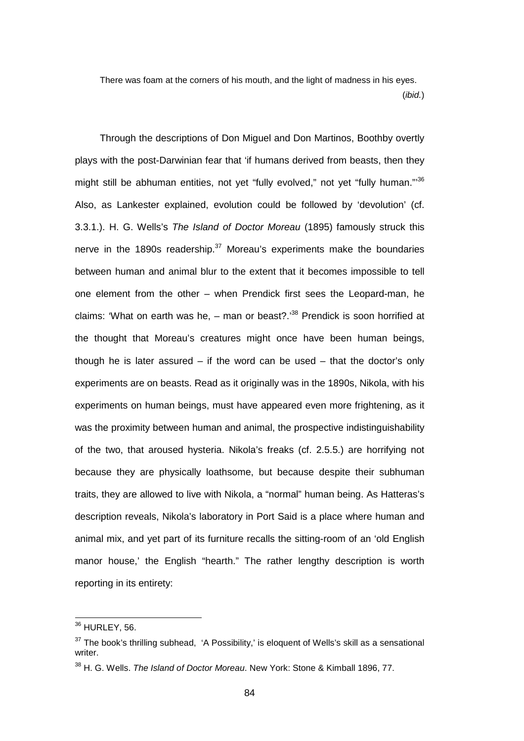There was foam at the corners of his mouth, and the light of madness in his eyes. (ibid.)

Through the descriptions of Don Miguel and Don Martinos, Boothby overtly plays with the post-Darwinian fear that 'if humans derived from beasts, then they might still be abhuman entities, not yet "fully evolved," not yet "fully human."<sup>36</sup> Also, as Lankester explained, evolution could be followed by 'devolution' (cf. 3.3.1.). H. G. Wells's The Island of Doctor Moreau (1895) famously struck this nerve in the 1890s readership. $37$  Moreau's experiments make the boundaries between human and animal blur to the extent that it becomes impossible to tell one element from the other – when Prendick first sees the Leopard-man, he claims: 'What on earth was he,  $-$  man or beast?.<sup>38</sup> Prendick is soon horrified at the thought that Moreau's creatures might once have been human beings, though he is later assured – if the word can be used – that the doctor's only experiments are on beasts. Read as it originally was in the 1890s, Nikola, with his experiments on human beings, must have appeared even more frightening, as it was the proximity between human and animal, the prospective indistinguishability of the two, that aroused hysteria. Nikola's freaks (cf. 2.5.5.) are horrifying not because they are physically loathsome, but because despite their subhuman traits, they are allowed to live with Nikola, a "normal" human being. As Hatteras's description reveals, Nikola's laboratory in Port Said is a place where human and animal mix, and yet part of its furniture recalls the sitting-room of an 'old English manor house,' the English "hearth." The rather lengthy description is worth reporting in its entirety:

<sup>36</sup> HURLEY, 56.

 $37$  The book's thrilling subhead, 'A Possibility,' is eloquent of Wells's skill as a sensational writer.

 $38$  H. G. Wells. The Island of Doctor Moreau. New York: Stone & Kimball 1896, 77.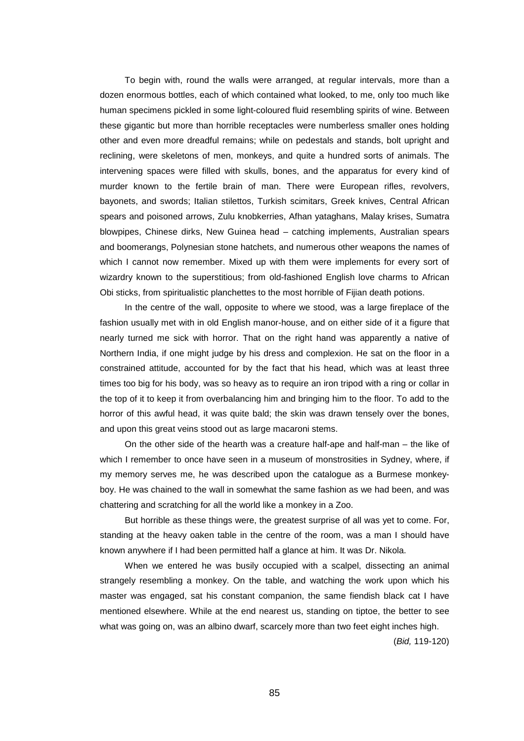To begin with, round the walls were arranged, at regular intervals, more than a dozen enormous bottles, each of which contained what looked, to me, only too much like human specimens pickled in some light-coloured fluid resembling spirits of wine. Between these gigantic but more than horrible receptacles were numberless smaller ones holding other and even more dreadful remains; while on pedestals and stands, bolt upright and reclining, were skeletons of men, monkeys, and quite a hundred sorts of animals. The intervening spaces were filled with skulls, bones, and the apparatus for every kind of murder known to the fertile brain of man. There were European rifles, revolvers, bayonets, and swords; Italian stilettos, Turkish scimitars, Greek knives, Central African spears and poisoned arrows, Zulu knobkerries, Afhan yataghans, Malay krises, Sumatra blowpipes, Chinese dirks, New Guinea head – catching implements, Australian spears and boomerangs, Polynesian stone hatchets, and numerous other weapons the names of which I cannot now remember. Mixed up with them were implements for every sort of wizardry known to the superstitious; from old-fashioned English love charms to African Obi sticks, from spiritualistic planchettes to the most horrible of Fijian death potions.

In the centre of the wall, opposite to where we stood, was a large fireplace of the fashion usually met with in old English manor-house, and on either side of it a figure that nearly turned me sick with horror. That on the right hand was apparently a native of Northern India, if one might judge by his dress and complexion. He sat on the floor in a constrained attitude, accounted for by the fact that his head, which was at least three times too big for his body, was so heavy as to require an iron tripod with a ring or collar in the top of it to keep it from overbalancing him and bringing him to the floor. To add to the horror of this awful head, it was quite bald; the skin was drawn tensely over the bones, and upon this great veins stood out as large macaroni stems.

On the other side of the hearth was a creature half-ape and half-man – the like of which I remember to once have seen in a museum of monstrosities in Sydney, where, if my memory serves me, he was described upon the catalogue as a Burmese monkeyboy. He was chained to the wall in somewhat the same fashion as we had been, and was chattering and scratching for all the world like a monkey in a Zoo.

But horrible as these things were, the greatest surprise of all was yet to come. For, standing at the heavy oaken table in the centre of the room, was a man I should have known anywhere if I had been permitted half a glance at him. It was Dr. Nikola.

When we entered he was busily occupied with a scalpel, dissecting an animal strangely resembling a monkey. On the table, and watching the work upon which his master was engaged, sat his constant companion, the same fiendish black cat I have mentioned elsewhere. While at the end nearest us, standing on tiptoe, the better to see what was going on, was an albino dwarf, scarcely more than two feet eight inches high.

(Bid, 119-120)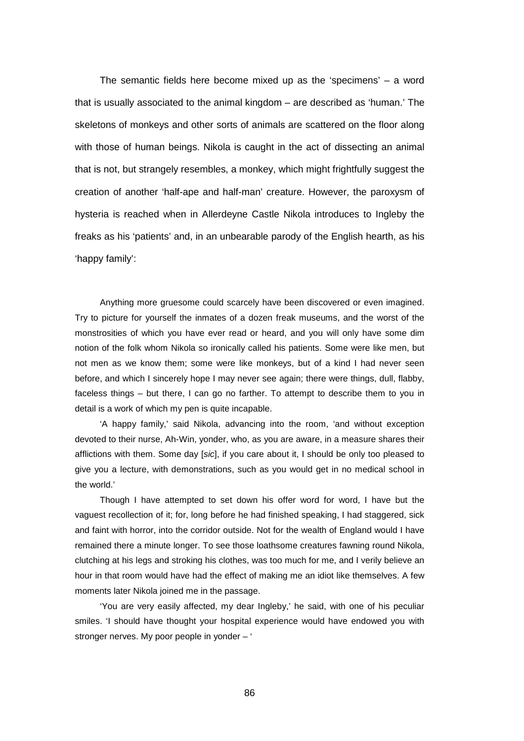The semantic fields here become mixed up as the 'specimens' – a word that is usually associated to the animal kingdom – are described as 'human.' The skeletons of monkeys and other sorts of animals are scattered on the floor along with those of human beings. Nikola is caught in the act of dissecting an animal that is not, but strangely resembles, a monkey, which might frightfully suggest the creation of another 'half-ape and half-man' creature. However, the paroxysm of hysteria is reached when in Allerdeyne Castle Nikola introduces to Ingleby the freaks as his 'patients' and, in an unbearable parody of the English hearth, as his 'happy family':

Anything more gruesome could scarcely have been discovered or even imagined. Try to picture for yourself the inmates of a dozen freak museums, and the worst of the monstrosities of which you have ever read or heard, and you will only have some dim notion of the folk whom Nikola so ironically called his patients. Some were like men, but not men as we know them; some were like monkeys, but of a kind I had never seen before, and which I sincerely hope I may never see again; there were things, dull, flabby, faceless things – but there, I can go no farther. To attempt to describe them to you in detail is a work of which my pen is quite incapable.

'A happy family,' said Nikola, advancing into the room, 'and without exception devoted to their nurse, Ah-Win, yonder, who, as you are aware, in a measure shares their afflictions with them. Some day [sic], if you care about it, I should be only too pleased to give you a lecture, with demonstrations, such as you would get in no medical school in the world.'

Though I have attempted to set down his offer word for word, I have but the vaguest recollection of it; for, long before he had finished speaking, I had staggered, sick and faint with horror, into the corridor outside. Not for the wealth of England would I have remained there a minute longer. To see those loathsome creatures fawning round Nikola, clutching at his legs and stroking his clothes, was too much for me, and I verily believe an hour in that room would have had the effect of making me an idiot like themselves. A few moments later Nikola joined me in the passage.

'You are very easily affected, my dear Ingleby,' he said, with one of his peculiar smiles. 'I should have thought your hospital experience would have endowed you with stronger nerves. My poor people in yonder – '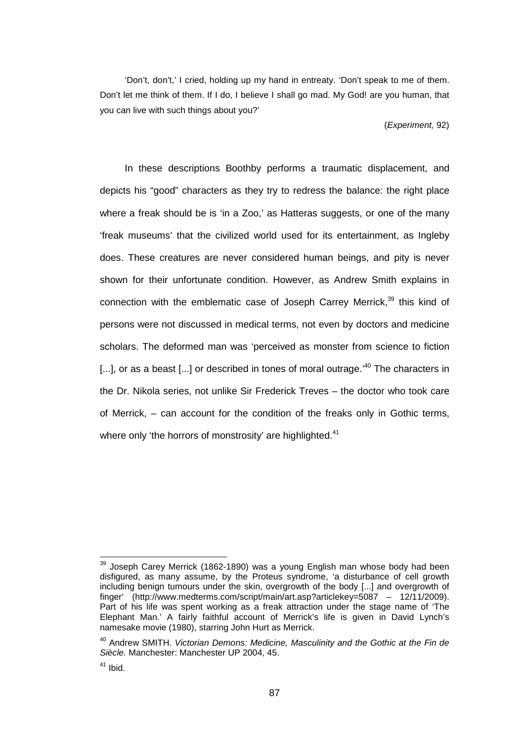'Don't, don't,' I cried, holding up my hand in entreaty. 'Don't speak to me of them. Don't let me think of them. If I do, I believe I shall go mad. My God! are you human, that you can live with such things about you?'

(Experiment, 92)

In these descriptions Boothby performs a traumatic displacement, and depicts his "good" characters as they try to redress the balance: the right place where a freak should be is 'in a Zoo,' as Hatteras suggests, or one of the many 'freak museums' that the civilized world used for its entertainment, as Ingleby does. These creatures are never considered human beings, and pity is never shown for their unfortunate condition. However, as Andrew Smith explains in connection with the emblematic case of Joseph Carrey Merrick,<sup>39</sup> this kind of persons were not discussed in medical terms, not even by doctors and medicine scholars. The deformed man was 'perceived as monster from science to fiction [...], or as a beast [...] or described in tones of moral outrage.<sup>40</sup> The characters in the Dr. Nikola series, not unlike Sir Frederick Treves – the doctor who took care of Merrick, – can account for the condition of the freaks only in Gothic terms, where only 'the horrors of monstrosity' are highlighted.<sup>41</sup>

  $39$  Joseph Carey Merrick (1862-1890) was a young English man whose body had been disfigured, as many assume, by the Proteus syndrome, 'a disturbance of cell growth including benign tumours under the skin, overgrowth of the body [...] and overgrowth of finger' (http://www.medterms.com/script/main/art.asp?articlekey=5087 – 12/11/2009). Part of his life was spent working as a freak attraction under the stage name of 'The Elephant Man.' A fairly faithful account of Merrick's life is given in David Lynch's namesake movie (1980), starring John Hurt as Merrick.

<sup>&</sup>lt;sup>40</sup> Andrew SMITH. Victorian Demons: Medicine, Masculinity and the Gothic at the Fin de Siècle. Manchester: Manchester UP 2004, 45.

 $41$  Ibid.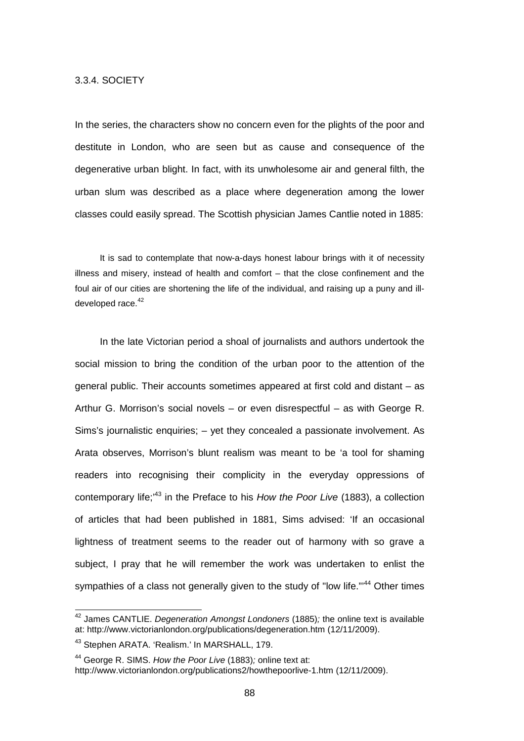#### 3.3.4. SOCIETY

In the series, the characters show no concern even for the plights of the poor and destitute in London, who are seen but as cause and consequence of the degenerative urban blight. In fact, with its unwholesome air and general filth, the urban slum was described as a place where degeneration among the lower classes could easily spread. The Scottish physician James Cantlie noted in 1885:

It is sad to contemplate that now-a-days honest labour brings with it of necessity illness and misery, instead of health and comfort – that the close confinement and the foul air of our cities are shortening the life of the individual, and raising up a puny and illdeveloped race.<sup>42</sup>

In the late Victorian period a shoal of journalists and authors undertook the social mission to bring the condition of the urban poor to the attention of the general public. Their accounts sometimes appeared at first cold and distant – as Arthur G. Morrison's social novels – or even disrespectful – as with George R. Sims's journalistic enquiries; – yet they concealed a passionate involvement. As Arata observes, Morrison's blunt realism was meant to be 'a tool for shaming readers into recognising their complicity in the everyday oppressions of contemporary life;<sup>43</sup> in the Preface to his How the Poor Live (1883), a collection of articles that had been published in 1881, Sims advised: 'If an occasional lightness of treatment seems to the reader out of harmony with so grave a subject, I pray that he will remember the work was undertaken to enlist the sympathies of a class not generally given to the study of "low life."<sup>44</sup> Other times

 $42$  James CANTLIE. Degeneration Amongst Londoners (1885); the online text is available at: http://www.victorianlondon.org/publications/degeneration.htm (12/11/2009).

<sup>43</sup> Stephen ARATA. 'Realism.' In MARSHALL, 179.

<sup>&</sup>lt;sup>44</sup> George R. SIMS. How the Poor Live (1883); online text at: http://www.victorianlondon.org/publications2/howthepoorlive-1.htm (12/11/2009).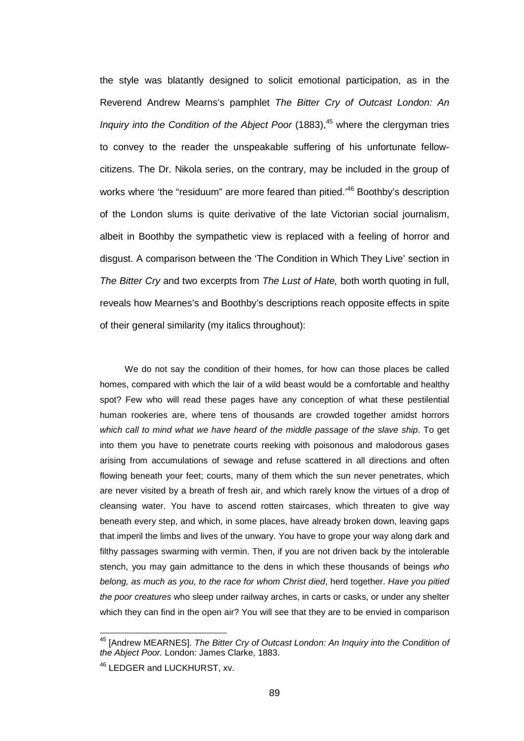the style was blatantly designed to solicit emotional participation, as in the Reverend Andrew Mearns's pamphlet The Bitter Cry of Outcast London: An Inquiry into the Condition of the Abject Poor  $(1883)$ ,<sup>45</sup> where the clergyman tries to convey to the reader the unspeakable suffering of his unfortunate fellowcitizens. The Dr. Nikola series, on the contrary, may be included in the group of works where 'the "residuum" are more feared than pitied.<sup>46</sup> Boothby's description of the London slums is quite derivative of the late Victorian social journalism, albeit in Boothby the sympathetic view is replaced with a feeling of horror and disgust. A comparison between the 'The Condition in Which They Live' section in The Bitter Cry and two excerpts from The Lust of Hate, both worth quoting in full, reveals how Mearnes's and Boothby's descriptions reach opposite effects in spite of their general similarity (my italics throughout):

We do not say the condition of their homes, for how can those places be called homes, compared with which the lair of a wild beast would be a comfortable and healthy spot? Few who will read these pages have any conception of what these pestilential human rookeries are, where tens of thousands are crowded together amidst horrors which call to mind what we have heard of the middle passage of the slave ship. To get into them you have to penetrate courts reeking with poisonous and malodorous gases arising from accumulations of sewage and refuse scattered in all directions and often flowing beneath your feet; courts, many of them which the sun never penetrates, which are never visited by a breath of fresh air, and which rarely know the virtues of a drop of cleansing water. You have to ascend rotten staircases, which threaten to give way beneath every step, and which, in some places, have already broken down, leaving gaps that imperil the limbs and lives of the unwary. You have to grope your way along dark and filthy passages swarming with vermin. Then, if you are not driven back by the intolerable stench, you may gain admittance to the dens in which these thousands of beings who belong, as much as you, to the race for whom Christ died, herd together. Have you pitied the poor creatures who sleep under railway arches, in carts or casks, or under any shelter which they can find in the open air? You will see that they are to be envied in comparison

<sup>&</sup>lt;sup>45</sup> [Andrew MEARNES]. The Bitter Cry of Outcast London: An Inquiry into the Condition of the Abject Poor. London: James Clarke, 1883.

<sup>&</sup>lt;sup>46</sup> LEDGER and LUCKHURST, xv.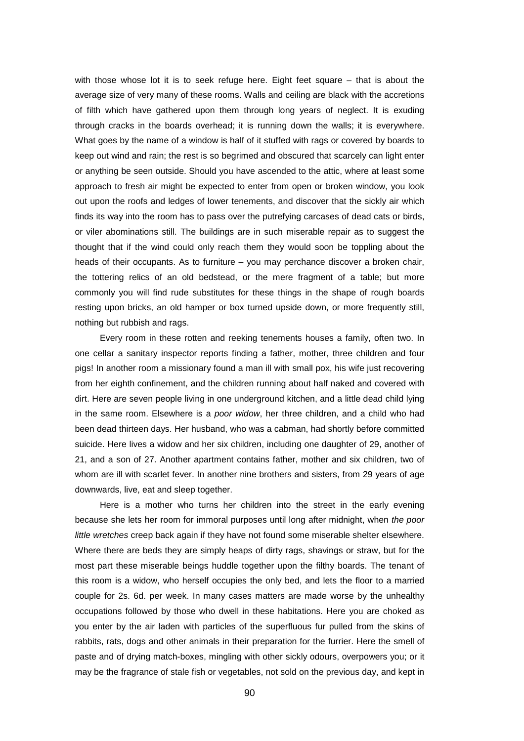with those whose lot it is to seek refuge here. Eight feet square – that is about the average size of very many of these rooms. Walls and ceiling are black with the accretions of filth which have gathered upon them through long years of neglect. It is exuding through cracks in the boards overhead; it is running down the walls; it is everywhere. What goes by the name of a window is half of it stuffed with rags or covered by boards to keep out wind and rain; the rest is so begrimed and obscured that scarcely can light enter or anything be seen outside. Should you have ascended to the attic, where at least some approach to fresh air might be expected to enter from open or broken window, you look out upon the roofs and ledges of lower tenements, and discover that the sickly air which finds its way into the room has to pass over the putrefying carcases of dead cats or birds, or viler abominations still. The buildings are in such miserable repair as to suggest the thought that if the wind could only reach them they would soon be toppling about the heads of their occupants. As to furniture – you may perchance discover a broken chair, the tottering relics of an old bedstead, or the mere fragment of a table; but more commonly you will find rude substitutes for these things in the shape of rough boards resting upon bricks, an old hamper or box turned upside down, or more frequently still, nothing but rubbish and rags.

Every room in these rotten and reeking tenements houses a family, often two. In one cellar a sanitary inspector reports finding a father, mother, three children and four pigs! In another room a missionary found a man ill with small pox, his wife just recovering from her eighth confinement, and the children running about half naked and covered with dirt. Here are seven people living in one underground kitchen, and a little dead child lying in the same room. Elsewhere is a poor widow, her three children, and a child who had been dead thirteen days. Her husband, who was a cabman, had shortly before committed suicide. Here lives a widow and her six children, including one daughter of 29, another of 21, and a son of 27. Another apartment contains father, mother and six children, two of whom are ill with scarlet fever. In another nine brothers and sisters, from 29 years of age downwards, live, eat and sleep together.

Here is a mother who turns her children into the street in the early evening because she lets her room for immoral purposes until long after midnight, when the poor little wretches creep back again if they have not found some miserable shelter elsewhere. Where there are beds they are simply heaps of dirty rags, shavings or straw, but for the most part these miserable beings huddle together upon the filthy boards. The tenant of this room is a widow, who herself occupies the only bed, and lets the floor to a married couple for 2s. 6d. per week. In many cases matters are made worse by the unhealthy occupations followed by those who dwell in these habitations. Here you are choked as you enter by the air laden with particles of the superfluous fur pulled from the skins of rabbits, rats, dogs and other animals in their preparation for the furrier. Here the smell of paste and of drying match-boxes, mingling with other sickly odours, overpowers you; or it may be the fragrance of stale fish or vegetables, not sold on the previous day, and kept in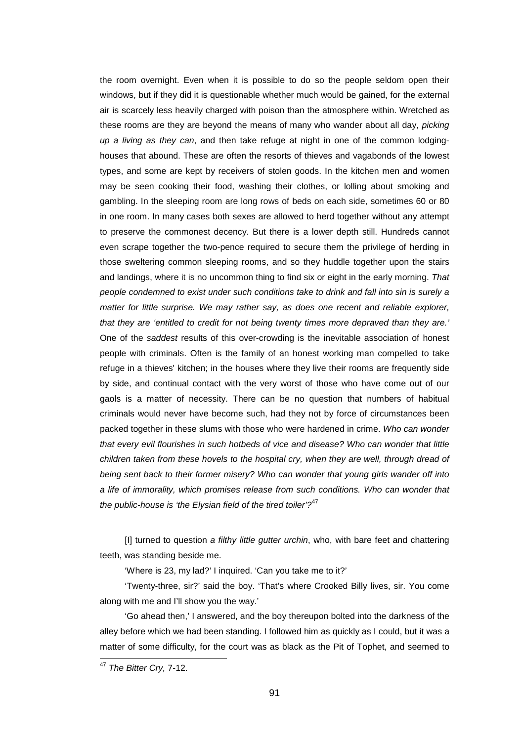the room overnight. Even when it is possible to do so the people seldom open their windows, but if they did it is questionable whether much would be gained, for the external air is scarcely less heavily charged with poison than the atmosphere within. Wretched as these rooms are they are beyond the means of many who wander about all day, picking up a living as they can, and then take refuge at night in one of the common lodginghouses that abound. These are often the resorts of thieves and vagabonds of the lowest types, and some are kept by receivers of stolen goods. In the kitchen men and women may be seen cooking their food, washing their clothes, or lolling about smoking and gambling. In the sleeping room are long rows of beds on each side, sometimes 60 or 80 in one room. In many cases both sexes are allowed to herd together without any attempt to preserve the commonest decency. But there is a lower depth still. Hundreds cannot even scrape together the two-pence required to secure them the privilege of herding in those sweltering common sleeping rooms, and so they huddle together upon the stairs and landings, where it is no uncommon thing to find six or eight in the early morning. That people condemned to exist under such conditions take to drink and fall into sin is surely a matter for little surprise. We may rather say, as does one recent and reliable explorer, that they are 'entitled to credit for not being twenty times more depraved than they are.' One of the saddest results of this over-crowding is the inevitable association of honest people with criminals. Often is the family of an honest working man compelled to take refuge in a thieves' kitchen; in the houses where they live their rooms are frequently side by side, and continual contact with the very worst of those who have come out of our gaols is a matter of necessity. There can be no question that numbers of habitual criminals would never have become such, had they not by force of circumstances been packed together in these slums with those who were hardened in crime. Who can wonder that every evil flourishes in such hotbeds of vice and disease? Who can wonder that little children taken from these hovels to the hospital cry, when they are well, through dread of being sent back to their former misery? Who can wonder that young girls wander off into a life of immorality, which promises release from such conditions. Who can wonder that the public-house is 'the Elysian field of the tired toiler'? $47$ 

[I] turned to question a filthy little gutter urchin, who, with bare feet and chattering teeth, was standing beside me.

'Where is 23, my lad?' I inquired. 'Can you take me to it?'

'Twenty-three, sir?' said the boy. 'That's where Crooked Billy lives, sir. You come along with me and I'll show you the way.'

'Go ahead then,' I answered, and the boy thereupon bolted into the darkness of the alley before which we had been standing. I followed him as quickly as I could, but it was a matter of some difficulty, for the court was as black as the Pit of Tophet, and seemed to

 $\overline{\phantom{a}}$ 

 $47$  The Bitter Cry, 7-12.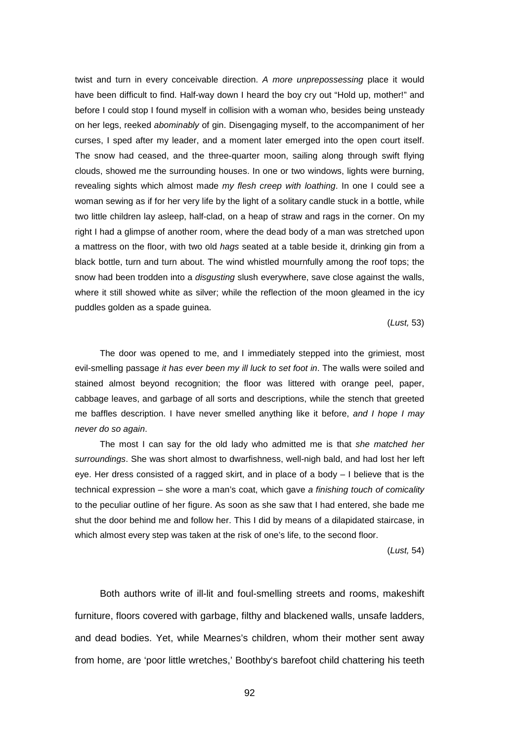twist and turn in every conceivable direction. A more unprepossessing place it would have been difficult to find. Half-way down I heard the boy cry out "Hold up, mother!" and before I could stop I found myself in collision with a woman who, besides being unsteady on her legs, reeked abominably of gin. Disengaging myself, to the accompaniment of her curses, I sped after my leader, and a moment later emerged into the open court itself. The snow had ceased, and the three-quarter moon, sailing along through swift flying clouds, showed me the surrounding houses. In one or two windows, lights were burning, revealing sights which almost made my flesh creep with loathing. In one I could see a woman sewing as if for her very life by the light of a solitary candle stuck in a bottle, while two little children lay asleep, half-clad, on a heap of straw and rags in the corner. On my right I had a glimpse of another room, where the dead body of a man was stretched upon a mattress on the floor, with two old hags seated at a table beside it, drinking gin from a black bottle, turn and turn about. The wind whistled mournfully among the roof tops; the snow had been trodden into a *disgusting* slush everywhere, save close against the walls, where it still showed white as silver; while the reflection of the moon gleamed in the icy puddles golden as a spade guinea.

(Lust, 53)

The door was opened to me, and I immediately stepped into the grimiest, most evil-smelling passage it has ever been my ill luck to set foot in. The walls were soiled and stained almost beyond recognition; the floor was littered with orange peel, paper, cabbage leaves, and garbage of all sorts and descriptions, while the stench that greeted me baffles description. I have never smelled anything like it before, and I hope I may never do so again.

The most I can say for the old lady who admitted me is that she matched her surroundings. She was short almost to dwarfishness, well-nigh bald, and had lost her left eye. Her dress consisted of a ragged skirt, and in place of a body – I believe that is the technical expression – she wore a man's coat, which gave a finishing touch of comicality to the peculiar outline of her figure. As soon as she saw that I had entered, she bade me shut the door behind me and follow her. This I did by means of a dilapidated staircase, in which almost every step was taken at the risk of one's life, to the second floor.

(Lust, 54)

Both authors write of ill-lit and foul-smelling streets and rooms, makeshift furniture, floors covered with garbage, filthy and blackened walls, unsafe ladders, and dead bodies. Yet, while Mearnes's children, whom their mother sent away from home, are 'poor little wretches,' Boothby's barefoot child chattering his teeth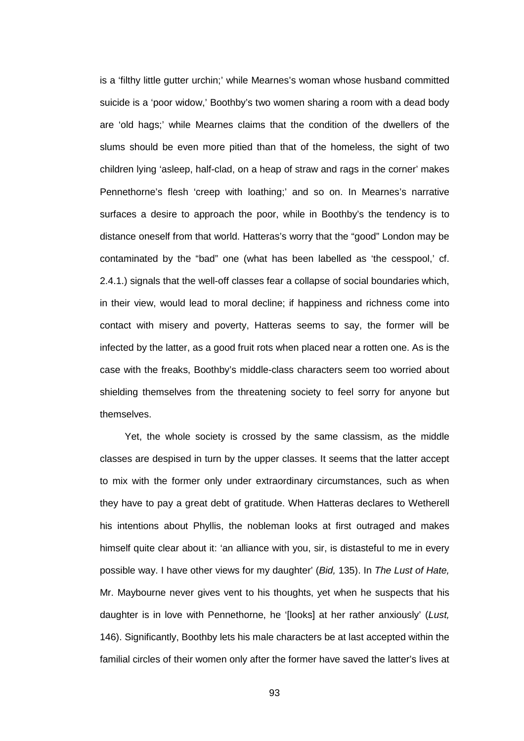is a 'filthy little gutter urchin;' while Mearnes's woman whose husband committed suicide is a 'poor widow,' Boothby's two women sharing a room with a dead body are 'old hags;' while Mearnes claims that the condition of the dwellers of the slums should be even more pitied than that of the homeless, the sight of two children lying 'asleep, half-clad, on a heap of straw and rags in the corner' makes Pennethorne's flesh 'creep with loathing;' and so on. In Mearnes's narrative surfaces a desire to approach the poor, while in Boothby's the tendency is to distance oneself from that world. Hatteras's worry that the "good" London may be contaminated by the "bad" one (what has been labelled as 'the cesspool,' cf. 2.4.1.) signals that the well-off classes fear a collapse of social boundaries which, in their view, would lead to moral decline; if happiness and richness come into contact with misery and poverty, Hatteras seems to say, the former will be infected by the latter, as a good fruit rots when placed near a rotten one. As is the case with the freaks, Boothby's middle-class characters seem too worried about shielding themselves from the threatening society to feel sorry for anyone but themselves.

Yet, the whole society is crossed by the same classism, as the middle classes are despised in turn by the upper classes. It seems that the latter accept to mix with the former only under extraordinary circumstances, such as when they have to pay a great debt of gratitude. When Hatteras declares to Wetherell his intentions about Phyllis, the nobleman looks at first outraged and makes himself quite clear about it: 'an alliance with you, sir, is distasteful to me in every possible way. I have other views for my daughter' (Bid, 135). In The Lust of Hate, Mr. Maybourne never gives vent to his thoughts, yet when he suspects that his daughter is in love with Pennethorne, he '[looks] at her rather anxiously' (Lust, 146). Significantly, Boothby lets his male characters be at last accepted within the familial circles of their women only after the former have saved the latter's lives at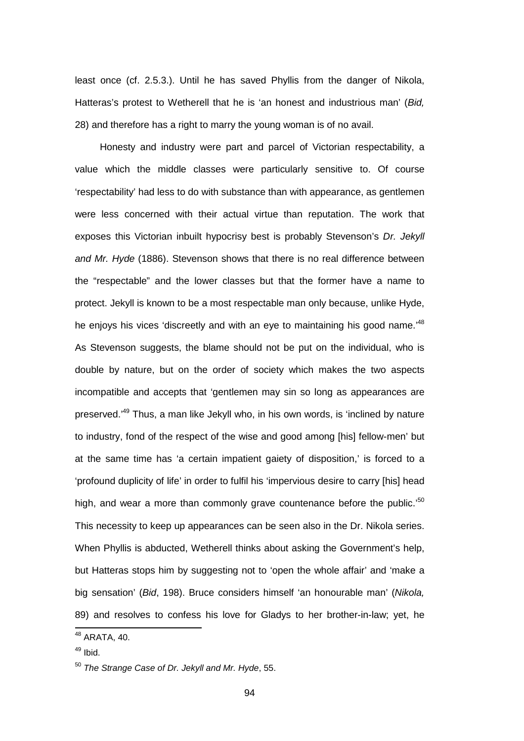least once (cf. 2.5.3.). Until he has saved Phyllis from the danger of Nikola, Hatteras's protest to Wetherell that he is 'an honest and industrious man' (Bid, 28) and therefore has a right to marry the young woman is of no avail.

Honesty and industry were part and parcel of Victorian respectability, a value which the middle classes were particularly sensitive to. Of course 'respectability' had less to do with substance than with appearance, as gentlemen were less concerned with their actual virtue than reputation. The work that exposes this Victorian inbuilt hypocrisy best is probably Stevenson's Dr. Jekyll and Mr. Hyde (1886). Stevenson shows that there is no real difference between the "respectable" and the lower classes but that the former have a name to protect. Jekyll is known to be a most respectable man only because, unlike Hyde, he enjoys his vices 'discreetly and with an eye to maintaining his good name.<sup>148</sup> As Stevenson suggests, the blame should not be put on the individual, who is double by nature, but on the order of society which makes the two aspects incompatible and accepts that 'gentlemen may sin so long as appearances are preserved.'<sup>49</sup> Thus, a man like Jekyll who, in his own words, is 'inclined by nature to industry, fond of the respect of the wise and good among [his] fellow-men' but at the same time has 'a certain impatient gaiety of disposition,' is forced to a 'profound duplicity of life' in order to fulfil his 'impervious desire to carry [his] head high, and wear a more than commonly grave countenance before the public.'<sup>50</sup> This necessity to keep up appearances can be seen also in the Dr. Nikola series. When Phyllis is abducted, Wetherell thinks about asking the Government's help, but Hatteras stops him by suggesting not to 'open the whole affair' and 'make a big sensation' (Bid, 198). Bruce considers himself 'an honourable man' (Nikola, 89) and resolves to confess his love for Gladys to her brother-in-law; yet, he

 $48$  ARATA, 40.

 $49$  Ibid.

 $50$  The Strange Case of Dr. Jekyll and Mr. Hyde, 55.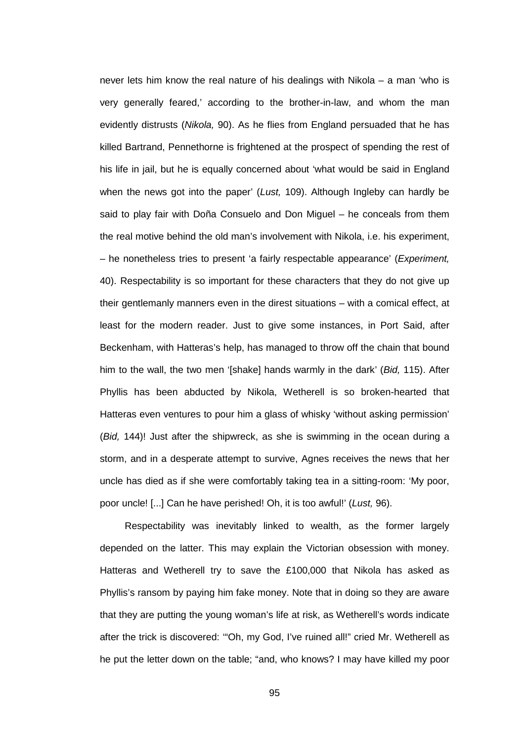never lets him know the real nature of his dealings with Nikola – a man 'who is very generally feared,' according to the brother-in-law, and whom the man evidently distrusts (Nikola, 90). As he flies from England persuaded that he has killed Bartrand, Pennethorne is frightened at the prospect of spending the rest of his life in jail, but he is equally concerned about 'what would be said in England when the news got into the paper' (Lust, 109). Although Ingleby can hardly be said to play fair with Doña Consuelo and Don Miguel – he conceals from them the real motive behind the old man's involvement with Nikola, i.e. his experiment, – he nonetheless tries to present 'a fairly respectable appearance' (Experiment, 40). Respectability is so important for these characters that they do not give up their gentlemanly manners even in the direst situations – with a comical effect, at least for the modern reader. Just to give some instances, in Port Said, after Beckenham, with Hatteras's help, has managed to throw off the chain that bound him to the wall, the two men '[shake] hands warmly in the dark' (*Bid,* 115). After Phyllis has been abducted by Nikola, Wetherell is so broken-hearted that Hatteras even ventures to pour him a glass of whisky 'without asking permission' (Bid, 144)! Just after the shipwreck, as she is swimming in the ocean during a storm, and in a desperate attempt to survive, Agnes receives the news that her uncle has died as if she were comfortably taking tea in a sitting-room: 'My poor, poor uncle! [...] Can he have perished! Oh, it is too awful!' (Lust, 96).

Respectability was inevitably linked to wealth, as the former largely depended on the latter. This may explain the Victorian obsession with money. Hatteras and Wetherell try to save the £100,000 that Nikola has asked as Phyllis's ransom by paying him fake money. Note that in doing so they are aware that they are putting the young woman's life at risk, as Wetherell's words indicate after the trick is discovered: '"Oh, my God, I've ruined all!" cried Mr. Wetherell as he put the letter down on the table; "and, who knows? I may have killed my poor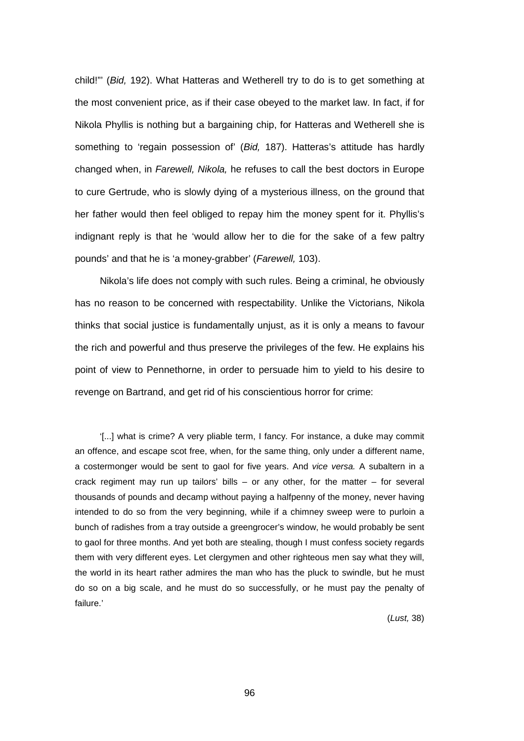child!"' (Bid, 192). What Hatteras and Wetherell try to do is to get something at the most convenient price, as if their case obeyed to the market law. In fact, if for Nikola Phyllis is nothing but a bargaining chip, for Hatteras and Wetherell she is something to 'regain possession of' (Bid, 187). Hatteras's attitude has hardly changed when, in Farewell, Nikola, he refuses to call the best doctors in Europe to cure Gertrude, who is slowly dying of a mysterious illness, on the ground that her father would then feel obliged to repay him the money spent for it. Phyllis's indignant reply is that he 'would allow her to die for the sake of a few paltry pounds' and that he is 'a money-grabber' (Farewell, 103).

Nikola's life does not comply with such rules. Being a criminal, he obviously has no reason to be concerned with respectability. Unlike the Victorians, Nikola thinks that social justice is fundamentally unjust, as it is only a means to favour the rich and powerful and thus preserve the privileges of the few. He explains his point of view to Pennethorne, in order to persuade him to yield to his desire to revenge on Bartrand, and get rid of his conscientious horror for crime:

'[...] what is crime? A very pliable term, I fancy. For instance, a duke may commit an offence, and escape scot free, when, for the same thing, only under a different name, a costermonger would be sent to gaol for five years. And vice versa. A subaltern in a crack regiment may run up tailors' bills – or any other, for the matter – for several thousands of pounds and decamp without paying a halfpenny of the money, never having intended to do so from the very beginning, while if a chimney sweep were to purloin a bunch of radishes from a tray outside a greengrocer's window, he would probably be sent to gaol for three months. And yet both are stealing, though I must confess society regards them with very different eyes. Let clergymen and other righteous men say what they will, the world in its heart rather admires the man who has the pluck to swindle, but he must do so on a big scale, and he must do so successfully, or he must pay the penalty of failure.'

(Lust, 38)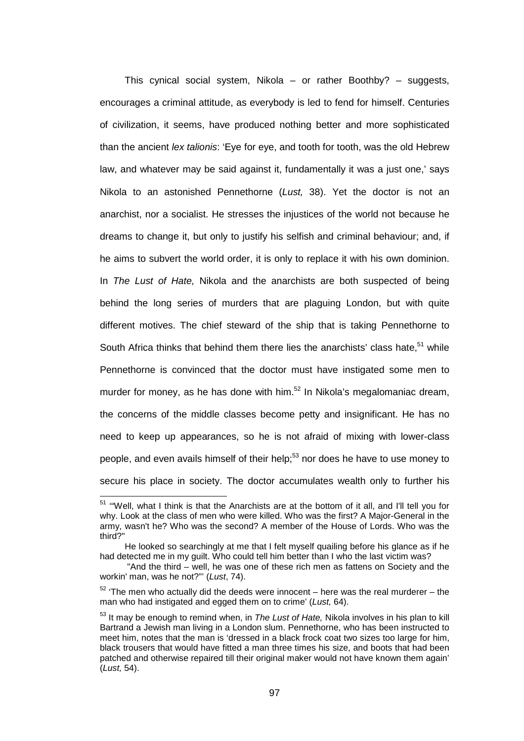This cynical social system, Nikola – or rather Boothby? – suggests, encourages a criminal attitude, as everybody is led to fend for himself. Centuries of civilization, it seems, have produced nothing better and more sophisticated than the ancient lex talionis: 'Eye for eye, and tooth for tooth, was the old Hebrew law, and whatever may be said against it, fundamentally it was a just one,' says Nikola to an astonished Pennethorne (Lust, 38). Yet the doctor is not an anarchist, nor a socialist. He stresses the injustices of the world not because he dreams to change it, but only to justify his selfish and criminal behaviour; and, if he aims to subvert the world order, it is only to replace it with his own dominion. In The Lust of Hate, Nikola and the anarchists are both suspected of being behind the long series of murders that are plaguing London, but with quite different motives. The chief steward of the ship that is taking Pennethorne to South Africa thinks that behind them there lies the anarchists' class hate,<sup>51</sup> while Pennethorne is convinced that the doctor must have instigated some men to murder for money, as he has done with him.<sup>52</sup> In Nikola's megalomaniac dream, the concerns of the middle classes become petty and insignificant. He has no need to keep up appearances, so he is not afraid of mixing with lower-class people, and even avails himself of their help;<sup>53</sup> nor does he have to use money to secure his place in society. The doctor accumulates wealth only to further his

<sup>&</sup>lt;sup>51</sup> "Well, what I think is that the Anarchists are at the bottom of it all, and I'll tell you for why. Look at the class of men who were killed. Who was the first? A Major-General in the army, wasn't he? Who was the second? A member of the House of Lords. Who was the third?"

He looked so searchingly at me that I felt myself quailing before his glance as if he had detected me in my guilt. Who could tell him better than I who the last victim was?

 <sup>&</sup>quot;And the third – well, he was one of these rich men as fattens on Society and the workin' man, was he not?"" (Lust, 74).

 $52$  'The men who actually did the deeds were innocent – here was the real murderer – the man who had instigated and egged them on to crime' (Lust, 64).

 $53$  It may be enough to remind when, in The Lust of Hate, Nikola involves in his plan to kill Bartrand a Jewish man living in a London slum. Pennethorne, who has been instructed to meet him, notes that the man is 'dressed in a black frock coat two sizes too large for him, black trousers that would have fitted a man three times his size, and boots that had been patched and otherwise repaired till their original maker would not have known them again' (Lust, 54).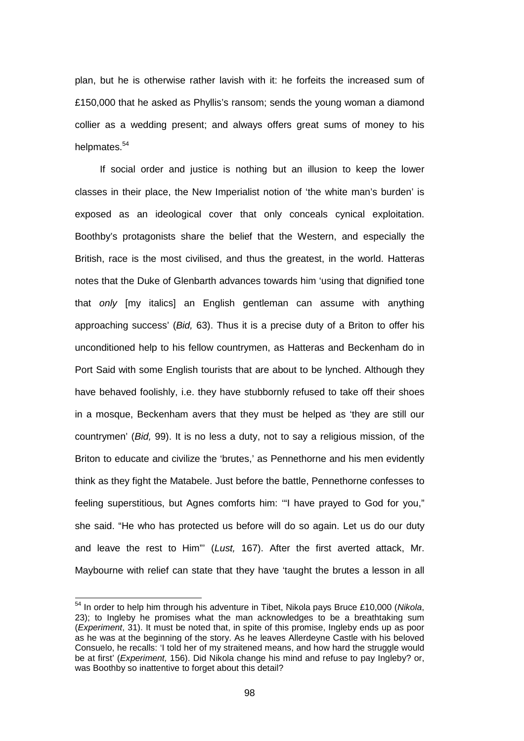plan, but he is otherwise rather lavish with it: he forfeits the increased sum of £150,000 that he asked as Phyllis's ransom; sends the young woman a diamond collier as a wedding present; and always offers great sums of money to his helpmates.<sup>54</sup>

If social order and justice is nothing but an illusion to keep the lower classes in their place, the New Imperialist notion of 'the white man's burden' is exposed as an ideological cover that only conceals cynical exploitation. Boothby's protagonists share the belief that the Western, and especially the British, race is the most civilised, and thus the greatest, in the world. Hatteras notes that the Duke of Glenbarth advances towards him 'using that dignified tone that only [my italics] an English gentleman can assume with anything approaching success' (Bid, 63). Thus it is a precise duty of a Briton to offer his unconditioned help to his fellow countrymen, as Hatteras and Beckenham do in Port Said with some English tourists that are about to be lynched. Although they have behaved foolishly, i.e. they have stubbornly refused to take off their shoes in a mosque, Beckenham avers that they must be helped as 'they are still our countrymen' (Bid, 99). It is no less a duty, not to say a religious mission, of the Briton to educate and civilize the 'brutes,' as Pennethorne and his men evidently think as they fight the Matabele. Just before the battle, Pennethorne confesses to feeling superstitious, but Agnes comforts him: '"I have prayed to God for you," she said. "He who has protected us before will do so again. Let us do our duty and leave the rest to Him"' (Lust, 167). After the first averted attack, Mr. Maybourne with relief can state that they have 'taught the brutes a lesson in all

 $\overline{a}$ 

 $54$  In order to help him through his adventure in Tibet, Nikola pays Bruce £10,000 (Nikola, 23); to Ingleby he promises what the man acknowledges to be a breathtaking sum (Experiment, 31). It must be noted that, in spite of this promise, Ingleby ends up as poor as he was at the beginning of the story. As he leaves Allerdeyne Castle with his beloved Consuelo, he recalls: 'I told her of my straitened means, and how hard the struggle would be at first' (Experiment, 156). Did Nikola change his mind and refuse to pay Ingleby? or, was Boothby so inattentive to forget about this detail?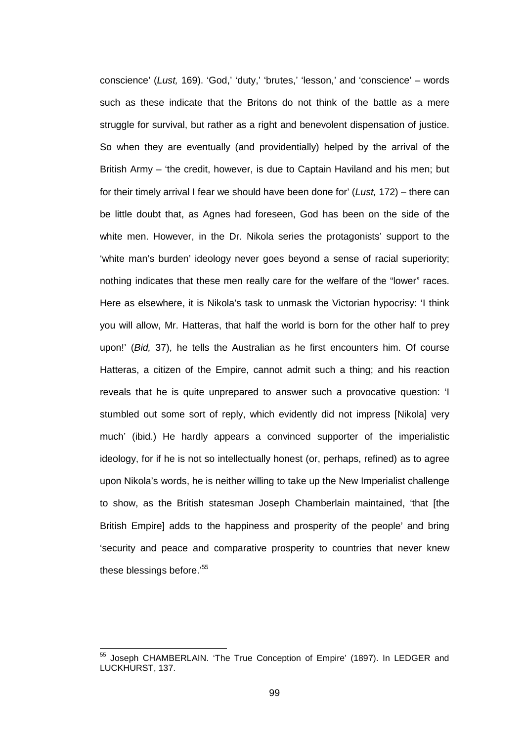conscience' (Lust, 169). 'God,' 'duty,' 'brutes,' 'lesson,' and 'conscience' – words such as these indicate that the Britons do not think of the battle as a mere struggle for survival, but rather as a right and benevolent dispensation of justice. So when they are eventually (and providentially) helped by the arrival of the British Army – 'the credit, however, is due to Captain Haviland and his men; but for their timely arrival I fear we should have been done for'  $(Lust, 172)$  – there can be little doubt that, as Agnes had foreseen, God has been on the side of the white men. However, in the Dr. Nikola series the protagonists' support to the 'white man's burden' ideology never goes beyond a sense of racial superiority; nothing indicates that these men really care for the welfare of the "lower" races. Here as elsewhere, it is Nikola's task to unmask the Victorian hypocrisy: 'I think you will allow, Mr. Hatteras, that half the world is born for the other half to prey upon!' (Bid, 37), he tells the Australian as he first encounters him. Of course Hatteras, a citizen of the Empire, cannot admit such a thing; and his reaction reveals that he is quite unprepared to answer such a provocative question: 'I stumbled out some sort of reply, which evidently did not impress [Nikola] very much' (ibid.) He hardly appears a convinced supporter of the imperialistic ideology, for if he is not so intellectually honest (or, perhaps, refined) as to agree upon Nikola's words, he is neither willing to take up the New Imperialist challenge to show, as the British statesman Joseph Chamberlain maintained, 'that [the British Empire] adds to the happiness and prosperity of the people' and bring 'security and peace and comparative prosperity to countries that never knew these blessings before.<sup>'55</sup>

 $\overline{a}$ 

<sup>&</sup>lt;sup>55</sup> Joseph CHAMBERLAIN. 'The True Conception of Empire' (1897). In LEDGER and LUCKHURST, 137.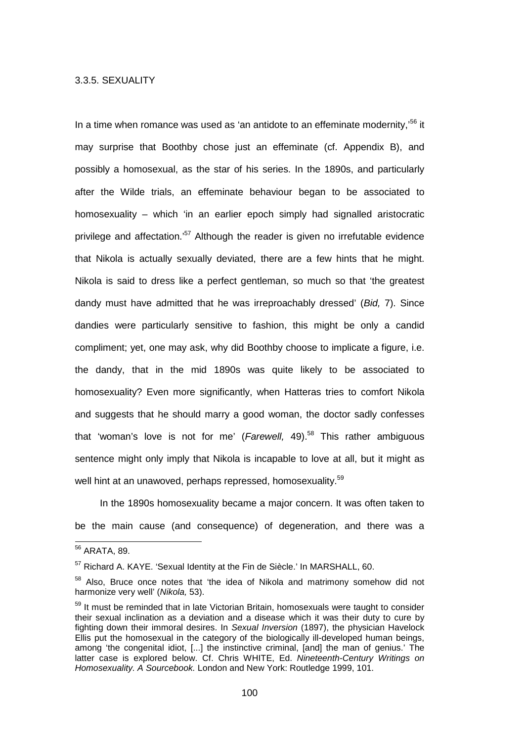## 3.3.5. SEXUALITY

In a time when romance was used as 'an antidote to an effeminate modernity,'<sup>56</sup> it may surprise that Boothby chose just an effeminate (cf. Appendix B), and possibly a homosexual, as the star of his series. In the 1890s, and particularly after the Wilde trials, an effeminate behaviour began to be associated to homosexuality – which 'in an earlier epoch simply had signalled aristocratic privilege and affectation.<sup>57</sup> Although the reader is given no irrefutable evidence that Nikola is actually sexually deviated, there are a few hints that he might. Nikola is said to dress like a perfect gentleman, so much so that 'the greatest dandy must have admitted that he was irreproachably dressed' (Bid, 7). Since dandies were particularly sensitive to fashion, this might be only a candid compliment; yet, one may ask, why did Boothby choose to implicate a figure, i.e. the dandy, that in the mid 1890s was quite likely to be associated to homosexuality? Even more significantly, when Hatteras tries to comfort Nikola and suggests that he should marry a good woman, the doctor sadly confesses that 'woman's love is not for me' (Farewell, 49).<sup>58</sup> This rather ambiguous sentence might only imply that Nikola is incapable to love at all, but it might as well hint at an unawoved, perhaps repressed, homosexuality.<sup>59</sup>

In the 1890s homosexuality became a major concern. It was often taken to be the main cause (and consequence) of degeneration, and there was a

<sup>&</sup>lt;sup>56</sup> ARATA, 89.

<sup>&</sup>lt;sup>57</sup> Richard A. KAYE. 'Sexual Identity at the Fin de Siècle.' In MARSHALL, 60.

<sup>&</sup>lt;sup>58</sup> Also, Bruce once notes that 'the idea of Nikola and matrimony somehow did not harmonize very well' (Nikola, 53).

<sup>&</sup>lt;sup>59</sup> It must be reminded that in late Victorian Britain, homosexuals were taught to consider their sexual inclination as a deviation and a disease which it was their duty to cure by fighting down their immoral desires. In Sexual Inversion (1897), the physician Havelock Ellis put the homosexual in the category of the biologically ill-developed human beings, among 'the congenital idiot, [...] the instinctive criminal, [and] the man of genius.' The latter case is explored below. Cf. Chris WHITE, Ed. Nineteenth-Century Writings on Homosexuality. A Sourcebook. London and New York: Routledge 1999, 101.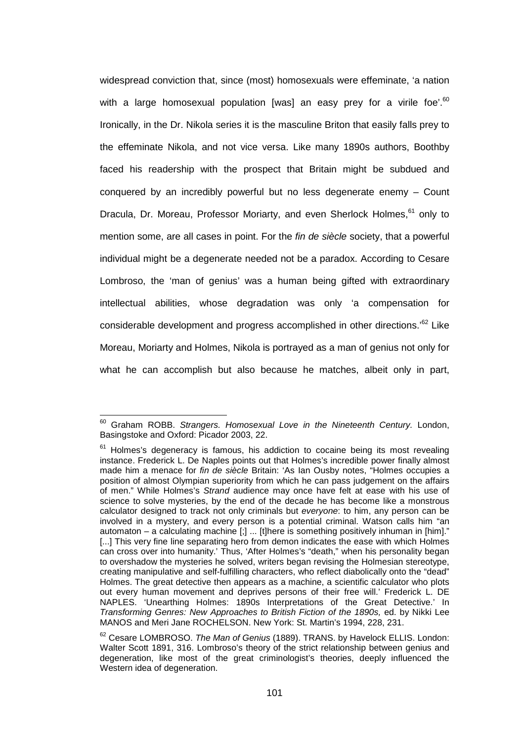widespread conviction that, since (most) homosexuals were effeminate, 'a nation with a large homosexual population [was] an easy prey for a virile foe<sup>'.60</sup> Ironically, in the Dr. Nikola series it is the masculine Briton that easily falls prey to the effeminate Nikola, and not vice versa. Like many 1890s authors, Boothby faced his readership with the prospect that Britain might be subdued and conquered by an incredibly powerful but no less degenerate enemy – Count Dracula, Dr. Moreau, Professor Moriarty, and even Sherlock Holmes, <sup>61</sup> only to mention some, are all cases in point. For the *fin de siècle* society, that a powerful individual might be a degenerate needed not be a paradox. According to Cesare Lombroso, the 'man of genius' was a human being gifted with extraordinary intellectual abilities, whose degradation was only 'a compensation for considerable development and progress accomplished in other directions.'<sup>62</sup> Like Moreau, Moriarty and Holmes, Nikola is portrayed as a man of genius not only for what he can accomplish but also because he matches, albeit only in part,

j <sup>60</sup> Graham ROBB. Strangers. Homosexual Love in the Nineteenth Century. London, Basingstoke and Oxford: Picador 2003, 22.

 $61$  Holmes's degeneracy is famous, his addiction to cocaine being its most revealing instance. Frederick L. De Naples points out that Holmes's incredible power finally almost made him a menace for fin de siècle Britain: 'As Ian Ousby notes, "Holmes occupies a position of almost Olympian superiority from which he can pass judgement on the affairs of men." While Holmes's Strand audience may once have felt at ease with his use of science to solve mysteries, by the end of the decade he has become like a monstrous calculator designed to track not only criminals but everyone: to him, any person can be involved in a mystery, and every person is a potential criminal. Watson calls him "an automaton – a calculating machine  $[\cdot]$  ... [t]here is something positively inhuman in [him]." [...] This very fine line separating hero from demon indicates the ease with which Holmes can cross over into humanity.' Thus, 'After Holmes's "death," when his personality began to overshadow the mysteries he solved, writers began revising the Holmesian stereotype, creating manipulative and self-fulfilling characters, who reflect diabolically onto the "dead" Holmes. The great detective then appears as a machine, a scientific calculator who plots out every human movement and deprives persons of their free will.' Frederick L. DE NAPLES. 'Unearthing Holmes: 1890s Interpretations of the Great Detective.' In Transforming Genres: New Approaches to British Fiction of the 1890s, ed. by Nikki Lee MANOS and Meri Jane ROCHELSON. New York: St. Martin's 1994, 228, 231.

<sup>62</sup> Cesare LOMBROSO. The Man of Genius (1889). TRANS. by Havelock ELLIS. London: Walter Scott 1891, 316. Lombroso's theory of the strict relationship between genius and degeneration, like most of the great criminologist's theories, deeply influenced the Western idea of degeneration.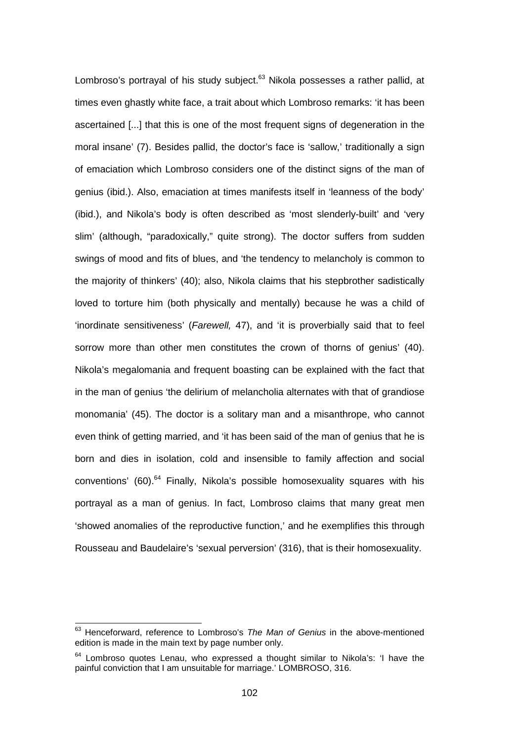Lombroso's portrayal of his study subject.<sup>63</sup> Nikola possesses a rather pallid, at times even ghastly white face, a trait about which Lombroso remarks: 'it has been ascertained [...] that this is one of the most frequent signs of degeneration in the moral insane' (7). Besides pallid, the doctor's face is 'sallow,' traditionally a sign of emaciation which Lombroso considers one of the distinct signs of the man of genius (ibid.). Also, emaciation at times manifests itself in 'leanness of the body' (ibid.), and Nikola's body is often described as 'most slenderly-built' and 'very slim' (although, "paradoxically," quite strong). The doctor suffers from sudden swings of mood and fits of blues, and 'the tendency to melancholy is common to the majority of thinkers' (40); also, Nikola claims that his stepbrother sadistically loved to torture him (both physically and mentally) because he was a child of 'inordinate sensitiveness' (Farewell, 47), and 'it is proverbially said that to feel sorrow more than other men constitutes the crown of thorns of genius' (40). Nikola's megalomania and frequent boasting can be explained with the fact that in the man of genius 'the delirium of melancholia alternates with that of grandiose monomania' (45). The doctor is a solitary man and a misanthrope, who cannot even think of getting married, and 'it has been said of the man of genius that he is born and dies in isolation, cold and insensible to family affection and social  $conventions'$  (60).<sup>64</sup> Finally, Nikola's possible homosexuality squares with his portrayal as a man of genius. In fact, Lombroso claims that many great men 'showed anomalies of the reproductive function,' and he exemplifies this through Rousseau and Baudelaire's 'sexual perversion' (316), that is their homosexuality.

<sup>&</sup>lt;sup>63</sup> Henceforward, reference to Lombroso's The Man of Genius in the above-mentioned edition is made in the main text by page number only.

 $64$  Lombroso quotes Lenau, who expressed a thought similar to Nikola's: 'I have the painful conviction that I am unsuitable for marriage.' LOMBROSO, 316.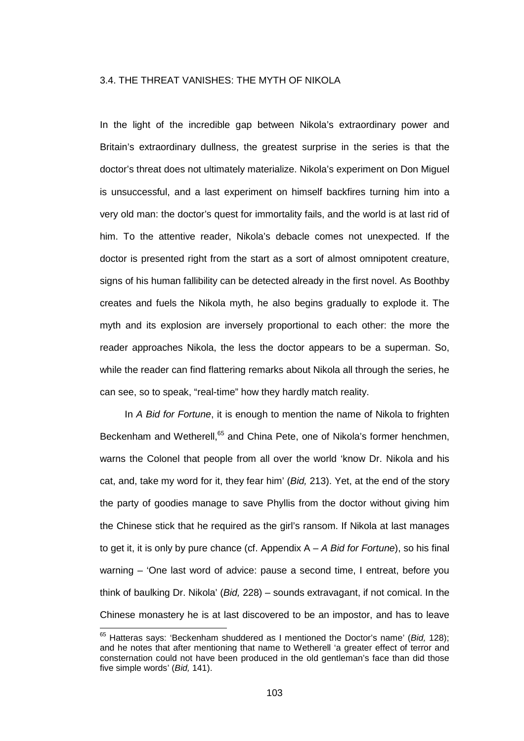#### 3.4. THE THREAT VANISHES: THE MYTH OF NIKOLA

In the light of the incredible gap between Nikola's extraordinary power and Britain's extraordinary dullness, the greatest surprise in the series is that the doctor's threat does not ultimately materialize. Nikola's experiment on Don Miguel is unsuccessful, and a last experiment on himself backfires turning him into a very old man: the doctor's quest for immortality fails, and the world is at last rid of him. To the attentive reader, Nikola's debacle comes not unexpected. If the doctor is presented right from the start as a sort of almost omnipotent creature, signs of his human fallibility can be detected already in the first novel. As Boothby creates and fuels the Nikola myth, he also begins gradually to explode it. The myth and its explosion are inversely proportional to each other: the more the reader approaches Nikola, the less the doctor appears to be a superman. So, while the reader can find flattering remarks about Nikola all through the series, he can see, so to speak, "real-time" how they hardly match reality.

In A Bid for Fortune, it is enough to mention the name of Nikola to frighten Beckenham and Wetherell,<sup>65</sup> and China Pete, one of Nikola's former henchmen, warns the Colonel that people from all over the world 'know Dr. Nikola and his cat, and, take my word for it, they fear him' (Bid, 213). Yet, at the end of the story the party of goodies manage to save Phyllis from the doctor without giving him the Chinese stick that he required as the girl's ransom. If Nikola at last manages to get it, it is only by pure chance (cf. Appendix  $A - A$  Bid for Fortune), so his final warning – 'One last word of advice: pause a second time, I entreat, before you think of baulking Dr. Nikola' (Bid, 228) – sounds extravagant, if not comical. In the Chinese monastery he is at last discovered to be an impostor, and has to leave

 $65$  Hatteras says: 'Beckenham shuddered as I mentioned the Doctor's name' (Bid, 128); and he notes that after mentioning that name to Wetherell 'a greater effect of terror and consternation could not have been produced in the old gentleman's face than did those five simple words' (Bid, 141).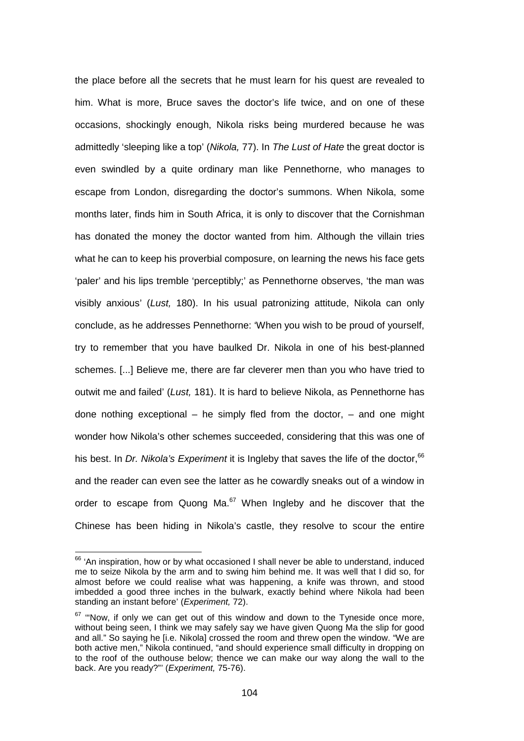the place before all the secrets that he must learn for his quest are revealed to him. What is more, Bruce saves the doctor's life twice, and on one of these occasions, shockingly enough, Nikola risks being murdered because he was admittedly 'sleeping like a top' (Nikola, 77). In The Lust of Hate the great doctor is even swindled by a quite ordinary man like Pennethorne, who manages to escape from London, disregarding the doctor's summons. When Nikola, some months later, finds him in South Africa, it is only to discover that the Cornishman has donated the money the doctor wanted from him. Although the villain tries what he can to keep his proverbial composure, on learning the news his face gets 'paler' and his lips tremble 'perceptibly;' as Pennethorne observes, 'the man was visibly anxious' (Lust, 180). In his usual patronizing attitude, Nikola can only conclude, as he addresses Pennethorne: 'When you wish to be proud of yourself, try to remember that you have baulked Dr. Nikola in one of his best-planned schemes. [...] Believe me, there are far cleverer men than you who have tried to outwit me and failed' (Lust, 181). It is hard to believe Nikola, as Pennethorne has done nothing exceptional – he simply fled from the doctor, – and one might wonder how Nikola's other schemes succeeded, considering that this was one of his best. In Dr. Nikola's Experiment it is Ingleby that saves the life of the doctor,<sup>66</sup> and the reader can even see the latter as he cowardly sneaks out of a window in order to escape from Quong Ma.<sup>67</sup> When Ingleby and he discover that the Chinese has been hiding in Nikola's castle, they resolve to scour the entire

 $\overline{a}$ 

 $66$  'An inspiration, how or by what occasioned I shall never be able to understand, induced me to seize Nikola by the arm and to swing him behind me. It was well that I did so, for almost before we could realise what was happening, a knife was thrown, and stood imbedded a good three inches in the bulwark, exactly behind where Nikola had been standing an instant before' (*Experiment*, 72).

 $67$  "Now, if only we can get out of this window and down to the Tyneside once more, without being seen, I think we may safely say we have given Quong Ma the slip for good and all." So saying he [i.e. Nikola] crossed the room and threw open the window. "We are both active men," Nikola continued, "and should experience small difficulty in dropping on to the roof of the outhouse below; thence we can make our way along the wall to the back. Are you ready?"' (Experiment, 75-76).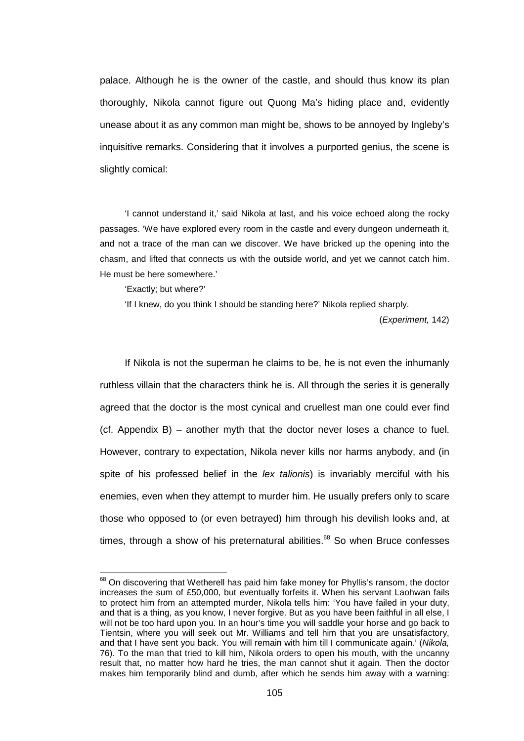palace. Although he is the owner of the castle, and should thus know its plan thoroughly, Nikola cannot figure out Quong Ma's hiding place and, evidently unease about it as any common man might be, shows to be annoyed by Ingleby's inquisitive remarks. Considering that it involves a purported genius, the scene is slightly comical:

'I cannot understand it,' said Nikola at last, and his voice echoed along the rocky passages. 'We have explored every room in the castle and every dungeon underneath it, and not a trace of the man can we discover. We have bricked up the opening into the chasm, and lifted that connects us with the outside world, and yet we cannot catch him. He must be here somewhere.'

'Exactly; but where?'

'If I knew, do you think I should be standing here?' Nikola replied sharply.

(Experiment, 142)

If Nikola is not the superman he claims to be, he is not even the inhumanly ruthless villain that the characters think he is. All through the series it is generally agreed that the doctor is the most cynical and cruellest man one could ever find (cf. Appendix B) – another myth that the doctor never loses a chance to fuel. However, contrary to expectation, Nikola never kills nor harms anybody, and (in spite of his professed belief in the lex talionis) is invariably merciful with his enemies, even when they attempt to murder him. He usually prefers only to scare those who opposed to (or even betrayed) him through his devilish looks and, at times, through a show of his preternatural abilities. $68$  So when Bruce confesses

<sup>&</sup>lt;sup>68</sup> On discovering that Wetherell has paid him fake money for Phyllis's ransom, the doctor increases the sum of £50,000, but eventually forfeits it. When his servant Laohwan fails to protect him from an attempted murder, Nikola tells him: 'You have failed in your duty, and that is a thing, as you know, I never forgive. But as you have been faithful in all else, I will not be too hard upon you. In an hour's time you will saddle your horse and go back to Tientsin, where you will seek out Mr. Williams and tell him that you are unsatisfactory, and that I have sent you back. You will remain with him till I communicate again.' (Nikola, 76). To the man that tried to kill him, Nikola orders to open his mouth, with the uncanny result that, no matter how hard he tries, the man cannot shut it again. Then the doctor makes him temporarily blind and dumb, after which he sends him away with a warning: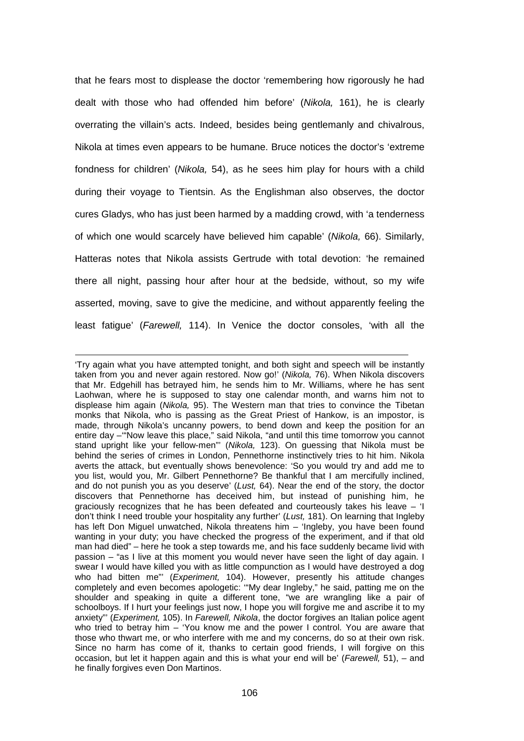that he fears most to displease the doctor 'remembering how rigorously he had dealt with those who had offended him before' (Nikola, 161), he is clearly overrating the villain's acts. Indeed, besides being gentlemanly and chivalrous, Nikola at times even appears to be humane. Bruce notices the doctor's 'extreme fondness for children' (Nikola, 54), as he sees him play for hours with a child during their voyage to Tientsin. As the Englishman also observes, the doctor cures Gladys, who has just been harmed by a madding crowd, with 'a tenderness of which one would scarcely have believed him capable' (Nikola, 66). Similarly, Hatteras notes that Nikola assists Gertrude with total devotion: 'he remained there all night, passing hour after hour at the bedside, without, so my wife asserted, moving, save to give the medicine, and without apparently feeling the least fatigue' (Farewell, 114). In Venice the doctor consoles, 'with all the

<sup>&#</sup>x27;Try again what you have attempted tonight, and both sight and speech will be instantly taken from you and never again restored. Now go!' (Nikola, 76). When Nikola discovers that Mr. Edgehill has betrayed him, he sends him to Mr. Williams, where he has sent Laohwan, where he is supposed to stay one calendar month, and warns him not to displease him again (Nikola, 95). The Western man that tries to convince the Tibetan monks that Nikola, who is passing as the Great Priest of Hankow, is an impostor, is made, through Nikola's uncanny powers, to bend down and keep the position for an entire day –'"Now leave this place," said Nikola, "and until this time tomorrow you cannot stand upright like your fellow-men"' (Nikola, 123). On guessing that Nikola must be behind the series of crimes in London, Pennethorne instinctively tries to hit him. Nikola averts the attack, but eventually shows benevolence: 'So you would try and add me to you list, would you, Mr. Gilbert Pennethorne? Be thankful that I am mercifully inclined, and do not punish you as you deserve' (Lust, 64). Near the end of the story, the doctor discovers that Pennethorne has deceived him, but instead of punishing him, he graciously recognizes that he has been defeated and courteously takes his leave  $-$  'I don't think I need trouble your hospitality any further' (Lust, 181). On learning that Ingleby has left Don Miguel unwatched, Nikola threatens him – 'Ingleby, you have been found wanting in your duty; you have checked the progress of the experiment, and if that old man had died" – here he took a step towards me, and his face suddenly became livid with passion – "as I live at this moment you would never have seen the light of day again. I swear I would have killed you with as little compunction as I would have destroyed a dog who had bitten me"' (Experiment, 104). However, presently his attitude changes completely and even becomes apologetic: '"My dear Ingleby," he said, patting me on the shoulder and speaking in quite a different tone, "we are wrangling like a pair of schoolboys. If I hurt your feelings just now, I hope you will forgive me and ascribe it to my anxiety"' (Experiment, 105). In Farewell, Nikola, the doctor forgives an Italian police agent who tried to betray him – 'You know me and the power I control. You are aware that those who thwart me, or who interfere with me and my concerns, do so at their own risk. Since no harm has come of it, thanks to certain good friends, I will forgive on this occasion, but let it happen again and this is what your end will be' (Farewell, 51), – and he finally forgives even Don Martinos.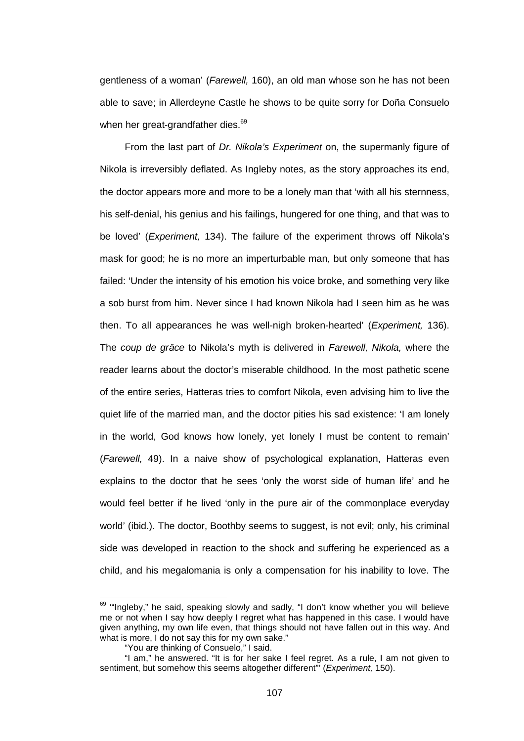gentleness of a woman' (Farewell, 160), an old man whose son he has not been able to save; in Allerdeyne Castle he shows to be quite sorry for Doña Consuelo when her great-grandfather dies. $^{69}$ 

From the last part of Dr. Nikola's Experiment on, the supermanly figure of Nikola is irreversibly deflated. As Ingleby notes, as the story approaches its end, the doctor appears more and more to be a lonely man that 'with all his sternness, his self-denial, his genius and his failings, hungered for one thing, and that was to be loved' (Experiment, 134). The failure of the experiment throws off Nikola's mask for good; he is no more an imperturbable man, but only someone that has failed: 'Under the intensity of his emotion his voice broke, and something very like a sob burst from him. Never since I had known Nikola had I seen him as he was then. To all appearances he was well-nigh broken-hearted' (Experiment, 136). The coup de gr*ȃ*ce to Nikola's myth is delivered in Farewell, Nikola, where the reader learns about the doctor's miserable childhood. In the most pathetic scene of the entire series, Hatteras tries to comfort Nikola, even advising him to live the quiet life of the married man, and the doctor pities his sad existence: 'I am lonely in the world, God knows how lonely, yet lonely I must be content to remain' (Farewell, 49). In a naive show of psychological explanation, Hatteras even explains to the doctor that he sees 'only the worst side of human life' and he would feel better if he lived 'only in the pure air of the commonplace everyday world' (ibid.). The doctor, Boothby seems to suggest, is not evil; only, his criminal side was developed in reaction to the shock and suffering he experienced as a child, and his megalomania is only a compensation for his inability to love. The

 $\overline{\phantom{a}}$ 

<sup>&</sup>lt;sup>69</sup> "Ingleby," he said, speaking slowly and sadly, "I don't know whether you will believe me or not when I say how deeply I regret what has happened in this case. I would have given anything, my own life even, that things should not have fallen out in this way. And what is more, I do not say this for my own sake."

<sup>&</sup>quot;You are thinking of Consuelo," I said.

<sup>&</sup>quot;I am," he answered. "It is for her sake I feel regret. As a rule, I am not given to sentiment, but somehow this seems altogether different" (Experiment, 150).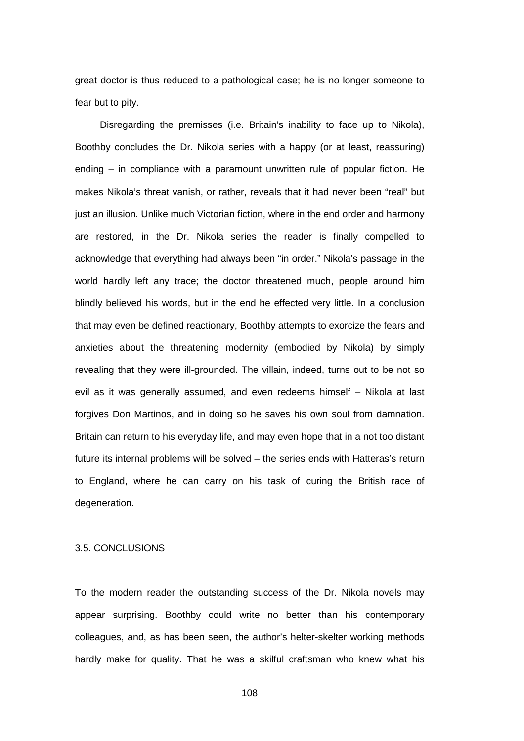great doctor is thus reduced to a pathological case; he is no longer someone to fear but to pity.

Disregarding the premisses (i.e. Britain's inability to face up to Nikola), Boothby concludes the Dr. Nikola series with a happy (or at least, reassuring) ending – in compliance with a paramount unwritten rule of popular fiction. He makes Nikola's threat vanish, or rather, reveals that it had never been "real" but just an illusion. Unlike much Victorian fiction, where in the end order and harmony are restored, in the Dr. Nikola series the reader is finally compelled to acknowledge that everything had always been "in order." Nikola's passage in the world hardly left any trace; the doctor threatened much, people around him blindly believed his words, but in the end he effected very little. In a conclusion that may even be defined reactionary, Boothby attempts to exorcize the fears and anxieties about the threatening modernity (embodied by Nikola) by simply revealing that they were ill-grounded. The villain, indeed, turns out to be not so evil as it was generally assumed, and even redeems himself – Nikola at last forgives Don Martinos, and in doing so he saves his own soul from damnation. Britain can return to his everyday life, and may even hope that in a not too distant future its internal problems will be solved – the series ends with Hatteras's return to England, where he can carry on his task of curing the British race of degeneration.

#### 3.5. CONCLUSIONS

To the modern reader the outstanding success of the Dr. Nikola novels may appear surprising. Boothby could write no better than his contemporary colleagues, and, as has been seen, the author's helter-skelter working methods hardly make for quality. That he was a skilful craftsman who knew what his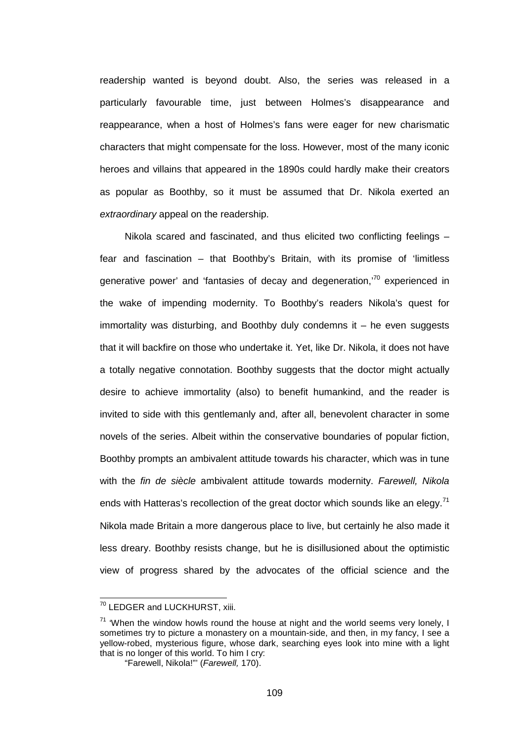readership wanted is beyond doubt. Also, the series was released in a particularly favourable time, just between Holmes's disappearance and reappearance, when a host of Holmes's fans were eager for new charismatic characters that might compensate for the loss. However, most of the many iconic heroes and villains that appeared in the 1890s could hardly make their creators as popular as Boothby, so it must be assumed that Dr. Nikola exerted an extraordinary appeal on the readership.

Nikola scared and fascinated, and thus elicited two conflicting feelings – fear and fascination – that Boothby's Britain, with its promise of 'limitless generative power' and 'fantasies of decay and degeneration,'<sup>70</sup> experienced in the wake of impending modernity. To Boothby's readers Nikola's quest for immortality was disturbing, and Boothby duly condemns it – he even suggests that it will backfire on those who undertake it. Yet, like Dr. Nikola, it does not have a totally negative connotation. Boothby suggests that the doctor might actually desire to achieve immortality (also) to benefit humankind, and the reader is invited to side with this gentlemanly and, after all, benevolent character in some novels of the series. Albeit within the conservative boundaries of popular fiction, Boothby prompts an ambivalent attitude towards his character, which was in tune with the *fin de siècle* ambivalent attitude towards modernity. Farewell, Nikola ends with Hatteras's recollection of the great doctor which sounds like an elegy.<sup>71</sup> Nikola made Britain a more dangerous place to live, but certainly he also made it less dreary. Boothby resists change, but he is disillusioned about the optimistic view of progress shared by the advocates of the official science and the

 $\overline{a}$ 

<sup>&</sup>lt;sup>70</sup> LEDGER and LUCKHURST, xiii.

 $71$  'When the window howls round the house at night and the world seems very lonely, I sometimes try to picture a monastery on a mountain-side, and then, in my fancy, I see a yellow-robed, mysterious figure, whose dark, searching eyes look into mine with a light that is no longer of this world. To him I cry:

<sup>&</sup>quot;Farewell, Nikola!"' (Farewell, 170).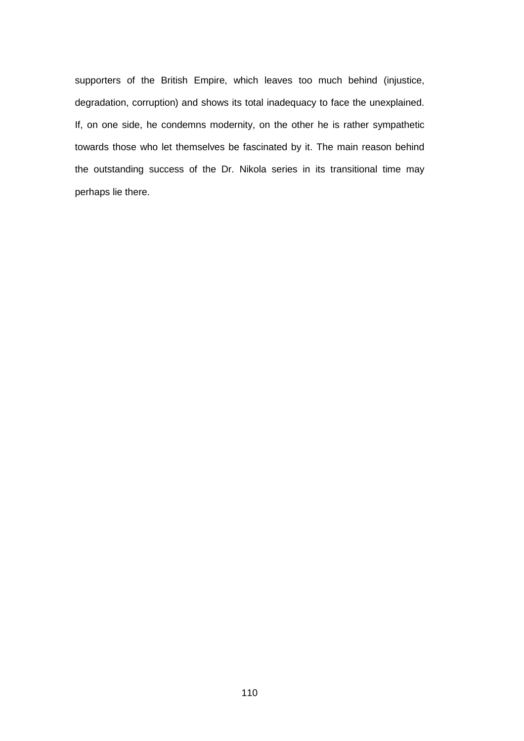supporters of the British Empire, which leaves too much behind (injustice, degradation, corruption) and shows its total inadequacy to face the unexplained. If, on one side, he condemns modernity, on the other he is rather sympathetic towards those who let themselves be fascinated by it. The main reason behind the outstanding success of the Dr. Nikola series in its transitional time may perhaps lie there.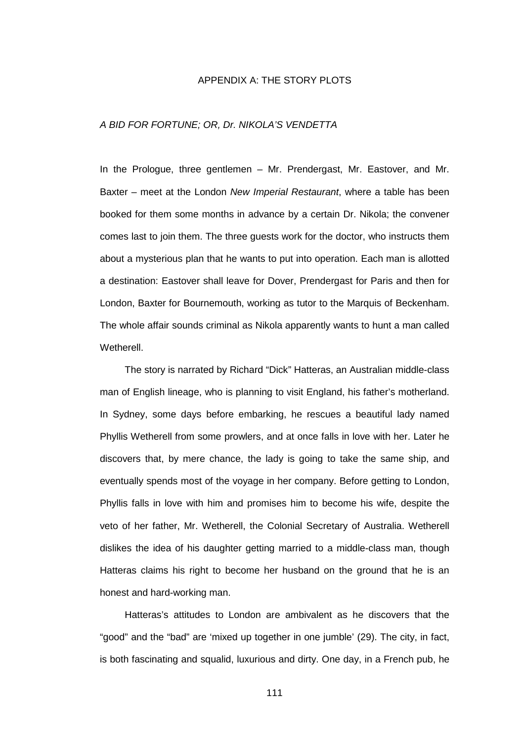## APPENDIX A: THE STORY PLOTS

# A BID FOR FORTUNE; OR, Dr. NIKOLA'S VENDETTA

In the Prologue, three gentlemen – Mr. Prendergast, Mr. Eastover, and Mr. Baxter – meet at the London New Imperial Restaurant, where a table has been booked for them some months in advance by a certain Dr. Nikola; the convener comes last to join them. The three guests work for the doctor, who instructs them about a mysterious plan that he wants to put into operation. Each man is allotted a destination: Eastover shall leave for Dover, Prendergast for Paris and then for London, Baxter for Bournemouth, working as tutor to the Marquis of Beckenham. The whole affair sounds criminal as Nikola apparently wants to hunt a man called Wetherell.

The story is narrated by Richard "Dick" Hatteras, an Australian middle-class man of English lineage, who is planning to visit England, his father's motherland. In Sydney, some days before embarking, he rescues a beautiful lady named Phyllis Wetherell from some prowlers, and at once falls in love with her. Later he discovers that, by mere chance, the lady is going to take the same ship, and eventually spends most of the voyage in her company. Before getting to London, Phyllis falls in love with him and promises him to become his wife, despite the veto of her father, Mr. Wetherell, the Colonial Secretary of Australia. Wetherell dislikes the idea of his daughter getting married to a middle-class man, though Hatteras claims his right to become her husband on the ground that he is an honest and hard-working man.

Hatteras's attitudes to London are ambivalent as he discovers that the "good" and the "bad" are 'mixed up together in one jumble' (29). The city, in fact, is both fascinating and squalid, luxurious and dirty. One day, in a French pub, he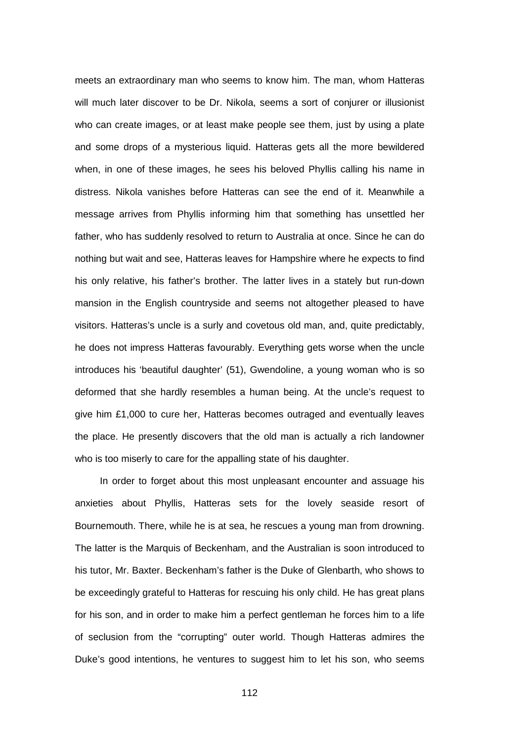meets an extraordinary man who seems to know him. The man, whom Hatteras will much later discover to be Dr. Nikola, seems a sort of conjurer or illusionist who can create images, or at least make people see them, just by using a plate and some drops of a mysterious liquid. Hatteras gets all the more bewildered when, in one of these images, he sees his beloved Phyllis calling his name in distress. Nikola vanishes before Hatteras can see the end of it. Meanwhile a message arrives from Phyllis informing him that something has unsettled her father, who has suddenly resolved to return to Australia at once. Since he can do nothing but wait and see, Hatteras leaves for Hampshire where he expects to find his only relative, his father's brother. The latter lives in a stately but run-down mansion in the English countryside and seems not altogether pleased to have visitors. Hatteras's uncle is a surly and covetous old man, and, quite predictably, he does not impress Hatteras favourably. Everything gets worse when the uncle introduces his 'beautiful daughter' (51), Gwendoline, a young woman who is so deformed that she hardly resembles a human being. At the uncle's request to give him £1,000 to cure her, Hatteras becomes outraged and eventually leaves the place. He presently discovers that the old man is actually a rich landowner who is too miserly to care for the appalling state of his daughter.

In order to forget about this most unpleasant encounter and assuage his anxieties about Phyllis, Hatteras sets for the lovely seaside resort of Bournemouth. There, while he is at sea, he rescues a young man from drowning. The latter is the Marquis of Beckenham, and the Australian is soon introduced to his tutor, Mr. Baxter. Beckenham's father is the Duke of Glenbarth, who shows to be exceedingly grateful to Hatteras for rescuing his only child. He has great plans for his son, and in order to make him a perfect gentleman he forces him to a life of seclusion from the "corrupting" outer world. Though Hatteras admires the Duke's good intentions, he ventures to suggest him to let his son, who seems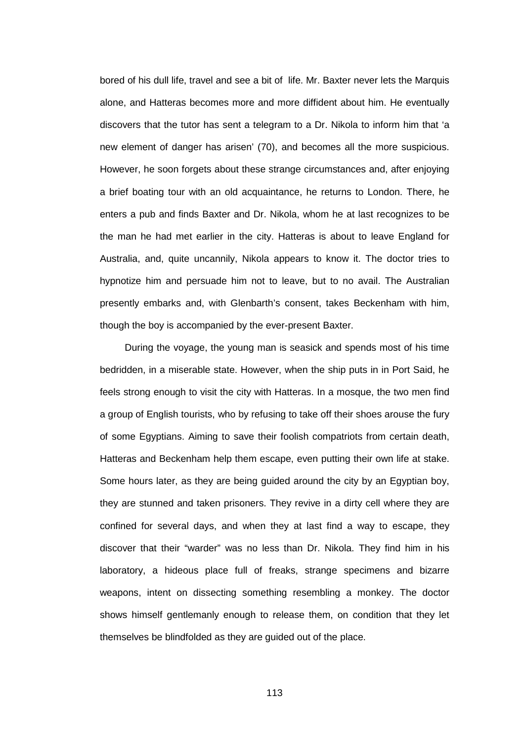bored of his dull life, travel and see a bit of life. Mr. Baxter never lets the Marquis alone, and Hatteras becomes more and more diffident about him. He eventually discovers that the tutor has sent a telegram to a Dr. Nikola to inform him that 'a new element of danger has arisen' (70), and becomes all the more suspicious. However, he soon forgets about these strange circumstances and, after enjoying a brief boating tour with an old acquaintance, he returns to London. There, he enters a pub and finds Baxter and Dr. Nikola, whom he at last recognizes to be the man he had met earlier in the city. Hatteras is about to leave England for Australia, and, quite uncannily, Nikola appears to know it. The doctor tries to hypnotize him and persuade him not to leave, but to no avail. The Australian presently embarks and, with Glenbarth's consent, takes Beckenham with him, though the boy is accompanied by the ever-present Baxter.

During the voyage, the young man is seasick and spends most of his time bedridden, in a miserable state. However, when the ship puts in in Port Said, he feels strong enough to visit the city with Hatteras. In a mosque, the two men find a group of English tourists, who by refusing to take off their shoes arouse the fury of some Egyptians. Aiming to save their foolish compatriots from certain death, Hatteras and Beckenham help them escape, even putting their own life at stake. Some hours later, as they are being guided around the city by an Egyptian boy, they are stunned and taken prisoners. They revive in a dirty cell where they are confined for several days, and when they at last find a way to escape, they discover that their "warder" was no less than Dr. Nikola. They find him in his laboratory, a hideous place full of freaks, strange specimens and bizarre weapons, intent on dissecting something resembling a monkey. The doctor shows himself gentlemanly enough to release them, on condition that they let themselves be blindfolded as they are guided out of the place.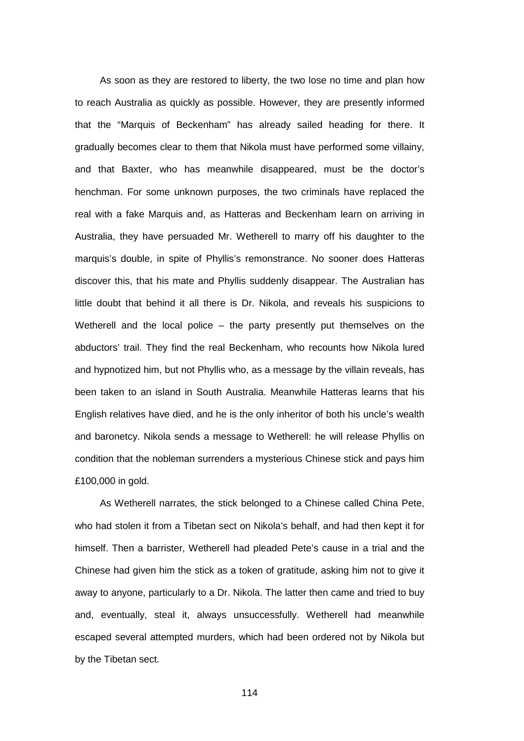As soon as they are restored to liberty, the two lose no time and plan how to reach Australia as quickly as possible. However, they are presently informed that the "Marquis of Beckenham" has already sailed heading for there. It gradually becomes clear to them that Nikola must have performed some villainy, and that Baxter, who has meanwhile disappeared, must be the doctor's henchman. For some unknown purposes, the two criminals have replaced the real with a fake Marquis and, as Hatteras and Beckenham learn on arriving in Australia, they have persuaded Mr. Wetherell to marry off his daughter to the marquis's double, in spite of Phyllis's remonstrance. No sooner does Hatteras discover this, that his mate and Phyllis suddenly disappear. The Australian has little doubt that behind it all there is Dr. Nikola, and reveals his suspicions to Wetherell and the local police – the party presently put themselves on the abductors' trail. They find the real Beckenham, who recounts how Nikola lured and hypnotized him, but not Phyllis who, as a message by the villain reveals, has been taken to an island in South Australia. Meanwhile Hatteras learns that his English relatives have died, and he is the only inheritor of both his uncle's wealth and baronetcy. Nikola sends a message to Wetherell: he will release Phyllis on condition that the nobleman surrenders a mysterious Chinese stick and pays him £100,000 in gold.

As Wetherell narrates, the stick belonged to a Chinese called China Pete, who had stolen it from a Tibetan sect on Nikola's behalf, and had then kept it for himself. Then a barrister, Wetherell had pleaded Pete's cause in a trial and the Chinese had given him the stick as a token of gratitude, asking him not to give it away to anyone, particularly to a Dr. Nikola. The latter then came and tried to buy and, eventually, steal it, always unsuccessfully. Wetherell had meanwhile escaped several attempted murders, which had been ordered not by Nikola but by the Tibetan sect.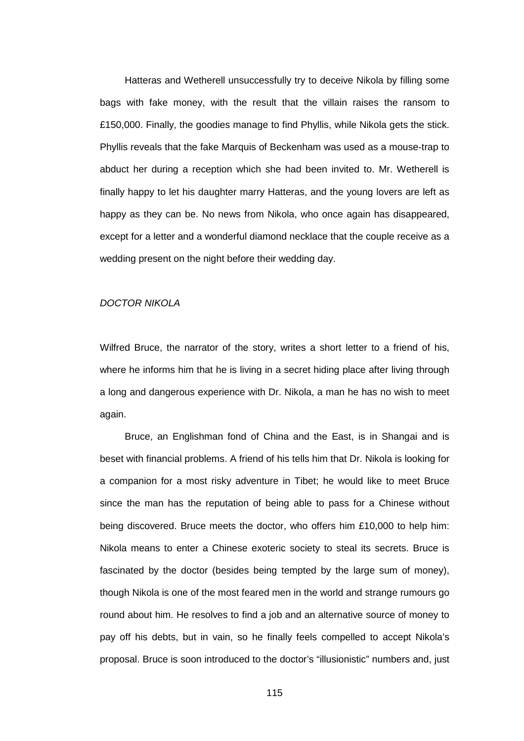Hatteras and Wetherell unsuccessfully try to deceive Nikola by filling some bags with fake money, with the result that the villain raises the ransom to £150,000. Finally, the goodies manage to find Phyllis, while Nikola gets the stick. Phyllis reveals that the fake Marquis of Beckenham was used as a mouse-trap to abduct her during a reception which she had been invited to. Mr. Wetherell is finally happy to let his daughter marry Hatteras, and the young lovers are left as happy as they can be. No news from Nikola, who once again has disappeared, except for a letter and a wonderful diamond necklace that the couple receive as a wedding present on the night before their wedding day.

## DOCTOR NIKOLA

Wilfred Bruce, the narrator of the story, writes a short letter to a friend of his, where he informs him that he is living in a secret hiding place after living through a long and dangerous experience with Dr. Nikola, a man he has no wish to meet again.

Bruce, an Englishman fond of China and the East, is in Shangai and is beset with financial problems. A friend of his tells him that Dr. Nikola is looking for a companion for a most risky adventure in Tibet; he would like to meet Bruce since the man has the reputation of being able to pass for a Chinese without being discovered. Bruce meets the doctor, who offers him £10,000 to help him: Nikola means to enter a Chinese exoteric society to steal its secrets. Bruce is fascinated by the doctor (besides being tempted by the large sum of money), though Nikola is one of the most feared men in the world and strange rumours go round about him. He resolves to find a job and an alternative source of money to pay off his debts, but in vain, so he finally feels compelled to accept Nikola's proposal. Bruce is soon introduced to the doctor's "illusionistic" numbers and, just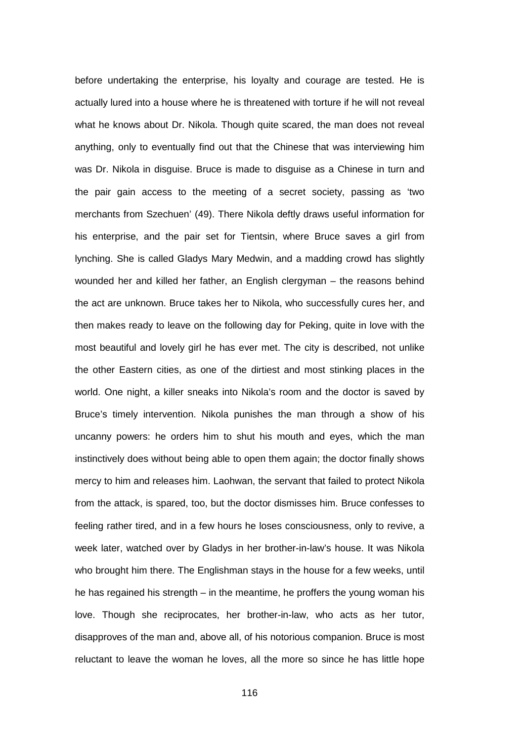before undertaking the enterprise, his loyalty and courage are tested. He is actually lured into a house where he is threatened with torture if he will not reveal what he knows about Dr. Nikola. Though quite scared, the man does not reveal anything, only to eventually find out that the Chinese that was interviewing him was Dr. Nikola in disguise. Bruce is made to disguise as a Chinese in turn and the pair gain access to the meeting of a secret society, passing as 'two merchants from Szechuen' (49). There Nikola deftly draws useful information for his enterprise, and the pair set for Tientsin, where Bruce saves a girl from lynching. She is called Gladys Mary Medwin, and a madding crowd has slightly wounded her and killed her father, an English clergyman – the reasons behind the act are unknown. Bruce takes her to Nikola, who successfully cures her, and then makes ready to leave on the following day for Peking, quite in love with the most beautiful and lovely girl he has ever met. The city is described, not unlike the other Eastern cities, as one of the dirtiest and most stinking places in the world. One night, a killer sneaks into Nikola's room and the doctor is saved by Bruce's timely intervention. Nikola punishes the man through a show of his uncanny powers: he orders him to shut his mouth and eyes, which the man instinctively does without being able to open them again; the doctor finally shows mercy to him and releases him. Laohwan, the servant that failed to protect Nikola from the attack, is spared, too, but the doctor dismisses him. Bruce confesses to feeling rather tired, and in a few hours he loses consciousness, only to revive, a week later, watched over by Gladys in her brother-in-law's house. It was Nikola who brought him there. The Englishman stays in the house for a few weeks, until he has regained his strength – in the meantime, he proffers the young woman his love. Though she reciprocates, her brother-in-law, who acts as her tutor, disapproves of the man and, above all, of his notorious companion. Bruce is most reluctant to leave the woman he loves, all the more so since he has little hope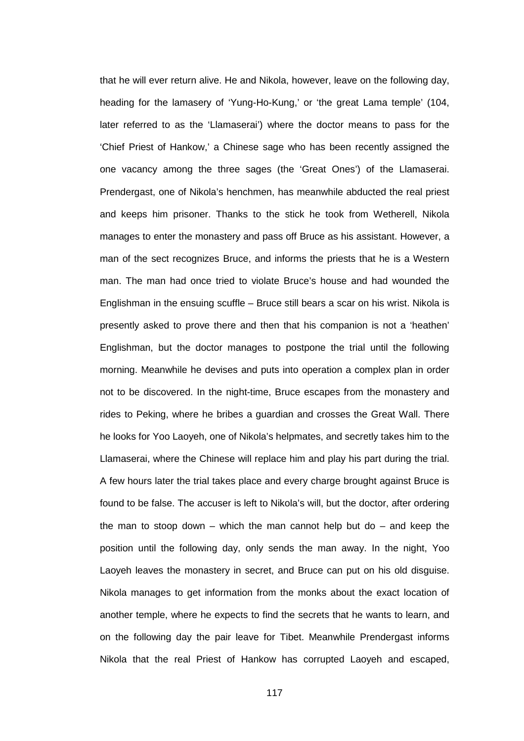that he will ever return alive. He and Nikola, however, leave on the following day, heading for the lamasery of 'Yung-Ho-Kung,' or 'the great Lama temple' (104, later referred to as the 'Llamaserai') where the doctor means to pass for the 'Chief Priest of Hankow,' a Chinese sage who has been recently assigned the one vacancy among the three sages (the 'Great Ones') of the Llamaserai. Prendergast, one of Nikola's henchmen, has meanwhile abducted the real priest and keeps him prisoner. Thanks to the stick he took from Wetherell, Nikola manages to enter the monastery and pass off Bruce as his assistant. However, a man of the sect recognizes Bruce, and informs the priests that he is a Western man. The man had once tried to violate Bruce's house and had wounded the Englishman in the ensuing scuffle – Bruce still bears a scar on his wrist. Nikola is presently asked to prove there and then that his companion is not a 'heathen' Englishman, but the doctor manages to postpone the trial until the following morning. Meanwhile he devises and puts into operation a complex plan in order not to be discovered. In the night-time, Bruce escapes from the monastery and rides to Peking, where he bribes a guardian and crosses the Great Wall. There he looks for Yoo Laoyeh, one of Nikola's helpmates, and secretly takes him to the Llamaserai, where the Chinese will replace him and play his part during the trial. A few hours later the trial takes place and every charge brought against Bruce is found to be false. The accuser is left to Nikola's will, but the doctor, after ordering the man to stoop down – which the man cannot help but do  $-$  and keep the position until the following day, only sends the man away. In the night, Yoo Laoyeh leaves the monastery in secret, and Bruce can put on his old disguise. Nikola manages to get information from the monks about the exact location of another temple, where he expects to find the secrets that he wants to learn, and on the following day the pair leave for Tibet. Meanwhile Prendergast informs Nikola that the real Priest of Hankow has corrupted Laoyeh and escaped,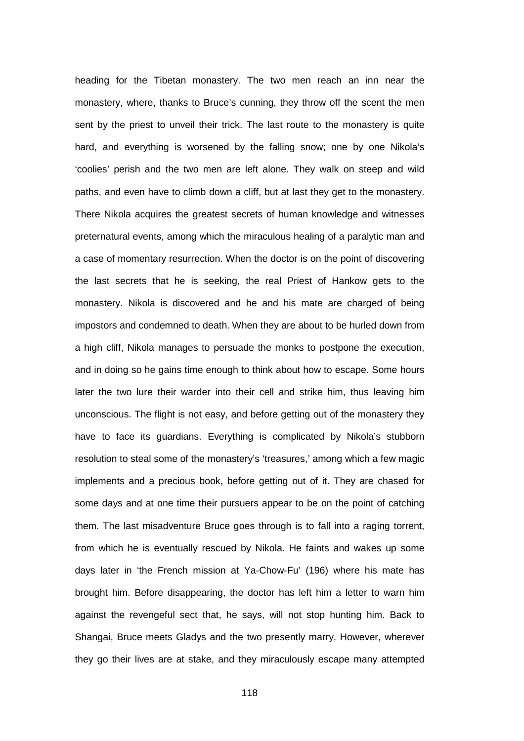heading for the Tibetan monastery. The two men reach an inn near the monastery, where, thanks to Bruce's cunning, they throw off the scent the men sent by the priest to unveil their trick. The last route to the monastery is quite hard, and everything is worsened by the falling snow; one by one Nikola's 'coolies' perish and the two men are left alone. They walk on steep and wild paths, and even have to climb down a cliff, but at last they get to the monastery. There Nikola acquires the greatest secrets of human knowledge and witnesses preternatural events, among which the miraculous healing of a paralytic man and a case of momentary resurrection. When the doctor is on the point of discovering the last secrets that he is seeking, the real Priest of Hankow gets to the monastery. Nikola is discovered and he and his mate are charged of being impostors and condemned to death. When they are about to be hurled down from a high cliff, Nikola manages to persuade the monks to postpone the execution, and in doing so he gains time enough to think about how to escape. Some hours later the two lure their warder into their cell and strike him, thus leaving him unconscious. The flight is not easy, and before getting out of the monastery they have to face its guardians. Everything is complicated by Nikola's stubborn resolution to steal some of the monastery's 'treasures,' among which a few magic implements and a precious book, before getting out of it. They are chased for some days and at one time their pursuers appear to be on the point of catching them. The last misadventure Bruce goes through is to fall into a raging torrent, from which he is eventually rescued by Nikola. He faints and wakes up some days later in 'the French mission at Ya-Chow-Fu' (196) where his mate has brought him. Before disappearing, the doctor has left him a letter to warn him against the revengeful sect that, he says, will not stop hunting him. Back to Shangai, Bruce meets Gladys and the two presently marry. However, wherever they go their lives are at stake, and they miraculously escape many attempted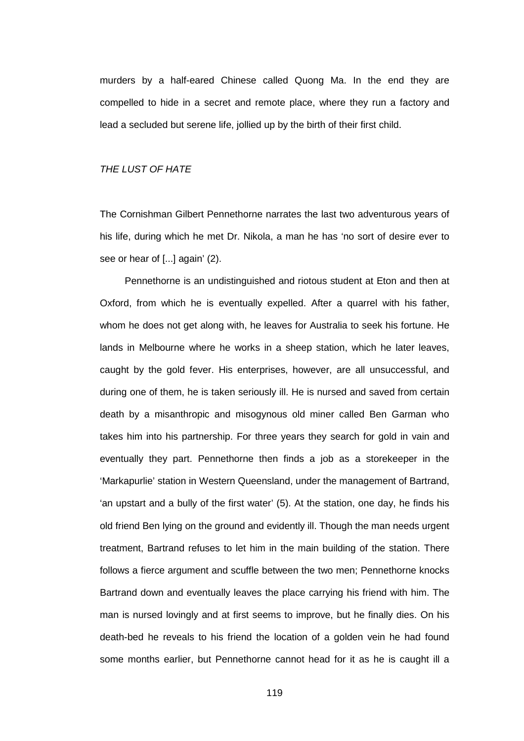murders by a half-eared Chinese called Quong Ma. In the end they are compelled to hide in a secret and remote place, where they run a factory and lead a secluded but serene life, jollied up by the birth of their first child.

# THE LUST OF HATE

The Cornishman Gilbert Pennethorne narrates the last two adventurous years of his life, during which he met Dr. Nikola, a man he has 'no sort of desire ever to see or hear of [...] again' (2).

Pennethorne is an undistinguished and riotous student at Eton and then at Oxford, from which he is eventually expelled. After a quarrel with his father, whom he does not get along with, he leaves for Australia to seek his fortune. He lands in Melbourne where he works in a sheep station, which he later leaves, caught by the gold fever. His enterprises, however, are all unsuccessful, and during one of them, he is taken seriously ill. He is nursed and saved from certain death by a misanthropic and misogynous old miner called Ben Garman who takes him into his partnership. For three years they search for gold in vain and eventually they part. Pennethorne then finds a job as a storekeeper in the 'Markapurlie' station in Western Queensland, under the management of Bartrand, 'an upstart and a bully of the first water' (5). At the station, one day, he finds his old friend Ben lying on the ground and evidently ill. Though the man needs urgent treatment, Bartrand refuses to let him in the main building of the station. There follows a fierce argument and scuffle between the two men; Pennethorne knocks Bartrand down and eventually leaves the place carrying his friend with him. The man is nursed lovingly and at first seems to improve, but he finally dies. On his death-bed he reveals to his friend the location of a golden vein he had found some months earlier, but Pennethorne cannot head for it as he is caught ill a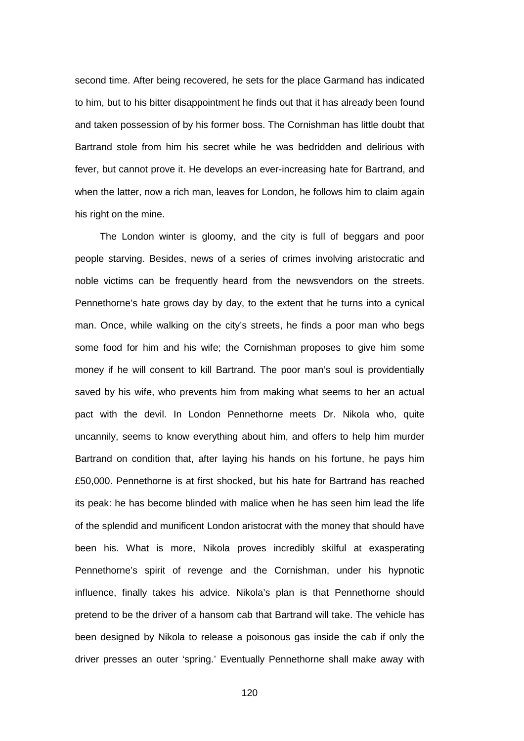second time. After being recovered, he sets for the place Garmand has indicated to him, but to his bitter disappointment he finds out that it has already been found and taken possession of by his former boss. The Cornishman has little doubt that Bartrand stole from him his secret while he was bedridden and delirious with fever, but cannot prove it. He develops an ever-increasing hate for Bartrand, and when the latter, now a rich man, leaves for London, he follows him to claim again his right on the mine.

The London winter is gloomy, and the city is full of beggars and poor people starving. Besides, news of a series of crimes involving aristocratic and noble victims can be frequently heard from the newsvendors on the streets. Pennethorne's hate grows day by day, to the extent that he turns into a cynical man. Once, while walking on the city's streets, he finds a poor man who begs some food for him and his wife; the Cornishman proposes to give him some money if he will consent to kill Bartrand. The poor man's soul is providentially saved by his wife, who prevents him from making what seems to her an actual pact with the devil. In London Pennethorne meets Dr. Nikola who, quite uncannily, seems to know everything about him, and offers to help him murder Bartrand on condition that, after laying his hands on his fortune, he pays him £50,000. Pennethorne is at first shocked, but his hate for Bartrand has reached its peak: he has become blinded with malice when he has seen him lead the life of the splendid and munificent London aristocrat with the money that should have been his. What is more, Nikola proves incredibly skilful at exasperating Pennethorne's spirit of revenge and the Cornishman, under his hypnotic influence, finally takes his advice. Nikola's plan is that Pennethorne should pretend to be the driver of a hansom cab that Bartrand will take. The vehicle has been designed by Nikola to release a poisonous gas inside the cab if only the driver presses an outer 'spring.' Eventually Pennethorne shall make away with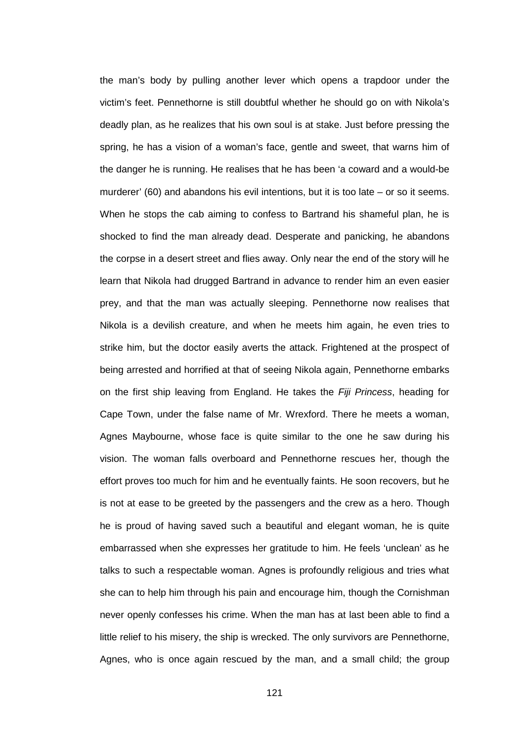the man's body by pulling another lever which opens a trapdoor under the victim's feet. Pennethorne is still doubtful whether he should go on with Nikola's deadly plan, as he realizes that his own soul is at stake. Just before pressing the spring, he has a vision of a woman's face, gentle and sweet, that warns him of the danger he is running. He realises that he has been 'a coward and a would-be murderer' (60) and abandons his evil intentions, but it is too late – or so it seems. When he stops the cab aiming to confess to Bartrand his shameful plan, he is shocked to find the man already dead. Desperate and panicking, he abandons the corpse in a desert street and flies away. Only near the end of the story will he learn that Nikola had drugged Bartrand in advance to render him an even easier prey, and that the man was actually sleeping. Pennethorne now realises that Nikola is a devilish creature, and when he meets him again, he even tries to strike him, but the doctor easily averts the attack. Frightened at the prospect of being arrested and horrified at that of seeing Nikola again, Pennethorne embarks on the first ship leaving from England. He takes the Fiji Princess, heading for Cape Town, under the false name of Mr. Wrexford. There he meets a woman, Agnes Maybourne, whose face is quite similar to the one he saw during his vision. The woman falls overboard and Pennethorne rescues her, though the effort proves too much for him and he eventually faints. He soon recovers, but he is not at ease to be greeted by the passengers and the crew as a hero. Though he is proud of having saved such a beautiful and elegant woman, he is quite embarrassed when she expresses her gratitude to him. He feels 'unclean' as he talks to such a respectable woman. Agnes is profoundly religious and tries what she can to help him through his pain and encourage him, though the Cornishman never openly confesses his crime. When the man has at last been able to find a little relief to his misery, the ship is wrecked. The only survivors are Pennethorne, Agnes, who is once again rescued by the man, and a small child; the group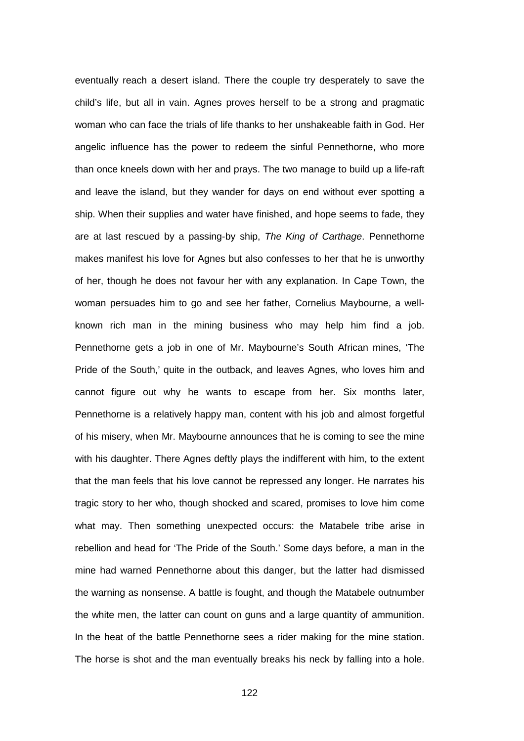eventually reach a desert island. There the couple try desperately to save the child's life, but all in vain. Agnes proves herself to be a strong and pragmatic woman who can face the trials of life thanks to her unshakeable faith in God. Her angelic influence has the power to redeem the sinful Pennethorne, who more than once kneels down with her and prays. The two manage to build up a life-raft and leave the island, but they wander for days on end without ever spotting a ship. When their supplies and water have finished, and hope seems to fade, they are at last rescued by a passing-by ship, The King of Carthage. Pennethorne makes manifest his love for Agnes but also confesses to her that he is unworthy of her, though he does not favour her with any explanation. In Cape Town, the woman persuades him to go and see her father, Cornelius Maybourne, a wellknown rich man in the mining business who may help him find a job. Pennethorne gets a job in one of Mr. Maybourne's South African mines, 'The Pride of the South,' quite in the outback, and leaves Agnes, who loves him and cannot figure out why he wants to escape from her. Six months later, Pennethorne is a relatively happy man, content with his job and almost forgetful of his misery, when Mr. Maybourne announces that he is coming to see the mine with his daughter. There Agnes deftly plays the indifferent with him, to the extent that the man feels that his love cannot be repressed any longer. He narrates his tragic story to her who, though shocked and scared, promises to love him come what may. Then something unexpected occurs: the Matabele tribe arise in rebellion and head for 'The Pride of the South.' Some days before, a man in the mine had warned Pennethorne about this danger, but the latter had dismissed the warning as nonsense. A battle is fought, and though the Matabele outnumber the white men, the latter can count on guns and a large quantity of ammunition. In the heat of the battle Pennethorne sees a rider making for the mine station. The horse is shot and the man eventually breaks his neck by falling into a hole.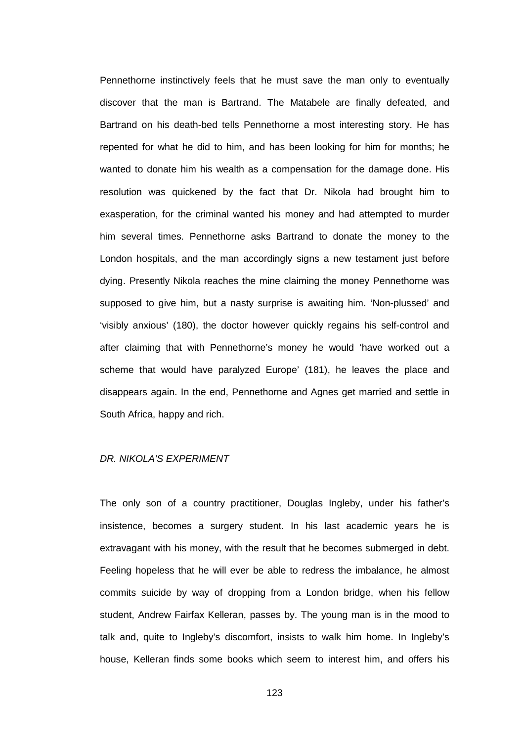Pennethorne instinctively feels that he must save the man only to eventually discover that the man is Bartrand. The Matabele are finally defeated, and Bartrand on his death-bed tells Pennethorne a most interesting story. He has repented for what he did to him, and has been looking for him for months; he wanted to donate him his wealth as a compensation for the damage done. His resolution was quickened by the fact that Dr. Nikola had brought him to exasperation, for the criminal wanted his money and had attempted to murder him several times. Pennethorne asks Bartrand to donate the money to the London hospitals, and the man accordingly signs a new testament just before dying. Presently Nikola reaches the mine claiming the money Pennethorne was supposed to give him, but a nasty surprise is awaiting him. 'Non-plussed' and 'visibly anxious' (180), the doctor however quickly regains his self-control and after claiming that with Pennethorne's money he would 'have worked out a scheme that would have paralyzed Europe' (181), he leaves the place and disappears again. In the end, Pennethorne and Agnes get married and settle in South Africa, happy and rich.

# DR. NIKOLA'S EXPERIMENT

The only son of a country practitioner, Douglas Ingleby, under his father's insistence, becomes a surgery student. In his last academic years he is extravagant with his money, with the result that he becomes submerged in debt. Feeling hopeless that he will ever be able to redress the imbalance, he almost commits suicide by way of dropping from a London bridge, when his fellow student, Andrew Fairfax Kelleran, passes by. The young man is in the mood to talk and, quite to Ingleby's discomfort, insists to walk him home. In Ingleby's house, Kelleran finds some books which seem to interest him, and offers his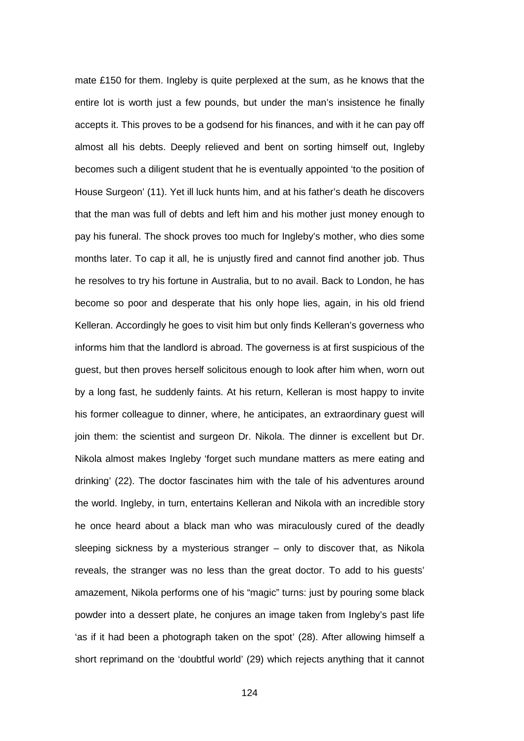mate £150 for them. Ingleby is quite perplexed at the sum, as he knows that the entire lot is worth just a few pounds, but under the man's insistence he finally accepts it. This proves to be a godsend for his finances, and with it he can pay off almost all his debts. Deeply relieved and bent on sorting himself out, Ingleby becomes such a diligent student that he is eventually appointed 'to the position of House Surgeon' (11). Yet ill luck hunts him, and at his father's death he discovers that the man was full of debts and left him and his mother just money enough to pay his funeral. The shock proves too much for Ingleby's mother, who dies some months later. To cap it all, he is unjustly fired and cannot find another job. Thus he resolves to try his fortune in Australia, but to no avail. Back to London, he has become so poor and desperate that his only hope lies, again, in his old friend Kelleran. Accordingly he goes to visit him but only finds Kelleran's governess who informs him that the landlord is abroad. The governess is at first suspicious of the guest, but then proves herself solicitous enough to look after him when, worn out by a long fast, he suddenly faints. At his return, Kelleran is most happy to invite his former colleague to dinner, where, he anticipates, an extraordinary guest will join them: the scientist and surgeon Dr. Nikola. The dinner is excellent but Dr. Nikola almost makes Ingleby 'forget such mundane matters as mere eating and drinking' (22). The doctor fascinates him with the tale of his adventures around the world. Ingleby, in turn, entertains Kelleran and Nikola with an incredible story he once heard about a black man who was miraculously cured of the deadly sleeping sickness by a mysterious stranger – only to discover that, as Nikola reveals, the stranger was no less than the great doctor. To add to his guests' amazement, Nikola performs one of his "magic" turns: just by pouring some black powder into a dessert plate, he conjures an image taken from Ingleby's past life 'as if it had been a photograph taken on the spot' (28). After allowing himself a short reprimand on the 'doubtful world' (29) which rejects anything that it cannot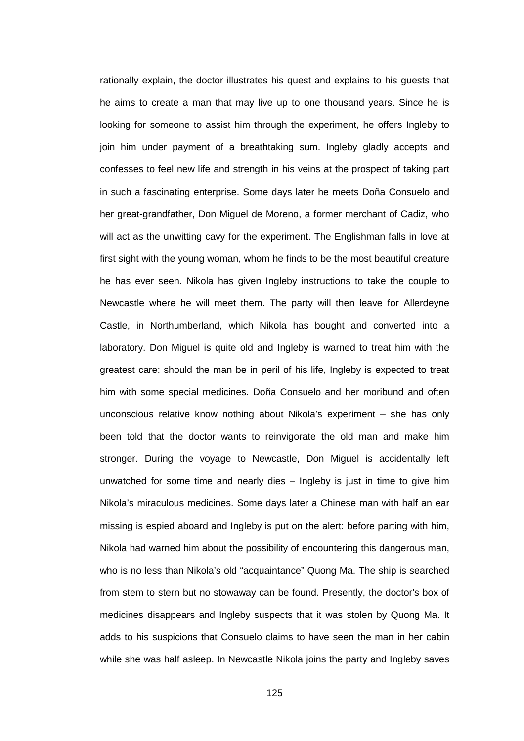rationally explain, the doctor illustrates his quest and explains to his guests that he aims to create a man that may live up to one thousand years. Since he is looking for someone to assist him through the experiment, he offers Ingleby to join him under payment of a breathtaking sum. Ingleby gladly accepts and confesses to feel new life and strength in his veins at the prospect of taking part in such a fascinating enterprise. Some days later he meets Doña Consuelo and her great-grandfather, Don Miguel de Moreno, a former merchant of Cadiz, who will act as the unwitting cavy for the experiment. The Englishman falls in love at first sight with the young woman, whom he finds to be the most beautiful creature he has ever seen. Nikola has given Ingleby instructions to take the couple to Newcastle where he will meet them. The party will then leave for Allerdeyne Castle, in Northumberland, which Nikola has bought and converted into a laboratory. Don Miguel is quite old and Ingleby is warned to treat him with the greatest care: should the man be in peril of his life, Ingleby is expected to treat him with some special medicines. Doña Consuelo and her moribund and often unconscious relative know nothing about Nikola's experiment – she has only been told that the doctor wants to reinvigorate the old man and make him stronger. During the voyage to Newcastle, Don Miguel is accidentally left unwatched for some time and nearly dies – Ingleby is just in time to give him Nikola's miraculous medicines. Some days later a Chinese man with half an ear missing is espied aboard and Ingleby is put on the alert: before parting with him, Nikola had warned him about the possibility of encountering this dangerous man, who is no less than Nikola's old "acquaintance" Quong Ma. The ship is searched from stem to stern but no stowaway can be found. Presently, the doctor's box of medicines disappears and Ingleby suspects that it was stolen by Quong Ma. It adds to his suspicions that Consuelo claims to have seen the man in her cabin while she was half asleep. In Newcastle Nikola joins the party and Ingleby saves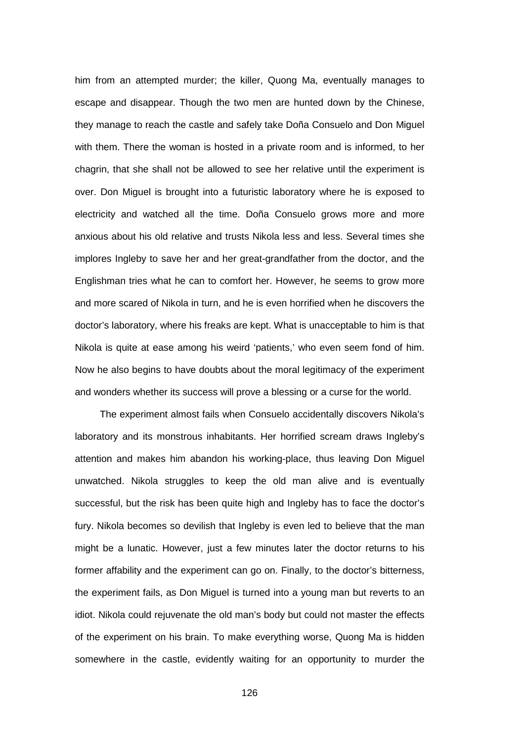him from an attempted murder; the killer, Quong Ma, eventually manages to escape and disappear. Though the two men are hunted down by the Chinese, they manage to reach the castle and safely take Doña Consuelo and Don Miguel with them. There the woman is hosted in a private room and is informed, to her chagrin, that she shall not be allowed to see her relative until the experiment is over. Don Miguel is brought into a futuristic laboratory where he is exposed to electricity and watched all the time. Doña Consuelo grows more and more anxious about his old relative and trusts Nikola less and less. Several times she implores Ingleby to save her and her great-grandfather from the doctor, and the Englishman tries what he can to comfort her. However, he seems to grow more and more scared of Nikola in turn, and he is even horrified when he discovers the doctor's laboratory, where his freaks are kept. What is unacceptable to him is that Nikola is quite at ease among his weird 'patients,' who even seem fond of him. Now he also begins to have doubts about the moral legitimacy of the experiment and wonders whether its success will prove a blessing or a curse for the world.

The experiment almost fails when Consuelo accidentally discovers Nikola's laboratory and its monstrous inhabitants. Her horrified scream draws Ingleby's attention and makes him abandon his working-place, thus leaving Don Miguel unwatched. Nikola struggles to keep the old man alive and is eventually successful, but the risk has been quite high and Ingleby has to face the doctor's fury. Nikola becomes so devilish that Ingleby is even led to believe that the man might be a lunatic. However, just a few minutes later the doctor returns to his former affability and the experiment can go on. Finally, to the doctor's bitterness, the experiment fails, as Don Miguel is turned into a young man but reverts to an idiot. Nikola could rejuvenate the old man's body but could not master the effects of the experiment on his brain. To make everything worse, Quong Ma is hidden somewhere in the castle, evidently waiting for an opportunity to murder the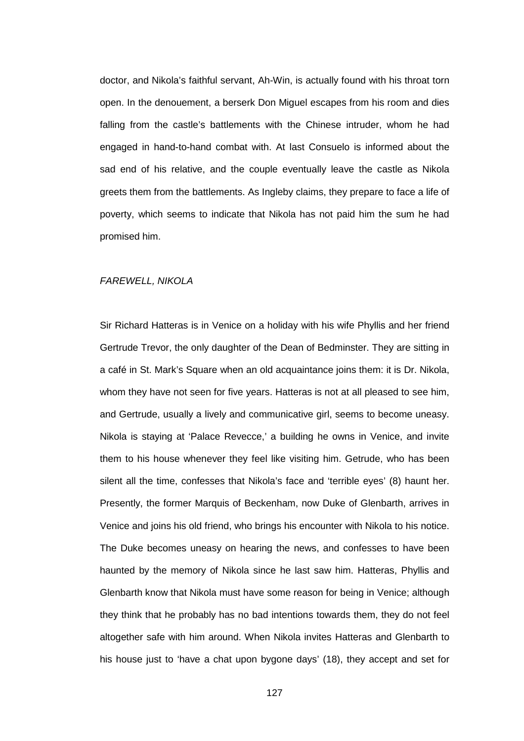doctor, and Nikola's faithful servant, Ah-Win, is actually found with his throat torn open. In the denouement, a berserk Don Miguel escapes from his room and dies falling from the castle's battlements with the Chinese intruder, whom he had engaged in hand-to-hand combat with. At last Consuelo is informed about the sad end of his relative, and the couple eventually leave the castle as Nikola greets them from the battlements. As Ingleby claims, they prepare to face a life of poverty, which seems to indicate that Nikola has not paid him the sum he had promised him.

### FAREWELL, NIKOLA

Sir Richard Hatteras is in Venice on a holiday with his wife Phyllis and her friend Gertrude Trevor, the only daughter of the Dean of Bedminster. They are sitting in a café in St. Mark's Square when an old acquaintance joins them: it is Dr. Nikola, whom they have not seen for five years. Hatteras is not at all pleased to see him, and Gertrude, usually a lively and communicative girl, seems to become uneasy. Nikola is staying at 'Palace Revecce,' a building he owns in Venice, and invite them to his house whenever they feel like visiting him. Getrude, who has been silent all the time, confesses that Nikola's face and 'terrible eyes' (8) haunt her. Presently, the former Marquis of Beckenham, now Duke of Glenbarth, arrives in Venice and joins his old friend, who brings his encounter with Nikola to his notice. The Duke becomes uneasy on hearing the news, and confesses to have been haunted by the memory of Nikola since he last saw him. Hatteras, Phyllis and Glenbarth know that Nikola must have some reason for being in Venice; although they think that he probably has no bad intentions towards them, they do not feel altogether safe with him around. When Nikola invites Hatteras and Glenbarth to his house just to 'have a chat upon bygone days' (18), they accept and set for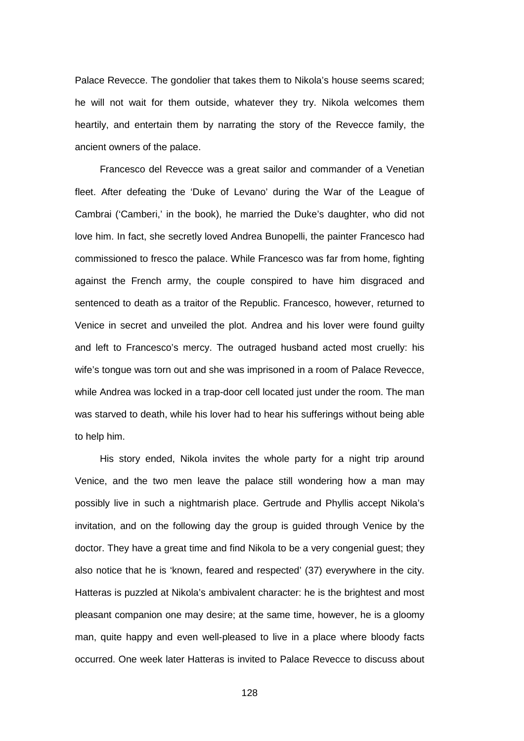Palace Revecce. The gondolier that takes them to Nikola's house seems scared; he will not wait for them outside, whatever they try. Nikola welcomes them heartily, and entertain them by narrating the story of the Revecce family, the ancient owners of the palace.

Francesco del Revecce was a great sailor and commander of a Venetian fleet. After defeating the 'Duke of Levano' during the War of the League of Cambrai ('Camberi,' in the book), he married the Duke's daughter, who did not love him. In fact, she secretly loved Andrea Bunopelli, the painter Francesco had commissioned to fresco the palace. While Francesco was far from home, fighting against the French army, the couple conspired to have him disgraced and sentenced to death as a traitor of the Republic. Francesco, however, returned to Venice in secret and unveiled the plot. Andrea and his lover were found guilty and left to Francesco's mercy. The outraged husband acted most cruelly: his wife's tongue was torn out and she was imprisoned in a room of Palace Revecce, while Andrea was locked in a trap-door cell located just under the room. The man was starved to death, while his lover had to hear his sufferings without being able to help him.

His story ended, Nikola invites the whole party for a night trip around Venice, and the two men leave the palace still wondering how a man may possibly live in such a nightmarish place. Gertrude and Phyllis accept Nikola's invitation, and on the following day the group is guided through Venice by the doctor. They have a great time and find Nikola to be a very congenial guest; they also notice that he is 'known, feared and respected' (37) everywhere in the city. Hatteras is puzzled at Nikola's ambivalent character: he is the brightest and most pleasant companion one may desire; at the same time, however, he is a gloomy man, quite happy and even well-pleased to live in a place where bloody facts occurred. One week later Hatteras is invited to Palace Revecce to discuss about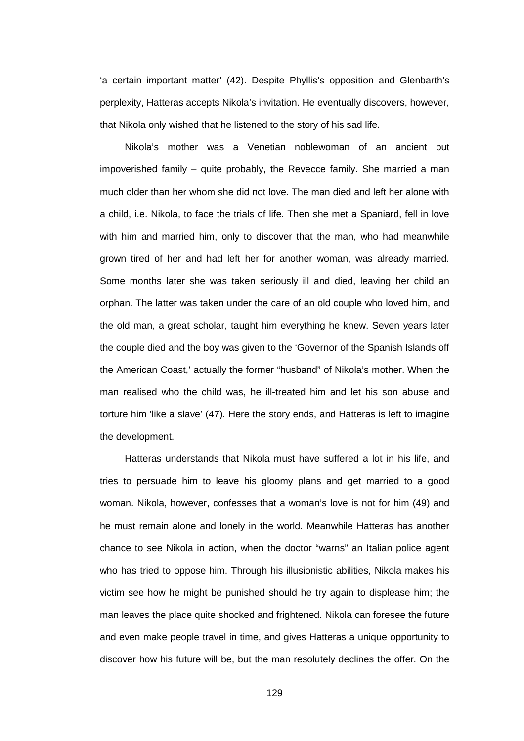'a certain important matter' (42). Despite Phyllis's opposition and Glenbarth's perplexity, Hatteras accepts Nikola's invitation. He eventually discovers, however, that Nikola only wished that he listened to the story of his sad life.

Nikola's mother was a Venetian noblewoman of an ancient but impoverished family – quite probably, the Revecce family. She married a man much older than her whom she did not love. The man died and left her alone with a child, i.e. Nikola, to face the trials of life. Then she met a Spaniard, fell in love with him and married him, only to discover that the man, who had meanwhile grown tired of her and had left her for another woman, was already married. Some months later she was taken seriously ill and died, leaving her child an orphan. The latter was taken under the care of an old couple who loved him, and the old man, a great scholar, taught him everything he knew. Seven years later the couple died and the boy was given to the 'Governor of the Spanish Islands off the American Coast,' actually the former "husband" of Nikola's mother. When the man realised who the child was, he ill-treated him and let his son abuse and torture him 'like a slave' (47). Here the story ends, and Hatteras is left to imagine the development.

Hatteras understands that Nikola must have suffered a lot in his life, and tries to persuade him to leave his gloomy plans and get married to a good woman. Nikola, however, confesses that a woman's love is not for him (49) and he must remain alone and lonely in the world. Meanwhile Hatteras has another chance to see Nikola in action, when the doctor "warns" an Italian police agent who has tried to oppose him. Through his illusionistic abilities, Nikola makes his victim see how he might be punished should he try again to displease him; the man leaves the place quite shocked and frightened. Nikola can foresee the future and even make people travel in time, and gives Hatteras a unique opportunity to discover how his future will be, but the man resolutely declines the offer. On the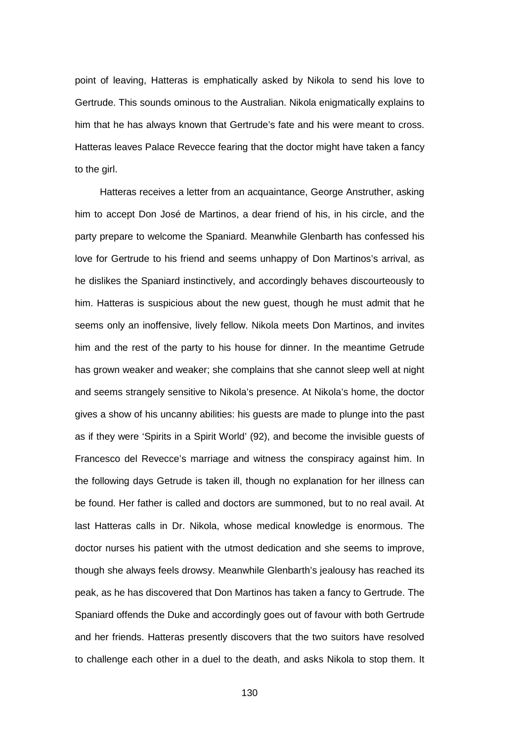point of leaving, Hatteras is emphatically asked by Nikola to send his love to Gertrude. This sounds ominous to the Australian. Nikola enigmatically explains to him that he has always known that Gertrude's fate and his were meant to cross. Hatteras leaves Palace Revecce fearing that the doctor might have taken a fancy to the girl.

Hatteras receives a letter from an acquaintance, George Anstruther, asking him to accept Don José de Martinos, a dear friend of his, in his circle, and the party prepare to welcome the Spaniard. Meanwhile Glenbarth has confessed his love for Gertrude to his friend and seems unhappy of Don Martinos's arrival, as he dislikes the Spaniard instinctively, and accordingly behaves discourteously to him. Hatteras is suspicious about the new guest, though he must admit that he seems only an inoffensive, lively fellow. Nikola meets Don Martinos, and invites him and the rest of the party to his house for dinner. In the meantime Getrude has grown weaker and weaker; she complains that she cannot sleep well at night and seems strangely sensitive to Nikola's presence. At Nikola's home, the doctor gives a show of his uncanny abilities: his guests are made to plunge into the past as if they were 'Spirits in a Spirit World' (92), and become the invisible guests of Francesco del Revecce's marriage and witness the conspiracy against him. In the following days Getrude is taken ill, though no explanation for her illness can be found. Her father is called and doctors are summoned, but to no real avail. At last Hatteras calls in Dr. Nikola, whose medical knowledge is enormous. The doctor nurses his patient with the utmost dedication and she seems to improve, though she always feels drowsy. Meanwhile Glenbarth's jealousy has reached its peak, as he has discovered that Don Martinos has taken a fancy to Gertrude. The Spaniard offends the Duke and accordingly goes out of favour with both Gertrude and her friends. Hatteras presently discovers that the two suitors have resolved to challenge each other in a duel to the death, and asks Nikola to stop them. It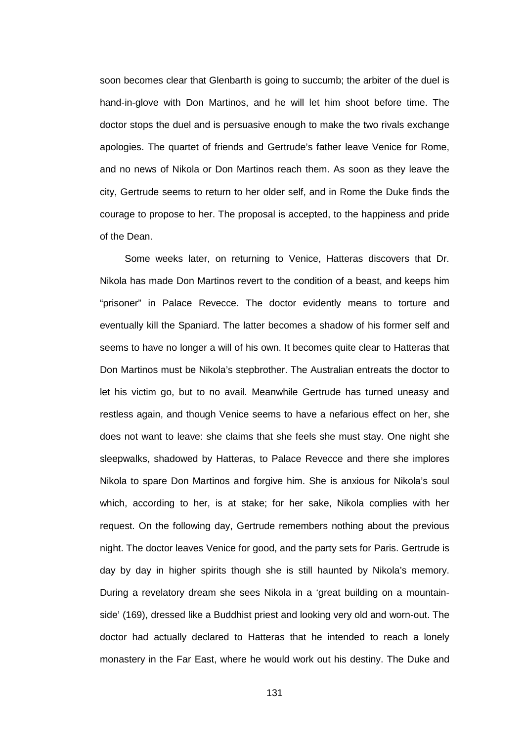soon becomes clear that Glenbarth is going to succumb; the arbiter of the duel is hand-in-glove with Don Martinos, and he will let him shoot before time. The doctor stops the duel and is persuasive enough to make the two rivals exchange apologies. The quartet of friends and Gertrude's father leave Venice for Rome, and no news of Nikola or Don Martinos reach them. As soon as they leave the city, Gertrude seems to return to her older self, and in Rome the Duke finds the courage to propose to her. The proposal is accepted, to the happiness and pride of the Dean.

Some weeks later, on returning to Venice, Hatteras discovers that Dr. Nikola has made Don Martinos revert to the condition of a beast, and keeps him "prisoner" in Palace Revecce. The doctor evidently means to torture and eventually kill the Spaniard. The latter becomes a shadow of his former self and seems to have no longer a will of his own. It becomes quite clear to Hatteras that Don Martinos must be Nikola's stepbrother. The Australian entreats the doctor to let his victim go, but to no avail. Meanwhile Gertrude has turned uneasy and restless again, and though Venice seems to have a nefarious effect on her, she does not want to leave: she claims that she feels she must stay. One night she sleepwalks, shadowed by Hatteras, to Palace Revecce and there she implores Nikola to spare Don Martinos and forgive him. She is anxious for Nikola's soul which, according to her, is at stake; for her sake, Nikola complies with her request. On the following day, Gertrude remembers nothing about the previous night. The doctor leaves Venice for good, and the party sets for Paris. Gertrude is day by day in higher spirits though she is still haunted by Nikola's memory. During a revelatory dream she sees Nikola in a 'great building on a mountainside' (169), dressed like a Buddhist priest and looking very old and worn-out. The doctor had actually declared to Hatteras that he intended to reach a lonely monastery in the Far East, where he would work out his destiny. The Duke and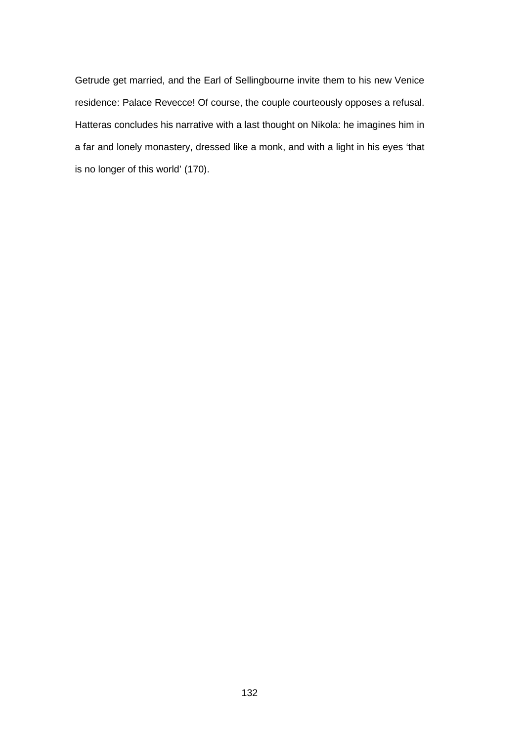Getrude get married, and the Earl of Sellingbourne invite them to his new Venice residence: Palace Revecce! Of course, the couple courteously opposes a refusal. Hatteras concludes his narrative with a last thought on Nikola: he imagines him in a far and lonely monastery, dressed like a monk, and with a light in his eyes 'that is no longer of this world' (170).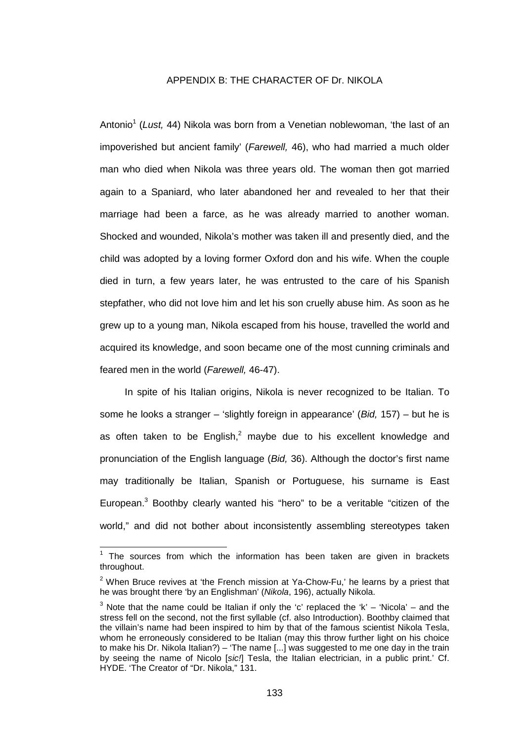## APPENDIX B: THE CHARACTER OF Dr. NIKOLA

Antonio<sup>1</sup> (Lust, 44) Nikola was born from a Venetian noblewoman, 'the last of an impoverished but ancient family' (Farewell, 46), who had married a much older man who died when Nikola was three years old. The woman then got married again to a Spaniard, who later abandoned her and revealed to her that their marriage had been a farce, as he was already married to another woman. Shocked and wounded, Nikola's mother was taken ill and presently died, and the child was adopted by a loving former Oxford don and his wife. When the couple died in turn, a few years later, he was entrusted to the care of his Spanish stepfather, who did not love him and let his son cruelly abuse him. As soon as he grew up to a young man, Nikola escaped from his house, travelled the world and acquired its knowledge, and soon became one of the most cunning criminals and feared men in the world (Farewell, 46-47).

In spite of his Italian origins. Nikola is never recognized to be Italian. To some he looks a stranger – 'slightly foreign in appearance' (*Bid*, 157) – but he is as often taken to be English,<sup>2</sup> maybe due to his excellent knowledge and pronunciation of the English language (Bid, 36). Although the doctor's first name may traditionally be Italian, Spanish or Portuguese, his surname is East European.<sup>3</sup> Boothby clearly wanted his "hero" to be a veritable "citizen of the world," and did not bother about inconsistently assembling stereotypes taken

j

 $1$  The sources from which the information has been taken are given in brackets throughout.

 $2$  When Bruce revives at 'the French mission at Ya-Chow-Fu,' he learns by a priest that he was brought there 'by an Englishman' (Nikola, 196), actually Nikola.

<sup>&</sup>lt;sup>3</sup> Note that the name could be Italian if only the 'c' replaced the 'k' – 'Nicola' – and the stress fell on the second, not the first syllable (cf. also Introduction). Boothby claimed that the villain's name had been inspired to him by that of the famous scientist Nikola Tesla, whom he erroneously considered to be Italian (may this throw further light on his choice to make his Dr. Nikola Italian?) – 'The name [...] was suggested to me one day in the train by seeing the name of Nicolo [sic!] Tesla, the Italian electrician, in a public print.' Cf. HYDE. 'The Creator of "Dr. Nikola," 131.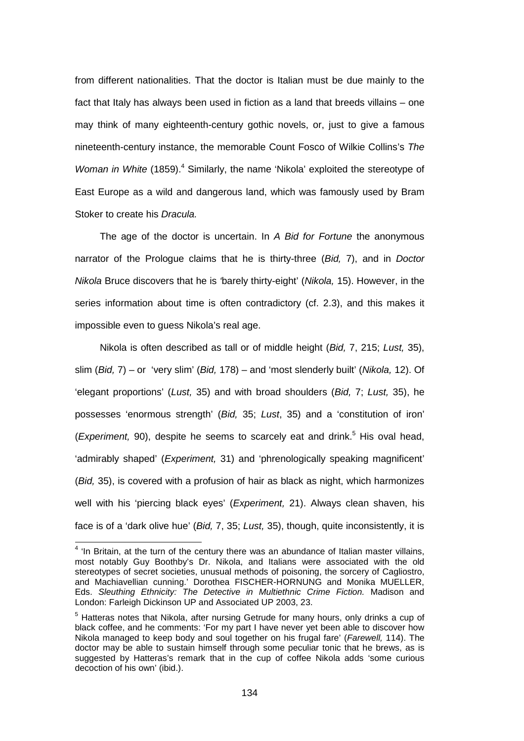from different nationalities. That the doctor is Italian must be due mainly to the fact that Italy has always been used in fiction as a land that breeds villains – one may think of many eighteenth-century gothic novels, or, just to give a famous nineteenth-century instance, the memorable Count Fosco of Wilkie Collins's The Woman in White (1859).<sup>4</sup> Similarly, the name 'Nikola' exploited the stereotype of East Europe as a wild and dangerous land, which was famously used by Bram Stoker to create his Dracula.

The age of the doctor is uncertain. In A Bid for Fortune the anonymous narrator of the Prologue claims that he is thirty-three (Bid, 7), and in Doctor Nikola Bruce discovers that he is 'barely thirty-eight' (Nikola, 15). However, in the series information about time is often contradictory (cf. 2.3), and this makes it impossible even to guess Nikola's real age.

Nikola is often described as tall or of middle height (Bid, 7, 215; Lust, 35), slim  $(Bid, 7)$  – or 'very slim'  $(Bid, 178)$  – and 'most slenderly built' (Nikola, 12). Of 'elegant proportions' (Lust, 35) and with broad shoulders (Bid, 7; Lust, 35), he possesses 'enormous strength' (Bid, 35; Lust, 35) and a 'constitution of iron' (*Experiment*, 90), despite he seems to scarcely eat and drink.<sup>5</sup> His oval head, 'admirably shaped' (Experiment, 31) and 'phrenologically speaking magnificent' (Bid, 35), is covered with a profusion of hair as black as night, which harmonizes well with his 'piercing black eyes' (*Experiment*, 21). Always clean shaven, his face is of a 'dark olive hue' (Bid, 7, 35; Lust, 35), though, quite inconsistently, it is

The same of the turn of the century there was an abundance of Italian master villains, most notably Guy Boothby's Dr. Nikola, and Italians were associated with the old stereotypes of secret societies, unusual methods of poisoning, the sorcery of Cagliostro, and Machiavellian cunning.' Dorothea FISCHER-HORNUNG and Monika MUELLER, Eds. Sleuthing Ethnicity: The Detective in Multiethnic Crime Fiction. Madison and London: Farleigh Dickinson UP and Associated UP 2003, 23.

<sup>&</sup>lt;sup>5</sup> Hatteras notes that Nikola, after nursing Getrude for many hours, only drinks a cup of black coffee, and he comments: 'For my part I have never yet been able to discover how Nikola managed to keep body and soul together on his frugal fare' (Farewell, 114). The doctor may be able to sustain himself through some peculiar tonic that he brews, as is suggested by Hatteras's remark that in the cup of coffee Nikola adds 'some curious decoction of his own' (ibid.).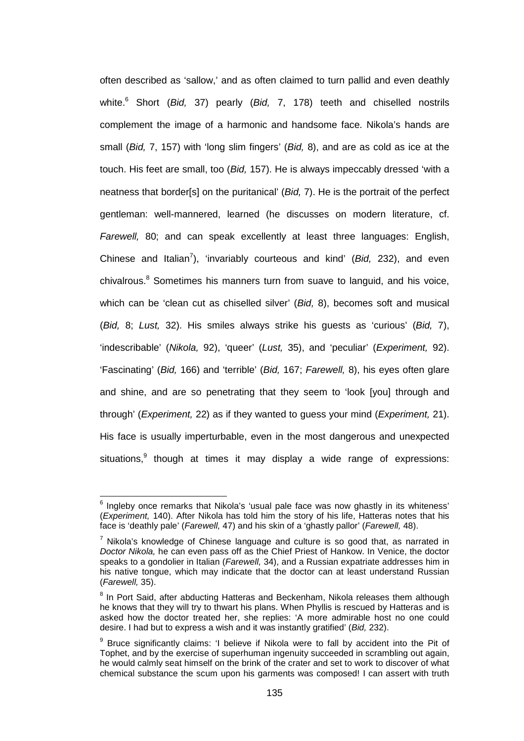often described as 'sallow,' and as often claimed to turn pallid and even deathly white.<sup>6</sup> Short (*Bid,* 37) pearly (*Bid,* 7, 178) teeth and chiselled nostrils complement the image of a harmonic and handsome face. Nikola's hands are small (Bid, 7, 157) with 'long slim fingers' (Bid, 8), and are as cold as ice at the touch. His feet are small, too (Bid, 157). He is always impeccably dressed 'with a neatness that border[s] on the puritanical' (Bid, 7). He is the portrait of the perfect gentleman: well-mannered, learned (he discusses on modern literature, cf. Farewell, 80; and can speak excellently at least three languages: English, Chinese and Italian<sup>7</sup>), 'invariably courteous and kind' (*Bid,* 232), and even chivalrous.<sup>8</sup> Sometimes his manners turn from suave to languid, and his voice, which can be 'clean cut as chiselled silver' (Bid, 8), becomes soft and musical (Bid, 8; Lust, 32). His smiles always strike his guests as 'curious' (Bid, 7), 'indescribable' (Nikola, 92), 'queer' (Lust, 35), and 'peculiar' (Experiment, 92). 'Fascinating' (Bid, 166) and 'terrible' (Bid, 167; Farewell, 8), his eyes often glare and shine, and are so penetrating that they seem to 'look [you] through and through' (Experiment, 22) as if they wanted to guess your mind (Experiment, 21). His face is usually imperturbable, even in the most dangerous and unexpected situations,<sup>9</sup> though at times it may display a wide range of expressions:

  $<sup>6</sup>$  Ingleby once remarks that Nikola's 'usual pale face was now ghastly in its whiteness'</sup> (Experiment, 140). After Nikola has told him the story of his life, Hatteras notes that his face is 'deathly pale' (Farewell, 47) and his skin of a 'ghastly pallor' (Farewell, 48).

 $<sup>7</sup>$  Nikola's knowledge of Chinese language and culture is so good that, as narrated in</sup> Doctor Nikola, he can even pass off as the Chief Priest of Hankow. In Venice, the doctor speaks to a gondolier in Italian (Farewell, 34), and a Russian expatriate addresses him in his native tongue, which may indicate that the doctor can at least understand Russian (Farewell, 35).

 $8$  In Port Said, after abducting Hatteras and Beckenham, Nikola releases them although he knows that they will try to thwart his plans. When Phyllis is rescued by Hatteras and is asked how the doctor treated her, she replies: 'A more admirable host no one could desire. I had but to express a wish and it was instantly gratified' (Bid, 232).

<sup>&</sup>lt;sup>9</sup> Bruce significantly claims: 'I believe if Nikola were to fall by accident into the Pit of Tophet, and by the exercise of superhuman ingenuity succeeded in scrambling out again, he would calmly seat himself on the brink of the crater and set to work to discover of what chemical substance the scum upon his garments was composed! I can assert with truth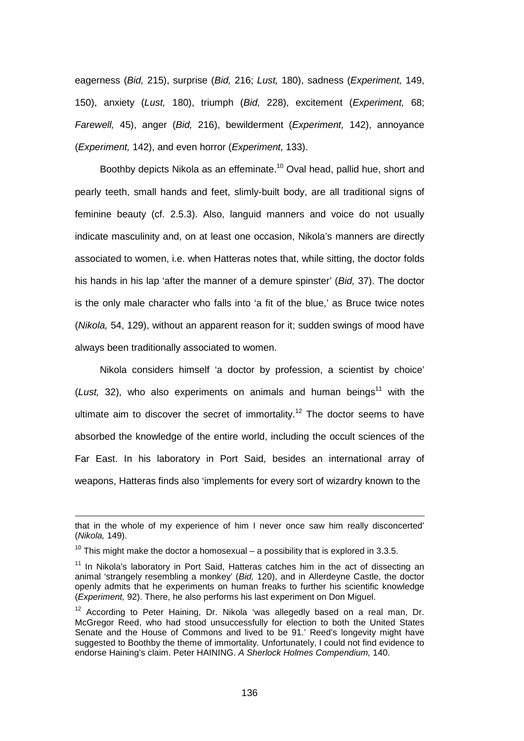eagerness (Bid, 215), surprise (Bid, 216; Lust, 180), sadness (Experiment, 149, 150), anxiety (Lust, 180), triumph (Bid, 228), excitement (Experiment, 68; Farewell, 45), anger (Bid, 216), bewilderment (Experiment, 142), annoyance (Experiment, 142), and even horror (Experiment, 133).

Boothby depicts Nikola as an effeminate.<sup>10</sup> Oval head, pallid hue, short and pearly teeth, small hands and feet, slimly-built body, are all traditional signs of feminine beauty (cf. 2.5.3). Also, languid manners and voice do not usually indicate masculinity and, on at least one occasion, Nikola's manners are directly associated to women, i.e. when Hatteras notes that, while sitting, the doctor folds his hands in his lap 'after the manner of a demure spinster' (Bid, 37). The doctor is the only male character who falls into 'a fit of the blue,' as Bruce twice notes (Nikola, 54, 129), without an apparent reason for it; sudden swings of mood have always been traditionally associated to women.

Nikola considers himself 'a doctor by profession, a scientist by choice' (Lust, 32), who also experiments on animals and human beings<sup>11</sup> with the ultimate aim to discover the secret of immortality.<sup>12</sup> The doctor seems to have absorbed the knowledge of the entire world, including the occult sciences of the Far East. In his laboratory in Port Said, besides an international array of weapons, Hatteras finds also 'implements for every sort of wizardry known to the

-

that in the whole of my experience of him I never once saw him really disconcerted' (Nikola, 149).

 $10$  This might make the doctor a homosexual – a possibility that is explored in 3.3.5.

 $11$  In Nikola's laboratory in Port Said. Hatteras catches him in the act of dissecting an animal 'strangely resembling a monkey' (Bid, 120), and in Allerdeyne Castle, the doctor openly admits that he experiments on human freaks to further his scientific knowledge (Experiment, 92). There, he also performs his last experiment on Don Miguel.

<sup>&</sup>lt;sup>12</sup> According to Peter Haining, Dr. Nikola 'was allegedly based on a real man, Dr. McGregor Reed, who had stood unsuccessfully for election to both the United States Senate and the House of Commons and lived to be 91.' Reed's longevity might have suggested to Boothby the theme of immortality. Unfortunately, I could not find evidence to endorse Haining's claim. Peter HAINING. A Sherlock Holmes Compendium, 140.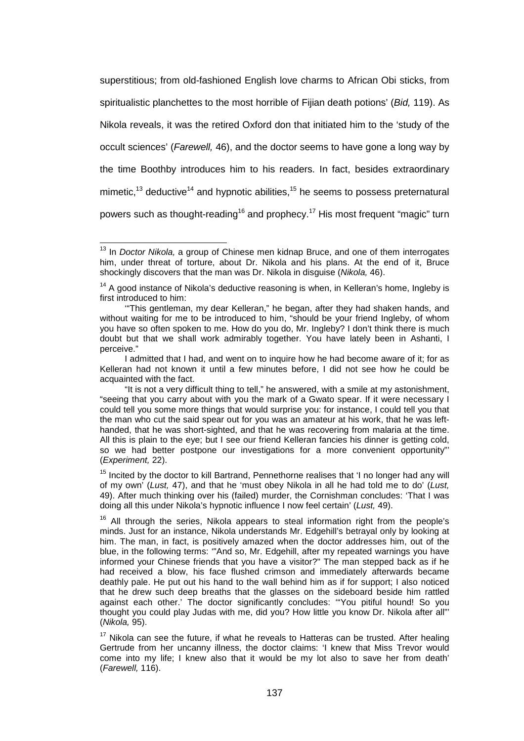superstitious; from old-fashioned English love charms to African Obi sticks, from spiritualistic planchettes to the most horrible of Fijian death potions' (Bid, 119). As Nikola reveals, it was the retired Oxford don that initiated him to the 'study of the occult sciences' (Farewell, 46), and the doctor seems to have gone a long way by the time Boothby introduces him to his readers. In fact, besides extraordinary mimetic,<sup>13</sup> deductive<sup>14</sup> and hypnotic abilities,<sup>15</sup> he seems to possess preternatural powers such as thought-reading<sup>16</sup> and prophecy.<sup>17</sup> His most frequent "magic" turn

 $13$  In Doctor Nikola, a group of Chinese men kidnap Bruce, and one of them interrogates him, under threat of torture, about Dr. Nikola and his plans. At the end of it, Bruce shockingly discovers that the man was Dr. Nikola in disguise (Nikola, 46).

<sup>&</sup>lt;sup>14</sup> A good instance of Nikola's deductive reasoning is when, in Kelleran's home, Ingleby is first introduced to him:

<sup>&#</sup>x27;"This gentleman, my dear Kelleran," he began, after they had shaken hands, and without waiting for me to be introduced to him, "should be your friend Ingleby, of whom you have so often spoken to me. How do you do, Mr. Ingleby? I don't think there is much doubt but that we shall work admirably together. You have lately been in Ashanti, I perceive."

I admitted that I had, and went on to inquire how he had become aware of it; for as Kelleran had not known it until a few minutes before, I did not see how he could be acquainted with the fact.

<sup>&</sup>quot;It is not a very difficult thing to tell," he answered, with a smile at my astonishment, "seeing that you carry about with you the mark of a Gwato spear. If it were necessary I could tell you some more things that would surprise you: for instance, I could tell you that the man who cut the said spear out for you was an amateur at his work, that he was lefthanded, that he was short-sighted, and that he was recovering from malaria at the time. All this is plain to the eye; but I see our friend Kelleran fancies his dinner is getting cold, so we had better postpone our investigations for a more convenient opportunity"' (Experiment, 22).

 $15$  Incited by the doctor to kill Bartrand, Pennethorne realises that 'I no longer had any will of my own' (Lust, 47), and that he 'must obey Nikola in all he had told me to do' (Lust, 49). After much thinking over his (failed) murder, the Cornishman concludes: 'That I was doing all this under Nikola's hypnotic influence I now feel certain' (Lust, 49).

<sup>&</sup>lt;sup>16</sup> All through the series, Nikola appears to steal information right from the people's minds. Just for an instance, Nikola understands Mr. Edgehill's betrayal only by looking at him. The man, in fact, is positively amazed when the doctor addresses him, out of the blue, in the following terms: '"And so, Mr. Edgehill, after my repeated warnings you have informed your Chinese friends that you have a visitor?" The man stepped back as if he had received a blow, his face flushed crimson and immediately afterwards became deathly pale. He put out his hand to the wall behind him as if for support; I also noticed that he drew such deep breaths that the glasses on the sideboard beside him rattled against each other.' The doctor significantly concludes: '"You pitiful hound! So you thought you could play Judas with me, did you? How little you know Dr. Nikola after all"' (Nikola, 95).

 $17$  Nikola can see the future, if what he reveals to Hatteras can be trusted. After healing Gertrude from her uncanny illness, the doctor claims: 'I knew that Miss Trevor would come into my life; I knew also that it would be my lot also to save her from death' (Farewell, 116).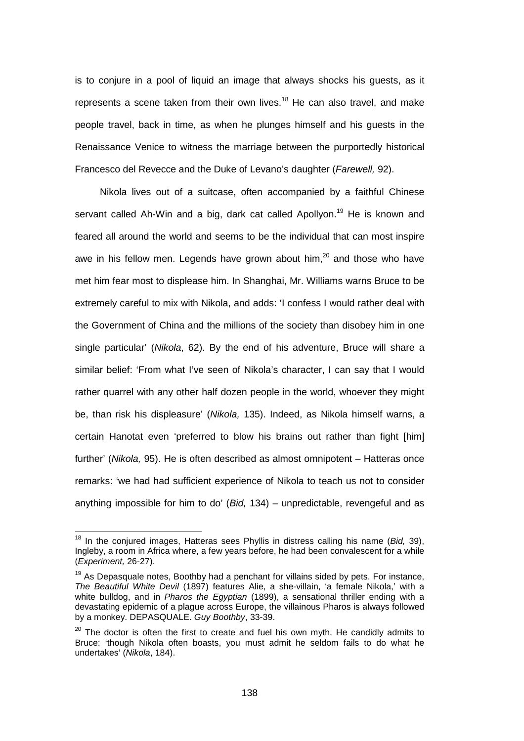is to conjure in a pool of liquid an image that always shocks his guests, as it represents a scene taken from their own lives.<sup>18</sup> He can also travel, and make people travel, back in time, as when he plunges himself and his guests in the Renaissance Venice to witness the marriage between the purportedly historical Francesco del Revecce and the Duke of Levano's daughter (Farewell, 92).

Nikola lives out of a suitcase, often accompanied by a faithful Chinese servant called Ah-Win and a big, dark cat called Apollyon.<sup>19</sup> He is known and feared all around the world and seems to be the individual that can most inspire awe in his fellow men. Legends have grown about him, $^{20}$  and those who have met him fear most to displease him. In Shanghai, Mr. Williams warns Bruce to be extremely careful to mix with Nikola, and adds: 'I confess I would rather deal with the Government of China and the millions of the society than disobey him in one single particular' (Nikola, 62). By the end of his adventure, Bruce will share a similar belief: 'From what I've seen of Nikola's character, I can say that I would rather quarrel with any other half dozen people in the world, whoever they might be, than risk his displeasure' (Nikola, 135). Indeed, as Nikola himself warns, a certain Hanotat even 'preferred to blow his brains out rather than fight [him] further' (Nikola, 95). He is often described as almost omnipotent – Hatteras once remarks: 'we had had sufficient experience of Nikola to teach us not to consider anything impossible for him to do' (Bid,  $134$ ) – unpredictable, revengeful and as

 $\overline{\phantom{a}}$ 

<sup>&</sup>lt;sup>18</sup> In the conjured images, Hatteras sees Phyllis in distress calling his name (*Bid,* 39), Ingleby, a room in Africa where, a few years before, he had been convalescent for a while (Experiment, 26-27).

 $19$  As Depasquale notes, Boothby had a penchant for villains sided by pets. For instance, The Beautiful White Devil (1897) features Alie, a she-villain, 'a female Nikola,' with a white bulldog, and in Pharos the Egyptian (1899), a sensational thriller ending with a devastating epidemic of a plague across Europe, the villainous Pharos is always followed by a monkey. DEPASQUALE. Guy Boothby, 33-39.

 $20$  The doctor is often the first to create and fuel his own myth. He candidly admits to Bruce: 'though Nikola often boasts, you must admit he seldom fails to do what he undertakes' (Nikola, 184).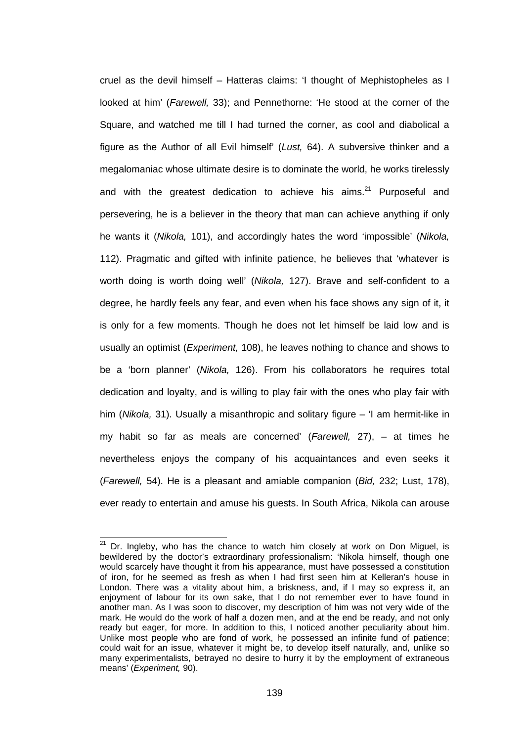cruel as the devil himself – Hatteras claims: 'I thought of Mephistopheles as I looked at him' (Farewell, 33); and Pennethorne: 'He stood at the corner of the Square, and watched me till I had turned the corner, as cool and diabolical a figure as the Author of all Evil himself' (Lust, 64). A subversive thinker and a megalomaniac whose ultimate desire is to dominate the world, he works tirelessly and with the greatest dedication to achieve his aims. $21$  Purposeful and persevering, he is a believer in the theory that man can achieve anything if only he wants it (Nikola, 101), and accordingly hates the word 'impossible' (Nikola, 112). Pragmatic and gifted with infinite patience, he believes that 'whatever is worth doing is worth doing well' (Nikola, 127). Brave and self-confident to a degree, he hardly feels any fear, and even when his face shows any sign of it, it is only for a few moments. Though he does not let himself be laid low and is usually an optimist (Experiment, 108), he leaves nothing to chance and shows to be a 'born planner' (Nikola, 126). From his collaborators he requires total dedication and loyalty, and is willing to play fair with the ones who play fair with him (Nikola, 31). Usually a misanthropic and solitary figure – 'I am hermit-like in my habit so far as meals are concerned' (Farewell, 27), – at times he nevertheless enjoys the company of his acquaintances and even seeks it (Farewell, 54). He is a pleasant and amiable companion (Bid, 232; Lust, 178), ever ready to entertain and amuse his guests. In South Africa, Nikola can arouse

 $\overline{a}$ 

 $21$  Dr. Ingleby, who has the chance to watch him closely at work on Don Miguel, is bewildered by the doctor's extraordinary professionalism: 'Nikola himself, though one would scarcely have thought it from his appearance, must have possessed a constitution of iron, for he seemed as fresh as when I had first seen him at Kelleran's house in London. There was a vitality about him, a briskness, and, if I may so express it, an enjoyment of labour for its own sake, that I do not remember ever to have found in another man. As I was soon to discover, my description of him was not very wide of the mark. He would do the work of half a dozen men, and at the end be ready, and not only ready but eager, for more. In addition to this, I noticed another peculiarity about him. Unlike most people who are fond of work, he possessed an infinite fund of patience; could wait for an issue, whatever it might be, to develop itself naturally, and, unlike so many experimentalists, betrayed no desire to hurry it by the employment of extraneous means' (Experiment, 90).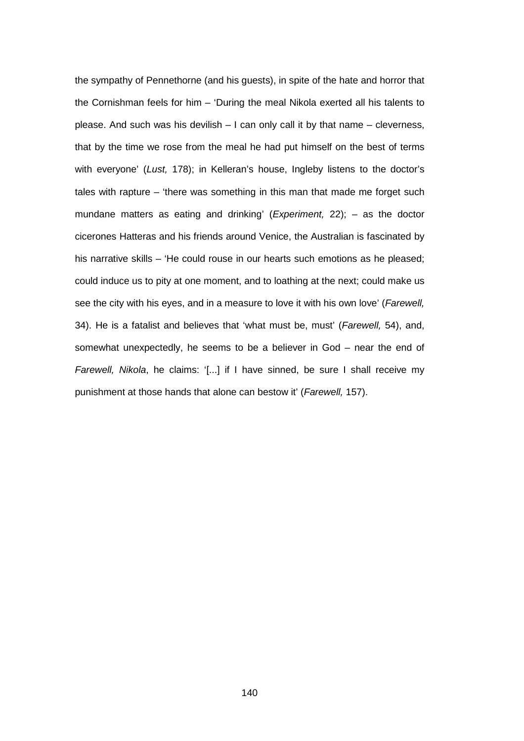the sympathy of Pennethorne (and his guests), in spite of the hate and horror that the Cornishman feels for him – 'During the meal Nikola exerted all his talents to please. And such was his devilish – I can only call it by that name – cleverness, that by the time we rose from the meal he had put himself on the best of terms with everyone' (Lust, 178); in Kelleran's house, Ingleby listens to the doctor's tales with rapture – 'there was something in this man that made me forget such mundane matters as eating and drinking' (*Experiment*, 22);  $-$  as the doctor cicerones Hatteras and his friends around Venice, the Australian is fascinated by his narrative skills – 'He could rouse in our hearts such emotions as he pleased; could induce us to pity at one moment, and to loathing at the next; could make us see the city with his eyes, and in a measure to love it with his own love' (Farewell, 34). He is a fatalist and believes that 'what must be, must' (Farewell, 54), and, somewhat unexpectedly, he seems to be a believer in God – near the end of Farewell, Nikola, he claims: '[...] if I have sinned, be sure I shall receive my punishment at those hands that alone can bestow it' (Farewell, 157).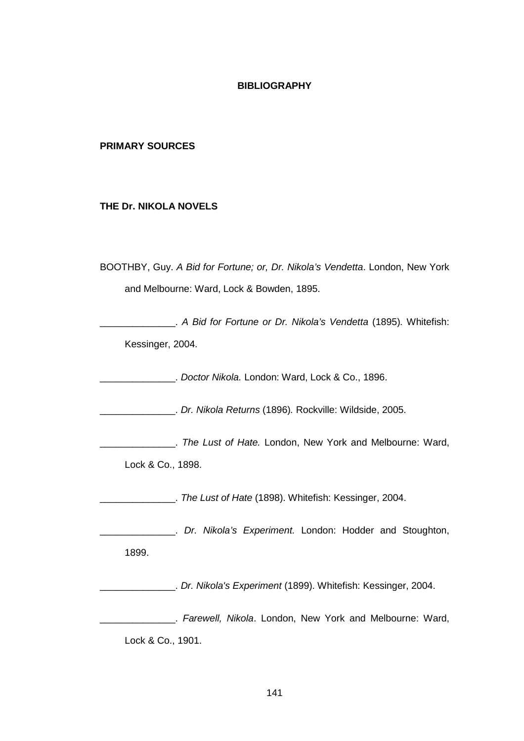## **BIBLIOGRAPHY**

### **PRIMARY SOURCES**

### **THE Dr. NIKOLA NOVELS**

BOOTHBY, Guy. A Bid for Fortune; or, Dr. Nikola's Vendetta. London, New York and Melbourne: Ward, Lock & Bowden, 1895.

\_\_\_\_\_\_\_\_\_\_\_\_\_\_. A Bid for Fortune or Dr. Nikola's Vendetta (1895). Whitefish: Kessinger, 2004.

\_\_\_\_\_\_\_\_\_\_\_\_\_\_. Doctor Nikola. London: Ward, Lock & Co., 1896.

\_\_\_\_\_\_\_\_\_\_\_\_\_\_. Dr. Nikola Returns (1896). Rockville: Wildside, 2005.

The Lust of Hate. London, New York and Melbourne: Ward,

Lock & Co., 1898.

\_\_\_\_\_\_\_\_\_\_\_\_\_\_. The Lust of Hate (1898). Whitefish: Kessinger, 2004.

**EXECUTE:** Dr. Nikola's Experiment. London: Hodder and Stoughton,

1899.

\_\_\_\_\_\_\_\_\_\_\_\_\_\_. Dr. Nikola's Experiment (1899). Whitefish: Kessinger, 2004.

. Farewell, Nikola. London, New York and Melbourne: Ward, Lock & Co., 1901.

141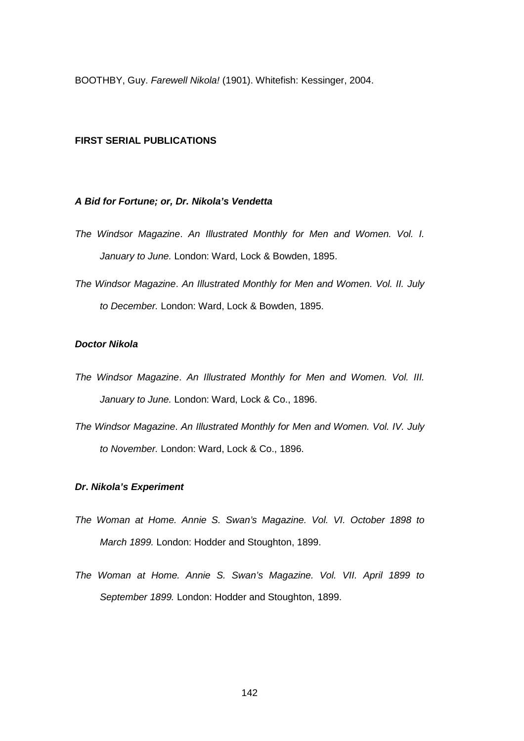BOOTHBY, Guy. Farewell Nikola! (1901). Whitefish: Kessinger, 2004.

## **FIRST SERIAL PUBLICATIONS**

#### **A Bid for Fortune; or, Dr. Nikola's Vendetta**

- The Windsor Magazine. An Illustrated Monthly for Men and Women. Vol. I. January to June. London: Ward, Lock & Bowden, 1895.
- The Windsor Magazine. An Illustrated Monthly for Men and Women. Vol. II. July to December. London: Ward, Lock & Bowden, 1895.

## **Doctor Nikola**

- The Windsor Magazine. An Illustrated Monthly for Men and Women. Vol. III. January to June. London: Ward, Lock & Co., 1896.
- The Windsor Magazine. An Illustrated Monthly for Men and Women. Vol. IV. July to November. London: Ward, Lock & Co., 1896.

#### **Dr. Nikola's Experiment**

- The Woman at Home. Annie S. Swan's Magazine. Vol. VI. October 1898 to March 1899. London: Hodder and Stoughton, 1899.
- The Woman at Home. Annie S. Swan's Magazine. Vol. VII. April 1899 to September 1899. London: Hodder and Stoughton, 1899.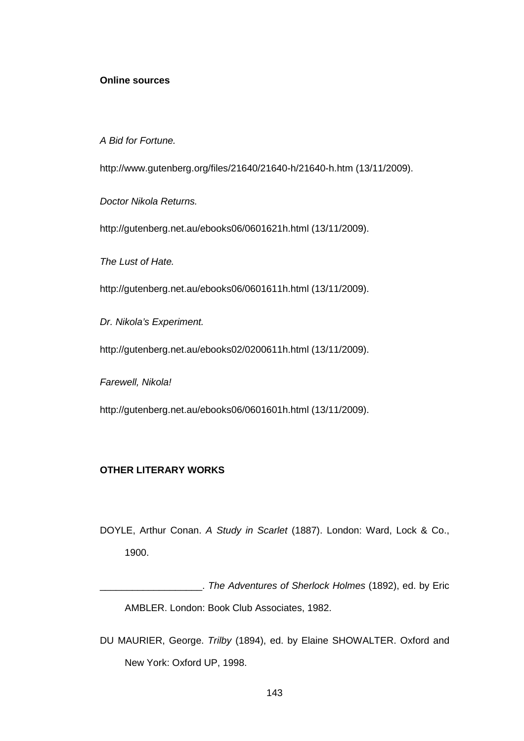### **Online sources**

A Bid for Fortune.

http://www.gutenberg.org/files/21640/21640-h/21640-h.htm (13/11/2009).

Doctor Nikola Returns.

http://gutenberg.net.au/ebooks06/0601621h.html (13/11/2009).

The Lust of Hate.

http://gutenberg.net.au/ebooks06/0601611h.html (13/11/2009).

Dr. Nikola's Experiment.

http://gutenberg.net.au/ebooks02/0200611h.html (13/11/2009).

Farewell, Nikola!

http://gutenberg.net.au/ebooks06/0601601h.html (13/11/2009).

# **OTHER LITERARY WORKS**

DOYLE, Arthur Conan. A Study in Scarlet (1887). London: Ward, Lock & Co., 1900.

**The Adventures of Sherlock Holmes (1892), ed. by Eric** AMBLER. London: Book Club Associates, 1982.

DU MAURIER, George. Trilby (1894), ed. by Elaine SHOWALTER. Oxford and New York: Oxford UP, 1998.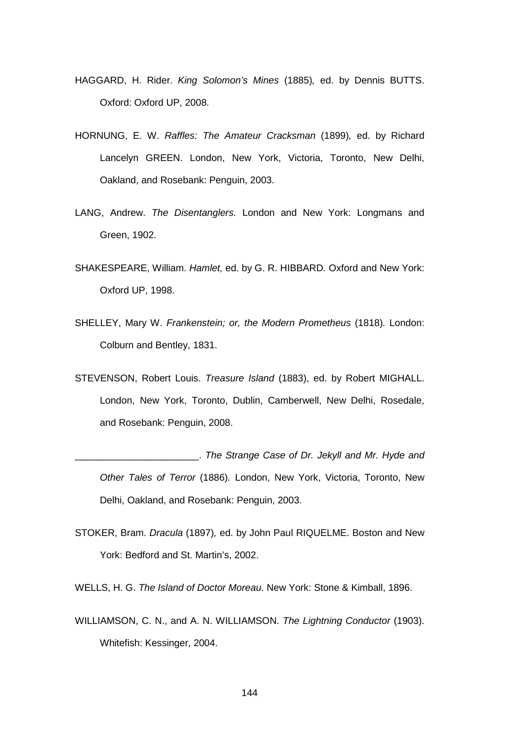- HAGGARD, H. Rider. King Solomon's Mines (1885), ed. by Dennis BUTTS. Oxford: Oxford UP, 2008.
- HORNUNG, E. W. Raffles: The Amateur Cracksman (1899), ed. by Richard Lancelyn GREEN. London, New York, Victoria, Toronto, New Delhi, Oakland, and Rosebank: Penguin, 2003.
- LANG, Andrew. The Disentanglers. London and New York: Longmans and Green, 1902.
- SHAKESPEARE, William. Hamlet, ed. by G. R. HIBBARD. Oxford and New York: Oxford UP, 1998.
- SHELLEY, Mary W. Frankenstein; or, the Modern Prometheus (1818). London: Colburn and Bentley, 1831.
- STEVENSON, Robert Louis. Treasure Island (1883), ed. by Robert MIGHALL. London, New York, Toronto, Dublin, Camberwell, New Delhi, Rosedale, and Rosebank: Penguin, 2008.

\_\_\_\_\_\_\_\_\_\_\_\_\_\_\_\_\_\_\_\_\_\_\_. The Strange Case of Dr. Jekyll and Mr. Hyde and Other Tales of Terror (1886). London, New York, Victoria, Toronto, New Delhi, Oakland, and Rosebank: Penguin, 2003.

STOKER, Bram. Dracula (1897), ed. by John Paul RIQUELME. Boston and New York: Bedford and St. Martin's, 2002.

WELLS, H. G. The Island of Doctor Moreau. New York: Stone & Kimball, 1896.

WILLIAMSON, C. N., and A. N. WILLIAMSON. The Lightning Conductor (1903). Whitefish: Kessinger, 2004.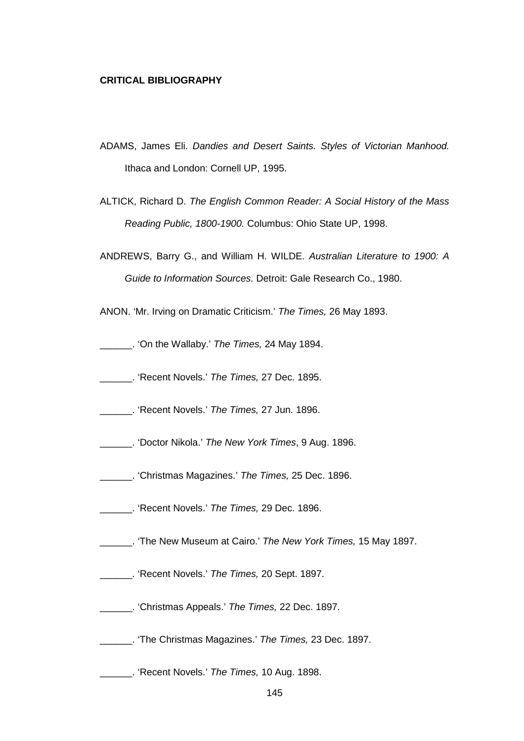### **CRITICAL BIBLIOGRAPHY**

- ADAMS, James Eli. Dandies and Desert Saints. Styles of Victorian Manhood. Ithaca and London: Cornell UP, 1995.
- ALTICK, Richard D. The English Common Reader: A Social History of the Mass Reading Public, 1800-1900. Columbus: Ohio State UP, 1998.
- ANDREWS, Barry G., and William H. WILDE. Australian Literature to 1900: A Guide to Information Sources. Detroit: Gale Research Co., 1980.
- ANON. 'Mr. Irving on Dramatic Criticism.' The Times, 26 May 1893.
- Con the Wallaby.' The Times, 24 May 1894.
- **LETTE:** 'Recent Novels.' The Times, 27 Dec. 1895.
- . 'Recent Novels.' The Times, 27 Jun. 1896.
- \_\_\_\_\_\_. 'Doctor Nikola.' The New York Times, 9 Aug. 1896.
- \_\_\_\_\_\_. 'Christmas Magazines.' The Times, 25 Dec. 1896.
- \_\_\_\_\_\_. 'Recent Novels.' The Times, 29 Dec. 1896.
- The New Museum at Cairo.' The New York Times, 15 May 1897.
- \_\_\_\_\_\_. 'Recent Novels.' The Times, 20 Sept. 1897.
- \_\_\_\_\_\_. 'Christmas Appeals.' The Times, 22 Dec. 1897.
- The Christmas Magazines.' The Times, 23 Dec. 1897.
- **LETT** Precent Novels.' The Times, 10 Aug. 1898.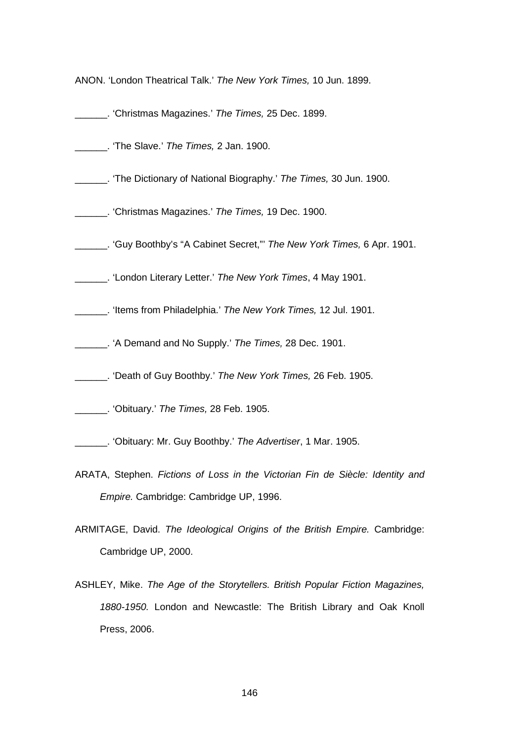ANON. 'London Theatrical Talk.' The New York Times, 10 Jun. 1899.

- \_\_\_\_\_\_. 'Christmas Magazines.' The Times, 25 Dec. 1899.
- \_\_\_\_\_\_. 'The Slave.' The Times, 2 Jan. 1900.
- The Dictionary of National Biography.' The Times, 30 Jun. 1900.
- Christmas Magazines.' The Times, 19 Dec. 1900.
- \_\_\_\_\_\_. 'Guy Boothby's "A Cabinet Secret,"' The New York Times, 6 Apr. 1901.
- London Literary Letter.' The New York Times, 4 May 1901.
- \_\_\_\_\_\_. 'Items from Philadelphia.' The New York Times, 12 Jul. 1901.
- . 'A Demand and No Supply.' The Times, 28 Dec. 1901.
- Latter 20 Feath of Guy Boothby.' The New York Times, 26 Feb. 1905.
- \_\_\_\_\_\_. 'Obituary.' The Times, 28 Feb. 1905.
- \_\_\_\_\_\_. 'Obituary: Mr. Guy Boothby.' The Advertiser, 1 Mar. 1905.
- ARATA, Stephen. Fictions of Loss in the Victorian Fin de Siècle: Identity and Empire. Cambridge: Cambridge UP, 1996.
- ARMITAGE, David. The Ideological Origins of the British Empire. Cambridge: Cambridge UP, 2000.
- ASHLEY, Mike. The Age of the Storytellers. British Popular Fiction Magazines, 1880-1950. London and Newcastle: The British Library and Oak Knoll Press, 2006.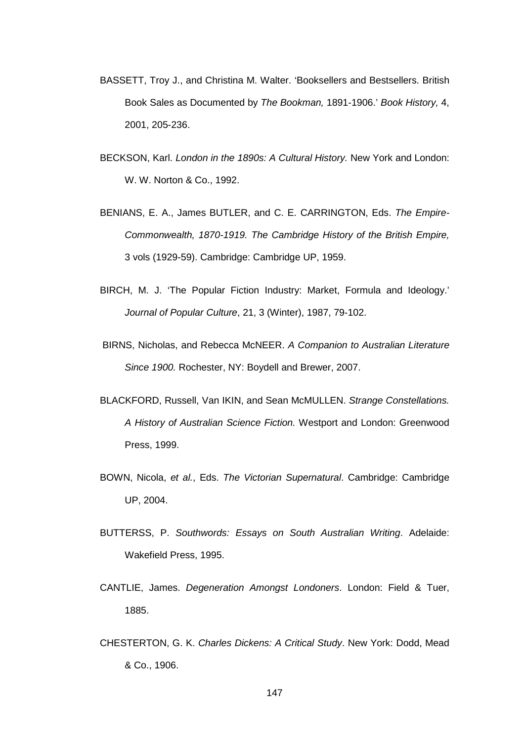- BASSETT, Troy J., and Christina M. Walter. 'Booksellers and Bestsellers. British Book Sales as Documented by The Bookman, 1891-1906.' Book History, 4, 2001, 205-236.
- BECKSON, Karl. London in the 1890s: A Cultural History. New York and London: W. W. Norton & Co., 1992.
- BENIANS, E. A., James BUTLER, and C. E. CARRINGTON, Eds. The Empire-Commonwealth, 1870-1919. The Cambridge History of the British Empire, 3 vols (1929-59). Cambridge: Cambridge UP, 1959.
- BIRCH, M. J. 'The Popular Fiction Industry: Market, Formula and Ideology.' Journal of Popular Culture, 21, 3 (Winter), 1987, 79-102.
- BIRNS, Nicholas, and Rebecca McNEER. A Companion to Australian Literature Since 1900. Rochester, NY: Boydell and Brewer, 2007.
- BLACKFORD, Russell, Van IKIN, and Sean McMULLEN. Strange Constellations. A History of Australian Science Fiction. Westport and London: Greenwood Press, 1999.
- BOWN, Nicola, et al., Eds. The Victorian Supernatural. Cambridge: Cambridge UP, 2004.
- BUTTERSS, P. Southwords: Essays on South Australian Writing. Adelaide: Wakefield Press, 1995.
- CANTLIE, James. Degeneration Amongst Londoners. London: Field & Tuer, 1885.
- CHESTERTON, G. K. Charles Dickens: A Critical Study. New York: Dodd, Mead & Co., 1906.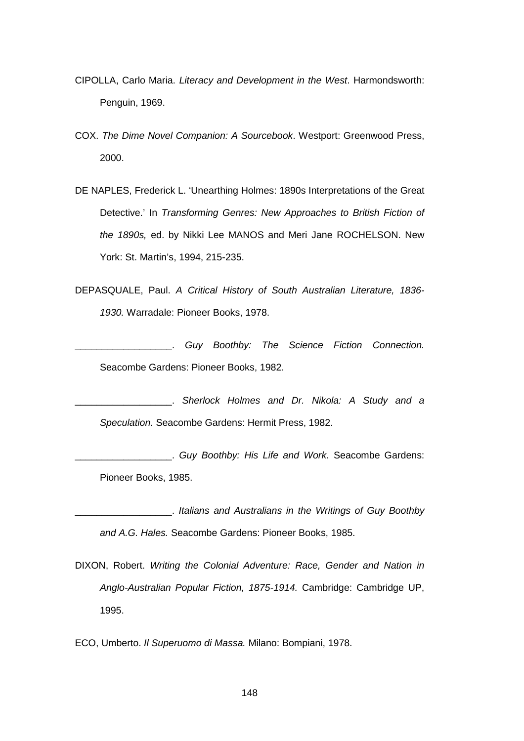- CIPOLLA, Carlo Maria. Literacy and Development in the West. Harmondsworth: Penguin, 1969.
- COX. The Dime Novel Companion: A Sourcebook. Westport: Greenwood Press, 2000.
- DE NAPLES, Frederick L. 'Unearthing Holmes: 1890s Interpretations of the Great Detective.' In Transforming Genres: New Approaches to British Fiction of the 1890s, ed. by Nikki Lee MANOS and Meri Jane ROCHELSON. New York: St. Martin's, 1994, 215-235.
- DEPASQUALE, Paul. A Critical History of South Australian Literature, 1836- 1930. Warradale: Pioneer Books, 1978.

\_\_\_\_\_\_\_\_\_\_\_\_\_\_\_\_\_\_. Guy Boothby: The Science Fiction Connection. Seacombe Gardens: Pioneer Books, 1982.

\_\_\_\_\_\_\_\_\_\_\_\_\_\_\_\_\_\_. Sherlock Holmes and Dr. Nikola: A Study and a Speculation. Seacombe Gardens: Hermit Press, 1982.

**EXECUTE:** Guy Boothby: His Life and Work. Seacombe Gardens: Pioneer Books, 1985.

**Example 2**. Italians and Australians in the Writings of Guy Boothby and A.G. Hales. Seacombe Gardens: Pioneer Books, 1985.

DIXON, Robert. Writing the Colonial Adventure: Race, Gender and Nation in Anglo-Australian Popular Fiction, 1875-1914. Cambridge: Cambridge UP, 1995.

ECO, Umberto. Il Superuomo di Massa. Milano: Bompiani, 1978.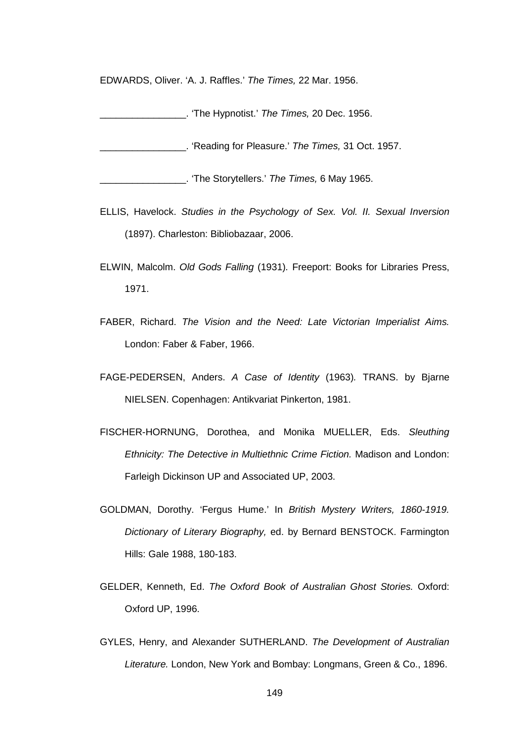EDWARDS, Oliver. 'A. J. Raffles.' The Times, 22 Mar. 1956.

The Hypnotist.' The Times, 20 Dec. 1956.

\_\_\_\_\_\_\_\_\_\_\_\_\_\_\_\_. 'Reading for Pleasure.' The Times, 31 Oct. 1957.

The Storytellers.' The Times, 6 May 1965.

- ELLIS, Havelock. Studies in the Psychology of Sex. Vol. II. Sexual Inversion (1897). Charleston: Bibliobazaar, 2006.
- ELWIN, Malcolm. Old Gods Falling (1931). Freeport: Books for Libraries Press, 1971.
- FABER, Richard. The Vision and the Need: Late Victorian Imperialist Aims. London: Faber & Faber, 1966.
- FAGE-PEDERSEN, Anders. A Case of Identity (1963). TRANS. by Bjarne NIELSEN. Copenhagen: Antikvariat Pinkerton, 1981.
- FISCHER-HORNUNG, Dorothea, and Monika MUELLER, Eds. Sleuthing Ethnicity: The Detective in Multiethnic Crime Fiction. Madison and London: Farleigh Dickinson UP and Associated UP, 2003.
- GOLDMAN, Dorothy. 'Fergus Hume.' In British Mystery Writers, 1860-1919. Dictionary of Literary Biography, ed. by Bernard BENSTOCK. Farmington Hills: Gale 1988, 180-183.
- GELDER, Kenneth, Ed. The Oxford Book of Australian Ghost Stories. Oxford: Oxford UP, 1996.
- GYLES, Henry, and Alexander SUTHERLAND. The Development of Australian Literature. London, New York and Bombay: Longmans, Green & Co., 1896.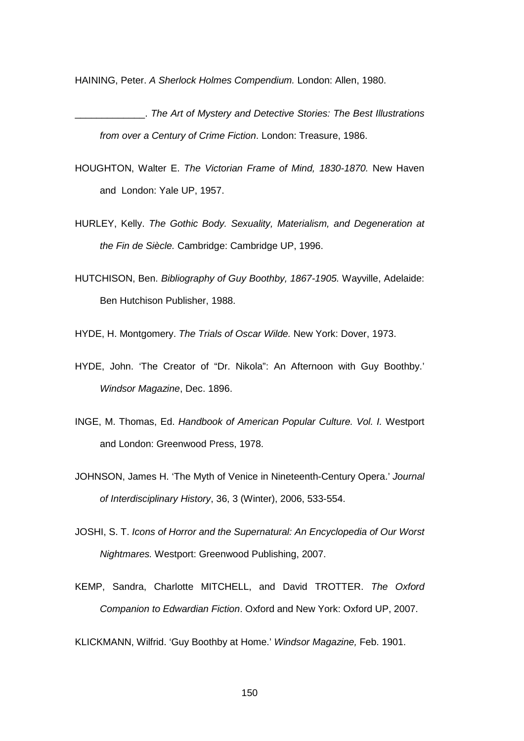HAINING, Peter. A Sherlock Holmes Compendium. London: Allen, 1980.

\_\_\_\_\_\_\_\_\_\_\_\_\_. The Art of Mystery and Detective Stories: The Best Illustrations from over a Century of Crime Fiction. London: Treasure, 1986.

- HOUGHTON, Walter E. The Victorian Frame of Mind, 1830-1870. New Haven and London: Yale UP, 1957.
- HURLEY, Kelly. The Gothic Body. Sexuality, Materialism, and Degeneration at the Fin de Siècle. Cambridge: Cambridge UP, 1996.
- HUTCHISON, Ben. Bibliography of Guy Boothby, 1867-1905. Wayville, Adelaide: Ben Hutchison Publisher, 1988.

HYDE, H. Montgomery. The Trials of Oscar Wilde. New York: Dover, 1973.

- HYDE, John. 'The Creator of "Dr. Nikola": An Afternoon with Guy Boothby.' Windsor Magazine, Dec. 1896.
- INGE, M. Thomas, Ed. Handbook of American Popular Culture. Vol. I. Westport and London: Greenwood Press, 1978.
- JOHNSON, James H. 'The Myth of Venice in Nineteenth-Century Opera.' Journal of Interdisciplinary History, 36, 3 (Winter), 2006, 533-554.
- JOSHI, S. T. Icons of Horror and the Supernatural: An Encyclopedia of Our Worst Nightmares. Westport: Greenwood Publishing, 2007.
- KEMP, Sandra, Charlotte MITCHELL, and David TROTTER. The Oxford Companion to Edwardian Fiction. Oxford and New York: Oxford UP, 2007.

KLICKMANN, Wilfrid. 'Guy Boothby at Home.' Windsor Magazine, Feb. 1901.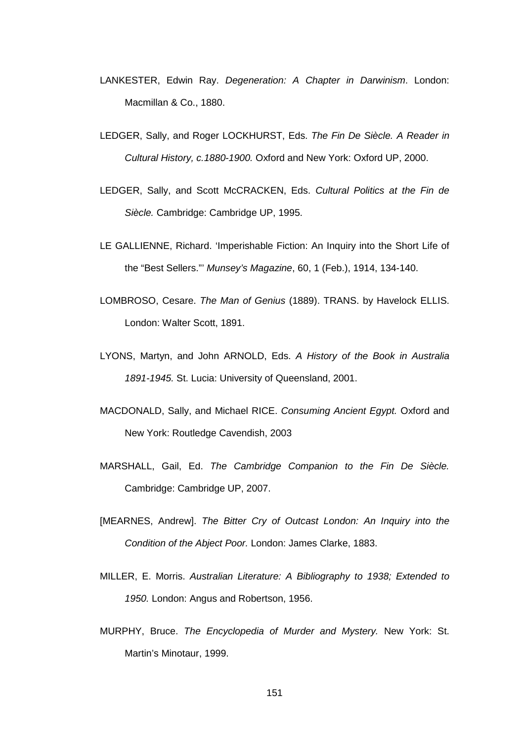- LANKESTER, Edwin Ray. Degeneration: A Chapter in Darwinism. London: Macmillan & Co., 1880.
- LEDGER, Sally, and Roger LOCKHURST, Eds. The Fin De Siècle. A Reader in Cultural History, c.1880-1900. Oxford and New York: Oxford UP, 2000.
- LEDGER, Sally, and Scott McCRACKEN, Eds. Cultural Politics at the Fin de Siècle. Cambridge: Cambridge UP, 1995.
- LE GALLIENNE, Richard. 'Imperishable Fiction: An Inquiry into the Short Life of the "Best Sellers."' Munsey's Magazine, 60, 1 (Feb.), 1914, 134-140.
- LOMBROSO, Cesare. The Man of Genius (1889). TRANS. by Havelock ELLIS. London: Walter Scott, 1891.
- LYONS, Martyn, and John ARNOLD, Eds. A History of the Book in Australia 1891-1945. St. Lucia: University of Queensland, 2001.
- MACDONALD, Sally, and Michael RICE. Consuming Ancient Egypt. Oxford and New York: Routledge Cavendish, 2003
- MARSHALL, Gail, Ed. The Cambridge Companion to the Fin De Siècle. Cambridge: Cambridge UP, 2007.
- [MEARNES, Andrew]. The Bitter Cry of Outcast London: An Inquiry into the Condition of the Abject Poor. London: James Clarke, 1883.
- MILLER, E. Morris. Australian Literature: A Bibliography to 1938; Extended to 1950. London: Angus and Robertson, 1956.
- MURPHY, Bruce. The Encyclopedia of Murder and Mystery. New York: St. Martin's Minotaur, 1999.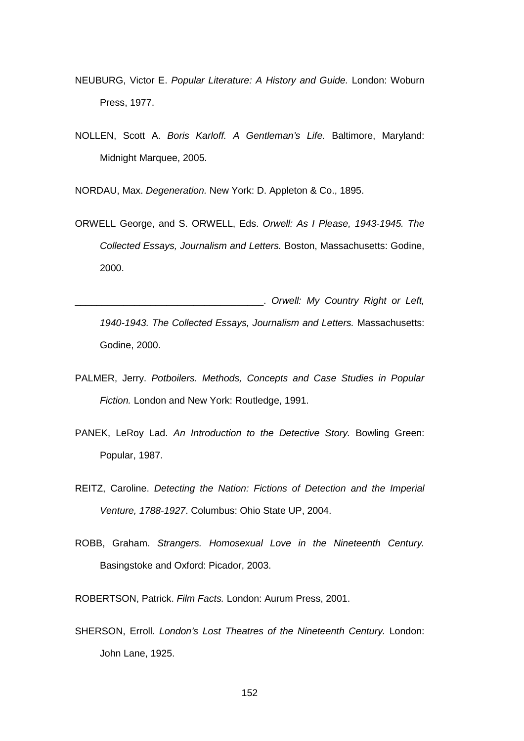- NEUBURG, Victor E. Popular Literature: A History and Guide. London: Woburn Press, 1977.
- NOLLEN, Scott A. Boris Karloff. A Gentleman's Life. Baltimore, Maryland: Midnight Marquee, 2005.

NORDAU, Max. Degeneration. New York: D. Appleton & Co., 1895.

ORWELL George, and S. ORWELL, Eds. Orwell: As I Please, 1943-1945. The Collected Essays, Journalism and Letters. Boston, Massachusetts: Godine, 2000.

\_\_\_\_\_\_\_\_\_\_\_\_\_\_\_\_\_\_\_\_\_\_\_\_\_\_\_\_\_\_\_\_\_\_\_. Orwell: My Country Right or Left, 1940-1943. The Collected Essays, Journalism and Letters. Massachusetts: Godine, 2000.

- PALMER, Jerry. Potboilers. Methods, Concepts and Case Studies in Popular Fiction. London and New York: Routledge, 1991.
- PANEK, LeRoy Lad. An Introduction to the Detective Story. Bowling Green: Popular, 1987.
- REITZ, Caroline. Detecting the Nation: Fictions of Detection and the Imperial Venture, 1788-1927. Columbus: Ohio State UP, 2004.
- ROBB, Graham. Strangers. Homosexual Love in the Nineteenth Century. Basingstoke and Oxford: Picador, 2003.

ROBERTSON, Patrick. Film Facts. London: Aurum Press, 2001.

SHERSON, Erroll. London's Lost Theatres of the Nineteenth Century. London: John Lane, 1925.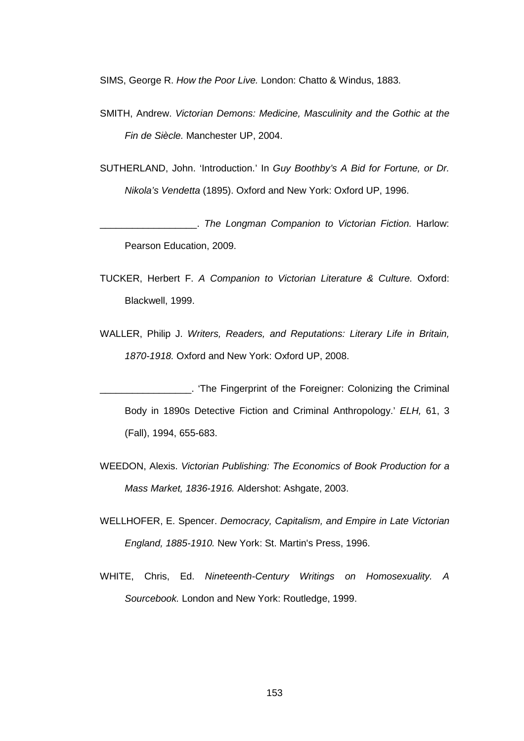SIMS, George R. How the Poor Live. London: Chatto & Windus, 1883.

- SMITH, Andrew. Victorian Demons: Medicine, Masculinity and the Gothic at the Fin de Siècle. Manchester UP, 2004.
- SUTHERLAND, John. 'Introduction.' In Guy Boothby's A Bid for Fortune, or Dr. Nikola's Vendetta (1895). Oxford and New York: Oxford UP, 1996.

\_\_\_\_\_\_\_\_\_\_\_\_\_\_\_\_\_\_. The Longman Companion to Victorian Fiction. Harlow: Pearson Education, 2009.

- TUCKER, Herbert F. A Companion to Victorian Literature & Culture. Oxford: Blackwell, 1999.
- WALLER, Philip J. Writers, Readers, and Reputations: Literary Life in Britain, 1870-1918. Oxford and New York: Oxford UP, 2008.

\_\_\_\_\_\_\_\_\_\_\_\_\_\_\_\_\_. 'The Fingerprint of the Foreigner: Colonizing the Criminal Body in 1890s Detective Fiction and Criminal Anthropology.' ELH, 61, 3 (Fall), 1994, 655-683.

- WEEDON, Alexis. Victorian Publishing: The Economics of Book Production for a Mass Market, 1836-1916. Aldershot: Ashgate, 2003.
- WELLHOFER, E. Spencer. Democracy, Capitalism, and Empire in Late Victorian England, 1885-1910. New York: St. Martin's Press, 1996.
- WHITE, Chris, Ed. Nineteenth-Century Writings on Homosexuality. A Sourcebook. London and New York: Routledge, 1999.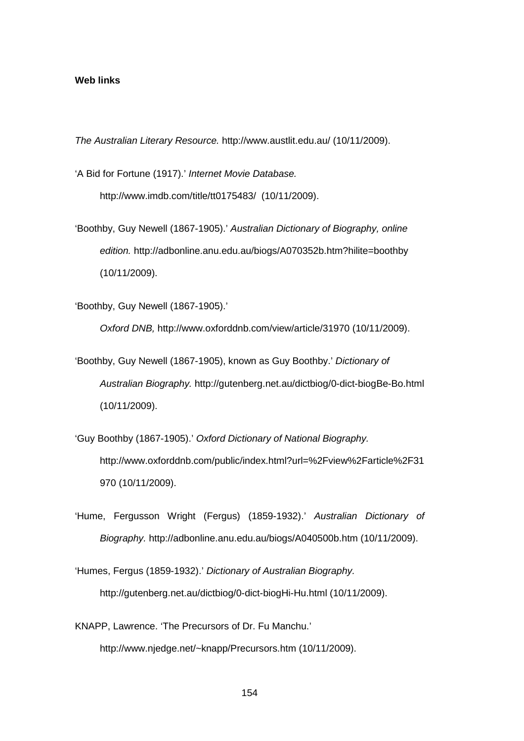### **Web links**

The Australian Literary Resource. http://www.austlit.edu.au/ (10/11/2009).

'A Bid for Fortune (1917).' Internet Movie Database. http://www.imdb.com/title/tt0175483/ (10/11/2009).

'Boothby, Guy Newell (1867-1905).' Australian Dictionary of Biography, online edition. http://adbonline.anu.edu.au/biogs/A070352b.htm?hilite=boothby (10/11/2009).

'Boothby, Guy Newell (1867-1905).'

Oxford DNB, http://www.oxforddnb.com/view/article/31970 (10/11/2009).

- 'Boothby, Guy Newell (1867-1905), known as Guy Boothby.' Dictionary of Australian Biography. http://gutenberg.net.au/dictbiog/0-dict-biogBe-Bo.html (10/11/2009).
- 'Guy Boothby (1867-1905).' Oxford Dictionary of National Biography. http://www.oxforddnb.com/public/index.html?url=%2Fview%2Farticle%2F31 970 (10/11/2009).
- 'Hume, Fergusson Wright (Fergus) (1859-1932).' Australian Dictionary of Biography. http://adbonline.anu.edu.au/biogs/A040500b.htm (10/11/2009).
- 'Humes, Fergus (1859-1932).' Dictionary of Australian Biography. http://gutenberg.net.au/dictbiog/0-dict-biogHi-Hu.html (10/11/2009).
- KNAPP, Lawrence. 'The Precursors of Dr. Fu Manchu.' http://www.njedge.net/~knapp/Precursors.htm (10/11/2009).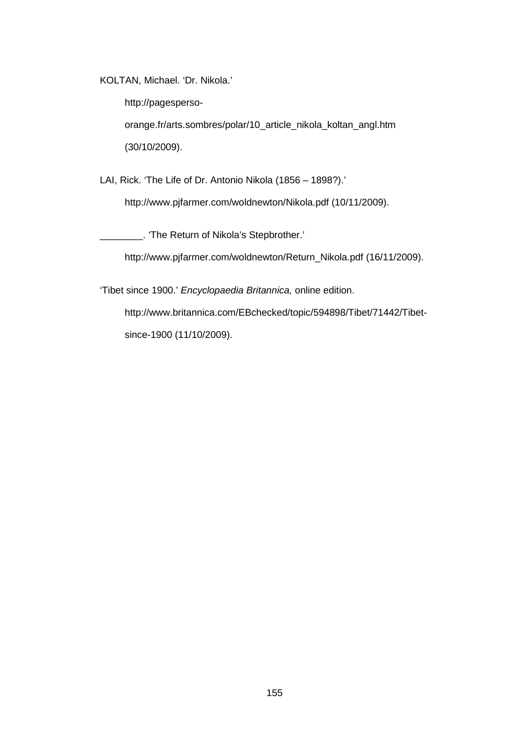KOLTAN, Michael. 'Dr. Nikola.'

http://pagesperso-

orange.fr/arts.sombres/polar/10\_article\_nikola\_koltan\_angl.htm (30/10/2009).

LAI, Rick. 'The Life of Dr. Antonio Nikola (1856 – 1898?).'

http://www.pjfarmer.com/woldnewton/Nikola.pdf (10/11/2009).

\_\_\_\_\_\_\_\_. 'The Return of Nikola's Stepbrother.'

http://www.pjfarmer.com/woldnewton/Return\_Nikola.pdf (16/11/2009).

'Tibet since 1900.' Encyclopaedia Britannica, online edition. http://www.britannica.com/EBchecked/topic/594898/Tibet/71442/Tibetsince-1900 (11/10/2009).